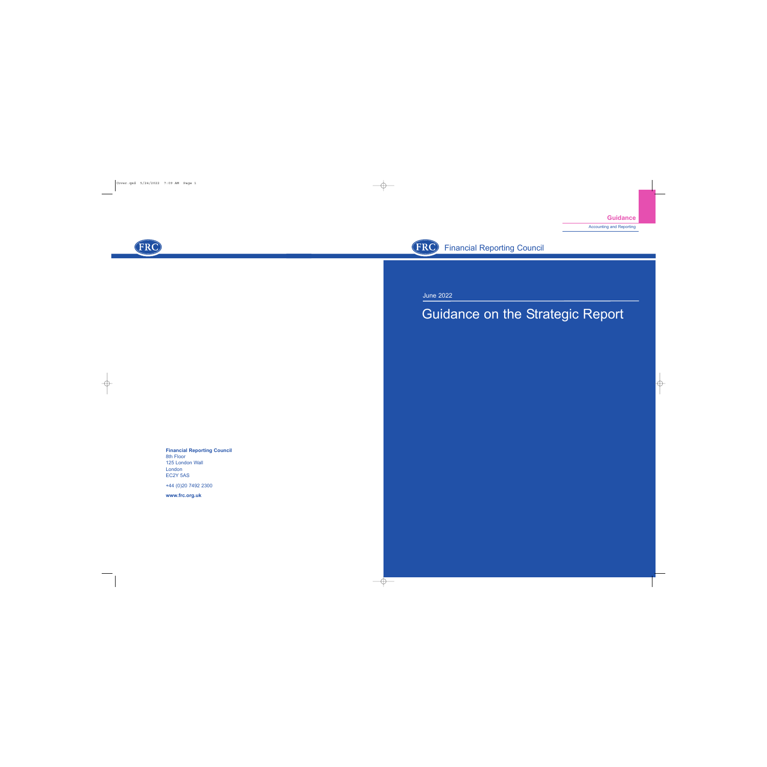Accounting and Reporting



June 2022

# Guidance on the Strategic Report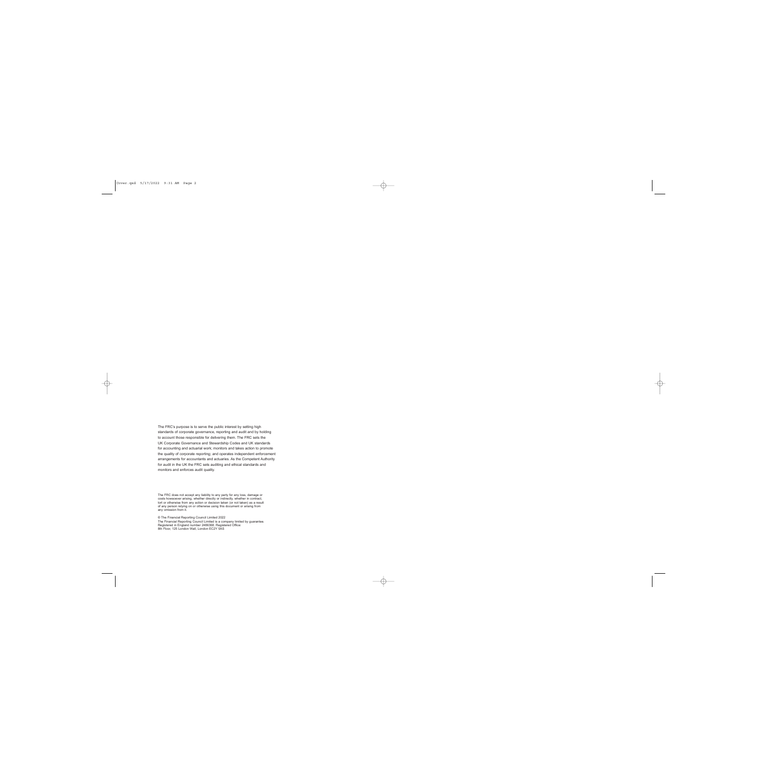The FRC's purpose is to serve the public interest by setting high standards of corporate governance, reporting and audit and by holding to account those responsible for delivering them. The FRC sets the UK Corporate Governance and Stewardship Codes and UK standards for accounting and actuarial work; monitors and takes action to promote the quality of corporate reporting; and operates independent enforcement arrangements for accountants and actuaries. As the Competent Authority for audit in the UK the FRC sets auditing and ethical standards and monitors and enforces audit quality.

The FRC does not accept any liability to any party for any loss, damage or costs howsoever arising, whether directly or indirectly, whether in contract, tort or otherwise from any action or decision taken (or not taken) as a result of any person relying on or otherwise using this document or arising from any omission from it.

© The Financial Reporting Council Limited 2022 The Financial Reporting Council Limited is a company limited by guarantee. Registered in England number 2486368. Registered Office: 8th Floor, 125 London Wall, London EC2Y 5AS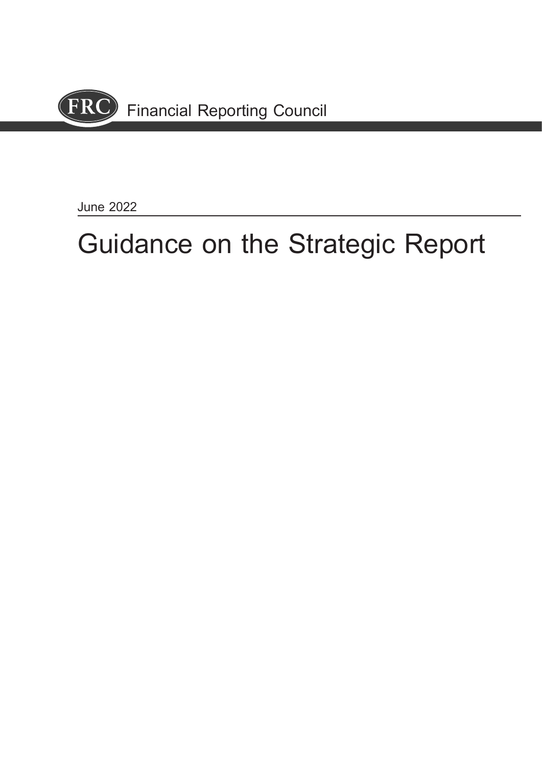

June 2022

# Guidance on the Strategic Report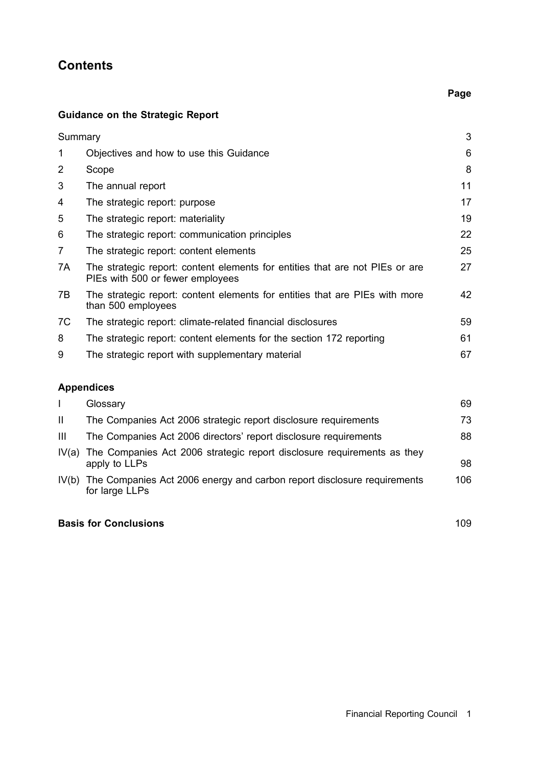# **Contents**

## Guidance on the Strategic Report

| Summary        |                                                                                                                  | 3  |
|----------------|------------------------------------------------------------------------------------------------------------------|----|
| 1              | Objectives and how to use this Guidance                                                                          | 6  |
| 2              | Scope                                                                                                            | 8  |
| 3              | The annual report                                                                                                | 11 |
| 4              | The strategic report: purpose                                                                                    | 17 |
| 5              | The strategic report: materiality                                                                                | 19 |
| 6              | The strategic report: communication principles                                                                   | 22 |
| $\overline{7}$ | The strategic report: content elements                                                                           | 25 |
| 7A             | The strategic report: content elements for entities that are not PIEs or are<br>PIEs with 500 or fewer employees | 27 |
| 7B             | The strategic report: content elements for entities that are PIEs with more<br>than 500 employees                | 42 |
| 7C             | The strategic report: climate-related financial disclosures                                                      | 59 |
| 8              | The strategic report: content elements for the section 172 reporting                                             | 61 |
| 9              | The strategic report with supplementary material                                                                 | 67 |

# Appendices

|                | Glossary                                                                                        | 69  |
|----------------|-------------------------------------------------------------------------------------------------|-----|
| -H             | The Companies Act 2006 strategic report disclosure requirements                                 | 73  |
| $\mathbf{III}$ | The Companies Act 2006 directors' report disclosure requirements                                | 88  |
|                | IV(a) The Companies Act 2006 strategic report disclosure requirements as they<br>apply to LLPs  | 98  |
|                | IV(b) The Companies Act 2006 energy and carbon report disclosure requirements<br>for large LLPs | 106 |
|                |                                                                                                 |     |

### Basis for Conclusions 109

Page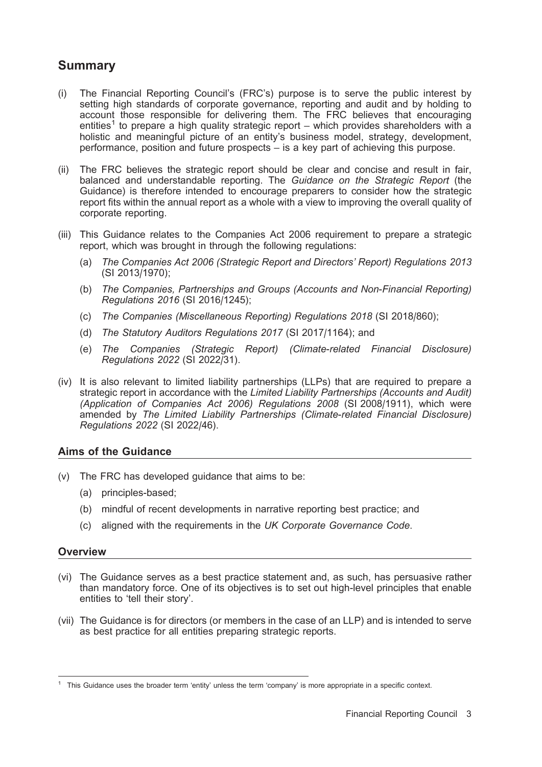# Summary

- (i) The Financial Reporting Council's (FRC's) purpose is to serve the public interest by setting high standards of corporate governance, reporting and audit and by holding to account those responsible for delivering them. The FRC believes that encouraging entities<sup>1</sup> to prepare a high quality strategic report – which provides shareholders with a holistic and meaningful picture of an entity's business model, strategy, development, performance, position and future prospects – is a key part of achieving this purpose.
- (ii) The FRC believes the strategic report should be clear and concise and result in fair, balanced and understandable reporting. The Guidance on the Strategic Report (the Guidance) is therefore intended to encourage preparers to consider how the strategic report fits within the annual report as a whole with a view to improving the overall quality of corporate reporting.
- (iii) This Guidance relates to the Companies Act 2006 requirement to prepare a strategic report, which was brought in through the following regulations:
	- (a) The Companies Act 2006 (Strategic Report and Directors' Report) Regulations 2013 (SI 2013/1970);
	- (b) The Companies, Partnerships and Groups (Accounts and Non-Financial Reporting) Regulations 2016 (SI 2016/1245);
	- (c) The Companies (Miscellaneous Reporting) Regulations 2018 (SI 2018/860);
	- (d) The Statutory Auditors Regulations 2017 (SI 2017/1164); and
	- (e) The Companies (Strategic Report) (Climate-related Financial Disclosure) Regulations 2022 (SI 2022/31).
- (iv) It is also relevant to limited liability partnerships (LLPs) that are required to prepare a strategic report in accordance with the Limited Liability Partnerships (Accounts and Audit) (Application of Companies Act 2006) Regulations 2008 (SI 2008/1911), which were amended by The Limited Liability Partnerships (Climate-related Financial Disclosure) Regulations 2022 (SI 2022/46).

### Aims of the Guidance

- (v) The FRC has developed guidance that aims to be:
	- (a) principles-based;
	- (b) mindful of recent developments in narrative reporting best practice; and
	- (c) aligned with the requirements in the UK Corporate Governance Code.

### **Overview**

- (vi) The Guidance serves as a best practice statement and, as such, has persuasive rather than mandatory force. One of its objectives is to set out high-level principles that enable entities to 'tell their story'.
- (vii) The Guidance is for directors (or members in the case of an LLP) and is intended to serve as best practice for all entities preparing strategic reports.

 $1$  This Guidance uses the broader term 'entity' unless the term 'company' is more appropriate in a specific context.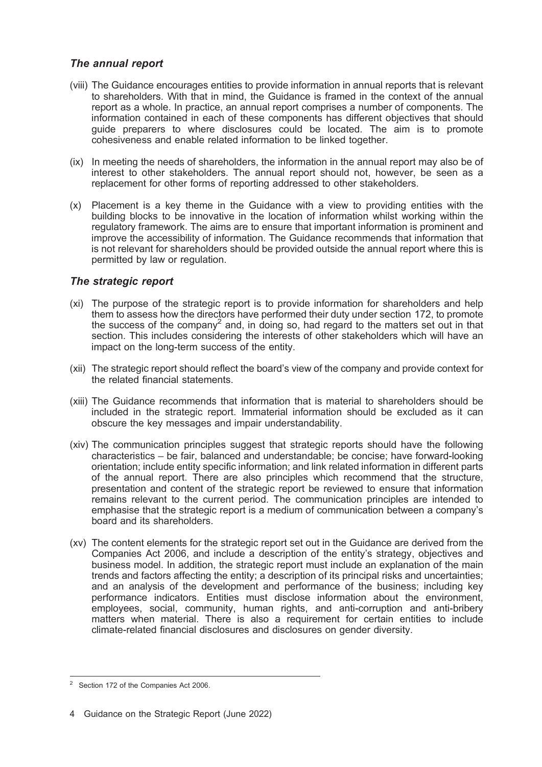### The annual report

- (viii) The Guidance encourages entities to provide information in annual reports that is relevant to shareholders. With that in mind, the Guidance is framed in the context of the annual report as a whole. In practice, an annual report comprises a number of components. The information contained in each of these components has different objectives that should guide preparers to where disclosures could be located. The aim is to promote cohesiveness and enable related information to be linked together.
- (ix) In meeting the needs of shareholders, the information in the annual report may also be of interest to other stakeholders. The annual report should not, however, be seen as a replacement for other forms of reporting addressed to other stakeholders.
- (x) Placement is a key theme in the Guidance with a view to providing entities with the building blocks to be innovative in the location of information whilst working within the regulatory framework. The aims are to ensure that important information is prominent and improve the accessibility of information. The Guidance recommends that information that is not relevant for shareholders should be provided outside the annual report where this is permitted by law or regulation.

### The strategic report

- (xi) The purpose of the strategic report is to provide information for shareholders and help them to assess how the directors have performed their duty under section 172, to promote the success of the company<sup>2</sup> and, in doing so, had regard to the matters set out in that section. This includes considering the interests of other stakeholders which will have an impact on the long-term success of the entity.
- (xii) The strategic report should reflect the board's view of the company and provide context for the related financial statements.
- (xiii) The Guidance recommends that information that is material to shareholders should be included in the strategic report. Immaterial information should be excluded as it can obscure the key messages and impair understandability.
- (xiv) The communication principles suggest that strategic reports should have the following characteristics – be fair, balanced and understandable; be concise; have forward-looking orientation; include entity specific information; and link related information in different parts of the annual report. There are also principles which recommend that the structure, presentation and content of the strategic report be reviewed to ensure that information remains relevant to the current period. The communication principles are intended to emphasise that the strategic report is a medium of communication between a company's board and its shareholders.
- (xv) The content elements for the strategic report set out in the Guidance are derived from the Companies Act 2006, and include a description of the entity's strategy, objectives and business model. In addition, the strategic report must include an explanation of the main trends and factors affecting the entity; a description of its principal risks and uncertainties; and an analysis of the development and performance of the business; including key performance indicators. Entities must disclose information about the environment, employees, social, community, human rights, and anti-corruption and anti-bribery matters when material. There is also a requirement for certain entities to include climate-related financial disclosures and disclosures on gender diversity.

<sup>2</sup> Section 172 of the Companies Act 2006.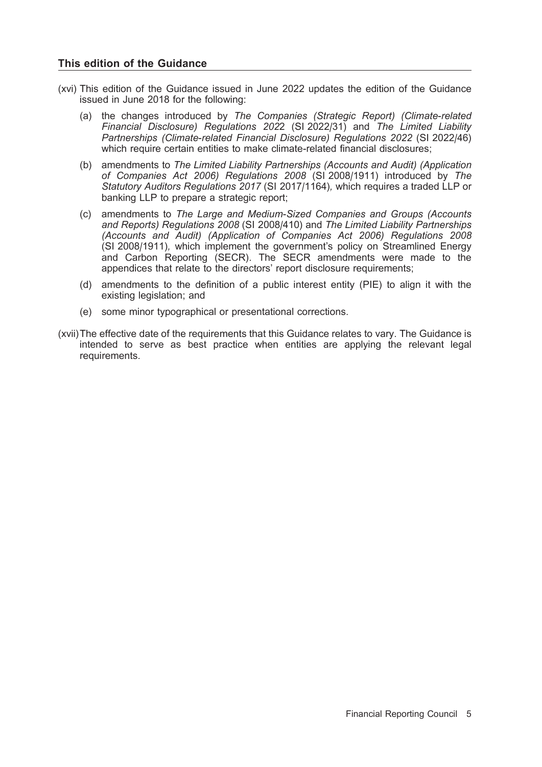### This edition of the Guidance

- (xvi) This edition of the Guidance issued in June 2022 updates the edition of the Guidance issued in June 2018 for the following:
	- (a) the changes introduced by The Companies (Strategic Report) (Climate-related Financial Disclosure) Regulations 2022 (SI 2022/31) and The Limited Liability Partnerships (Climate-related Financial Disclosure) Regulations 2022 (SI 2022/46) which require certain entities to make climate-related financial disclosures;
	- (b) amendments to The Limited Liability Partnerships (Accounts and Audit) (Application of Companies Act 2006) Regulations 2008 (SI 2008/1911) introduced by The Statutory Auditors Regulations 2017 (SI 2017/1164), which requires a traded LLP or banking LLP to prepare a strategic report;
	- (c) amendments to The Large and Medium-Sized Companies and Groups (Accounts and Reports) Regulations 2008 (SI 2008/410) and The Limited Liability Partnerships (Accounts and Audit) (Application of Companies Act 2006) Regulations 2008 (SI 2008/1911), which implement the government's policy on Streamlined Energy and Carbon Reporting (SECR). The SECR amendments were made to the appendices that relate to the directors' report disclosure requirements;
	- (d) amendments to the definition of a public interest entity (PIE) to align it with the existing legislation; and
	- (e) some minor typographical or presentational corrections.
- (xvii)The effective date of the requirements that this Guidance relates to vary. The Guidance is intended to serve as best practice when entities are applying the relevant legal requirements.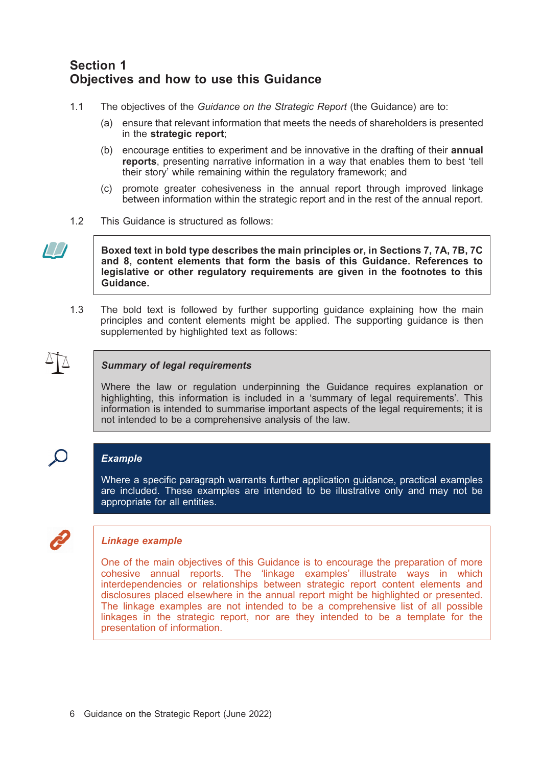# Section 1 Objectives and how to use this Guidance

- 1.1 The objectives of the Guidance on the Strategic Report (the Guidance) are to:
	- (a) ensure that relevant information that meets the needs of shareholders is presented in the strategic report;
	- (b) encourage entities to experiment and be innovative in the drafting of their annual reports, presenting narrative information in a way that enables them to best 'tell their story' while remaining within the regulatory framework; and
	- (c) promote greater cohesiveness in the annual report through improved linkage between information within the strategic report and in the rest of the annual report.
- 1.2 This Guidance is structured as follows:



Boxed text in bold type describes the main principles or, in Sections 7, 7A, 7B, 7C and 8, content elements that form the basis of this Guidance. References to legislative or other regulatory requirements are given in the footnotes to this Guidance.

1.3 The bold text is followed by further supporting guidance explaining how the main principles and content elements might be applied. The supporting guidance is then supplemented by highlighted text as follows:



### Summary of legal requirements

Where the law or regulation underpinning the Guidance requires explanation or highlighting, this information is included in a 'summary of legal requirements'. This information is intended to summarise important aspects of the legal requirements; it is not intended to be a comprehensive analysis of the law.

# $\bigcirc$

### Example

Where a specific paragraph warrants further application guidance, practical examples are included. These examples are intended to be illustrative only and may not be appropriate for all entities.

### Linkage example

One of the main objectives of this Guidance is to encourage the preparation of more cohesive annual reports. The 'linkage examples' illustrate ways in which interdependencies or relationships between strategic report content elements and disclosures placed elsewhere in the annual report might be highlighted or presented. The linkage examples are not intended to be a comprehensive list of all possible linkages in the strategic report, nor are they intended to be a template for the presentation of information.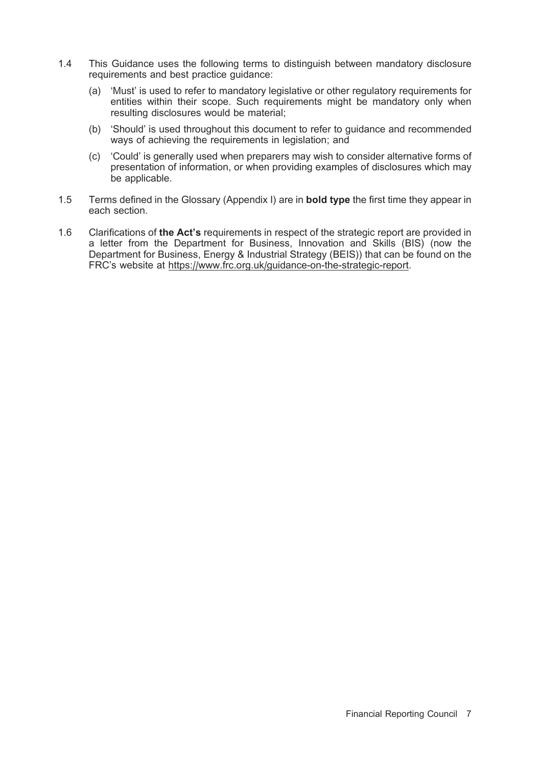- 1.4 This Guidance uses the following terms to distinguish between mandatory disclosure requirements and best practice guidance:
	- (a) 'Must' is used to refer to mandatory legislative or other regulatory requirements for entities within their scope. Such requirements might be mandatory only when resulting disclosures would be material;
	- (b) 'Should' is used throughout this document to refer to guidance and recommended ways of achieving the requirements in legislation; and
	- (c) 'Could' is generally used when preparers may wish to consider alternative forms of presentation of information, or when providing examples of disclosures which may be applicable.
- 1.5 Terms defined in the Glossary (Appendix I) are in **bold type** the first time they appear in each section.
- 1.6 Clarifications of the Act's requirements in respect of the strategic report are provided in a letter from the Department for Business, Innovation and Skills (BIS) (now the Department for Business, Energy & Industrial Strategy (BEIS)) that can be found on the FRC's website at https://www.frc.org.uk/guidance-on-the-strategic-report.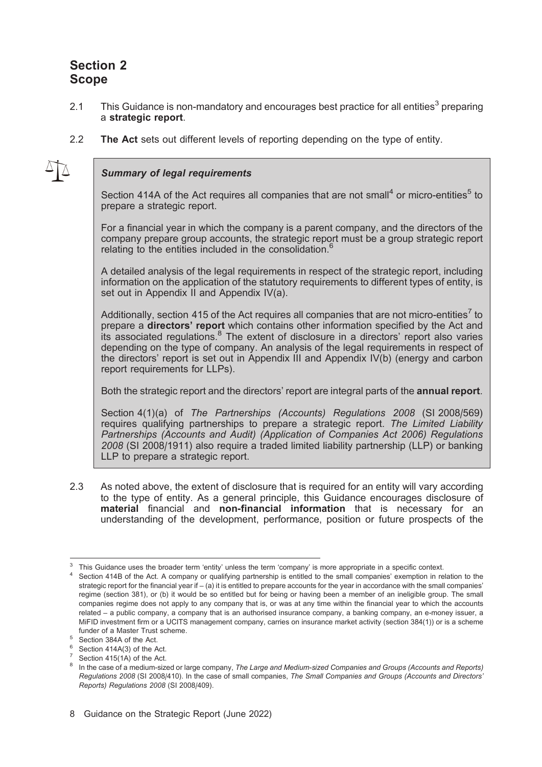# Section 2 Scope

- 2.1 This Guidance is non-mandatory and encourages best practice for all entities<sup>3</sup> preparing a strategic report.
- 2.2 The Act sets out different levels of reporting depending on the type of entity.

### Summary of legal requirements

Section 414A of the Act requires all companies that are not small<sup>4</sup> or micro-entities<sup>5</sup> to prepare a strategic report.

For a financial year in which the company is a parent company, and the directors of the company prepare group accounts, the strategic report must be a group strategic report relating to the entities included in the consolidation.<sup>6</sup>

A detailed analysis of the legal requirements in respect of the strategic report, including information on the application of the statutory requirements to different types of entity, is set out in Appendix II and Appendix IV(a).

Additionally, section 415 of the Act requires all companies that are not micro-entities<sup>7</sup> to prepare a directors' report which contains other information specified by the Act and its associated regulations.8 The extent of disclosure in a directors' report also varies depending on the type of company. An analysis of the legal requirements in respect of the directors' report is set out in Appendix III and Appendix IV(b) (energy and carbon report requirements for LLPs).

Both the strategic report and the directors' report are integral parts of the **annual report**.

Section 4(1)(a) of The Partnerships (Accounts) Regulations 2008 (SI 2008/569) requires qualifying partnerships to prepare a strategic report. The Limited Liability Partnerships (Accounts and Audit) (Application of Companies Act 2006) Regulations 2008 (SI 2008/1911) also require a traded limited liability partnership (LLP) or banking LLP to prepare a strategic report.

2.3 As noted above, the extent of disclosure that is required for an entity will vary according to the type of entity. As a general principle, this Guidance encourages disclosure of material financial and non-financial information that is necessary for an understanding of the development, performance, position or future prospects of the

 $3$  This Guidance uses the broader term 'entity' unless the term 'company' is more appropriate in a specific context.<br>4 Section 414B of the Act. A company or qualifying partnership is entitled to the small companies' exem

strategic report for the financial year if – (a) it is entitled to prepare accounts for the year in accordance with the small companies' regime (section 381), or (b) it would be so entitled but for being or having been a member of an ineligible group. The small companies regime does not apply to any company that is, or was at any time within the financial year to which the accounts related – a public company, a company that is an authorised insurance company, a banking company, an e-money issuer, a MiFID investment firm or a UCITS management company, carries on insurance market activity (section 384(1)) or is a scheme funder of a Master Trust scheme.<br>  $\frac{5}{6}$  Section 414A(3) of the Act.<br>  $\frac{7}{6}$  Section 415(1A) of the Act.

In the case of a medium-sized or large company, The Large and Medium-sized Companies and Groups (Accounts and Reports) Regulations 2008 (SI 2008/410). In the case of small companies, The Small Companies and Groups (Accounts and Directors' Reports) Regulations 2008 (SI 2008/409).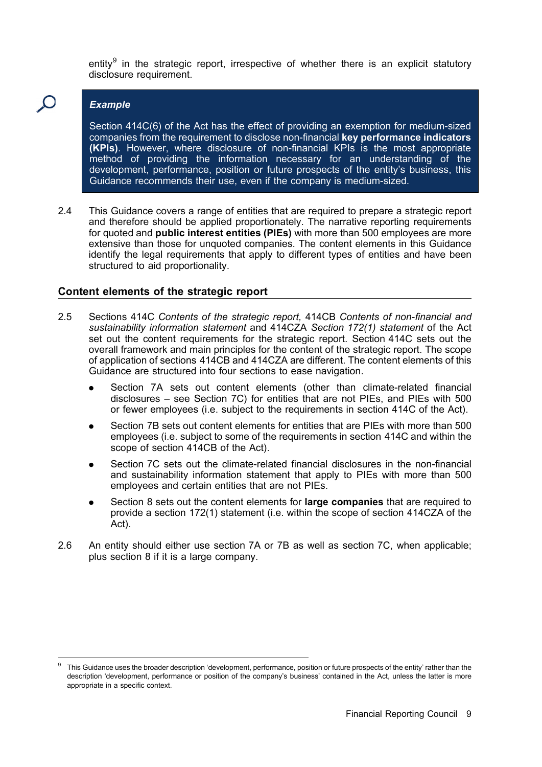entity<sup>9</sup> in the strategic report, irrespective of whether there is an explicit statutory disclosure requirement.

### Example

Section 414C(6) of the Act has the effect of providing an exemption for medium-sized companies from the requirement to disclose non-financial key performance indicators (KPIs). However, where disclosure of non-financial KPIs is the most appropriate method of providing the information necessary for an understanding of the development, performance, position or future prospects of the entity's business, this Guidance recommends their use, even if the company is medium-sized.

2.4 This Guidance covers a range of entities that are required to prepare a strategic report and therefore should be applied proportionately. The narrative reporting requirements for quoted and public interest entities (PIEs) with more than 500 employees are more extensive than those for unquoted companies. The content elements in this Guidance identify the legal requirements that apply to different types of entities and have been structured to aid proportionality.

### Content elements of the strategic report

- 2.5 Sections 414C Contents of the strategic report, 414CB Contents of non-financial and sustainability information statement and 414CZA Section 172(1) statement of the Act set out the content requirements for the strategic report. Section 414C sets out the overall framework and main principles for the content of the strategic report. The scope of application of sections 414CB and 414CZA are different. The content elements of this Guidance are structured into four sections to ease navigation.
	- Section 7A sets out content elements (other than climate-related financial disclosures – see Section 7C) for entities that are not PIEs, and PIEs with 500 or fewer employees (i.e. subject to the requirements in section 414C of the Act).
	- . Section 7B sets out content elements for entities that are PIEs with more than 500 employees (i.e. subject to some of the requirements in section 414C and within the scope of section 414CB of the Act).
	- . Section 7C sets out the climate-related financial disclosures in the non-financial and sustainability information statement that apply to PIEs with more than 500 employees and certain entities that are not PIEs.
	- Section 8 sets out the content elements for large companies that are required to provide a section 172(1) statement (i.e. within the scope of section 414CZA of the Act).
- 2.6 An entity should either use section 7A or 7B as well as section 7C, when applicable; plus section 8 if it is a large company.

This Guidance uses the broader description 'development, performance, position or future prospects of the entity' rather than the description 'development, performance or position of the company's business' contained in the Act, unless the latter is more appropriate in a specific context.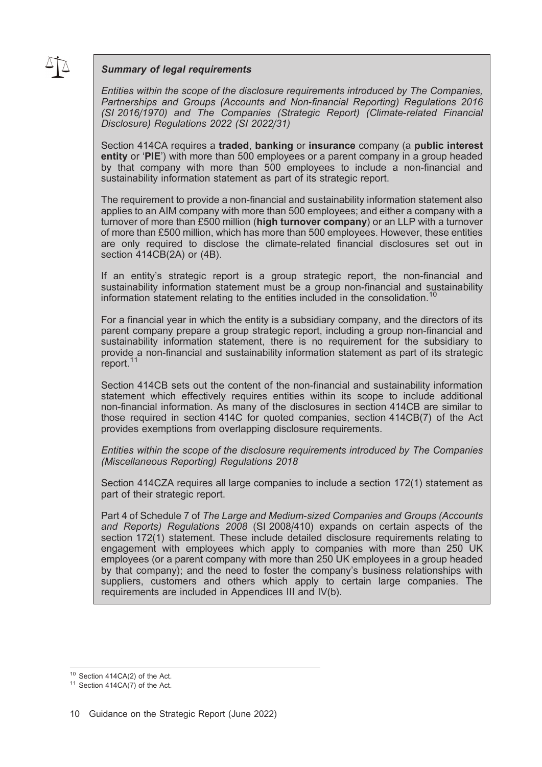### Summary of legal requirements

Entities within the scope of the disclosure requirements introduced by The Companies, Partnerships and Groups (Accounts and Non-financial Reporting) Regulations 2016 (SI 2016/1970) and The Companies (Strategic Report) (Climate-related Financial Disclosure) Regulations 2022 (SI 2022/31)

Section 414CA requires a traded, banking or insurance company (a public interest entity or 'PIE') with more than 500 employees or a parent company in a group headed by that company with more than 500 employees to include a non-financial and sustainability information statement as part of its strategic report.

The requirement to provide a non-financial and sustainability information statement also applies to an AIM company with more than 500 employees; and either a company with a turnover of more than £500 million (high turnover company) or an LLP with a turnover of more than £500 million, which has more than 500 employees. However, these entities are only required to disclose the climate-related financial disclosures set out in section 414CB(2A) or (4B).

If an entity's strategic report is a group strategic report, the non-financial and sustainability information statement must be a group non-financial and sustainability information statement relating to the entities included in the consolidation.<sup>10</sup>

For a financial year in which the entity is a subsidiary company, and the directors of its parent company prepare a group strategic report, including a group non-financial and sustainability information statement, there is no requirement for the subsidiary to provide a non-financial and sustainability information statement as part of its strategic report.<sup>11</sup>

Section 414CB sets out the content of the non-financial and sustainability information statement which effectively requires entities within its scope to include additional non-financial information. As many of the disclosures in section 414CB are similar to those required in section 414C for quoted companies, section 414CB(7) of the Act provides exemptions from overlapping disclosure requirements.

Entities within the scope of the disclosure requirements introduced by The Companies (Miscellaneous Reporting) Regulations 2018

Section 414CZA requires all large companies to include a section 172(1) statement as part of their strategic report.

Part 4 of Schedule 7 of The Large and Medium-sized Companies and Groups (Accounts and Reports) Regulations 2008 (SI 2008/410) expands on certain aspects of the section 172(1) statement. These include detailed disclosure requirements relating to engagement with employees which apply to companies with more than 250 UK employees (or a parent company with more than 250 UK employees in a group headed by that company); and the need to foster the company's business relationships with suppliers, customers and others which apply to certain large companies. The requirements are included in Appendices III and IV(b).

<sup>&</sup>lt;sup>10</sup> Section 414CA(2) of the Act.<br><sup>11</sup> Section 414CA(7) of the Act.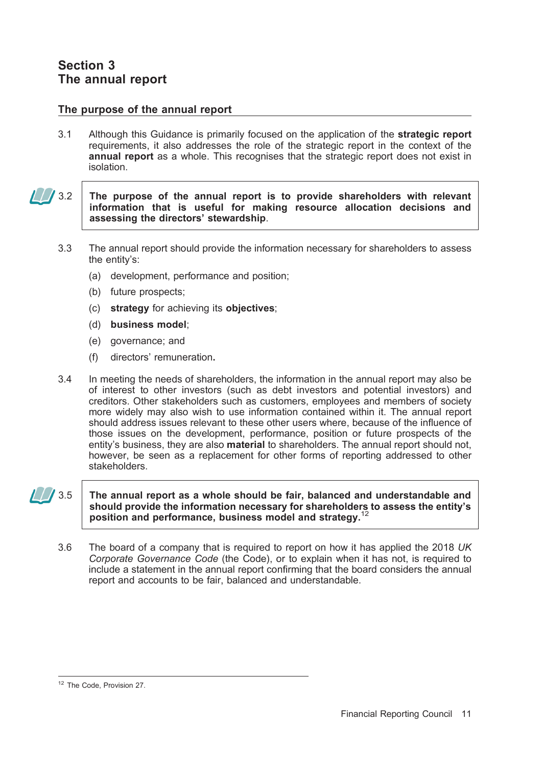### The purpose of the annual report

3.1 Although this Guidance is primarily focused on the application of the strategic report requirements, it also addresses the role of the strategic report in the context of the annual report as a whole. This recognises that the strategic report does not exist in isolation.

### $\frac{1}{2}$  3.2 The purpose of the annual report is to provide shareholders with relevant information that is useful for making resource allocation decisions and assessing the directors' stewardship.

- 3.3 The annual report should provide the information necessary for shareholders to assess the entity's:
	- (a) development, performance and position;
	- (b) future prospects;
	- (c) strategy for achieving its objectives;
	- (d) business model;
	- (e) governance; and
	- (f) directors' remuneration.
- 3.4 In meeting the needs of shareholders, the information in the annual report may also be of interest to other investors (such as debt investors and potential investors) and creditors. Other stakeholders such as customers, employees and members of society more widely may also wish to use information contained within it. The annual report should address issues relevant to these other users where, because of the influence of those issues on the development, performance, position or future prospects of the entity's business, they are also **material** to shareholders. The annual report should not, however, be seen as a replacement for other forms of reporting addressed to other stakeholders.

### $\sqrt{3.5}$  The annual report as a whole should be fair, balanced and understandable and should provide the information necessary for shareholders to assess the entity's position and performance, business model and strategy.<sup>1</sup>

3.6 The board of a company that is required to report on how it has applied the 2018 UK Corporate Governance Code (the Code), or to explain when it has not, is required to include a statement in the annual report confirming that the board considers the annual report and accounts to be fair, balanced and understandable.

<sup>&</sup>lt;sup>12</sup> The Code, Provision 27.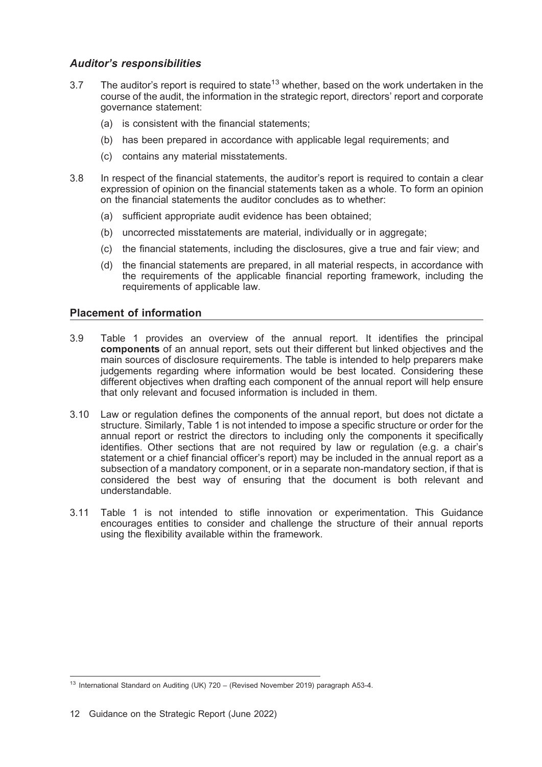### Auditor's responsibilities

- 3.7 The auditor's report is required to state<sup>13</sup> whether, based on the work undertaken in the course of the audit, the information in the strategic report, directors' report and corporate governance statement:
	- (a) is consistent with the financial statements;
	- (b) has been prepared in accordance with applicable legal requirements; and
	- (c) contains any material misstatements.
- 3.8 In respect of the financial statements, the auditor's report is required to contain a clear expression of opinion on the financial statements taken as a whole. To form an opinion on the financial statements the auditor concludes as to whether:
	- (a) sufficient appropriate audit evidence has been obtained;
	- (b) uncorrected misstatements are material, individually or in aggregate;
	- (c) the financial statements, including the disclosures, give a true and fair view; and
	- (d) the financial statements are prepared, in all material respects, in accordance with the requirements of the applicable financial reporting framework, including the requirements of applicable law.

### Placement of information

- 3.9 Table 1 provides an overview of the annual report. It identifies the principal components of an annual report, sets out their different but linked objectives and the main sources of disclosure requirements. The table is intended to help preparers make judgements regarding where information would be best located. Considering these different objectives when drafting each component of the annual report will help ensure that only relevant and focused information is included in them.
- 3.10 Law or regulation defines the components of the annual report, but does not dictate a structure. Similarly, Table 1 is not intended to impose a specific structure or order for the annual report or restrict the directors to including only the components it specifically identifies. Other sections that are not required by law or regulation (e.g. a chair's statement or a chief financial officer's report) may be included in the annual report as a subsection of a mandatory component, or in a separate non-mandatory section, if that is considered the best way of ensuring that the document is both relevant and understandable.
- 3.11 Table 1 is not intended to stifle innovation or experimentation. This Guidance encourages entities to consider and challenge the structure of their annual reports using the flexibility available within the framework.

<sup>&</sup>lt;sup>13</sup> International Standard on Auditing (UK) 720 – (Revised November 2019) paragraph A53-4.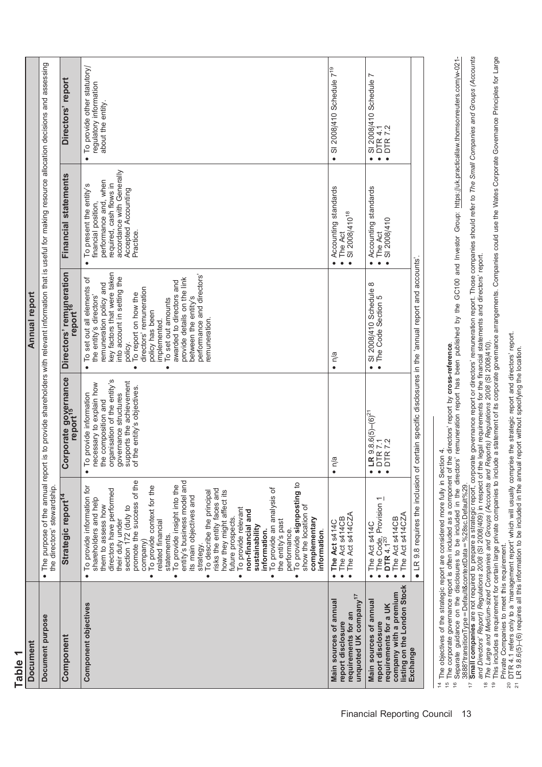| Document purpose<br>Component<br><b>Document</b>                                                                              | The purpose of the annual repor<br>the directors' stewardship<br>Strategic report <sup>14</sup><br>$\bullet$                                                                                                                                                                                                                                                                                                                                                                                                                                                                                                                                                                                                                                                                                              | Corporate governance<br>report <sup>15</sup>                                                                                                                                                 | t is to provide shareholders with relevant information that is useful for making resource allocation decisions and assessing<br>Directors' remµneration<br>report <sup>16</sup><br>Annual report                                                                                                                                                                                                                                              | Financial statements                                                                                                       |                                                    |
|-------------------------------------------------------------------------------------------------------------------------------|-----------------------------------------------------------------------------------------------------------------------------------------------------------------------------------------------------------------------------------------------------------------------------------------------------------------------------------------------------------------------------------------------------------------------------------------------------------------------------------------------------------------------------------------------------------------------------------------------------------------------------------------------------------------------------------------------------------------------------------------------------------------------------------------------------------|----------------------------------------------------------------------------------------------------------------------------------------------------------------------------------------------|-----------------------------------------------------------------------------------------------------------------------------------------------------------------------------------------------------------------------------------------------------------------------------------------------------------------------------------------------------------------------------------------------------------------------------------------------|----------------------------------------------------------------------------------------------------------------------------|----------------------------------------------------|
| Component objectives                                                                                                          | promote the success of the<br>entity's business model and<br>To provide signposting to<br>To provide insight into the<br>To provide context for the<br>To provide information for<br>To provide an analysis of<br>directors have performed<br>risks the entity faces and<br>how they might affect its<br>To describe the principal<br>its main objectives and<br>shareholders and help<br>them to assess how<br>show the location of<br>section 172 (duty to<br>To provide relevant<br>non-financial and<br>future prospects.<br>complementary<br>their duty under<br>the entity's past<br>related financial<br>sustainability<br>performance.<br>information.<br>information.<br>statements.<br>company)<br>strategy.<br>$\bullet$<br>$\bullet$<br>$\bullet$<br>$\bullet$<br>$\bullet$<br>$\bullet$<br>۰ | organisation of the entity's<br>supports the achievement<br>necessary to explain how<br>of the entity's objectives.<br>o provide information<br>governance structures<br>the composition and | key factors that were taken<br>performance and directors'<br>into account in setting the<br>To set out all elements of<br>provide details on the link<br>awarded to directors and<br>emuneration policy and<br>directors' remuneration<br>To report on how the<br>the entity's directors'<br>between the entity's<br>To set out amounts<br>policy has been<br>remuneration.<br>implemented.<br>policy.<br>$\bullet$<br>$\bullet$<br>$\bullet$ | To present the entity's<br>required, cash flows in<br>Accepted Accounting<br>financial position,<br>Practice.<br>$\bullet$ | accordance with Generally<br>performance and, when |
| unquoted UK company <sup>17</sup><br>Main sources of annual<br>requirements for an<br>report disclosure                       | The Act s414CZA<br>The Act s414CB<br>The Act s414C<br>$\bullet$<br>$\bullet$<br>$\bullet$                                                                                                                                                                                                                                                                                                                                                                                                                                                                                                                                                                                                                                                                                                                 | n/a<br>$\bullet$                                                                                                                                                                             | $\bullet$ n/a                                                                                                                                                                                                                                                                                                                                                                                                                                 | Accounting standards<br>SI 2008/410 <sup>18</sup><br>The Act<br>$\bullet$<br>$\bullet$                                     |                                                    |
| listing on the London Stock<br>company with a premium<br>Main sources of annual<br>requirements for a UK<br>report disclosure | The Code, Provision 1<br>DTR 4.1 <sup>20</sup><br>The Act s414CZA<br>The Act s414CB<br>The Act s414C<br>$\bullet$                                                                                                                                                                                                                                                                                                                                                                                                                                                                                                                                                                                                                                                                                         | $LR$ 9.8.6(5)–(6) <sup>21</sup><br>DTR 7.1<br>$\bullet$                                                                                                                                      | SI 2008/410 Schedule 8<br>• The Code Section 5<br>$\bullet$                                                                                                                                                                                                                                                                                                                                                                                   | Accounting standards<br>SI 2008/410<br>The Act<br>$\bullet$                                                                |                                                    |
| Exchange                                                                                                                      | • LR 9.8 requires the inclusion of                                                                                                                                                                                                                                                                                                                                                                                                                                                                                                                                                                                                                                                                                                                                                                        |                                                                                                                                                                                              | certain specific disclosures in the 'annual report and accounts'.                                                                                                                                                                                                                                                                                                                                                                             |                                                                                                                            |                                                    |

Table 1

<sup>14</sup> The objectives of the strategic report are considered more fully in Section 4.

The corporate governance report is often included as a component of the directors' report by cross-reference.  $\frac{10}{2}$ 

<sup>14</sup> The objectives of the strategic report are considered more fully in Section 4.<br><sup>15</sup> The corporate governance report is often included as a component of the directors' report by **cross-reference**.<br><sup>16</sup> Separate guidanc Separate guidance on the disclosures to be included in the directors' remuneration report has been published by the GC100 and Investor Group: https://uk.practicallaw.thomsonreuters.com/w-021-3888?transitionType=Default&contextData=%28sc.Default%29.  $\tilde{e}$ 

388?transitionType = Default&contextData = %28sc.Default%29.<br><mark>Small companies</mark> are not required to prepare a strategic report, corporate governance report or directors' remuneration report. Those companies should refer to  $^{17}$  Small companies are not required to prepare a strategic report, corporate governance report or directors' remuneration report. Those companies should refer to The Small Companies and Groups (Accounts and Directors' Report) Regulations 2008 (SI 2008/409) in respect of the legal requirements for the financial statements and directors' report.  $\overline{1}$ 

19 This includes a requirement for certain large private companies to include a statement of its corporate governance arrangements. Companies could use the Wates Corporate Governance Principles for Large 18 The Large and Medium-sized Companies and Groups (Accounts and Reports) Regulations 2008 (SI 2008/410).  $\frac{\infty}{2}$ 

Private Companies to meet this requirement.<br>DTR 4.1 refers only to a 'management report' which will usually comprise the strategic report and directors' report. Private Companies to meet this requirement.

<sup>20</sup> DTR 4.1 refers only to a 'management report' which will usually comprise the strategic report and directors' report.<br><sup>21</sup> LR 9.8.6(5)–(6) requires all this information to be included in the annual report without speci r invate Companies to meet unis requirement:<br>20 DTR 4.1 refers only to a 'management report' which will usually comprise the strategic report and directors' rep<br>21 LR 9.8.6(5)–(6) requires all this information to be includ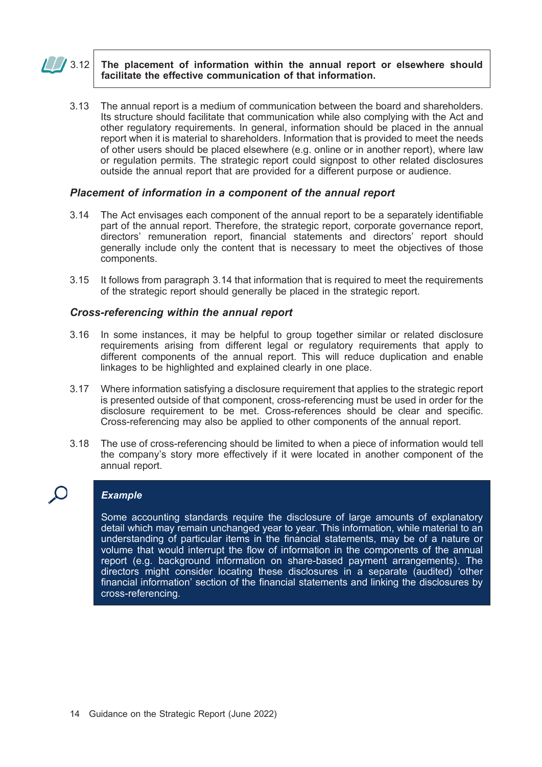### $\sqrt{3.12}$  The placement of information within the annual report or elsewhere should facilitate the effective communication of that information.

3.13 The annual report is a medium of communication between the board and shareholders. Its structure should facilitate that communication while also complying with the Act and other regulatory requirements. In general, information should be placed in the annual report when it is material to shareholders. Information that is provided to meet the needs of other users should be placed elsewhere (e.g. online or in another report), where law or regulation permits. The strategic report could signpost to other related disclosures outside the annual report that are provided for a different purpose or audience.

### Placement of information in a component of the annual report

- 3.14 The Act envisages each component of the annual report to be a separately identifiable part of the annual report. Therefore, the strategic report, corporate governance report, directors' remuneration report, financial statements and directors' report should generally include only the content that is necessary to meet the objectives of those components.
- 3.15 It follows from paragraph 3.14 that information that is required to meet the requirements of the strategic report should generally be placed in the strategic report.

### Cross-referencing within the annual report

- 3.16 In some instances, it may be helpful to group together similar or related disclosure requirements arising from different legal or regulatory requirements that apply to different components of the annual report. This will reduce duplication and enable linkages to be highlighted and explained clearly in one place.
- 3.17 Where information satisfying a disclosure requirement that applies to the strategic report is presented outside of that component, cross-referencing must be used in order for the disclosure requirement to be met. Cross-references should be clear and specific. Cross-referencing may also be applied to other components of the annual report.
- 3.18 The use of cross-referencing should be limited to when a piece of information would tell the company's story more effectively if it were located in another component of the annual report.

### **Example**

Some accounting standards require the disclosure of large amounts of explanatory detail which may remain unchanged year to year. This information, while material to an understanding of particular items in the financial statements, may be of a nature or volume that would interrupt the flow of information in the components of the annual report (e.g. background information on share-based payment arrangements). The directors might consider locating these disclosures in a separate (audited) 'other financial information' section of the financial statements and linking the disclosures by cross-referencing.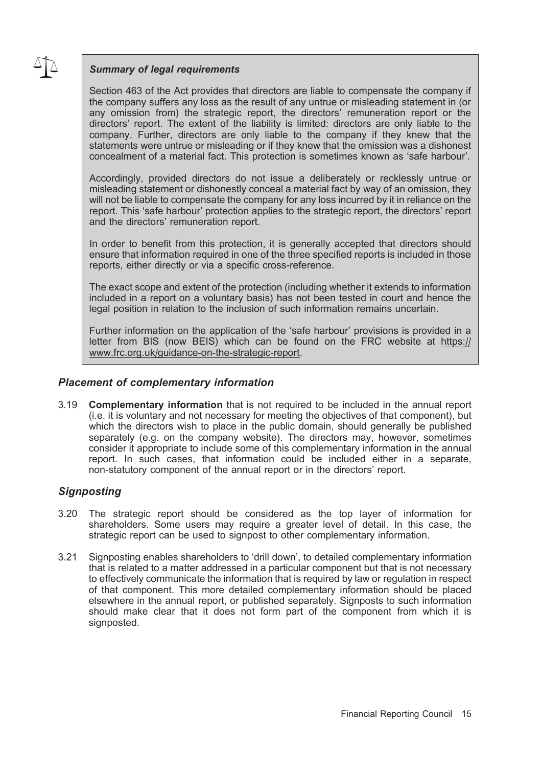### Summary of legal requirements

Section 463 of the Act provides that directors are liable to compensate the company if the company suffers any loss as the result of any untrue or misleading statement in (or any omission from) the strategic report, the directors' remuneration report or the directors' report. The extent of the liability is limited: directors are only liable to the company. Further, directors are only liable to the company if they knew that the statements were untrue or misleading or if they knew that the omission was a dishonest concealment of a material fact. This protection is sometimes known as 'safe harbour'.

Accordingly, provided directors do not issue a deliberately or recklessly untrue or misleading statement or dishonestly conceal a material fact by way of an omission, they will not be liable to compensate the company for any loss incurred by it in reliance on the report. This 'safe harbour' protection applies to the strategic report, the directors' report and the directors' remuneration report.

In order to benefit from this protection, it is generally accepted that directors should ensure that information required in one of the three specified reports is included in those reports, either directly or via a specific cross-reference.

The exact scope and extent of the protection (including whether it extends to information included in a report on a voluntary basis) has not been tested in court and hence the legal position in relation to the inclusion of such information remains uncertain.

Further information on the application of the 'safe harbour' provisions is provided in a letter from BIS (now BEIS) which can be found on the FRC website at https:// www.frc.org.uk/guidance-on-the-strategic-report.

### Placement of complementary information

3.19 Complementary information that is not required to be included in the annual report (i.e. it is voluntary and not necessary for meeting the objectives of that component), but which the directors wish to place in the public domain, should generally be published separately (e.g. on the company website). The directors may, however, sometimes consider it appropriate to include some of this complementary information in the annual report. In such cases, that information could be included either in a separate, non-statutory component of the annual report or in the directors' report.

### **Signposting**

- 3.20 The strategic report should be considered as the top layer of information for shareholders. Some users may require a greater level of detail. In this case, the strategic report can be used to signpost to other complementary information.
- 3.21 Signposting enables shareholders to 'drill down', to detailed complementary information that is related to a matter addressed in a particular component but that is not necessary to effectively communicate the information that is required by law or regulation in respect of that component. This more detailed complementary information should be placed elsewhere in the annual report, or published separately. Signposts to such information should make clear that it does not form part of the component from which it is signposted.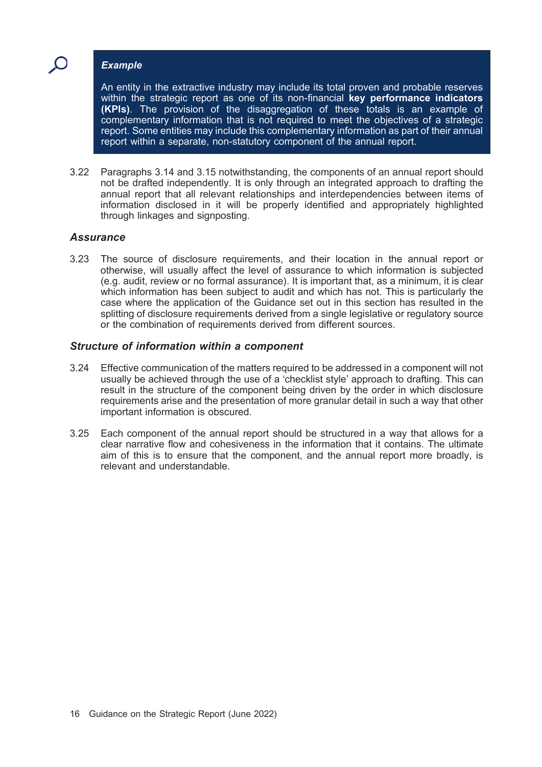### Example

An entity in the extractive industry may include its total proven and probable reserves within the strategic report as one of its non-financial key performance indicators (KPIs). The provision of the disaggregation of these totals is an example of complementary information that is not required to meet the objectives of a strategic report. Some entities may include this complementary information as part of their annual report within a separate, non-statutory component of the annual report.

3.22 Paragraphs 3.14 and 3.15 notwithstanding, the components of an annual report should not be drafted independently. It is only through an integrated approach to drafting the annual report that all relevant relationships and interdependencies between items of information disclosed in it will be properly identified and appropriately highlighted through linkages and signposting.

### **Assurance**

3.23 The source of disclosure requirements, and their location in the annual report or otherwise, will usually affect the level of assurance to which information is subjected (e.g. audit, review or no formal assurance). It is important that, as a minimum, it is clear which information has been subject to audit and which has not. This is particularly the case where the application of the Guidance set out in this section has resulted in the splitting of disclosure requirements derived from a single legislative or regulatory source or the combination of requirements derived from different sources.

### Structure of information within a component

- 3.24 Effective communication of the matters required to be addressed in a component will not usually be achieved through the use of a 'checklist style' approach to drafting. This can result in the structure of the component being driven by the order in which disclosure requirements arise and the presentation of more granular detail in such a way that other important information is obscured.
- 3.25 Each component of the annual report should be structured in a way that allows for a clear narrative flow and cohesiveness in the information that it contains. The ultimate aim of this is to ensure that the component, and the annual report more broadly, is relevant and understandable.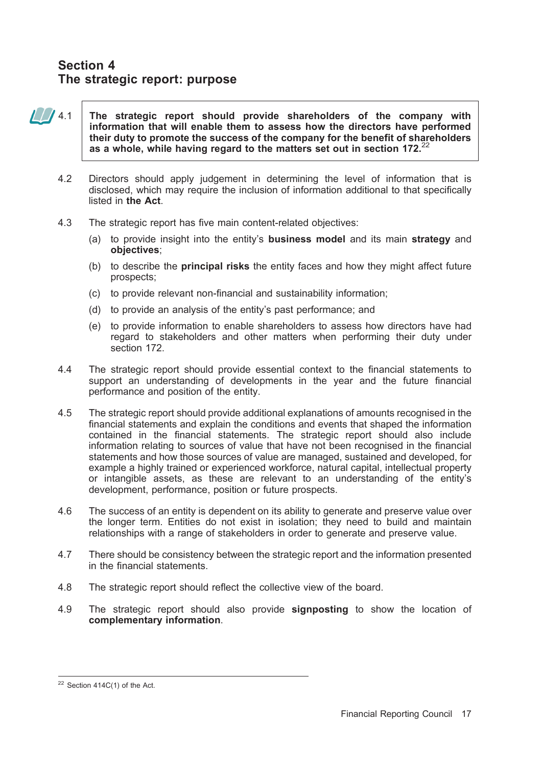# Section 4 The strategic report: purpose

 $\frac{1}{100}$  4.1 The strategic report should provide shareholders of the company with information that will enable them to assess how the directors have performed their duty to promote the success of the company for the benefit of shareholders as a whole, while having regard to the matters set out in section 172.<sup>22</sup>

- 4.2 Directors should apply judgement in determining the level of information that is disclosed, which may require the inclusion of information additional to that specifically listed in the Act.
- 4.3 The strategic report has five main content-related objectives:
	- (a) to provide insight into the entity's **business model** and its main **strategy** and objectives;
	- (b) to describe the principal risks the entity faces and how they might affect future prospects;
	- (c) to provide relevant non-financial and sustainability information;
	- (d) to provide an analysis of the entity's past performance; and
	- (e) to provide information to enable shareholders to assess how directors have had regard to stakeholders and other matters when performing their duty under section 172.
- 4.4 The strategic report should provide essential context to the financial statements to support an understanding of developments in the year and the future financial performance and position of the entity.
- 4.5 The strategic report should provide additional explanations of amounts recognised in the financial statements and explain the conditions and events that shaped the information contained in the financial statements. The strategic report should also include information relating to sources of value that have not been recognised in the financial statements and how those sources of value are managed, sustained and developed, for example a highly trained or experienced workforce, natural capital, intellectual property or intangible assets, as these are relevant to an understanding of the entity's development, performance, position or future prospects.
- 4.6 The success of an entity is dependent on its ability to generate and preserve value over the longer term. Entities do not exist in isolation; they need to build and maintain relationships with a range of stakeholders in order to generate and preserve value.
- 4.7 There should be consistency between the strategic report and the information presented in the financial statements.
- 4.8 The strategic report should reflect the collective view of the board.
- 4.9 The strategic report should also provide signposting to show the location of complementary information.

 $22$  Section 414C(1) of the Act.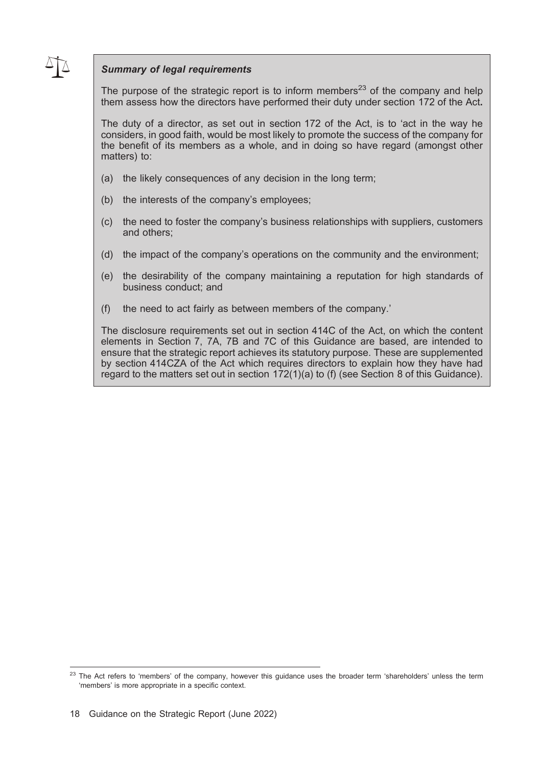### Summary of legal requirements

The purpose of the strategic report is to inform members<sup>23</sup> of the company and help them assess how the directors have performed their duty under section 172 of the Act.

The duty of a director, as set out in section 172 of the Act, is to 'act in the way he considers, in good faith, would be most likely to promote the success of the company for the benefit of its members as a whole, and in doing so have regard (amongst other matters) to:

- (a) the likely consequences of any decision in the long term;
- (b) the interests of the company's employees;
- (c) the need to foster the company's business relationships with suppliers, customers and others;
- (d) the impact of the company's operations on the community and the environment;
- (e) the desirability of the company maintaining a reputation for high standards of business conduct; and
- (f) the need to act fairly as between members of the company.'

The disclosure requirements set out in section 414C of the Act, on which the content elements in Section 7, 7A, 7B and 7C of this Guidance are based, are intended to ensure that the strategic report achieves its statutory purpose. These are supplemented by section 414CZA of the Act which requires directors to explain how they have had regard to the matters set out in section 172(1)(a) to (f) (see Section 8 of this Guidance).

<sup>&</sup>lt;sup>23</sup> The Act refers to 'members' of the company, however this guidance uses the broader term 'shareholders' unless the term 'members' is more appropriate in a specific context.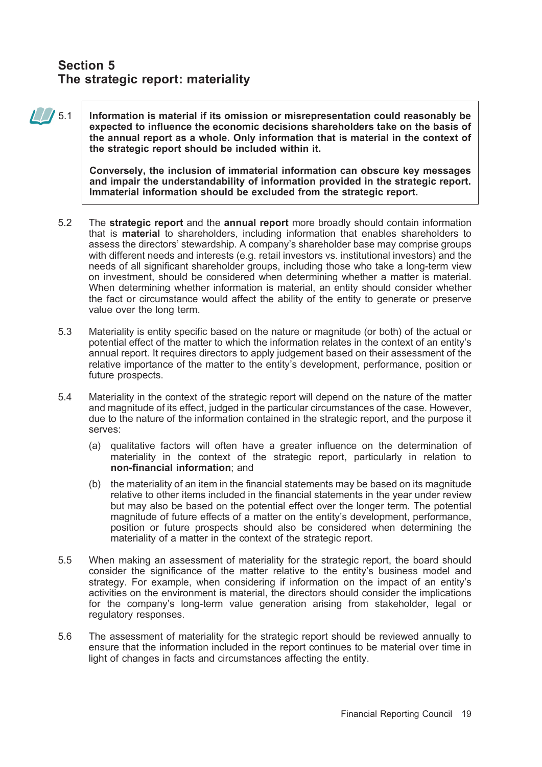# Section 5 The strategic report: materiality

 $\sqrt{5.1}$  Information is material if its omission or misrepresentation could reasonably be expected to influence the economic decisions shareholders take on the basis of the annual report as a whole. Only information that is material in the context of the strategic report should be included within it.

> Conversely, the inclusion of immaterial information can obscure key messages and impair the understandability of information provided in the strategic report. Immaterial information should be excluded from the strategic report.

- 5.2 The strategic report and the annual report more broadly should contain information that is material to shareholders, including information that enables shareholders to assess the directors' stewardship. A company's shareholder base may comprise groups with different needs and interests (e.g. retail investors vs. institutional investors) and the needs of all significant shareholder groups, including those who take a long-term view on investment, should be considered when determining whether a matter is material. When determining whether information is material, an entity should consider whether the fact or circumstance would affect the ability of the entity to generate or preserve value over the long term.
- 5.3 Materiality is entity specific based on the nature or magnitude (or both) of the actual or potential effect of the matter to which the information relates in the context of an entity's annual report. It requires directors to apply judgement based on their assessment of the relative importance of the matter to the entity's development, performance, position or future prospects.
- 5.4 Materiality in the context of the strategic report will depend on the nature of the matter and magnitude of its effect, judged in the particular circumstances of the case. However, due to the nature of the information contained in the strategic report, and the purpose it serves:
	- (a) qualitative factors will often have a greater influence on the determination of materiality in the context of the strategic report, particularly in relation to non-financial information; and
	- (b) the materiality of an item in the financial statements may be based on its magnitude relative to other items included in the financial statements in the year under review but may also be based on the potential effect over the longer term. The potential magnitude of future effects of a matter on the entity's development, performance, position or future prospects should also be considered when determining the materiality of a matter in the context of the strategic report.
- 5.5 When making an assessment of materiality for the strategic report, the board should consider the significance of the matter relative to the entity's business model and strategy. For example, when considering if information on the impact of an entity's activities on the environment is material, the directors should consider the implications for the company's long-term value generation arising from stakeholder, legal or regulatory responses.
- 5.6 The assessment of materiality for the strategic report should be reviewed annually to ensure that the information included in the report continues to be material over time in light of changes in facts and circumstances affecting the entity.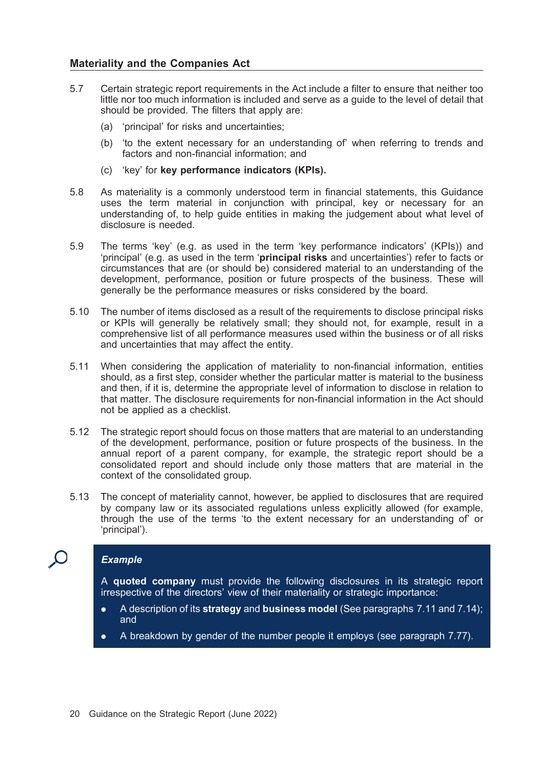### Materiality and the Companies Act

- 5.7 Certain strategic report requirements in the Act include a filter to ensure that neither too little nor too much information is included and serve as a guide to the level of detail that should be provided. The filters that apply are:
	- (a) 'principal' for risks and uncertainties;
	- (b) 'to the extent necessary for an understanding of' when referring to trends and factors and non-financial information; and
	- (c) 'key' for key performance indicators (KPIs).
- 5.8 As materiality is a commonly understood term in financial statements, this Guidance uses the term material in conjunction with principal, key or necessary for an understanding of, to help guide entities in making the judgement about what level of disclosure is needed.
- 5.9 The terms 'key' (e.g. as used in the term 'key performance indicators' (KPIs)) and 'principal' (e.g. as used in the term 'principal risks and uncertainties') refer to facts or circumstances that are (or should be) considered material to an understanding of the development, performance, position or future prospects of the business. These will generally be the performance measures or risks considered by the board.
- 5.10 The number of items disclosed as a result of the requirements to disclose principal risks or KPIs will generally be relatively small; they should not, for example, result in a comprehensive list of all performance measures used within the business or of all risks and uncertainties that may affect the entity.
- 5.11 When considering the application of materiality to non-financial information, entities should, as a first step, consider whether the particular matter is material to the business and then, if it is, determine the appropriate level of information to disclose in relation to that matter. The disclosure requirements for non-financial information in the Act should not be applied as a checklist.
- 5.12 The strategic report should focus on those matters that are material to an understanding of the development, performance, position or future prospects of the business. In the annual report of a parent company, for example, the strategic report should be a consolidated report and should include only those matters that are material in the context of the consolidated group.
- 5.13 The concept of materiality cannot, however, be applied to disclosures that are required by company law or its associated regulations unless explicitly allowed (for example, through the use of the terms 'to the extent necessary for an understanding of' or 'principal').

### Example

A quoted company must provide the following disclosures in its strategic report irrespective of the directors' view of their materiality or strategic importance:

- A description of its **strategy** and **business model** (See paragraphs 7.11 and 7.14); and
- . A breakdown by gender of the number people it employs (see paragraph 7.77).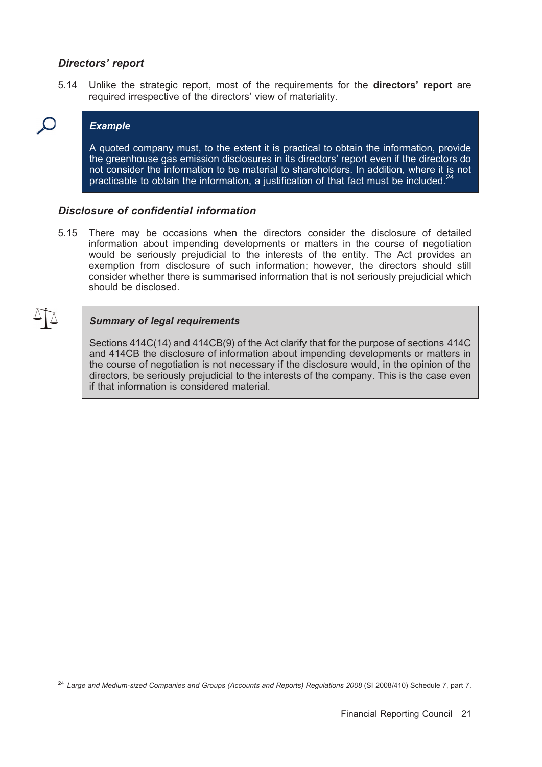### Directors' report

5.14 Unlike the strategic report, most of the requirements for the **directors' report** are required irrespective of the directors' view of materiality.



### Example

A quoted company must, to the extent it is practical to obtain the information, provide the greenhouse gas emission disclosures in its directors' report even if the directors do not consider the information to be material to shareholders. In addition, where it is not practicable to obtain the information, a justification of that fact must be included.

### Disclosure of confidential information

5.15 There may be occasions when the directors consider the disclosure of detailed information about impending developments or matters in the course of negotiation would be seriously prejudicial to the interests of the entity. The Act provides an exemption from disclosure of such information; however, the directors should still consider whether there is summarised information that is not seriously prejudicial which should be disclosed.

### Summary of legal requirements

Sections 414C(14) and 414CB(9) of the Act clarify that for the purpose of sections 414C and 414CB the disclosure of information about impending developments or matters in the course of negotiation is not necessary if the disclosure would, in the opinion of the directors, be seriously prejudicial to the interests of the company. This is the case even if that information is considered material.

 $24$  Large and Medium-sized Companies and Groups (Accounts and Reports) Regulations 2008 (SI 2008/410) Schedule 7, part 7.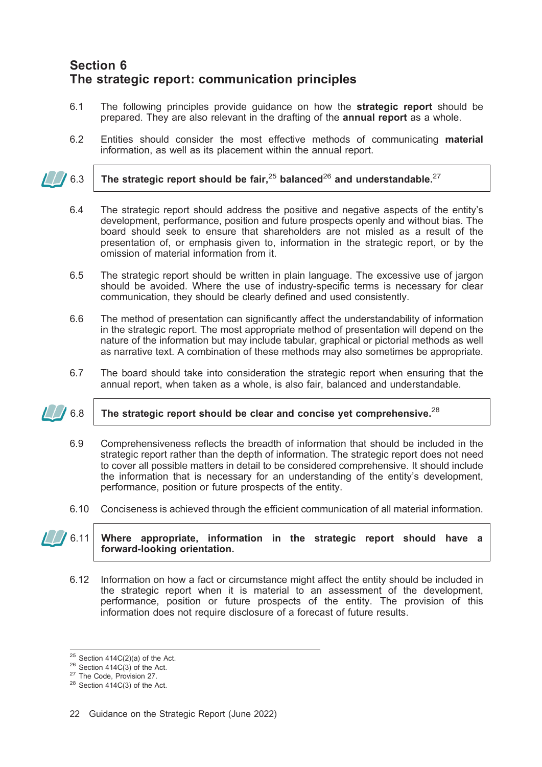# Section 6 The strategic report: communication principles

- 6.1 The following principles provide guidance on how the strategic report should be prepared. They are also relevant in the drafting of the annual report as a whole.
- 6.2 Entities should consider the most effective methods of communicating material information, as well as its placement within the annual report.
- 6.3 The strategic report should be fair,<sup>25</sup> balanced<sup>26</sup> and understandable.<sup>27</sup>
	- 6.4 The strategic report should address the positive and negative aspects of the entity's development, performance, position and future prospects openly and without bias. The board should seek to ensure that shareholders are not misled as a result of the presentation of, or emphasis given to, information in the strategic report, or by the omission of material information from it.
	- 6.5 The strategic report should be written in plain language. The excessive use of jargon should be avoided. Where the use of industry-specific terms is necessary for clear communication, they should be clearly defined and used consistently.
	- 6.6 The method of presentation can significantly affect the understandability of information in the strategic report. The most appropriate method of presentation will depend on the nature of the information but may include tabular, graphical or pictorial methods as well as narrative text. A combination of these methods may also sometimes be appropriate.
	- 6.7 The board should take into consideration the strategic report when ensuring that the annual report, when taken as a whole, is also fair, balanced and understandable.
- 

### 6.8 The strategic report should be clear and concise yet comprehensive.<sup>28</sup>

- 6.9 Comprehensiveness reflects the breadth of information that should be included in the strategic report rather than the depth of information. The strategic report does not need to cover all possible matters in detail to be considered comprehensive. It should include the information that is necessary for an understanding of the entity's development, performance, position or future prospects of the entity.
- 6.10 Conciseness is achieved through the efficient communication of all material information.

### $\Box$  6.11 Where appropriate, information in the strategic report should have a forward-looking orientation.

6.12 Information on how a fact or circumstance might affect the entity should be included in the strategic report when it is material to an assessment of the development, performance, position or future prospects of the entity. The provision of this information does not require disclosure of a forecast of future results.

<sup>&</sup>lt;sup>25</sup> Section 414C(2)(a) of the Act.<br><sup>26</sup> Section 414C(3) of the Act.<br><sup>27</sup> The Code, Provision 27.<br><sup>28</sup> Section 414C(3) of the Act.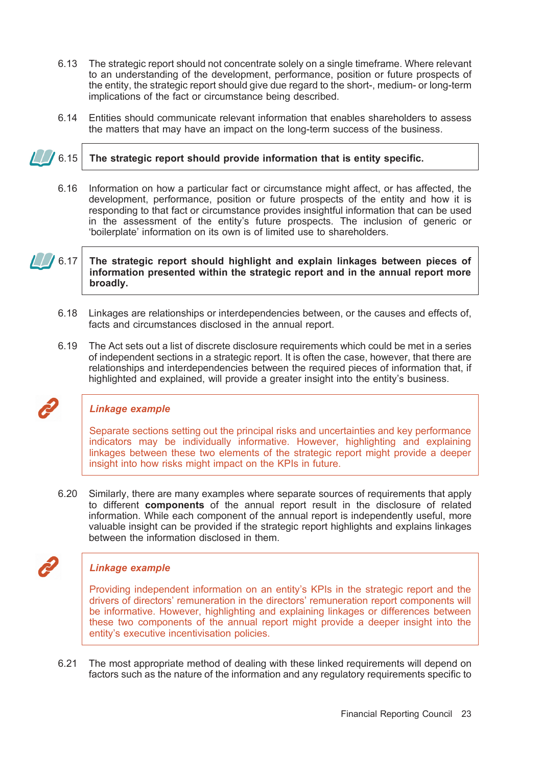- 6.13 The strategic report should not concentrate solely on a single timeframe. Where relevant to an understanding of the development, performance, position or future prospects of the entity, the strategic report should give due regard to the short-, medium- or long-term implications of the fact or circumstance being described.
- 6.14 Entities should communicate relevant information that enables shareholders to assess the matters that may have an impact on the long-term success of the business.

- $\sqrt{6.15}$  The strategic report should provide information that is entity specific.
	- 6.16 Information on how a particular fact or circumstance might affect, or has affected, the development, performance, position or future prospects of the entity and how it is responding to that fact or circumstance provides insightful information that can be used in the assessment of the entity's future prospects. The inclusion of generic or 'boilerplate' information on its own is of limited use to shareholders.

6.17 | The strategic report should highlight and explain linkages between pieces of information presented within the strategic report and in the annual report more broadly.

- 6.18 Linkages are relationships or interdependencies between, or the causes and effects of, facts and circumstances disclosed in the annual report.
- 6.19 The Act sets out a list of discrete disclosure requirements which could be met in a series of independent sections in a strategic report. It is often the case, however, that there are relationships and interdependencies between the required pieces of information that, if highlighted and explained, will provide a greater insight into the entity's business.

### Linkage example

Separate sections setting out the principal risks and uncertainties and key performance indicators may be individually informative. However, highlighting and explaining linkages between these two elements of the strategic report might provide a deeper insight into how risks might impact on the KPIs in future.

6.20 Similarly, there are many examples where separate sources of requirements that apply to different components of the annual report result in the disclosure of related information. While each component of the annual report is independently useful, more valuable insight can be provided if the strategic report highlights and explains linkages between the information disclosed in them.

### Linkage example

Providing independent information on an entity's KPIs in the strategic report and the drivers of directors' remuneration in the directors' remuneration report components will be informative. However, highlighting and explaining linkages or differences between these two components of the annual report might provide a deeper insight into the entity's executive incentivisation policies.

6.21 The most appropriate method of dealing with these linked requirements will depend on factors such as the nature of the information and any regulatory requirements specific to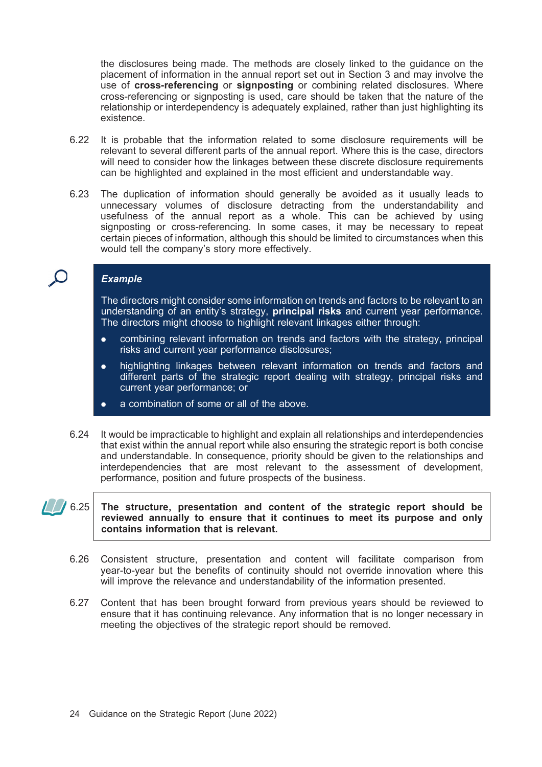the disclosures being made. The methods are closely linked to the guidance on the placement of information in the annual report set out in Section 3 and may involve the use of cross-referencing or signposting or combining related disclosures. Where cross-referencing or signposting is used, care should be taken that the nature of the relationship or interdependency is adequately explained, rather than just highlighting its existence.

- 6.22 It is probable that the information related to some disclosure requirements will be relevant to several different parts of the annual report. Where this is the case, directors will need to consider how the linkages between these discrete disclosure requirements can be highlighted and explained in the most efficient and understandable way.
- 6.23 The duplication of information should generally be avoided as it usually leads to unnecessary volumes of disclosure detracting from the understandability and usefulness of the annual report as a whole. This can be achieved by using signposting or cross-referencing. In some cases, it may be necessary to repeat certain pieces of information, although this should be limited to circumstances when this would tell the company's story more effectively.

### **Example**

The directors might consider some information on trends and factors to be relevant to an understanding of an entity's strategy, principal risks and current year performance. The directors might choose to highlight relevant linkages either through:

- . combining relevant information on trends and factors with the strategy, principal risks and current year performance disclosures;
- . highlighting linkages between relevant information on trends and factors and different parts of the strategic report dealing with strategy, principal risks and current year performance; or
- . a combination of some or all of the above.
- 6.24 It would be impracticable to highlight and explain all relationships and interdependencies that exist within the annual report while also ensuring the strategic report is both concise and understandable. In consequence, priority should be given to the relationships and interdependencies that are most relevant to the assessment of development, performance, position and future prospects of the business.

### $\sqrt{6.25}$  The structure, presentation and content of the strategic report should be reviewed annually to ensure that it continues to meet its purpose and only contains information that is relevant.

- 6.26 Consistent structure, presentation and content will facilitate comparison from year-to-year but the benefits of continuity should not override innovation where this will improve the relevance and understandability of the information presented.
- 6.27 Content that has been brought forward from previous years should be reviewed to ensure that it has continuing relevance. Any information that is no longer necessary in meeting the objectives of the strategic report should be removed.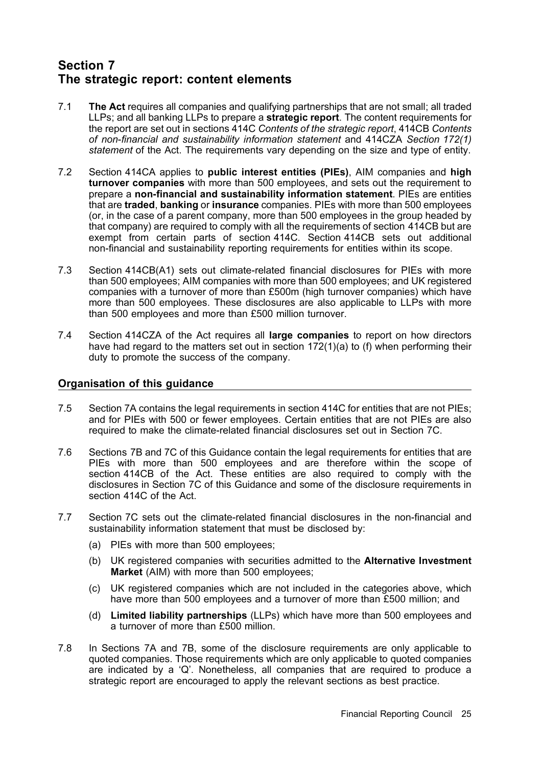# Section 7 The strategic report: content elements

- 7.1 The Act requires all companies and qualifying partnerships that are not small; all traded LLPs; and all banking LLPs to prepare a **strategic report**. The content requirements for the report are set out in sections 414C Contents of the strategic report, 414CB Contents of non-financial and sustainability information statement and 414CZA Section 172(1) statement of the Act. The requirements vary depending on the size and type of entity.
- 7.2 Section 414CA applies to public interest entities (PIEs), AIM companies and high turnover companies with more than 500 employees, and sets out the requirement to prepare a non-financial and sustainability information statement. PIEs are entities that are traded, banking or insurance companies. PIEs with more than 500 employees (or, in the case of a parent company, more than 500 employees in the group headed by that company) are required to comply with all the requirements of section 414CB but are exempt from certain parts of section 414C. Section 414CB sets out additional non-financial and sustainability reporting requirements for entities within its scope.
- 7.3 Section 414CB(A1) sets out climate-related financial disclosures for PIEs with more than 500 employees; AIM companies with more than 500 employees; and UK registered companies with a turnover of more than £500m (high turnover companies) which have more than 500 employees. These disclosures are also applicable to LLPs with more than 500 employees and more than £500 million turnover.
- 7.4 Section 414CZA of the Act requires all large companies to report on how directors have had regard to the matters set out in section 172(1)(a) to (f) when performing their duty to promote the success of the company.

### Organisation of this guidance

- 7.5 Section 7A contains the legal requirements in section 414C for entities that are not PIEs; and for PIEs with 500 or fewer employees. Certain entities that are not PIEs are also required to make the climate-related financial disclosures set out in Section 7C.
- 7.6 Sections 7B and 7C of this Guidance contain the legal requirements for entities that are PIEs with more than 500 employees and are therefore within the scope of section 414CB of the Act. These entities are also required to comply with the disclosures in Section 7C of this Guidance and some of the disclosure requirements in section 414C of the Act.
- 7.7 Section 7C sets out the climate-related financial disclosures in the non-financial and sustainability information statement that must be disclosed by:
	- (a) PIEs with more than 500 employees;
	- (b) UK registered companies with securities admitted to the Alternative Investment Market (AIM) with more than 500 employees;
	- (c) UK registered companies which are not included in the categories above, which have more than 500 employees and a turnover of more than £500 million; and
	- (d) Limited liability partnerships (LLPs) which have more than 500 employees and a turnover of more than £500 million.
- 7.8 In Sections 7A and 7B, some of the disclosure requirements are only applicable to quoted companies. Those requirements which are only applicable to quoted companies are indicated by a 'Q'. Nonetheless, all companies that are required to produce a strategic report are encouraged to apply the relevant sections as best practice.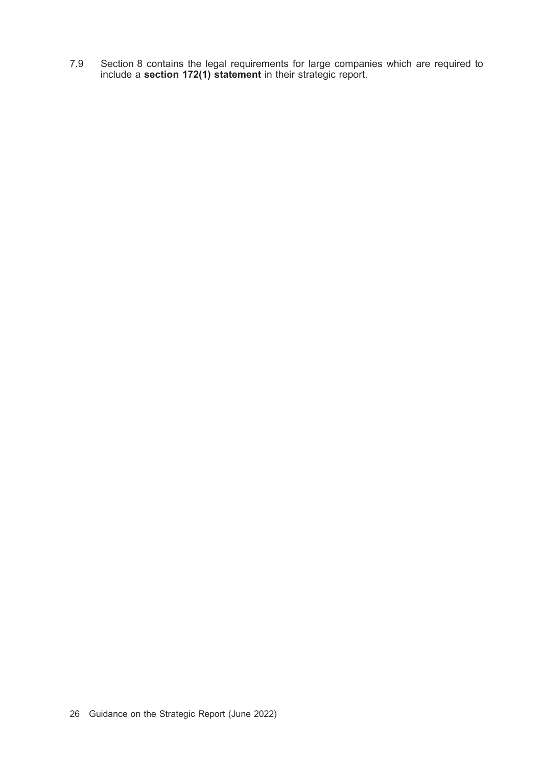7.9 Section 8 contains the legal requirements for large companies which are required to include a section 172(1) statement in their strategic report.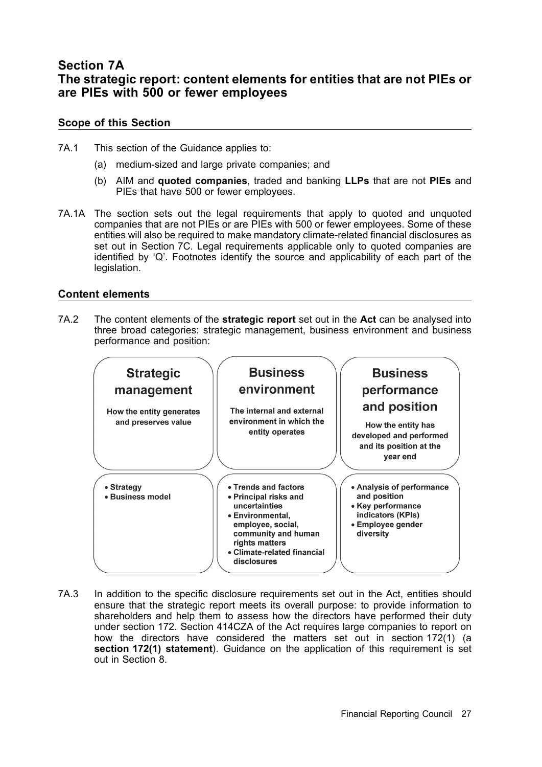## Section 7A The strategic report: content elements for entities that are not PIEs or are PIEs with 500 or fewer employees

### Scope of this Section

- 7A.1 This section of the Guidance applies to:
	- (a) medium-sized and large private companies; and
	- (b) AIM and quoted companies, traded and banking LLPs that are not PIEs and PIEs that have 500 or fewer employees.
- 7A.1A The section sets out the legal requirements that apply to quoted and unquoted companies that are not PIEs or are PIEs with 500 or fewer employees. Some of these entities will also be required to make mandatory climate-related financial disclosures as set out in Section 7C. Legal requirements applicable only to quoted companies are identified by 'Q'. Footnotes identify the source and applicability of each part of the legislation.

### Content elements

7A.2 The content elements of the **strategic report** set out in the **Act** can be analysed into three broad categories: strategic management, business environment and business performance and position:



7A.3 In addition to the specific disclosure requirements set out in the Act, entities should ensure that the strategic report meets its overall purpose: to provide information to shareholders and help them to assess how the directors have performed their duty under section 172. Section 414CZA of the Act requires large companies to report on how the directors have considered the matters set out in section 172(1) (a section 172(1) statement). Guidance on the application of this requirement is set out in Section 8.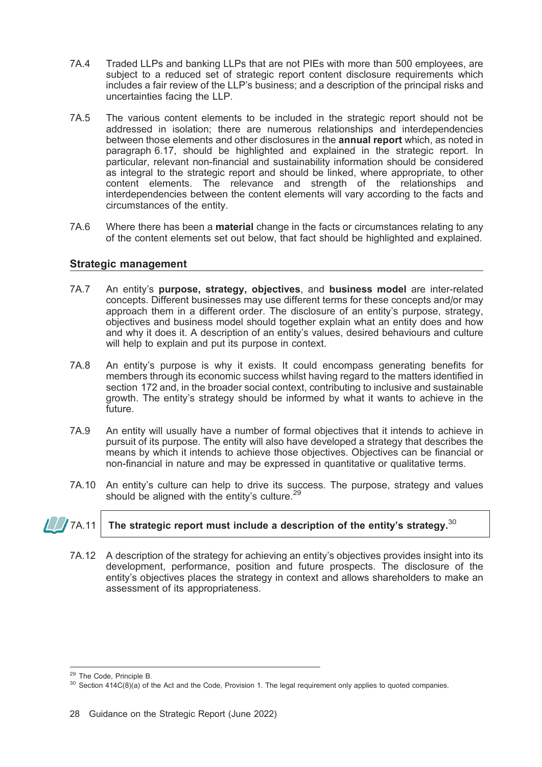- 7A.4 Traded LLPs and banking LLPs that are not PIEs with more than 500 employees, are subject to a reduced set of strategic report content disclosure requirements which includes a fair review of the LLP's business; and a description of the principal risks and uncertainties facing the LLP.
- 7A.5 The various content elements to be included in the strategic report should not be addressed in isolation; there are numerous relationships and interdependencies between those elements and other disclosures in the **annual report** which, as noted in paragraph 6.17, should be highlighted and explained in the strategic report. In particular, relevant non-financial and sustainability information should be considered as integral to the strategic report and should be linked, where appropriate, to other content elements. The relevance and strength of the relationships and interdependencies between the content elements will vary according to the facts and circumstances of the entity.
- 7A.6 Where there has been a material change in the facts or circumstances relating to any of the content elements set out below, that fact should be highlighted and explained.

### Strategic management

- 7A.7 An entity's purpose, strategy, objectives, and business model are inter-related concepts. Different businesses may use different terms for these concepts and/or may approach them in a different order. The disclosure of an entity's purpose, strategy, objectives and business model should together explain what an entity does and how and why it does it. A description of an entity's values, desired behaviours and culture will help to explain and put its purpose in context.
- 7A.8 An entity's purpose is why it exists. It could encompass generating benefits for members through its economic success whilst having regard to the matters identified in section 172 and, in the broader social context, contributing to inclusive and sustainable growth. The entity's strategy should be informed by what it wants to achieve in the future.
- 7A.9 An entity will usually have a number of formal objectives that it intends to achieve in pursuit of its purpose. The entity will also have developed a strategy that describes the means by which it intends to achieve those objectives. Objectives can be financial or non-financial in nature and may be expressed in quantitative or qualitative terms.
- 7A.10 An entity's culture can help to drive its success. The purpose, strategy and values should be aligned with the entity's culture.<sup>2</sup>

### $7\,$  /  $7$ A.11  $\,$  The strategic report must include a description of the entity's strategy. $^{30}$

7A.12 A description of the strategy for achieving an entity's objectives provides insight into its development, performance, position and future prospects. The disclosure of the entity's objectives places the strategy in context and allows shareholders to make an assessment of its appropriateness.

<sup>&</sup>lt;sup>29</sup> The Code, Principle B.<br><sup>30</sup> Section 414C(8)(a) of the Act and the Code, Provision 1. The legal requirement only applies to quoted companies.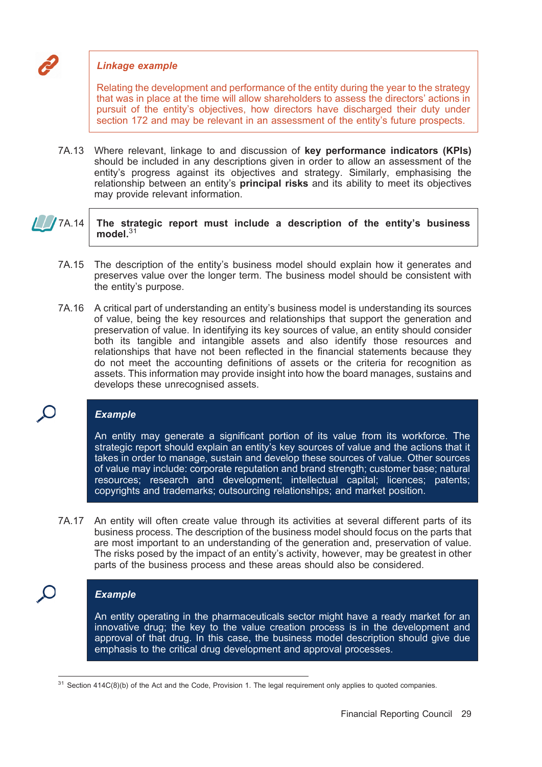### Linkage example

Relating the development and performance of the entity during the year to the strategy that was in place at the time will allow shareholders to assess the directors' actions in pursuit of the entity's objectives, how directors have discharged their duty under section 172 and may be relevant in an assessment of the entity's future prospects.

7A.13 Where relevant, linkage to and discussion of key performance indicators (KPIs) should be included in any descriptions given in order to allow an assessment of the entity's progress against its objectives and strategy. Similarly, emphasising the relationship between an entity's principal risks and its ability to meet its objectives may provide relevant information.

### $\sqrt{7A.14}$  The strategic report must include a description of the entity's business model. $31$

- 7A.15 The description of the entity's business model should explain how it generates and preserves value over the longer term. The business model should be consistent with the entity's purpose.
- 7A.16 A critical part of understanding an entity's business model is understanding its sources of value, being the key resources and relationships that support the generation and preservation of value. In identifying its key sources of value, an entity should consider both its tangible and intangible assets and also identify those resources and relationships that have not been reflected in the financial statements because they do not meet the accounting definitions of assets or the criteria for recognition as assets. This information may provide insight into how the board manages, sustains and develops these unrecognised assets.

### Example

An entity may generate a significant portion of its value from its workforce. The strategic report should explain an entity's key sources of value and the actions that it takes in order to manage, sustain and develop these sources of value. Other sources of value may include: corporate reputation and brand strength; customer base; natural resources; research and development; intellectual capital; licences; patents; copyrights and trademarks; outsourcing relationships; and market position.

7A.17 An entity will often create value through its activities at several different parts of its business process. The description of the business model should focus on the parts that are most important to an understanding of the generation and, preservation of value. The risks posed by the impact of an entity's activity, however, may be greatest in other parts of the business process and these areas should also be considered.

### **Example**

 $\mathbf C$ 

An entity operating in the pharmaceuticals sector might have a ready market for an innovative drug; the key to the value creation process is in the development and approval of that drug. In this case, the business model description should give due emphasis to the critical drug development and approval processes.

 $31$  Section 414C(8)(b) of the Act and the Code, Provision 1. The legal requirement only applies to quoted companies.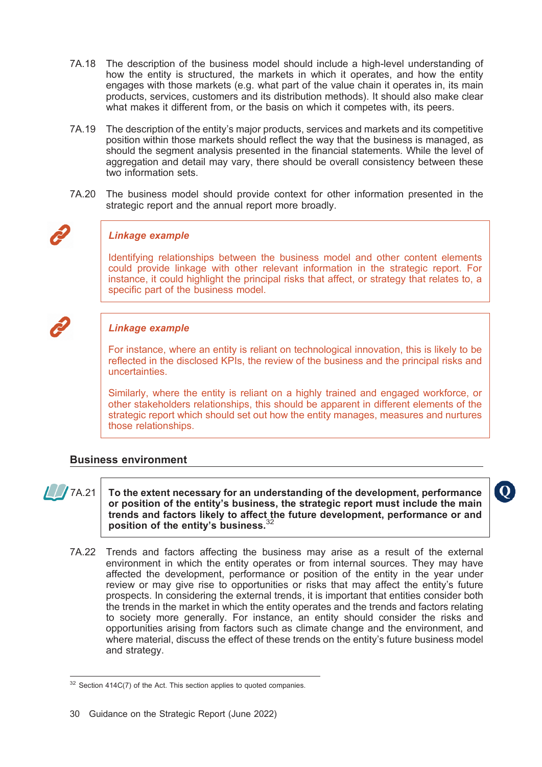- 7A.18 The description of the business model should include a high-level understanding of how the entity is structured, the markets in which it operates, and how the entity engages with those markets (e.g. what part of the value chain it operates in, its main products, services, customers and its distribution methods). It should also make clear what makes it different from, or the basis on which it competes with, its peers.
- 7A.19 The description of the entity's major products, services and markets and its competitive position within those markets should reflect the way that the business is managed, as should the segment analysis presented in the financial statements. While the level of aggregation and detail may vary, there should be overall consistency between these two information sets.
- 7A.20 The business model should provide context for other information presented in the strategic report and the annual report more broadly.



### Linkage example

Identifying relationships between the business model and other content elements could provide linkage with other relevant information in the strategic report. For instance, it could highlight the principal risks that affect, or strategy that relates to, a specific part of the business model.



### Linkage example

For instance, where an entity is reliant on technological innovation, this is likely to be reflected in the disclosed KPIs, the review of the business and the principal risks and uncertainties.

Similarly, where the entity is reliant on a highly trained and engaged workforce, or other stakeholders relationships, this should be apparent in different elements of the strategic report which should set out how the entity manages, measures and nurtures those relationships.

### Business environment



 $\int_{\ell}$  7A.21  $\vert$  To the extent necessary for an understanding of the development, performance or position of the entity's business, the strategic report must include the main trends and factors likely to affect the future development, performance or and position of the entity's business.<sup>32</sup>

7A.22 Trends and factors affecting the business may arise as a result of the external environment in which the entity operates or from internal sources. They may have affected the development, performance or position of the entity in the year under review or may give rise to opportunities or risks that may affect the entity's future prospects. In considering the external trends, it is important that entities consider both the trends in the market in which the entity operates and the trends and factors relating to society more generally. For instance, an entity should consider the risks and opportunities arising from factors such as climate change and the environment, and where material, discuss the effect of these trends on the entity's future business model and strategy.

 $32$  Section 414C(7) of the Act. This section applies to quoted companies.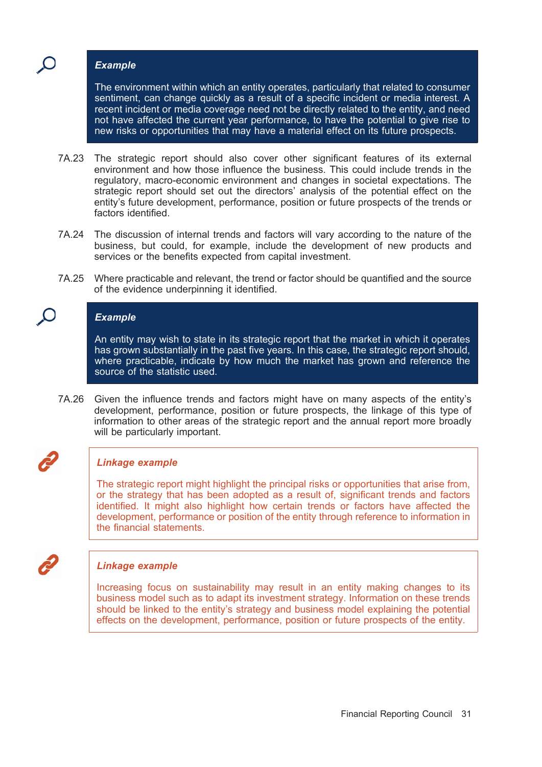### **Example**

The environment within which an entity operates, particularly that related to consumer sentiment, can change quickly as a result of a specific incident or media interest. A recent incident or media coverage need not be directly related to the entity, and need not have affected the current year performance, to have the potential to give rise to new risks or opportunities that may have a material effect on its future prospects.

- 7A.23 The strategic report should also cover other significant features of its external environment and how those influence the business. This could include trends in the regulatory, macro-economic environment and changes in societal expectations. The strategic report should set out the directors' analysis of the potential effect on the entity's future development, performance, position or future prospects of the trends or factors identified.
- 7A.24 The discussion of internal trends and factors will vary according to the nature of the business, but could, for example, include the development of new products and services or the benefits expected from capital investment.
- 7A.25 Where practicable and relevant, the trend or factor should be quantified and the source of the evidence underpinning it identified.

### **Example**

An entity may wish to state in its strategic report that the market in which it operates has grown substantially in the past five years. In this case, the strategic report should, where practicable, indicate by how much the market has grown and reference the source of the statistic used.

7A.26 Given the influence trends and factors might have on many aspects of the entity's development, performance, position or future prospects, the linkage of this type of information to other areas of the strategic report and the annual report more broadly will be particularly important.

# Linkage example

The strategic report might highlight the principal risks or opportunities that arise from, or the strategy that has been adopted as a result of, significant trends and factors identified. It might also highlight how certain trends or factors have affected the development, performance or position of the entity through reference to information in the financial statements.

### Linkage example

Increasing focus on sustainability may result in an entity making changes to its business model such as to adapt its investment strategy. Information on these trends should be linked to the entity's strategy and business model explaining the potential effects on the development, performance, position or future prospects of the entity.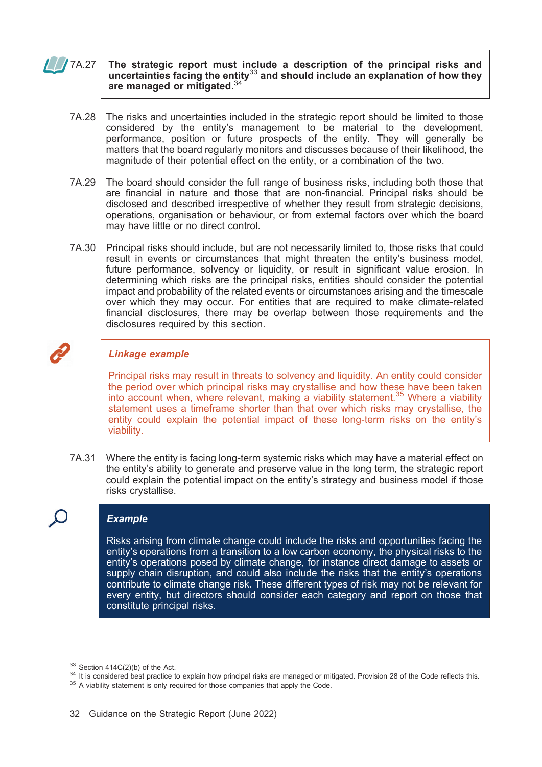### $\sqrt{7A.27}$  The strategic report must include a description of the principal risks and uncertainties facing the entity $33$  and should include an explanation of how they are managed or mitigated.<sup>34</sup>

- 7A.28 The risks and uncertainties included in the strategic report should be limited to those considered by the entity's management to be material to the development, performance, position or future prospects of the entity. They will generally be matters that the board regularly monitors and discusses because of their likelihood, the magnitude of their potential effect on the entity, or a combination of the two.
- 7A.29 The board should consider the full range of business risks, including both those that are financial in nature and those that are non-financial. Principal risks should be disclosed and described irrespective of whether they result from strategic decisions, operations, organisation or behaviour, or from external factors over which the board may have little or no direct control.
- 7A.30 Principal risks should include, but are not necessarily limited to, those risks that could result in events or circumstances that might threaten the entity's business model, future performance, solvency or liquidity, or result in significant value erosion. In determining which risks are the principal risks, entities should consider the potential impact and probability of the related events or circumstances arising and the timescale over which they may occur. For entities that are required to make climate-related financial disclosures, there may be overlap between those requirements and the disclosures required by this section.



### Linkage example

Principal risks may result in threats to solvency and liquidity. An entity could consider the period over which principal risks may crystallise and how these have been taken into account when, where relevant, making a viability statement.<sup>35</sup> Where a viability statement uses a timeframe shorter than that over which risks may crystallise, the entity could explain the potential impact of these long-term risks on the entity's viability.

7A.31 Where the entity is facing long-term systemic risks which may have a material effect on the entity's ability to generate and preserve value in the long term, the strategic report could explain the potential impact on the entity's strategy and business model if those risks crystallise.

### Example

Risks arising from climate change could include the risks and opportunities facing the entity's operations from a transition to a low carbon economy, the physical risks to the entity's operations posed by climate change, for instance direct damage to assets or supply chain disruption, and could also include the risks that the entity's operations contribute to climate change risk. These different types of risk may not be relevant for every entity, but directors should consider each category and report on those that constitute principal risks.

<sup>&</sup>lt;sup>33</sup> Section 414C(2)(b) of the Act.<br><sup>34</sup> It is considered best practice to explain how principal risks are managed or mitigated. Provision 28 of the Code reflects this.<br><sup>35</sup> A viability statement is only required for thos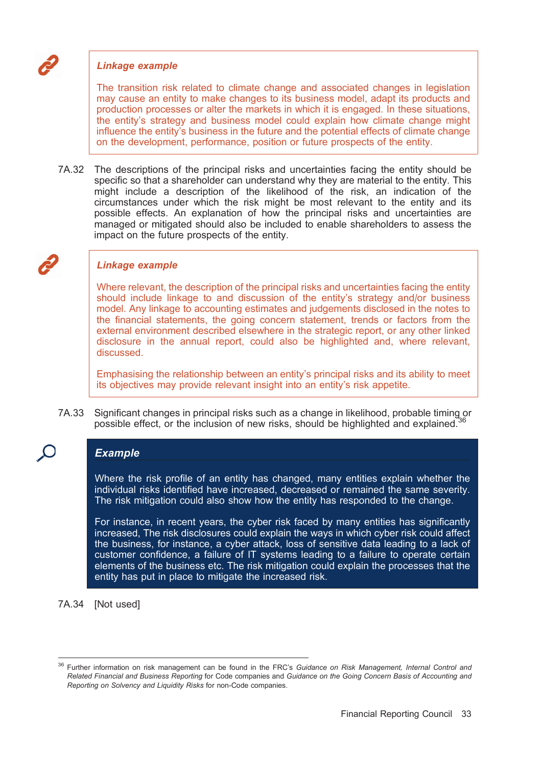# Linkage example

The transition risk related to climate change and associated changes in legislation may cause an entity to make changes to its business model, adapt its products and production processes or alter the markets in which it is engaged. In these situations, the entity's strategy and business model could explain how climate change might influence the entity's business in the future and the potential effects of climate change on the development, performance, position or future prospects of the entity.

7A.32 The descriptions of the principal risks and uncertainties facing the entity should be specific so that a shareholder can understand why they are material to the entity. This might include a description of the likelihood of the risk, an indication of the circumstances under which the risk might be most relevant to the entity and its possible effects. An explanation of how the principal risks and uncertainties are managed or mitigated should also be included to enable shareholders to assess the impact on the future prospects of the entity.

### Linkage example

Where relevant, the description of the principal risks and uncertainties facing the entity should include linkage to and discussion of the entity's strategy and/or business model. Any linkage to accounting estimates and judgements disclosed in the notes to the financial statements, the going concern statement, trends or factors from the external environment described elsewhere in the strategic report, or any other linked disclosure in the annual report, could also be highlighted and, where relevant, discussed.

Emphasising the relationship between an entity's principal risks and its ability to meet its objectives may provide relevant insight into an entity's risk appetite.

7A.33 Significant changes in principal risks such as a change in likelihood, probable timing or possible effect, or the inclusion of new risks, should be highlighted and explained.<sup>36</sup>

# Example

Where the risk profile of an entity has changed, many entities explain whether the individual risks identified have increased, decreased or remained the same severity. The risk mitigation could also show how the entity has responded to the change.

For instance, in recent years, the cyber risk faced by many entities has significantly increased, The risk disclosures could explain the ways in which cyber risk could affect the business, for instance, a cyber attack, loss of sensitive data leading to a lack of customer confidence, a failure of IT systems leading to a failure to operate certain elements of the business etc. The risk mitigation could explain the processes that the entity has put in place to mitigate the increased risk.

7A.34 [Not used]

<sup>&</sup>lt;sup>36</sup> Further information on risk management can be found in the FRC's Guidance on Risk Management, Internal Control and Related Financial and Business Reporting for Code companies and Guidance on the Going Concern Basis of Accounting and Reporting on Solvency and Liquidity Risks for non-Code companies.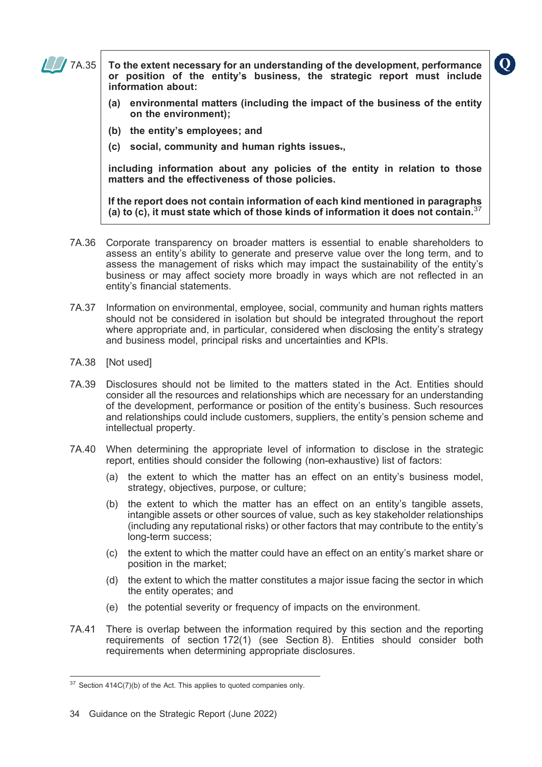

 $\Box$  7A.35 To the extent necessary for an understanding of the development, performance or position of the entity's business, the strategic report must include information about:

- (a) environmental matters (including the impact of the business of the entity on the environment);
- (b) the entity's employees; and
- (c) social, community and human rights issues.,

including information about any policies of the entity in relation to those matters and the effectiveness of those policies.

If the report does not contain information of each kind mentioned in paragraphs (a) to  $(c)$ , it must state which of those kinds of information it does not contain.

- 7A.36 Corporate transparency on broader matters is essential to enable shareholders to assess an entity's ability to generate and preserve value over the long term, and to assess the management of risks which may impact the sustainability of the entity's business or may affect society more broadly in ways which are not reflected in an entity's financial statements.
- 7A.37 Information on environmental, employee, social, community and human rights matters should not be considered in isolation but should be integrated throughout the report where appropriate and, in particular, considered when disclosing the entity's strategy and business model, principal risks and uncertainties and KPIs.
- 7A.38 [Not used]
- 7A.39 Disclosures should not be limited to the matters stated in the Act. Entities should consider all the resources and relationships which are necessary for an understanding of the development, performance or position of the entity's business. Such resources and relationships could include customers, suppliers, the entity's pension scheme and intellectual property.
- 7A.40 When determining the appropriate level of information to disclose in the strategic report, entities should consider the following (non-exhaustive) list of factors:
	- (a) the extent to which the matter has an effect on an entity's business model, strategy, objectives, purpose, or culture;
	- (b) the extent to which the matter has an effect on an entity's tangible assets, intangible assets or other sources of value, such as key stakeholder relationships (including any reputational risks) or other factors that may contribute to the entity's long-term success;
	- (c) the extent to which the matter could have an effect on an entity's market share or position in the market;
	- (d) the extent to which the matter constitutes a major issue facing the sector in which the entity operates; and
	- (e) the potential severity or frequency of impacts on the environment.
- 7A.41 There is overlap between the information required by this section and the reporting requirements of section 172(1) (see Section 8). Entities should consider both requirements when determining appropriate disclosures.

 $\bf{O}$ 

 $37$  Section 414C(7)(b) of the Act. This applies to quoted companies only.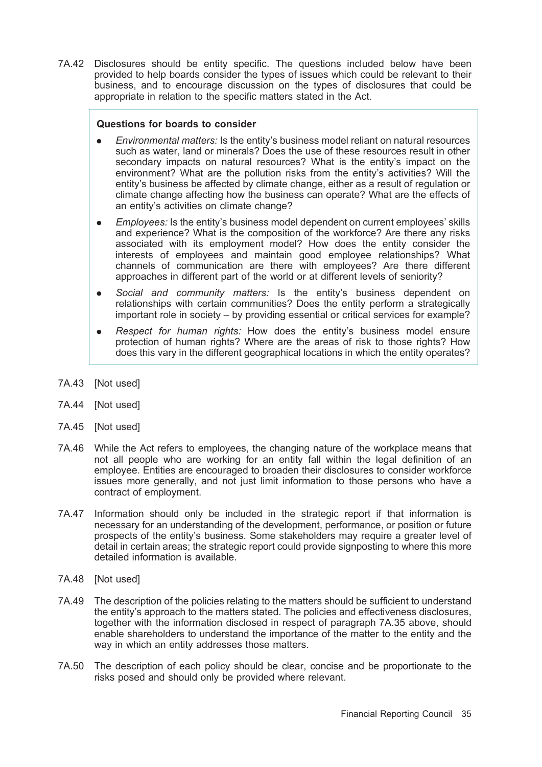7A.42 Disclosures should be entity specific. The questions included below have been provided to help boards consider the types of issues which could be relevant to their business, and to encourage discussion on the types of disclosures that could be appropriate in relation to the specific matters stated in the Act.

#### Questions for boards to consider

- . Environmental matters: Is the entity's business model reliant on natural resources such as water, land or minerals? Does the use of these resources result in other secondary impacts on natural resources? What is the entity's impact on the environment? What are the pollution risks from the entity's activities? Will the entity's business be affected by climate change, either as a result of regulation or climate change affecting how the business can operate? What are the effects of an entity's activities on climate change?
- . Employees: Is the entity's business model dependent on current employees' skills and experience? What is the composition of the workforce? Are there any risks associated with its employment model? How does the entity consider the interests of employees and maintain good employee relationships? What channels of communication are there with employees? Are there different approaches in different part of the world or at different levels of seniority?
- . Social and community matters: Is the entity's business dependent on relationships with certain communities? Does the entity perform a strategically important role in society – by providing essential or critical services for example?
- Respect for human rights: How does the entity's business model ensure protection of human rights? Where are the areas of risk to those rights? How does this vary in the different geographical locations in which the entity operates?
- 7A.43 [Not used]
- 7A.44 [Not used]
- 7A.45 [Not used]
- 7A.46 While the Act refers to employees, the changing nature of the workplace means that not all people who are working for an entity fall within the legal definition of an employee. Entities are encouraged to broaden their disclosures to consider workforce issues more generally, and not just limit information to those persons who have a contract of employment.
- 7A.47 Information should only be included in the strategic report if that information is necessary for an understanding of the development, performance, or position or future prospects of the entity's business. Some stakeholders may require a greater level of detail in certain areas; the strategic report could provide signposting to where this more detailed information is available.
- 7A.48 [Not used]
- 7A.49 The description of the policies relating to the matters should be sufficient to understand the entity's approach to the matters stated. The policies and effectiveness disclosures, together with the information disclosed in respect of paragraph 7A.35 above, should enable shareholders to understand the importance of the matter to the entity and the way in which an entity addresses those matters.
- 7A.50 The description of each policy should be clear, concise and be proportionate to the risks posed and should only be provided where relevant.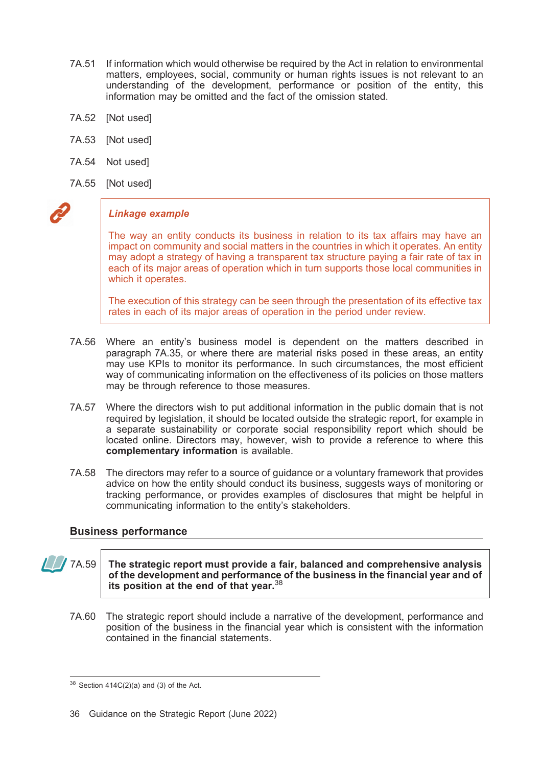- 7A.51 If information which would otherwise be required by the Act in relation to environmental matters, employees, social, community or human rights issues is not relevant to an understanding of the development, performance or position of the entity, this information may be omitted and the fact of the omission stated.
- 7A.52 [Not used]
- 7A.53 [Not used]
- 7A.54 Not used]
- 7A.55 [Not used]



#### Linkage example

The way an entity conducts its business in relation to its tax affairs may have an impact on community and social matters in the countries in which it operates. An entity may adopt a strategy of having a transparent tax structure paying a fair rate of tax in each of its major areas of operation which in turn supports those local communities in which it operates.

The execution of this strategy can be seen through the presentation of its effective tax rates in each of its major areas of operation in the period under review.

- 7A.56 Where an entity's business model is dependent on the matters described in paragraph 7A.35, or where there are material risks posed in these areas, an entity may use KPIs to monitor its performance. In such circumstances, the most efficient way of communicating information on the effectiveness of its policies on those matters may be through reference to those measures.
- 7A.57 Where the directors wish to put additional information in the public domain that is not required by legislation, it should be located outside the strategic report, for example in a separate sustainability or corporate social responsibility report which should be located online. Directors may, however, wish to provide a reference to where this complementary information is available.
- 7A.58 The directors may refer to a source of guidance or a voluntary framework that provides advice on how the entity should conduct its business, suggests ways of monitoring or tracking performance, or provides examples of disclosures that might be helpful in communicating information to the entity's stakeholders.

#### Business performance

 $\sqrt{7A.59}$  The strategic report must provide a fair, balanced and comprehensive analysis of the development and performance of the business in the financial year and of its position at the end of that year.  $38$ 

7A.60 The strategic report should include a narrative of the development, performance and position of the business in the financial year which is consistent with the information contained in the financial statements.

 $38$  Section 414C(2)(a) and (3) of the Act.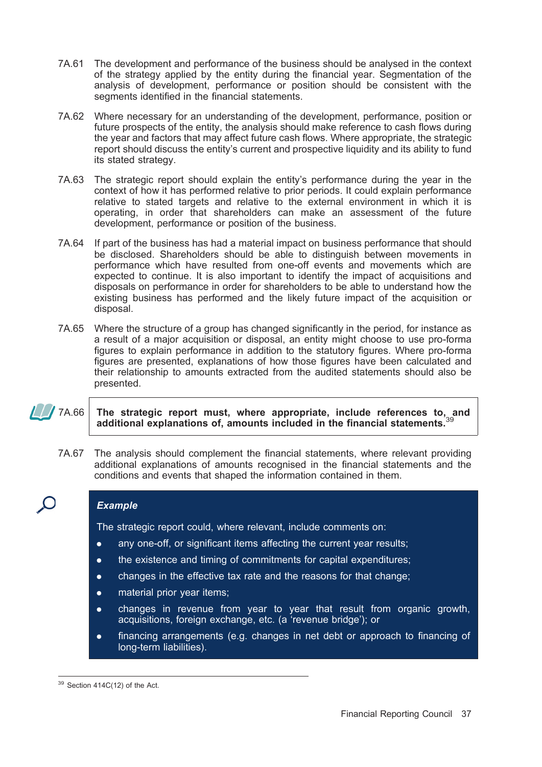- 7A.61 The development and performance of the business should be analysed in the context of the strategy applied by the entity during the financial year. Segmentation of the analysis of development, performance or position should be consistent with the segments identified in the financial statements.
- 7A.62 Where necessary for an understanding of the development, performance, position or future prospects of the entity, the analysis should make reference to cash flows during the year and factors that may affect future cash flows. Where appropriate, the strategic report should discuss the entity's current and prospective liquidity and its ability to fund its stated strategy.
- 7A.63 The strategic report should explain the entity's performance during the year in the context of how it has performed relative to prior periods. It could explain performance relative to stated targets and relative to the external environment in which it is operating, in order that shareholders can make an assessment of the future development, performance or position of the business.
- 7A.64 If part of the business has had a material impact on business performance that should be disclosed. Shareholders should be able to distinguish between movements in performance which have resulted from one-off events and movements which are expected to continue. It is also important to identify the impact of acquisitions and disposals on performance in order for shareholders to be able to understand how the existing business has performed and the likely future impact of the acquisition or disposal.
- 7A.65 Where the structure of a group has changed significantly in the period, for instance as a result of a major acquisition or disposal, an entity might choose to use pro-forma figures to explain performance in addition to the statutory figures. Where pro-forma figures are presented, explanations of how those figures have been calculated and their relationship to amounts extracted from the audited statements should also be presented.

# 7A.66 The strategic report must, where appropriate, include references to, and additional explanations of, amounts included in the financial statements.<sup>39</sup>

7A.67 The analysis should complement the financial statements, where relevant providing additional explanations of amounts recognised in the financial statements and the conditions and events that shaped the information contained in them.

# Example

The strategic report could, where relevant, include comments on:

- . any one-off, or significant items affecting the current year results;
- the existence and timing of commitments for capital expenditures;
- . changes in the effective tax rate and the reasons for that change;
- **.** material prior year items;
- . changes in revenue from year to year that result from organic growth, acquisitions, foreign exchange, etc. (a 'revenue bridge'); or
- . financing arrangements (e.g. changes in net debt or approach to financing of long-term liabilities).

<sup>&</sup>lt;sup>39</sup> Section 414C(12) of the Act.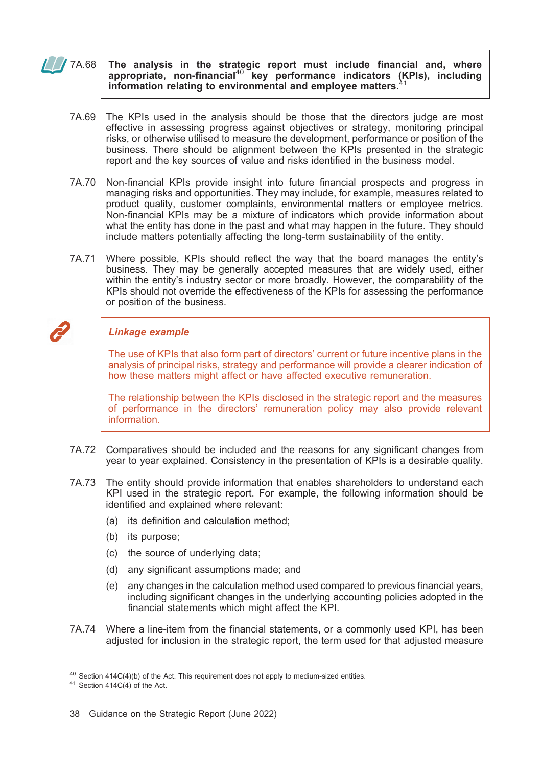$\sqrt{7A.68}$  The analysis in the strategic report must include financial and, where appropriate, non-financial<sup>40</sup> key performance indicators (KPIs), including information relating to environmental and employee matters.

- 7A.69 The KPIs used in the analysis should be those that the directors judge are most effective in assessing progress against objectives or strategy, monitoring principal risks, or otherwise utilised to measure the development, performance or position of the business. There should be alignment between the KPIs presented in the strategic report and the key sources of value and risks identified in the business model.
- 7A.70 Non-financial KPIs provide insight into future financial prospects and progress in managing risks and opportunities. They may include, for example, measures related to product quality, customer complaints, environmental matters or employee metrics. Non-financial KPIs may be a mixture of indicators which provide information about what the entity has done in the past and what may happen in the future. They should include matters potentially affecting the long-term sustainability of the entity.
- 7A.71 Where possible, KPIs should reflect the way that the board manages the entity's business. They may be generally accepted measures that are widely used, either within the entity's industry sector or more broadly. However, the comparability of the KPIs should not override the effectiveness of the KPIs for assessing the performance or position of the business.

# Linkage example

The use of KPIs that also form part of directors' current or future incentive plans in the analysis of principal risks, strategy and performance will provide a clearer indication of how these matters might affect or have affected executive remuneration.

The relationship between the KPIs disclosed in the strategic report and the measures of performance in the directors' remuneration policy may also provide relevant information.

- 7A.72 Comparatives should be included and the reasons for any significant changes from year to year explained. Consistency in the presentation of KPIs is a desirable quality.
- 7A.73 The entity should provide information that enables shareholders to understand each KPI used in the strategic report. For example, the following information should be identified and explained where relevant:
	- (a) its definition and calculation method;
	- (b) its purpose;
	- (c) the source of underlying data;
	- (d) any significant assumptions made; and
	- (e) any changes in the calculation method used compared to previous financial years, including significant changes in the underlying accounting policies adopted in the financial statements which might affect the KPI.
- 7A.74 Where a line-item from the financial statements, or a commonly used KPI, has been adjusted for inclusion in the strategic report, the term used for that adjusted measure

<sup>&</sup>lt;sup>40</sup> Section 414C(4)(b) of the Act. This requirement does not apply to medium-sized entities.<br><sup>41</sup> Section 414C(4) of the Act.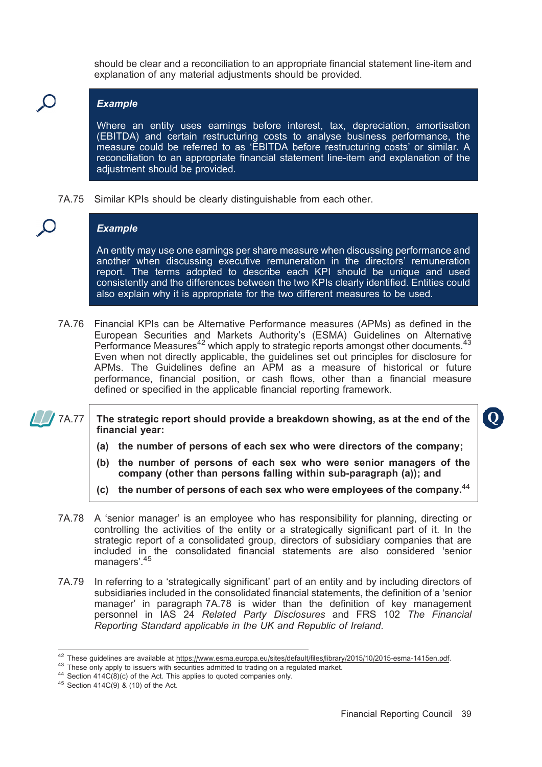should be clear and a reconciliation to an appropriate financial statement line-item and explanation of any material adjustments should be provided.

### Example

Where an entity uses earnings before interest, tax, depreciation, amortisation (EBITDA) and certain restructuring costs to analyse business performance, the measure could be referred to as 'EBITDA before restructuring costs' or similar. A reconciliation to an appropriate financial statement line-item and explanation of the adjustment should be provided.

7A.75 Similar KPIs should be clearly distinguishable from each other.

# **Example**

An entity may use one earnings per share measure when discussing performance and another when discussing executive remuneration in the directors' remuneration report. The terms adopted to describe each KPI should be unique and used consistently and the differences between the two KPIs clearly identified. Entities could also explain why it is appropriate for the two different measures to be used.

7A.76 Financial KPIs can be Alternative Performance measures (APMs) as defined in the European Securities and Markets Authority's (ESMA) Guidelines on Alternative Performance Measures<sup>42</sup> which apply to strategic reports amongst other documents.<sup>43</sup> Even when not directly applicable, the guidelines set out principles for disclosure for APMs. The Guidelines define an APM as a measure of historical or future performance, financial position, or cash flows, other than a financial measure defined or specified in the applicable financial reporting framework.

 $\Box$  7A.77 The strategic report should provide a breakdown showing, as at the end of the financial year:

- (a) the number of persons of each sex who were directors of the company;
- (b) the number of persons of each sex who were senior managers of the company (other than persons falling within sub-paragraph (a)); and
- (c) the number of persons of each sex who were employees of the company. $44$
- 7A.78 A 'senior manager' is an employee who has responsibility for planning, directing or controlling the activities of the entity or a strategically significant part of it. In the strategic report of a consolidated group, directors of subsidiary companies that are included in the consolidated financial statements are also considered 'senior managers'.<sup>45</sup>
- 7A.79 In referring to a 'strategically significant' part of an entity and by including directors of subsidiaries included in the consolidated financial statements, the definition of a 'senior manager' in paragraph 7A.78 is wider than the definition of key management personnel in IAS 24 Related Party Disclosures and FRS 102 The Financial Reporting Standard applicable in the UK and Republic of Ireland.

 $\bf{O}$ 

<sup>&</sup>lt;sup>42</sup> These guidelines are available at https://www.esma.europa.eu/sites/default/files/library/2015/10/2015-esma-1415en.pdf.<br><sup>43</sup> These only apply to issuers with securities admitted to trading on a regulated market.<br><sup>44</sup>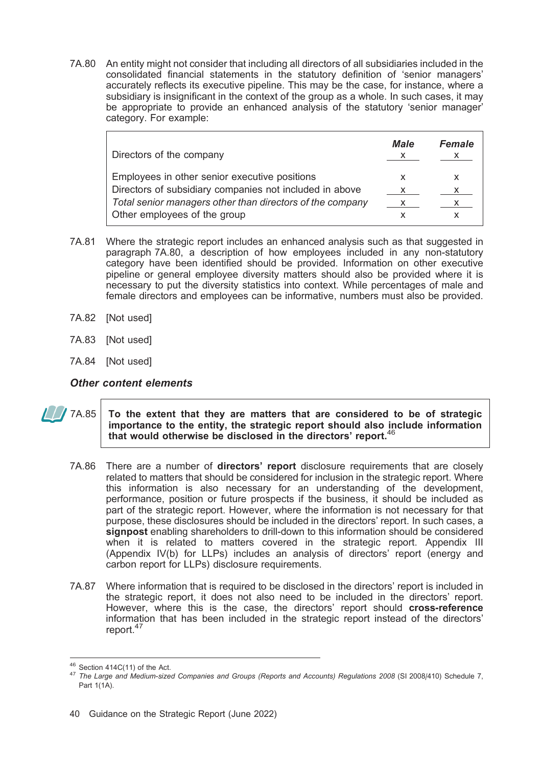7A.80 An entity might not consider that including all directors of all subsidiaries included in the consolidated financial statements in the statutory definition of 'senior managers' accurately reflects its executive pipeline. This may be the case, for instance, where a subsidiary is insignificant in the context of the group as a whole. In such cases, it may be appropriate to provide an enhanced analysis of the statutory 'senior manager' category. For example:

| Directors of the company                                  | <b>Male</b> | <b>Female</b> |
|-----------------------------------------------------------|-------------|---------------|
| Employees in other senior executive positions             | X           | X             |
| Directors of subsidiary companies not included in above   |             |               |
| Total senior managers other than directors of the company | X.          | X.            |
| Other employees of the group                              |             |               |

- 7A.81 Where the strategic report includes an enhanced analysis such as that suggested in paragraph 7A.80, a description of how employees included in any non-statutory category have been identified should be provided. Information on other executive pipeline or general employee diversity matters should also be provided where it is necessary to put the diversity statistics into context. While percentages of male and female directors and employees can be informative, numbers must also be provided.
- 7A.82 [Not used]
- 7A.83 [Not used]
- 7A.84 [Not used]

Other content elements

### $\sqrt{7A.85}$  To the extent that they are matters that are considered to be of strategic importance to the entity, the strategic report should also include information that would otherwise be disclosed in the directors' report.  $46$

- 7A.86 There are a number of directors' report disclosure requirements that are closely related to matters that should be considered for inclusion in the strategic report. Where this information is also necessary for an understanding of the development, performance, position or future prospects if the business, it should be included as part of the strategic report. However, where the information is not necessary for that purpose, these disclosures should be included in the directors' report. In such cases, a signpost enabling shareholders to drill-down to this information should be considered when it is related to matters covered in the strategic report. Appendix III (Appendix IV(b) for LLPs) includes an analysis of directors' report (energy and carbon report for LLPs) disclosure requirements.
- 7A.87 Where information that is required to be disclosed in the directors' report is included in the strategic report, it does not also need to be included in the directors' report. However, where this is the case, the directors' report should cross-reference information that has been included in the strategic report instead of the directors' report.<sup>47</sup>

<sup>&</sup>lt;sup>46</sup> Section 414C(11) of the Act.<br><sup>47</sup> The Large and Medium-sized Companies and Groups (Reports and Accounts) Regulations 2008 (SI 2008/410) Schedule 7, Part 1(1A).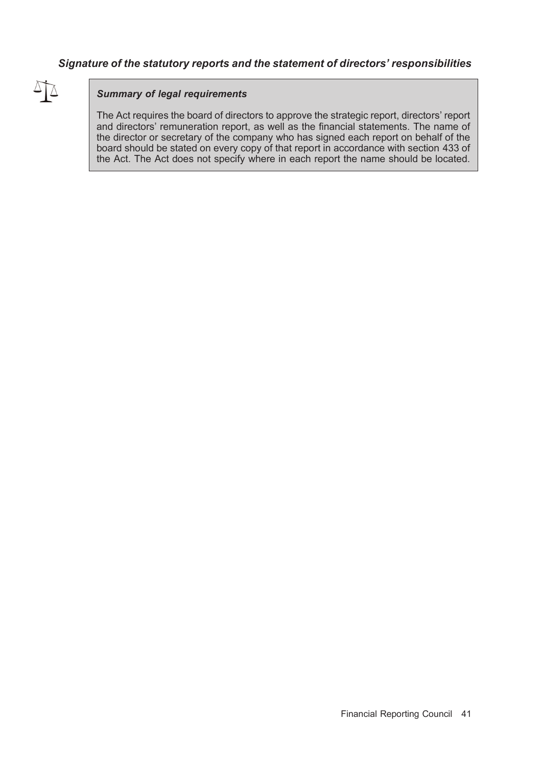# Signature of the statutory reports and the statement of directors' responsibilities



### Summary of legal requirements

The Act requires the board of directors to approve the strategic report, directors' report and directors' remuneration report, as well as the financial statements. The name of the director or secretary of the company who has signed each report on behalf of the board should be stated on every copy of that report in accordance with section 433 of the Act. The Act does not specify where in each report the name should be located.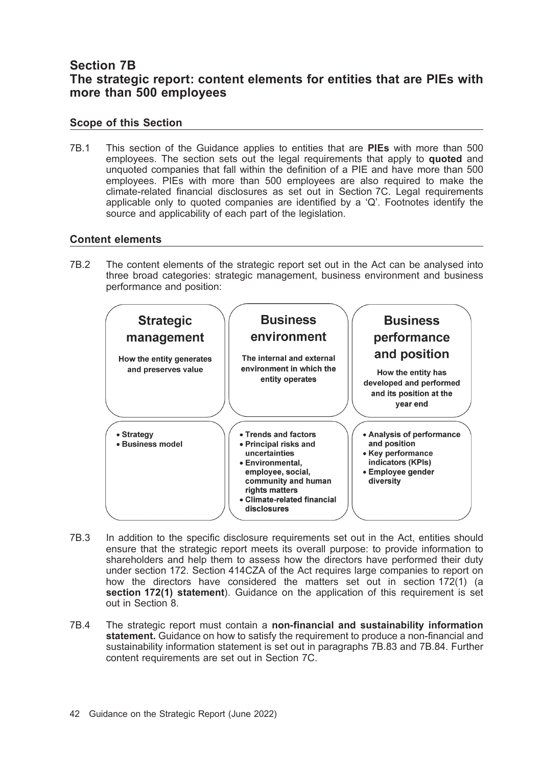# Section 7B The strategic report: content elements for entities that are PIEs with more than 500 employees

# Scope of this Section

7B.1 This section of the Guidance applies to entities that are PIEs with more than 500 employees. The section sets out the legal requirements that apply to quoted and unquoted companies that fall within the definition of a PIE and have more than 500 employees. PIEs with more than 500 employees are also required to make the climate-related financial disclosures as set out in Section 7C. Legal requirements applicable only to quoted companies are identified by a 'Q'. Footnotes identify the source and applicability of each part of the legislation.

### Content elements

7B.2 The content elements of the strategic report set out in the Act can be analysed into three broad categories: strategic management, business environment and business performance and position:



- 7B.3 In addition to the specific disclosure requirements set out in the Act, entities should ensure that the strategic report meets its overall purpose: to provide information to shareholders and help them to assess how the directors have performed their duty under section 172. Section 414CZA of the Act requires large companies to report on how the directors have considered the matters set out in section 172(1) (a section 172(1) statement). Guidance on the application of this requirement is set out in Section 8.
- 7B.4 The strategic report must contain a non-financial and sustainability information statement. Guidance on how to satisfy the requirement to produce a non-financial and sustainability information statement is set out in paragraphs 7B.83 and 7B.84. Further content requirements are set out in Section 7C.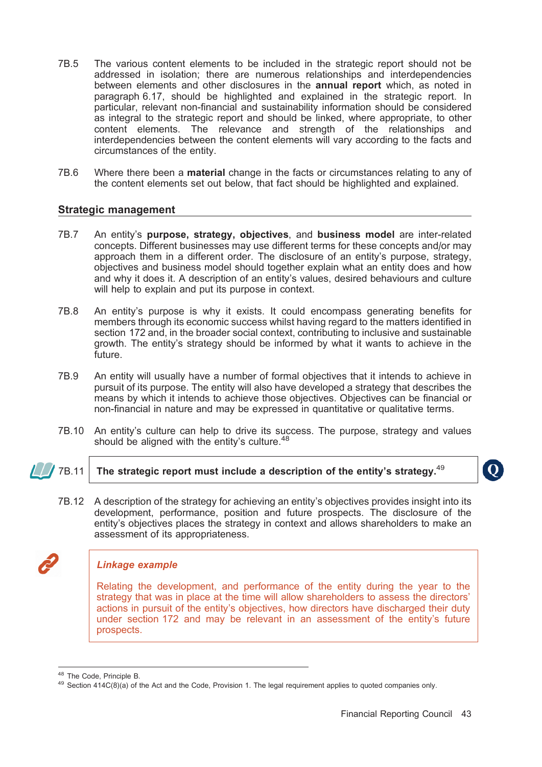- 7B.5 The various content elements to be included in the strategic report should not be addressed in isolation; there are numerous relationships and interdependencies between elements and other disclosures in the **annual report** which, as noted in paragraph 6.17, should be highlighted and explained in the strategic report. In particular, relevant non-financial and sustainability information should be considered as integral to the strategic report and should be linked, where appropriate, to other content elements. The relevance and strength of the relationships and interdependencies between the content elements will vary according to the facts and circumstances of the entity.
- 7B.6 Where there been a material change in the facts or circumstances relating to any of the content elements set out below, that fact should be highlighted and explained.

#### Strategic management

- 7B.7 An entity's purpose, strategy, objectives, and business model are inter-related concepts. Different businesses may use different terms for these concepts and/or may approach them in a different order. The disclosure of an entity's purpose, strategy, objectives and business model should together explain what an entity does and how and why it does it. A description of an entity's values, desired behaviours and culture will help to explain and put its purpose in context.
- 7B.8 An entity's purpose is why it exists. It could encompass generating benefits for members through its economic success whilst having regard to the matters identified in section 172 and, in the broader social context, contributing to inclusive and sustainable growth. The entity's strategy should be informed by what it wants to achieve in the future.
- 7B.9 An entity will usually have a number of formal objectives that it intends to achieve in pursuit of its purpose. The entity will also have developed a strategy that describes the means by which it intends to achieve those objectives. Objectives can be financial or non-financial in nature and may be expressed in quantitative or qualitative terms.
- 7B.10 An entity's culture can help to drive its success. The purpose, strategy and values should be aligned with the entity's culture. $48$

# 7B.11 The strategic report must include a description of the entity's strategy.<sup>49</sup>

7B.12 A description of the strategy for achieving an entity's objectives provides insight into its development, performance, position and future prospects. The disclosure of the entity's objectives places the strategy in context and allows shareholders to make an assessment of its appropriateness.

#### Linkage example

Relating the development, and performance of the entity during the year to the strategy that was in place at the time will allow shareholders to assess the directors' actions in pursuit of the entity's objectives, how directors have discharged their duty under section 172 and may be relevant in an assessment of the entity's future prospects.

 $\mathbf 0$ 

<sup>&</sup>lt;sup>48</sup> The Code, Principle B.<br><sup>49</sup> Section 414C(8)(a) of the Act and the Code, Provision 1. The legal requirement applies to quoted companies only.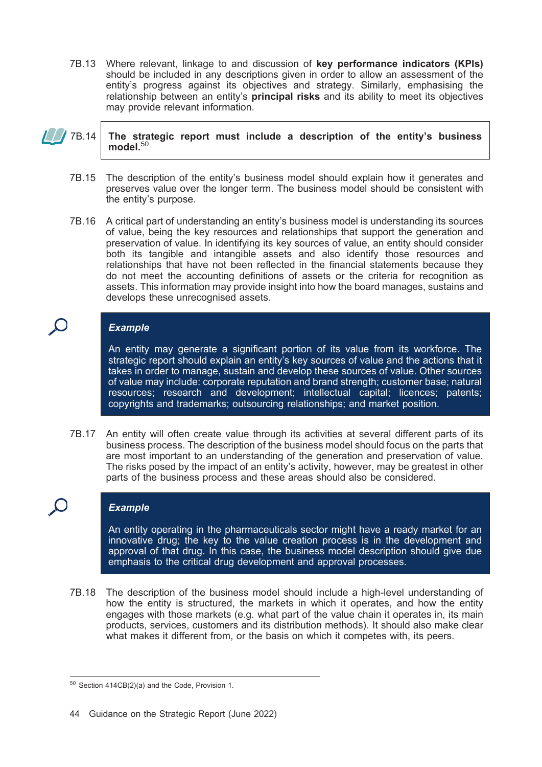7B.13 Where relevant, linkage to and discussion of key performance indicators (KPIs) should be included in any descriptions given in order to allow an assessment of the entity's progress against its objectives and strategy. Similarly, emphasising the relationship between an entity's **principal risks** and its ability to meet its objectives may provide relevant information.

### $\sqrt{78.14}$  The strategic report must include a description of the entity's business model. $50$

- 7B.15 The description of the entity's business model should explain how it generates and preserves value over the longer term. The business model should be consistent with the entity's purpose.
- 7B.16 A critical part of understanding an entity's business model is understanding its sources of value, being the key resources and relationships that support the generation and preservation of value. In identifying its key sources of value, an entity should consider both its tangible and intangible assets and also identify those resources and relationships that have not been reflected in the financial statements because they do not meet the accounting definitions of assets or the criteria for recognition as assets. This information may provide insight into how the board manages, sustains and develops these unrecognised assets.

# **Example**

An entity may generate a significant portion of its value from its workforce. The strategic report should explain an entity's key sources of value and the actions that it takes in order to manage, sustain and develop these sources of value. Other sources of value may include: corporate reputation and brand strength; customer base; natural resources; research and development; intellectual capital; licences; patents; copyrights and trademarks; outsourcing relationships; and market position.

7B.17 An entity will often create value through its activities at several different parts of its business process. The description of the business model should focus on the parts that are most important to an understanding of the generation and preservation of value. The risks posed by the impact of an entity's activity, however, may be greatest in other parts of the business process and these areas should also be considered.

# **Example**

An entity operating in the pharmaceuticals sector might have a ready market for an innovative drug; the key to the value creation process is in the development and approval of that drug. In this case, the business model description should give due emphasis to the critical drug development and approval processes.

7B.18 The description of the business model should include a high-level understanding of how the entity is structured, the markets in which it operates, and how the entity engages with those markets (e.g. what part of the value chain it operates in, its main products, services, customers and its distribution methods). It should also make clear what makes it different from, or the basis on which it competes with, its peers.

<sup>50</sup> Section 414CB(2)(a) and the Code, Provision 1.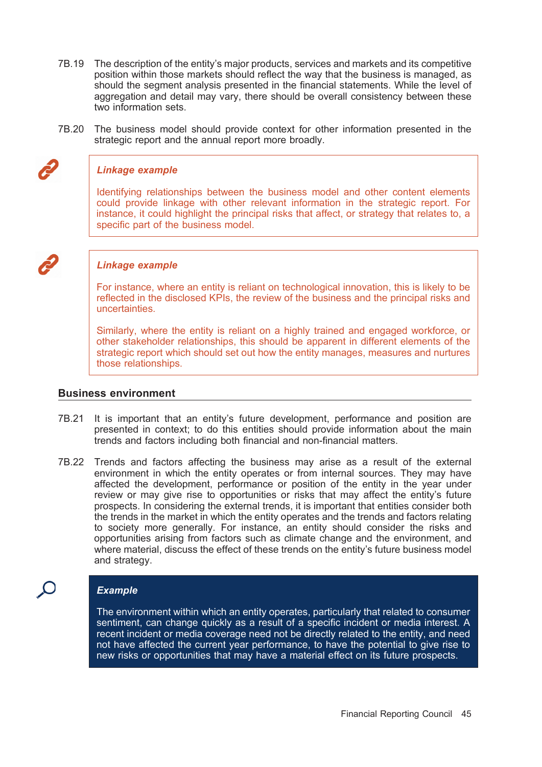- 7B.19 The description of the entity's major products, services and markets and its competitive position within those markets should reflect the way that the business is managed, as should the segment analysis presented in the financial statements. While the level of aggregation and detail may vary, there should be overall consistency between these two information sets.
- 7B.20 The business model should provide context for other information presented in the strategic report and the annual report more broadly.

#### Linkage example

Identifying relationships between the business model and other content elements could provide linkage with other relevant information in the strategic report. For instance, it could highlight the principal risks that affect, or strategy that relates to, a specific part of the business model.

#### Linkage example

For instance, where an entity is reliant on technological innovation, this is likely to be reflected in the disclosed KPIs, the review of the business and the principal risks and uncertainties.

Similarly, where the entity is reliant on a highly trained and engaged workforce, or other stakeholder relationships, this should be apparent in different elements of the strategic report which should set out how the entity manages, measures and nurtures those relationships.

#### Business environment

- 7B.21 It is important that an entity's future development, performance and position are presented in context; to do this entities should provide information about the main trends and factors including both financial and non-financial matters.
- 7B.22 Trends and factors affecting the business may arise as a result of the external environment in which the entity operates or from internal sources. They may have affected the development, performance or position of the entity in the year under review or may give rise to opportunities or risks that may affect the entity's future prospects. In considering the external trends, it is important that entities consider both the trends in the market in which the entity operates and the trends and factors relating to society more generally. For instance, an entity should consider the risks and opportunities arising from factors such as climate change and the environment, and where material, discuss the effect of these trends on the entity's future business model and strategy.

#### Example

The environment within which an entity operates, particularly that related to consumer sentiment, can change quickly as a result of a specific incident or media interest. A recent incident or media coverage need not be directly related to the entity, and need not have affected the current year performance, to have the potential to give rise to new risks or opportunities that may have a material effect on its future prospects.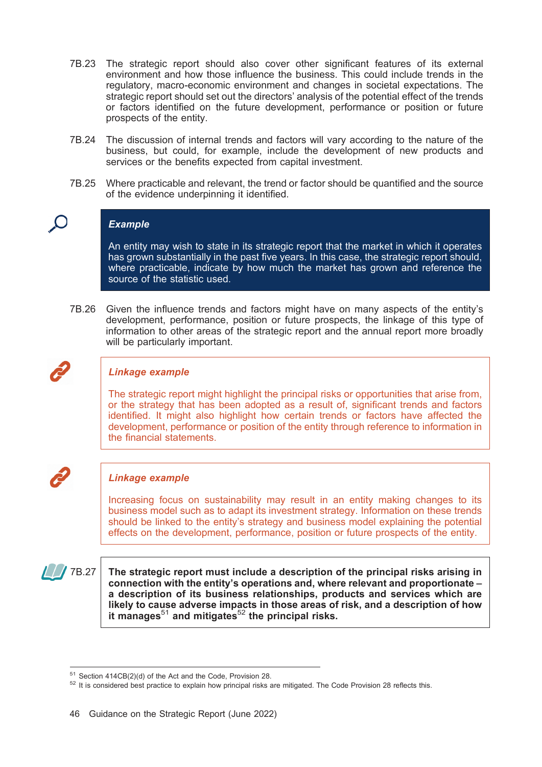- 7B.23 The strategic report should also cover other significant features of its external environment and how those influence the business. This could include trends in the regulatory, macro-economic environment and changes in societal expectations. The strategic report should set out the directors' analysis of the potential effect of the trends or factors identified on the future development, performance or position or future prospects of the entity.
- 7B.24 The discussion of internal trends and factors will vary according to the nature of the business, but could, for example, include the development of new products and services or the benefits expected from capital investment.
- 7B.25 Where practicable and relevant, the trend or factor should be quantified and the source of the evidence underpinning it identified.

#### **Example**

An entity may wish to state in its strategic report that the market in which it operates has grown substantially in the past five years. In this case, the strategic report should, where practicable, indicate by how much the market has grown and reference the source of the statistic used.

7B.26 Given the influence trends and factors might have on many aspects of the entity's development, performance, position or future prospects, the linkage of this type of information to other areas of the strategic report and the annual report more broadly will be particularly important.



#### Linkage example

The strategic report might highlight the principal risks or opportunities that arise from, or the strategy that has been adopted as a result of, significant trends and factors identified. It might also highlight how certain trends or factors have affected the development, performance or position of the entity through reference to information in the financial statements.



#### Linkage example

Increasing focus on sustainability may result in an entity making changes to its business model such as to adapt its investment strategy. Information on these trends should be linked to the entity's strategy and business model explaining the potential effects on the development, performance, position or future prospects of the entity.

 $\sqrt{7B.27}$  The strategic report must include a description of the principal risks arising in connection with the entity's operations and, where relevant and proportionate – a description of its business relationships, products and services which are likely to cause adverse impacts in those areas of risk, and a description of how it manages<sup>51</sup> and mitigates<sup>52</sup> the principal risks.

<sup>&</sup>lt;sup>51</sup> Section 414CB(2)(d) of the Act and the Code, Provision 28.<br><sup>52</sup> It is considered best practice to explain how principal risks are mitigated. The Code Provision 28 reflects this.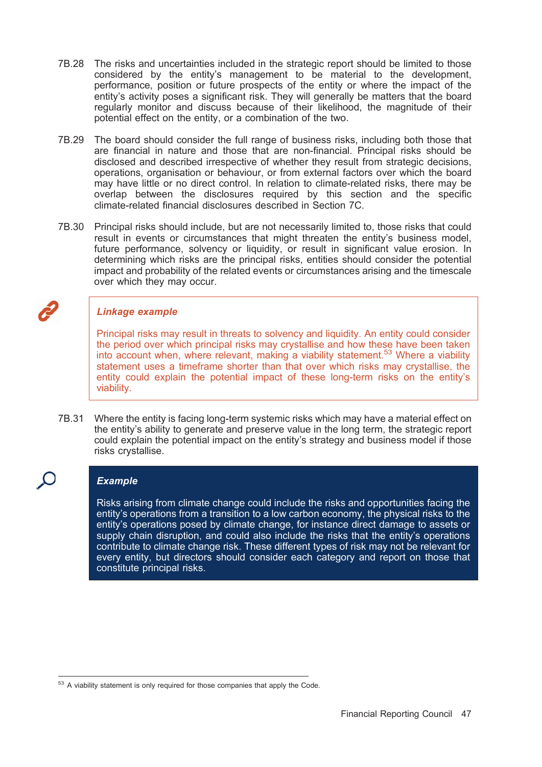- 7B.28 The risks and uncertainties included in the strategic report should be limited to those considered by the entity's management to be material to the development, performance, position or future prospects of the entity or where the impact of the entity's activity poses a significant risk. They will generally be matters that the board regularly monitor and discuss because of their likelihood, the magnitude of their potential effect on the entity, or a combination of the two.
- 7B.29 The board should consider the full range of business risks, including both those that are financial in nature and those that are non-financial. Principal risks should be disclosed and described irrespective of whether they result from strategic decisions, operations, organisation or behaviour, or from external factors over which the board may have little or no direct control. In relation to climate-related risks, there may be overlap between the disclosures required by this section and the specific climate-related financial disclosures described in Section 7C.
- 7B.30 Principal risks should include, but are not necessarily limited to, those risks that could result in events or circumstances that might threaten the entity's business model, future performance, solvency or liquidity, or result in significant value erosion. In determining which risks are the principal risks, entities should consider the potential impact and probability of the related events or circumstances arising and the timescale over which they may occur.

### Linkage example

Principal risks may result in threats to solvency and liquidity. An entity could consider the period over which principal risks may crystallise and how these have been taken into account when, where relevant, making a viability statement.53 Where a viability statement uses a timeframe shorter than that over which risks may crystallise, the entity could explain the potential impact of these long-term risks on the entity's viability.

7B.31 Where the entity is facing long-term systemic risks which may have a material effect on the entity's ability to generate and preserve value in the long term, the strategic report could explain the potential impact on the entity's strategy and business model if those risks crystallise.

### **Example**

Risks arising from climate change could include the risks and opportunities facing the entity's operations from a transition to a low carbon economy, the physical risks to the entity's operations posed by climate change, for instance direct damage to assets or supply chain disruption, and could also include the risks that the entity's operations contribute to climate change risk. These different types of risk may not be relevant for every entity, but directors should consider each category and report on those that constitute principal risks.

 $53$  A viability statement is only required for those companies that apply the Code.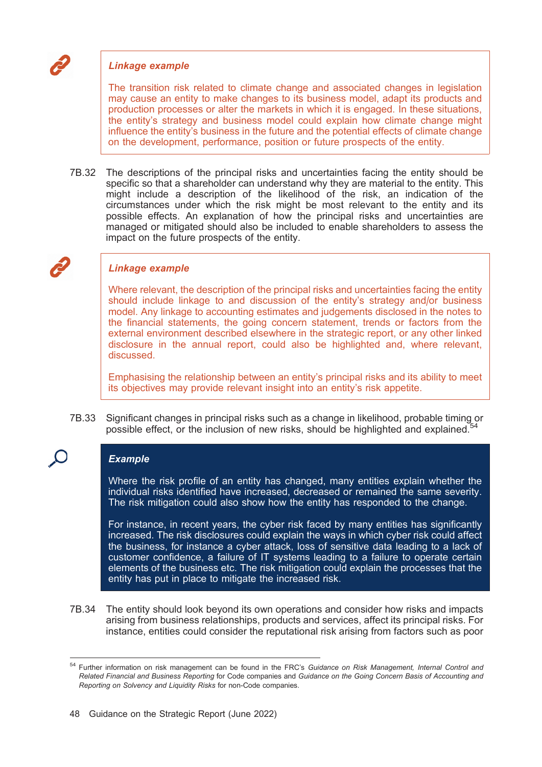### Linkage example

The transition risk related to climate change and associated changes in legislation may cause an entity to make changes to its business model, adapt its products and production processes or alter the markets in which it is engaged. In these situations, the entity's strategy and business model could explain how climate change might influence the entity's business in the future and the potential effects of climate change on the development, performance, position or future prospects of the entity.

7B.32 The descriptions of the principal risks and uncertainties facing the entity should be specific so that a shareholder can understand why they are material to the entity. This might include a description of the likelihood of the risk, an indication of the circumstances under which the risk might be most relevant to the entity and its possible effects. An explanation of how the principal risks and uncertainties are managed or mitigated should also be included to enable shareholders to assess the impact on the future prospects of the entity.

### Linkage example

Where relevant, the description of the principal risks and uncertainties facing the entity should include linkage to and discussion of the entity's strategy and/or business model. Any linkage to accounting estimates and judgements disclosed in the notes to the financial statements, the going concern statement, trends or factors from the external environment described elsewhere in the strategic report, or any other linked disclosure in the annual report, could also be highlighted and, where relevant, discussed.

Emphasising the relationship between an entity's principal risks and its ability to meet its objectives may provide relevant insight into an entity's risk appetite.

7B.33 Significant changes in principal risks such as a change in likelihood, probable timing or possible effect, or the inclusion of new risks, should be highlighted and explained.<sup>5</sup>

# **Example**

Where the risk profile of an entity has changed, many entities explain whether the individual risks identified have increased, decreased or remained the same severity. The risk mitigation could also show how the entity has responded to the change.

For instance, in recent years, the cyber risk faced by many entities has significantly increased. The risk disclosures could explain the ways in which cyber risk could affect the business, for instance a cyber attack, loss of sensitive data leading to a lack of customer confidence, a failure of IT systems leading to a failure to operate certain elements of the business etc. The risk mitigation could explain the processes that the entity has put in place to mitigate the increased risk.

7B.34 The entity should look beyond its own operations and consider how risks and impacts arising from business relationships, products and services, affect its principal risks. For instance, entities could consider the reputational risk arising from factors such as poor

<sup>&</sup>lt;sup>54</sup> Further information on risk management can be found in the FRC's Guidance on Risk Management, Internal Control and Related Financial and Business Reporting for Code companies and Guidance on the Going Concern Basis of Accounting and Reporting on Solvency and Liquidity Risks for non-Code companies.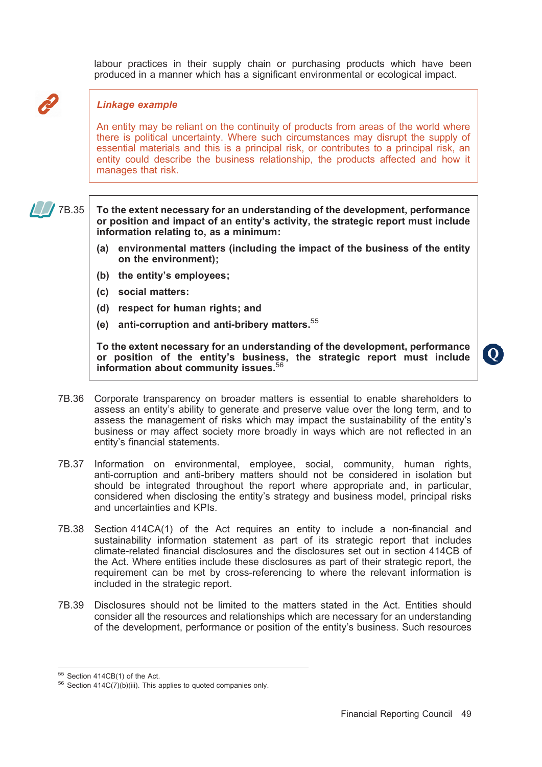labour practices in their supply chain or purchasing products which have been produced in a manner which has a significant environmental or ecological impact.

### Linkage example

An entity may be reliant on the continuity of products from areas of the world where there is political uncertainty. Where such circumstances may disrupt the supply of essential materials and this is a principal risk, or contributes to a principal risk, an entity could describe the business relationship, the products affected and how it manages that risk.

 $\sqrt{7B.35}$  To the extent necessary for an understanding of the development, performance or position and impact of an entity's activity, the strategic report must include information relating to, as a minimum:

- (a) environmental matters (including the impact of the business of the entity on the environment);
- (b) the entity's employees;
- (c) social matters:
- (d) respect for human rights; and
- (e) anti-corruption and anti-bribery matters.  $55$

To the extent necessary for an understanding of the development, performance or position of the entity's business, the strategic report must include information about community issues.<sup>56</sup>

- 7B.36 Corporate transparency on broader matters is essential to enable shareholders to assess an entity's ability to generate and preserve value over the long term, and to assess the management of risks which may impact the sustainability of the entity's business or may affect society more broadly in ways which are not reflected in an entity's financial statements.
- 7B.37 Information on environmental, employee, social, community, human rights, anti-corruption and anti-bribery matters should not be considered in isolation but should be integrated throughout the report where appropriate and, in particular, considered when disclosing the entity's strategy and business model, principal risks and uncertainties and KPIs.
- 7B.38 Section 414CA(1) of the Act requires an entity to include a non-financial and sustainability information statement as part of its strategic report that includes climate-related financial disclosures and the disclosures set out in section 414CB of the Act. Where entities include these disclosures as part of their strategic report, the requirement can be met by cross-referencing to where the relevant information is included in the strategic report.
- 7B.39 Disclosures should not be limited to the matters stated in the Act. Entities should consider all the resources and relationships which are necessary for an understanding of the development, performance or position of the entity's business. Such resources

<sup>&</sup>lt;sup>55</sup> Section 414CB(1) of the Act.<br><sup>56</sup> Section 414C(7)(b)(iii). This applies to quoted companies only.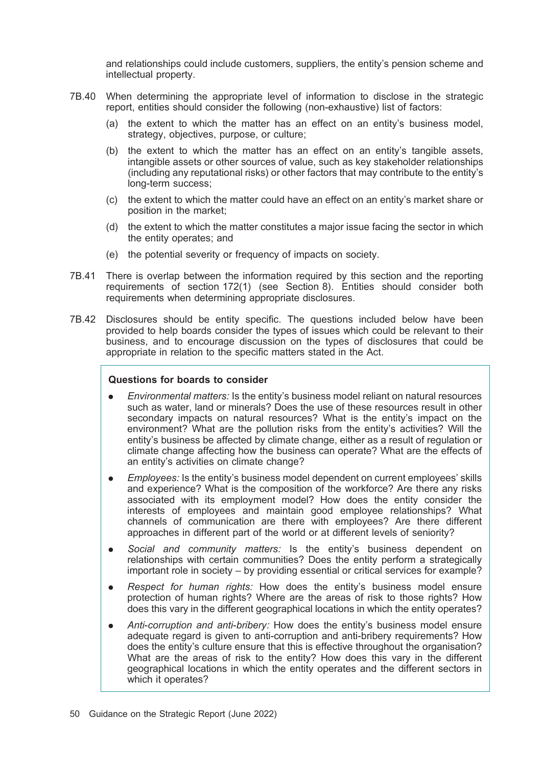and relationships could include customers, suppliers, the entity's pension scheme and intellectual property.

- 7B.40 When determining the appropriate level of information to disclose in the strategic report, entities should consider the following (non-exhaustive) list of factors:
	- (a) the extent to which the matter has an effect on an entity's business model, strategy, objectives, purpose, or culture;
	- (b) the extent to which the matter has an effect on an entity's tangible assets, intangible assets or other sources of value, such as key stakeholder relationships (including any reputational risks) or other factors that may contribute to the entity's long-term success;
	- (c) the extent to which the matter could have an effect on an entity's market share or position in the market;
	- (d) the extent to which the matter constitutes a major issue facing the sector in which the entity operates; and
	- (e) the potential severity or frequency of impacts on society.
- 7B.41 There is overlap between the information required by this section and the reporting requirements of section 172(1) (see Section 8). Entities should consider both requirements when determining appropriate disclosures.
- 7B.42 Disclosures should be entity specific. The questions included below have been provided to help boards consider the types of issues which could be relevant to their business, and to encourage discussion on the types of disclosures that could be appropriate in relation to the specific matters stated in the Act.

#### Questions for boards to consider

- . Environmental matters: Is the entity's business model reliant on natural resources such as water, land or minerals? Does the use of these resources result in other secondary impacts on natural resources? What is the entity's impact on the environment? What are the pollution risks from the entity's activities? Will the entity's business be affected by climate change, either as a result of regulation or climate change affecting how the business can operate? What are the effects of an entity's activities on climate change?
- . Employees: Is the entity's business model dependent on current employees' skills and experience? What is the composition of the workforce? Are there any risks associated with its employment model? How does the entity consider the interests of employees and maintain good employee relationships? What channels of communication are there with employees? Are there different approaches in different part of the world or at different levels of seniority?
- Social and community matters: Is the entity's business dependent on relationships with certain communities? Does the entity perform a strategically important role in society – by providing essential or critical services for example?
- . Respect for human rights: How does the entity's business model ensure protection of human rights? Where are the areas of risk to those rights? How does this vary in the different geographical locations in which the entity operates?
- . Anti-corruption and anti-bribery: How does the entity's business model ensure adequate regard is given to anti-corruption and anti-bribery requirements? How does the entity's culture ensure that this is effective throughout the organisation? What are the areas of risk to the entity? How does this vary in the different geographical locations in which the entity operates and the different sectors in which it operates?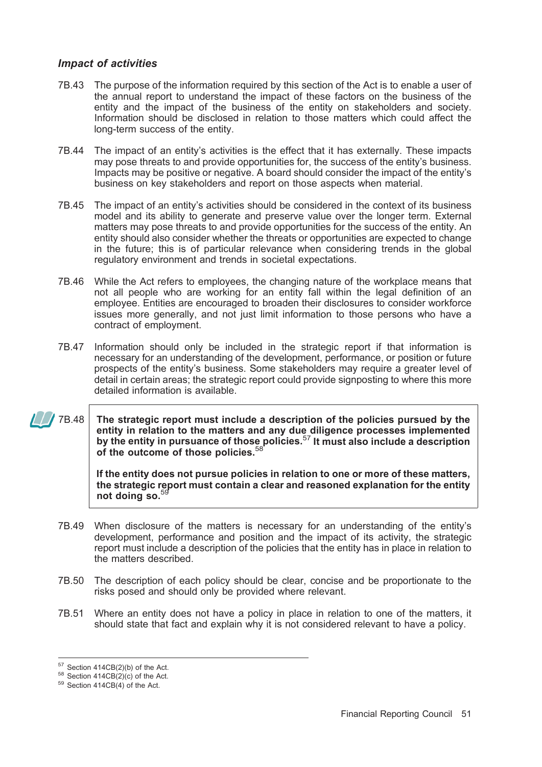### Impact of activities

- 7B.43 The purpose of the information required by this section of the Act is to enable a user of the annual report to understand the impact of these factors on the business of the entity and the impact of the business of the entity on stakeholders and society. Information should be disclosed in relation to those matters which could affect the long-term success of the entity.
- 7B.44 The impact of an entity's activities is the effect that it has externally. These impacts may pose threats to and provide opportunities for, the success of the entity's business. Impacts may be positive or negative. A board should consider the impact of the entity's business on key stakeholders and report on those aspects when material.
- 7B.45 The impact of an entity's activities should be considered in the context of its business model and its ability to generate and preserve value over the longer term. External matters may pose threats to and provide opportunities for the success of the entity. An entity should also consider whether the threats or opportunities are expected to change in the future; this is of particular relevance when considering trends in the global regulatory environment and trends in societal expectations.
- 7B.46 While the Act refers to employees, the changing nature of the workplace means that not all people who are working for an entity fall within the legal definition of an employee. Entities are encouraged to broaden their disclosures to consider workforce issues more generally, and not just limit information to those persons who have a contract of employment.
- 7B.47 Information should only be included in the strategic report if that information is necessary for an understanding of the development, performance, or position or future prospects of the entity's business. Some stakeholders may require a greater level of detail in certain areas; the strategic report could provide signposting to where this more detailed information is available.
- $\sqrt{7B.48}$  The strategic report must include a description of the policies pursued by the entity in relation to the matters and any due diligence processes implemented by the entity in pursuance of those policies.<sup>57</sup> It must also include a description of the outcome of those policies.<sup>58</sup>

If the entity does not pursue policies in relation to one or more of these matters, the strategic report must contain a clear and reasoned explanation for the entity not doing so.<sup>59</sup>

- 7B.49 When disclosure of the matters is necessary for an understanding of the entity's development, performance and position and the impact of its activity, the strategic report must include a description of the policies that the entity has in place in relation to the matters described.
- 7B.50 The description of each policy should be clear, concise and be proportionate to the risks posed and should only be provided where relevant.
- 7B.51 Where an entity does not have a policy in place in relation to one of the matters, it should state that fact and explain why it is not considered relevant to have a policy.

<sup>&</sup>lt;sup>57</sup> Section 414CB(2)(b) of the Act.<br><sup>58</sup> Section 414CB(2)(c) of the Act.<br><sup>59</sup> Section 414CB(4) of the Act.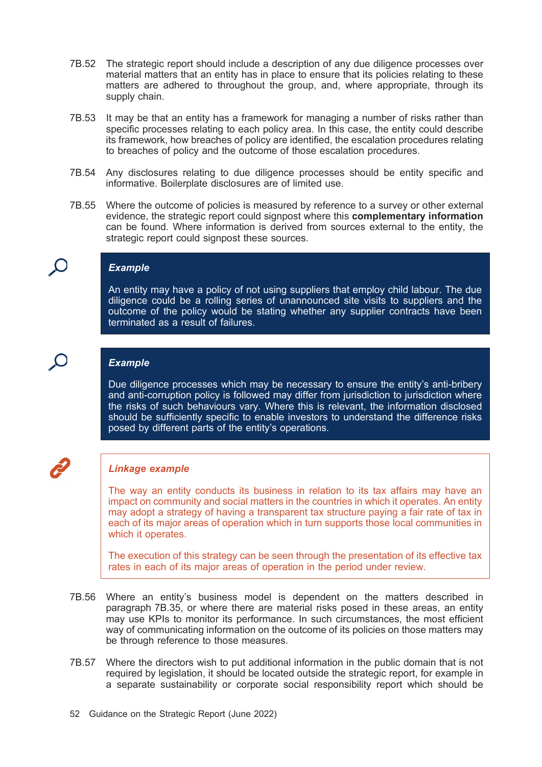- 7B.52 The strategic report should include a description of any due diligence processes over material matters that an entity has in place to ensure that its policies relating to these matters are adhered to throughout the group, and, where appropriate, through its supply chain.
- 7B.53 It may be that an entity has a framework for managing a number of risks rather than specific processes relating to each policy area. In this case, the entity could describe its framework, how breaches of policy are identified, the escalation procedures relating to breaches of policy and the outcome of those escalation procedures.
- 7B.54 Any disclosures relating to due diligence processes should be entity specific and informative. Boilerplate disclosures are of limited use.
- 7B.55 Where the outcome of policies is measured by reference to a survey or other external evidence, the strategic report could signpost where this **complementary information** can be found. Where information is derived from sources external to the entity, the strategic report could signpost these sources.

#### **Example**

An entity may have a policy of not using suppliers that employ child labour. The due diligence could be a rolling series of unannounced site visits to suppliers and the outcome of the policy would be stating whether any supplier contracts have been terminated as a result of failures.

#### **Example**

Due diligence processes which may be necessary to ensure the entity's anti-bribery and anti-corruption policy is followed may differ from jurisdiction to jurisdiction where the risks of such behaviours vary. Where this is relevant, the information disclosed should be sufficiently specific to enable investors to understand the difference risks posed by different parts of the entity's operations.

### Linkage example

The way an entity conducts its business in relation to its tax affairs may have an impact on community and social matters in the countries in which it operates. An entity may adopt a strategy of having a transparent tax structure paying a fair rate of tax in each of its major areas of operation which in turn supports those local communities in which it operates.

The execution of this strategy can be seen through the presentation of its effective tax rates in each of its major areas of operation in the period under review.

- 7B.56 Where an entity's business model is dependent on the matters described in paragraph 7B.35, or where there are material risks posed in these areas, an entity may use KPIs to monitor its performance. In such circumstances, the most efficient way of communicating information on the outcome of its policies on those matters may be through reference to those measures.
- 7B.57 Where the directors wish to put additional information in the public domain that is not required by legislation, it should be located outside the strategic report, for example in a separate sustainability or corporate social responsibility report which should be
- 52 Guidance on the Strategic Report (June 2022)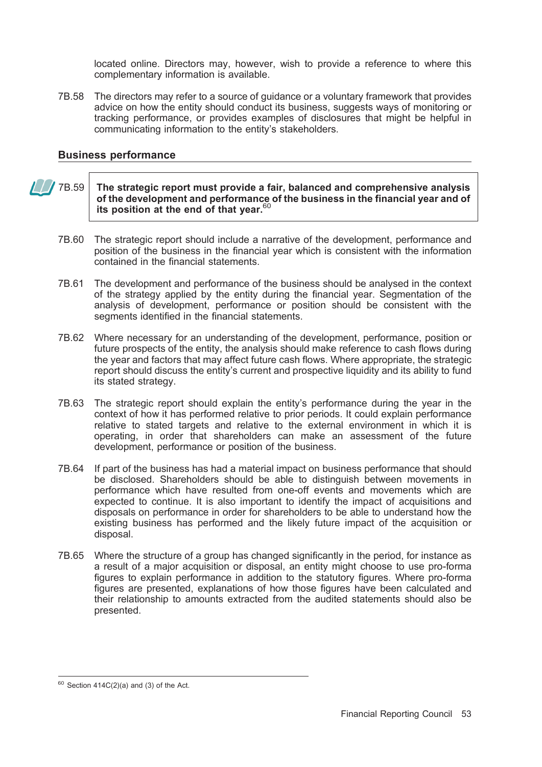located online. Directors may, however, wish to provide a reference to where this complementary information is available.

7B.58 The directors may refer to a source of guidance or a voluntary framework that provides advice on how the entity should conduct its business, suggests ways of monitoring or tracking performance, or provides examples of disclosures that might be helpful in communicating information to the entity's stakeholders.

### Business performance

- $\sqrt{78.59}$  The strategic report must provide a fair, balanced and comprehensive analysis of the development and performance of the business in the financial year and of its position at the end of that year. $60$ 
	- 7B.60 The strategic report should include a narrative of the development, performance and position of the business in the financial year which is consistent with the information contained in the financial statements.
	- 7B.61 The development and performance of the business should be analysed in the context of the strategy applied by the entity during the financial year. Segmentation of the analysis of development, performance or position should be consistent with the segments identified in the financial statements.
	- 7B.62 Where necessary for an understanding of the development, performance, position or future prospects of the entity, the analysis should make reference to cash flows during the year and factors that may affect future cash flows. Where appropriate, the strategic report should discuss the entity's current and prospective liquidity and its ability to fund its stated strategy.
	- 7B.63 The strategic report should explain the entity's performance during the year in the context of how it has performed relative to prior periods. It could explain performance relative to stated targets and relative to the external environment in which it is operating, in order that shareholders can make an assessment of the future development, performance or position of the business.
	- 7B.64 If part of the business has had a material impact on business performance that should be disclosed. Shareholders should be able to distinguish between movements in performance which have resulted from one-off events and movements which are expected to continue. It is also important to identify the impact of acquisitions and disposals on performance in order for shareholders to be able to understand how the existing business has performed and the likely future impact of the acquisition or disposal.
	- 7B.65 Where the structure of a group has changed significantly in the period, for instance as a result of a major acquisition or disposal, an entity might choose to use pro-forma figures to explain performance in addition to the statutory figures. Where pro-forma figures are presented, explanations of how those figures have been calculated and their relationship to amounts extracted from the audited statements should also be presented.

 $60$  Section 414C(2)(a) and (3) of the Act.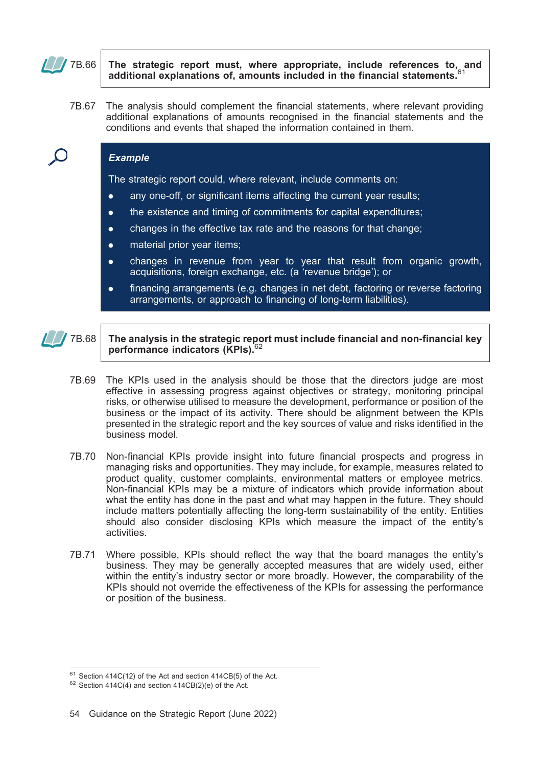

 $\blacksquare$  7B.66 The strategic report must, where appropriate, include references to, and additional explanations of, amounts included in the financial statements.

7B.67 The analysis should complement the financial statements, where relevant providing additional explanations of amounts recognised in the financial statements and the conditions and events that shaped the information contained in them.

#### Example

The strategic report could, where relevant, include comments on:

- . any one-off, or significant items affecting the current year results;
- the existence and timing of commitments for capital expenditures;
- . changes in the effective tax rate and the reasons for that change;
- **.** material prior year items;
- . changes in revenue from year to year that result from organic growth, acquisitions, foreign exchange, etc. (a 'revenue bridge'); or
- . financing arrangements (e.g. changes in net debt, factoring or reverse factoring arrangements, or approach to financing of long-term liabilities).



#### $\mathbb{Z}/\mathbb{Z}$  7B.68 The analysis in the strategic report must include financial and non-financial key performance indicators (KPIs).<sup>62</sup>

- 7B.69 The KPIs used in the analysis should be those that the directors judge are most effective in assessing progress against objectives or strategy, monitoring principal risks, or otherwise utilised to measure the development, performance or position of the business or the impact of its activity. There should be alignment between the KPIs presented in the strategic report and the key sources of value and risks identified in the business model.
- 7B.70 Non-financial KPIs provide insight into future financial prospects and progress in managing risks and opportunities. They may include, for example, measures related to product quality, customer complaints, environmental matters or employee metrics. Non-financial KPIs may be a mixture of indicators which provide information about what the entity has done in the past and what may happen in the future. They should include matters potentially affecting the long-term sustainability of the entity. Entities should also consider disclosing KPIs which measure the impact of the entity's activities.
- 7B.71 Where possible, KPIs should reflect the way that the board manages the entity's business. They may be generally accepted measures that are widely used, either within the entity's industry sector or more broadly. However, the comparability of the KPIs should not override the effectiveness of the KPIs for assessing the performance or position of the business.

<sup>&</sup>lt;sup>61</sup> Section 414C(12) of the Act and section 414CB(5) of the Act. <sup>62</sup> Section 414C(4) and section 414CB(2)(e) of the Act.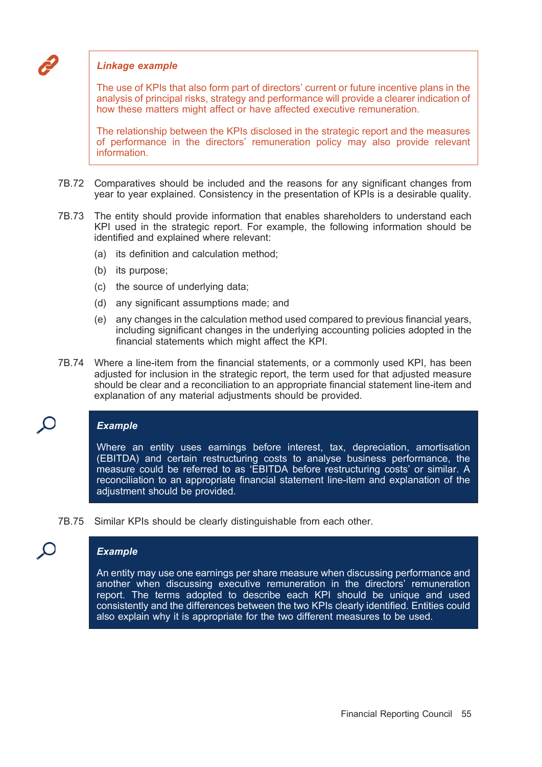

#### Linkage example

The use of KPIs that also form part of directors' current or future incentive plans in the analysis of principal risks, strategy and performance will provide a clearer indication of how these matters might affect or have affected executive remuneration.

The relationship between the KPIs disclosed in the strategic report and the measures of performance in the directors' remuneration policy may also provide relevant information.

- 7B.72 Comparatives should be included and the reasons for any significant changes from year to year explained. Consistency in the presentation of KPIs is a desirable quality.
- 7B.73 The entity should provide information that enables shareholders to understand each KPI used in the strategic report. For example, the following information should be identified and explained where relevant:
	- (a) its definition and calculation method;
	- (b) its purpose;
	- (c) the source of underlying data;
	- (d) any significant assumptions made; and
	- (e) any changes in the calculation method used compared to previous financial years, including significant changes in the underlying accounting policies adopted in the financial statements which might affect the KPI.
- 7B.74 Where a line-item from the financial statements, or a commonly used KPI, has been adjusted for inclusion in the strategic report, the term used for that adjusted measure should be clear and a reconciliation to an appropriate financial statement line-item and explanation of any material adjustments should be provided.

### **Example**

Where an entity uses earnings before interest, tax, depreciation, amortisation (EBITDA) and certain restructuring costs to analyse business performance, the measure could be referred to as 'EBITDA before restructuring costs' or similar. A reconciliation to an appropriate financial statement line-item and explanation of the adjustment should be provided.

7B.75 Similar KPIs should be clearly distinguishable from each other.

### **Example**

An entity may use one earnings per share measure when discussing performance and another when discussing executive remuneration in the directors' remuneration report. The terms adopted to describe each KPI should be unique and used consistently and the differences between the two KPIs clearly identified. Entities could also explain why it is appropriate for the two different measures to be used.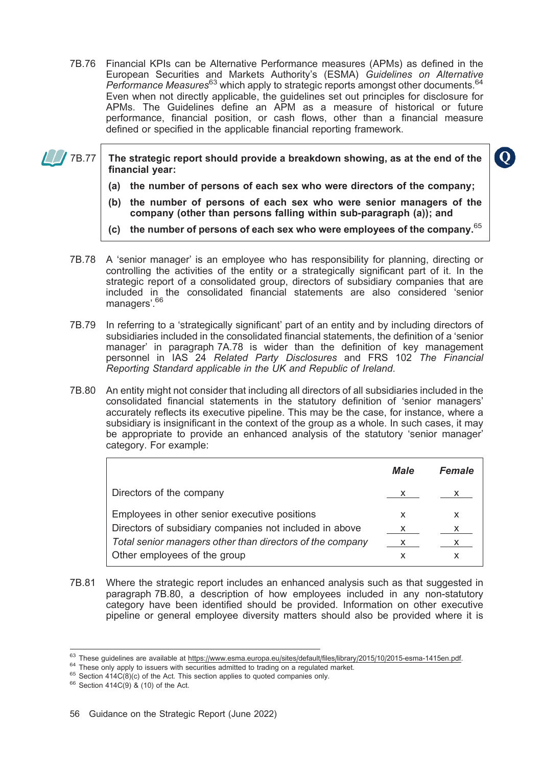7B.76 Financial KPIs can be Alternative Performance measures (APMs) as defined in the European Securities and Markets Authority's (ESMA) Guidelines on Alternative Performance Measures<sup>63</sup> which apply to strategic reports amongst other documents.<sup>64</sup> Even when not directly applicable, the guidelines set out principles for disclosure for APMs. The Guidelines define an APM as a measure of historical or future performance, financial position, or cash flows, other than a financial measure defined or specified in the applicable financial reporting framework.

 $\sqrt{78.77}$  The strategic report should provide a breakdown showing, as at the end of the financial year:

- (a) the number of persons of each sex who were directors of the company;
- (b) the number of persons of each sex who were senior managers of the company (other than persons falling within sub-paragraph (a)); and
- (c) the number of persons of each sex who were employees of the company. $65$
- 7B.78 A 'senior manager' is an employee who has responsibility for planning, directing or controlling the activities of the entity or a strategically significant part of it. In the strategic report of a consolidated group, directors of subsidiary companies that are included in the consolidated financial statements are also considered 'senior managers'.<sup>66</sup>
- 7B.79 In referring to a 'strategically significant' part of an entity and by including directors of subsidiaries included in the consolidated financial statements, the definition of a 'senior manager' in paragraph 7A.78 is wider than the definition of key management personnel in IAS 24 Related Party Disclosures and FRS 102 The Financial Reporting Standard applicable in the UK and Republic of Ireland.
- 7B.80 An entity might not consider that including all directors of all subsidiaries included in the consolidated financial statements in the statutory definition of 'senior managers' accurately reflects its executive pipeline. This may be the case, for instance, where a subsidiary is insignificant in the context of the group as a whole. In such cases, it may be appropriate to provide an enhanced analysis of the statutory 'senior manager' category. For example:

|                                                           | <b>Male</b>  | <b>Female</b> |
|-----------------------------------------------------------|--------------|---------------|
| Directors of the company                                  | $\mathsf{X}$ | x             |
| Employees in other senior executive positions             | x            | х             |
| Directors of subsidiary companies not included in above   | X            | x             |
| Total senior managers other than directors of the company |              |               |
| Other employees of the group                              |              |               |

7B.81 Where the strategic report includes an enhanced analysis such as that suggested in paragraph 7B.80, a description of how employees included in any non-statutory category have been identified should be provided. Information on other executive pipeline or general employee diversity matters should also be provided where it is

<sup>&</sup>lt;sup>63</sup> These guidelines are available at https://www.esma.europa.eu/sites/default/files/library/2015/10/2015-esma-1415en.pdf.<br><sup>64</sup> These only apply to issuers with securities admitted to trading on a regulated market.<br><sup>65</sup>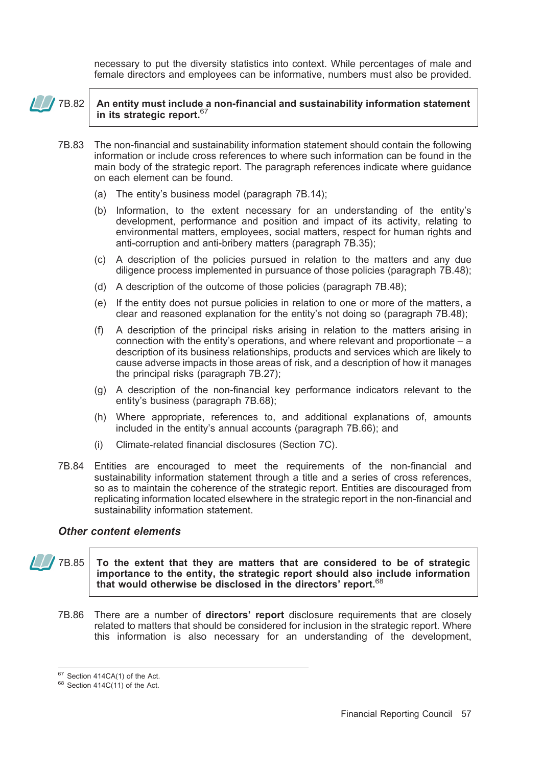necessary to put the diversity statistics into context. While percentages of male and female directors and employees can be informative, numbers must also be provided.

### $\sqrt{\frac{1}{100}}$  7B.82  $\vert$  An entity must include a non-financial and sustainability information statement in its strategic report.<sup>67</sup>

- 7B.83 The non-financial and sustainability information statement should contain the following information or include cross references to where such information can be found in the main body of the strategic report. The paragraph references indicate where guidance on each element can be found.
	- (a) The entity's business model (paragraph 7B.14);
	- (b) Information, to the extent necessary for an understanding of the entity's development, performance and position and impact of its activity, relating to environmental matters, employees, social matters, respect for human rights and anti-corruption and anti-bribery matters (paragraph 7B.35);
	- (c) A description of the policies pursued in relation to the matters and any due diligence process implemented in pursuance of those policies (paragraph 7B.48);
	- (d) A description of the outcome of those policies (paragraph 7B.48);
	- (e) If the entity does not pursue policies in relation to one or more of the matters, a clear and reasoned explanation for the entity's not doing so (paragraph 7B.48);
	- (f) A description of the principal risks arising in relation to the matters arising in connection with the entity's operations, and where relevant and proportionate – a description of its business relationships, products and services which are likely to cause adverse impacts in those areas of risk, and a description of how it manages the principal risks (paragraph 7B.27);
	- (g) A description of the non-financial key performance indicators relevant to the entity's business (paragraph 7B.68);
	- (h) Where appropriate, references to, and additional explanations of, amounts included in the entity's annual accounts (paragraph 7B.66); and
	- (i) Climate-related financial disclosures (Section 7C).
- 7B.84 Entities are encouraged to meet the requirements of the non-financial and sustainability information statement through a title and a series of cross references, so as to maintain the coherence of the strategic report. Entities are discouraged from replicating information located elsewhere in the strategic report in the non-financial and sustainability information statement.

### Other content elements

 $\sqrt{7B.85}$  To the extent that they are matters that are considered to be of strategic importance to the entity, the strategic report should also include information that would otherwise be disclosed in the directors' report.  $68$ 

7B.86 There are a number of directors' report disclosure requirements that are closely related to matters that should be considered for inclusion in the strategic report. Where this information is also necessary for an understanding of the development,

 $67$  Section 414CA(1) of the Act.<br> $68$  Section 414C(11) of the Act.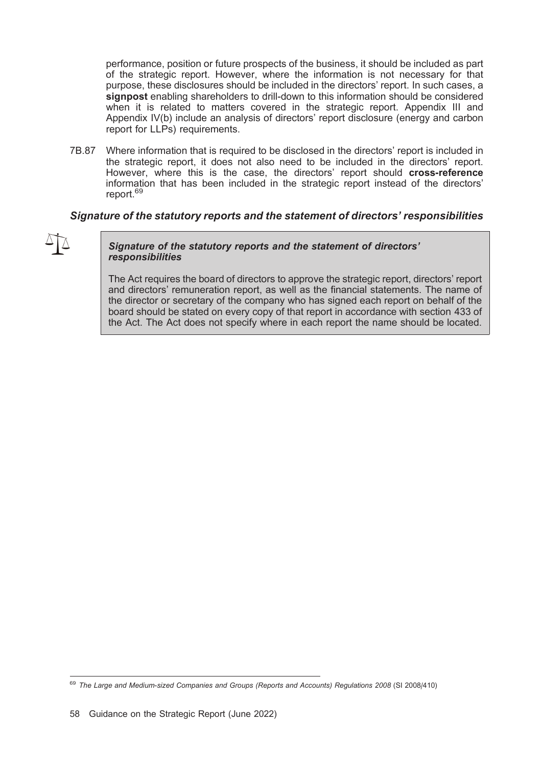performance, position or future prospects of the business, it should be included as part of the strategic report. However, where the information is not necessary for that purpose, these disclosures should be included in the directors' report. In such cases, a signpost enabling shareholders to drill-down to this information should be considered when it is related to matters covered in the strategic report. Appendix III and Appendix IV(b) include an analysis of directors' report disclosure (energy and carbon report for LLPs) requirements.

7B.87 Where information that is required to be disclosed in the directors' report is included in the strategic report, it does not also need to be included in the directors' report. However, where this is the case, the directors' report should cross-reference information that has been included in the strategic report instead of the directors' report.<sup>69</sup>

### Signature of the statutory reports and the statement of directors' responsibilities



#### Signature of the statutory reports and the statement of directors' responsibilities

The Act requires the board of directors to approve the strategic report, directors' report and directors' remuneration report, as well as the financial statements. The name of the director or secretary of the company who has signed each report on behalf of the board should be stated on every copy of that report in accordance with section 433 of the Act. The Act does not specify where in each report the name should be located.

<sup>&</sup>lt;sup>69</sup> The Large and Medium-sized Companies and Groups (Reports and Accounts) Regulations 2008 (SI 2008/410)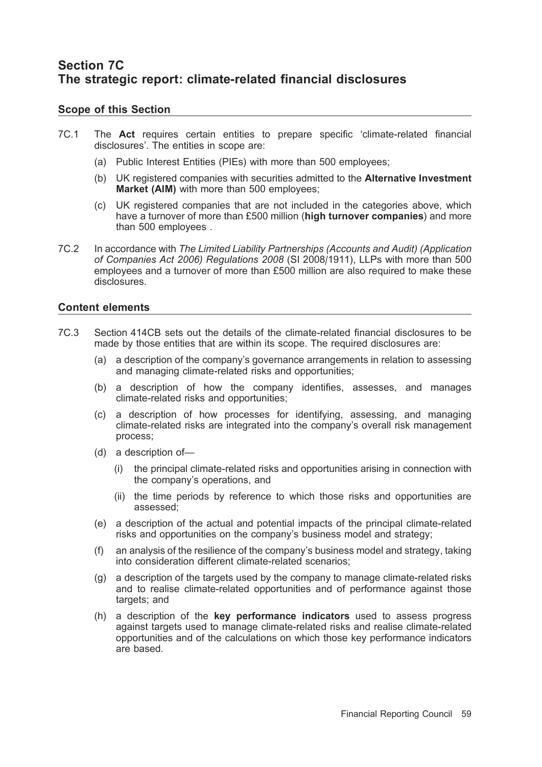# Section 7C The strategic report: climate-related financial disclosures

### Scope of this Section

- 7C.1 The Act requires certain entities to prepare specific 'climate-related financial disclosures'. The entities in scope are:
	- (a) Public Interest Entities (PIEs) with more than 500 employees;
	- (b) UK registered companies with securities admitted to the Alternative Investment Market (AIM) with more than 500 employees;
	- (c) UK registered companies that are not included in the categories above, which have a turnover of more than £500 million (high turnover companies) and more than 500 employees .
- 7C.2 In accordance with The Limited Liability Partnerships (Accounts and Audit) (Application of Companies Act 2006) Regulations 2008 (SI 2008/1911), LLPs with more than 500 employees and a turnover of more than £500 million are also required to make these disclosures.

### Content elements

- 7C.3 Section 414CB sets out the details of the climate-related financial disclosures to be made by those entities that are within its scope. The required disclosures are:
	- (a) a description of the company's governance arrangements in relation to assessing and managing climate-related risks and opportunities;
	- (b) a description of how the company identifies, assesses, and manages climate-related risks and opportunities;
	- (c) a description of how processes for identifying, assessing, and managing climate-related risks are integrated into the company's overall risk management process;
	- (d) a description of—
		- (i) the principal climate-related risks and opportunities arising in connection with the company's operations, and
		- (ii) the time periods by reference to which those risks and opportunities are assessed;
	- (e) a description of the actual and potential impacts of the principal climate-related risks and opportunities on the company's business model and strategy;
	- (f) an analysis of the resilience of the company's business model and strategy, taking into consideration different climate-related scenarios;
	- (g) a description of the targets used by the company to manage climate-related risks and to realise climate-related opportunities and of performance against those targets; and
	- (h) a description of the key performance indicators used to assess progress against targets used to manage climate-related risks and realise climate-related opportunities and of the calculations on which those key performance indicators are based.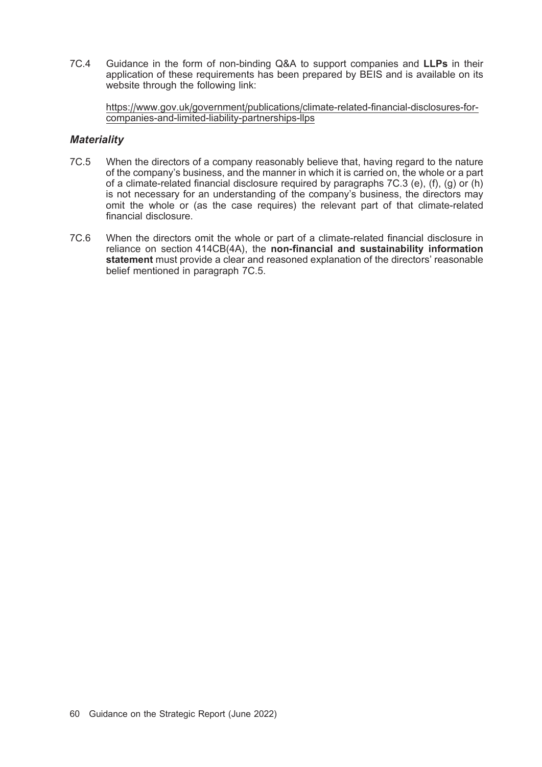7C.4 Guidance in the form of non-binding Q&A to support companies and LLPs in their application of these requirements has been prepared by BEIS and is available on its website through the following link:

https://www.gov.uk/government/publications/climate-related-financial-disclosures-forcompanies-and-limited-liability-partnerships-llps

### **Materiality**

- 7C.5 When the directors of a company reasonably believe that, having regard to the nature of the company's business, and the manner in which it is carried on, the whole or a part of a climate-related financial disclosure required by paragraphs 7C.3 (e), (f), (g) or (h) is not necessary for an understanding of the company's business, the directors may omit the whole or (as the case requires) the relevant part of that climate-related financial disclosure.
- 7C.6 When the directors omit the whole or part of a climate-related financial disclosure in reliance on section 414CB(4A), the non-financial and sustainability information statement must provide a clear and reasoned explanation of the directors' reasonable belief mentioned in paragraph 7C.5.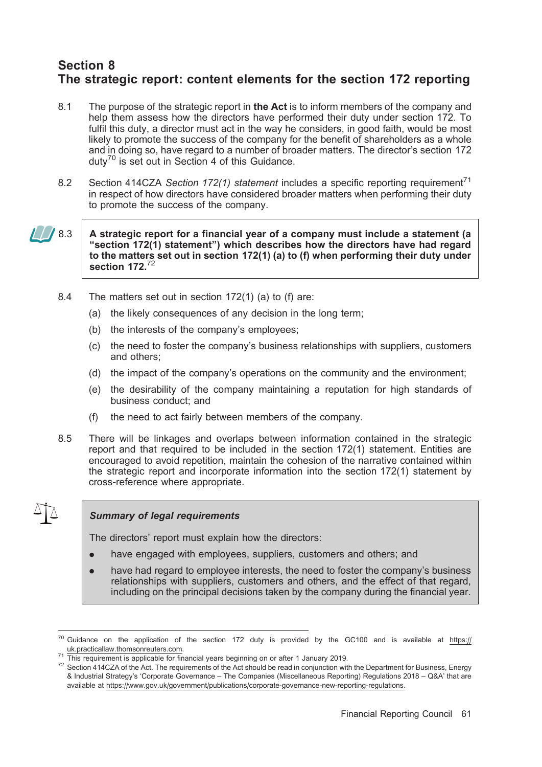# Section 8 The strategic report: content elements for the section 172 reporting

- 8.1 The purpose of the strategic report in the Act is to inform members of the company and help them assess how the directors have performed their duty under section 172. To fulfil this duty, a director must act in the way he considers, in good faith, would be most likely to promote the success of the company for the benefit of shareholders as a whole and in doing so, have regard to a number of broader matters. The director's section 172 duty<sup>70</sup> is set out in Section 4 of this Guidance.
- 8.2 Section 414CZA Section 172(1) statement includes a specific reporting requirement<sup>71</sup> in respect of how directors have considered broader matters when performing their duty to promote the success of the company.

### $\sqrt{8.3}$  A strategic report for a financial year of a company must include a statement (a ''section 172(1) statement'') which describes how the directors have had regard to the matters set out in section 172(1) (a) to (f) when performing their duty under section 172. $^{7}$

- 8.4 The matters set out in section 172(1) (a) to (f) are:
	- (a) the likely consequences of any decision in the long term;
	- (b) the interests of the company's employees;
	- (c) the need to foster the company's business relationships with suppliers, customers and others;
	- (d) the impact of the company's operations on the community and the environment;
	- (e) the desirability of the company maintaining a reputation for high standards of business conduct; and
	- (f) the need to act fairly between members of the company.
- 8.5 There will be linkages and overlaps between information contained in the strategic report and that required to be included in the section 172(1) statement. Entities are encouraged to avoid repetition, maintain the cohesion of the narrative contained within the strategic report and incorporate information into the section 172(1) statement by cross-reference where appropriate.

### Summary of legal requirements

The directors' report must explain how the directors:

- have engaged with employees, suppliers, customers and others; and
- . have had regard to employee interests, the need to foster the company's business relationships with suppliers, customers and others, and the effect of that regard, including on the principal decisions taken by the company during the financial year.

<sup>&</sup>lt;sup>70</sup> Guidance on the application of the section 172 duty is provided by the GC100 and is available at https:// uk.practicallaw.thomsonreuters.com.<br><sup>71</sup> This requirement is applicable for financial years beginning on or after 1 January 2019.

 $72$  Section 414CZA of the Act. The requirements of the Act should be read in conjunction with the Department for Business, Energy & Industrial Strategy's 'Corporate Governance – The Companies (Miscellaneous Reporting) Regulations 2018 – Q&A' that are available at https://www.gov.uk/government/publications/corporate-governance-new-reporting-regulations.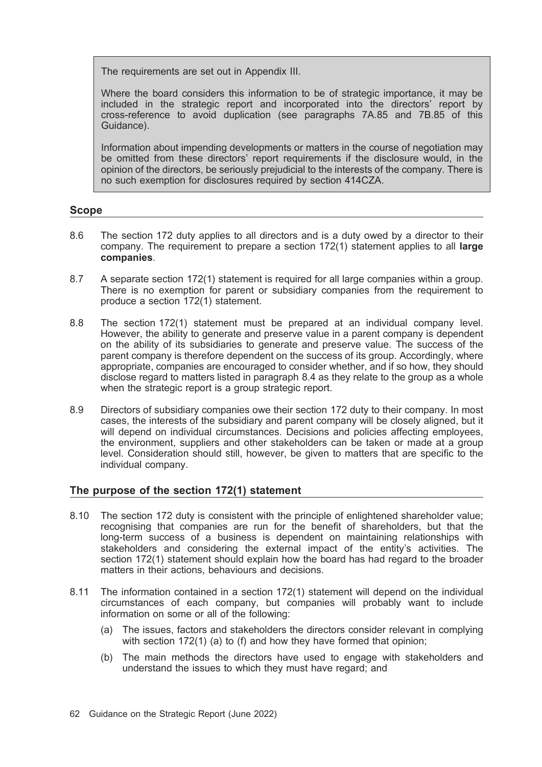The requirements are set out in Appendix III.

Where the board considers this information to be of strategic importance, it may be included in the strategic report and incorporated into the directors' report by cross-reference to avoid duplication (see paragraphs 7A.85 and 7B.85 of this Guidance).

Information about impending developments or matters in the course of negotiation may be omitted from these directors' report requirements if the disclosure would, in the opinion of the directors, be seriously prejudicial to the interests of the company. There is no such exemption for disclosures required by section 414CZA.

### Scope

- 8.6 The section 172 duty applies to all directors and is a duty owed by a director to their company. The requirement to prepare a section 172(1) statement applies to all large companies.
- 8.7 A separate section 172(1) statement is required for all large companies within a group. There is no exemption for parent or subsidiary companies from the requirement to produce a section 172(1) statement.
- 8.8 The section 172(1) statement must be prepared at an individual company level. However, the ability to generate and preserve value in a parent company is dependent on the ability of its subsidiaries to generate and preserve value. The success of the parent company is therefore dependent on the success of its group. Accordingly, where appropriate, companies are encouraged to consider whether, and if so how, they should disclose regard to matters listed in paragraph 8.4 as they relate to the group as a whole when the strategic report is a group strategic report.
- 8.9 Directors of subsidiary companies owe their section 172 duty to their company. In most cases, the interests of the subsidiary and parent company will be closely aligned, but it will depend on individual circumstances. Decisions and policies affecting employees, the environment, suppliers and other stakeholders can be taken or made at a group level. Consideration should still, however, be given to matters that are specific to the individual company.

# The purpose of the section 172(1) statement

- 8.10 The section 172 duty is consistent with the principle of enlightened shareholder value; recognising that companies are run for the benefit of shareholders, but that the long-term success of a business is dependent on maintaining relationships with stakeholders and considering the external impact of the entity's activities. The section 172(1) statement should explain how the board has had regard to the broader matters in their actions, behaviours and decisions.
- 8.11 The information contained in a section 172(1) statement will depend on the individual circumstances of each company, but companies will probably want to include information on some or all of the following:
	- (a) The issues, factors and stakeholders the directors consider relevant in complying with section 172(1) (a) to (f) and how they have formed that opinion;
	- (b) The main methods the directors have used to engage with stakeholders and understand the issues to which they must have regard; and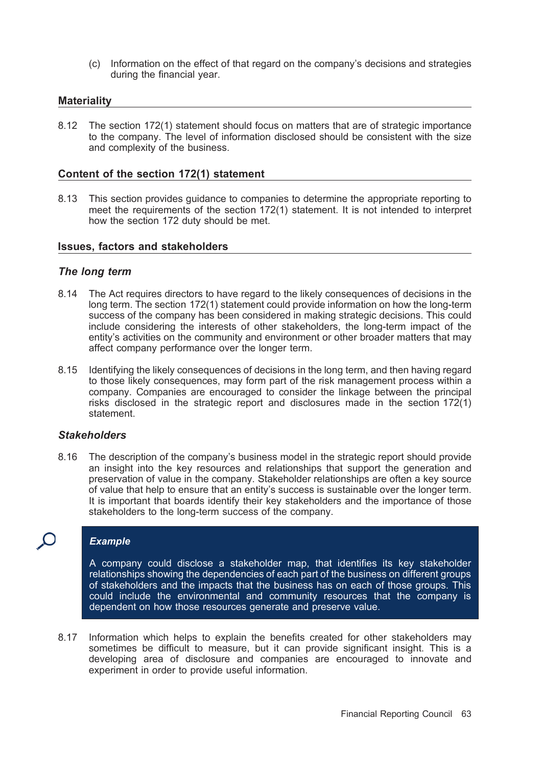(c) Information on the effect of that regard on the company's decisions and strategies during the financial year.

#### **Materiality**

8.12 The section 172(1) statement should focus on matters that are of strategic importance to the company. The level of information disclosed should be consistent with the size and complexity of the business.

#### Content of the section 172(1) statement

8.13 This section provides guidance to companies to determine the appropriate reporting to meet the requirements of the section 172(1) statement. It is not intended to interpret how the section 172 duty should be met.

#### Issues, factors and stakeholders

#### The long term

- 8.14 The Act requires directors to have regard to the likely consequences of decisions in the long term. The section 172(1) statement could provide information on how the long-term success of the company has been considered in making strategic decisions. This could include considering the interests of other stakeholders, the long-term impact of the entity's activities on the community and environment or other broader matters that may affect company performance over the longer term.
- 8.15 Identifying the likely consequences of decisions in the long term, and then having regard to those likely consequences, may form part of the risk management process within a company. Companies are encouraged to consider the linkage between the principal risks disclosed in the strategic report and disclosures made in the section 172(1) statement.

#### **Stakeholders**

8.16 The description of the company's business model in the strategic report should provide an insight into the key resources and relationships that support the generation and preservation of value in the company. Stakeholder relationships are often a key source of value that help to ensure that an entity's success is sustainable over the longer term. It is important that boards identify their key stakeholders and the importance of those stakeholders to the long-term success of the company.

### **Example**

A company could disclose a stakeholder map, that identifies its key stakeholder relationships showing the dependencies of each part of the business on different groups of stakeholders and the impacts that the business has on each of those groups. This could include the environmental and community resources that the company is dependent on how those resources generate and preserve value.

8.17 Information which helps to explain the benefits created for other stakeholders may sometimes be difficult to measure, but it can provide significant insight. This is a developing area of disclosure and companies are encouraged to innovate and experiment in order to provide useful information.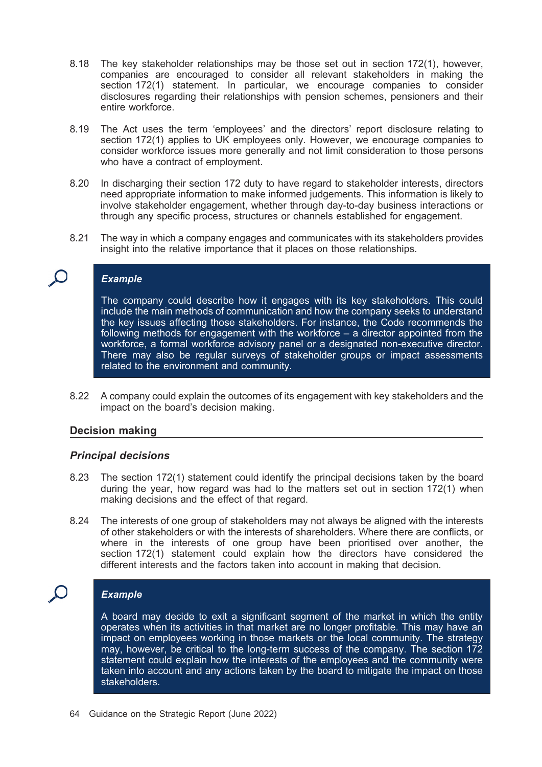- 8.18 The key stakeholder relationships may be those set out in section 172(1), however, companies are encouraged to consider all relevant stakeholders in making the section 172(1) statement. In particular, we encourage companies to consider disclosures regarding their relationships with pension schemes, pensioners and their entire workforce.
- 8.19 The Act uses the term 'employees' and the directors' report disclosure relating to section 172(1) applies to UK employees only. However, we encourage companies to consider workforce issues more generally and not limit consideration to those persons who have a contract of employment.
- 8.20 In discharging their section 172 duty to have regard to stakeholder interests, directors need appropriate information to make informed judgements. This information is likely to involve stakeholder engagement, whether through day-to-day business interactions or through any specific process, structures or channels established for engagement.
- 8.21 The way in which a company engages and communicates with its stakeholders provides insight into the relative importance that it places on those relationships.

### **Example**

The company could describe how it engages with its key stakeholders. This could include the main methods of communication and how the company seeks to understand the key issues affecting those stakeholders. For instance, the Code recommends the following methods for engagement with the workforce - a director appointed from the workforce, a formal workforce advisory panel or a designated non-executive director. There may also be regular surveys of stakeholder groups or impact assessments related to the environment and community.

8.22 A company could explain the outcomes of its engagement with key stakeholders and the impact on the board's decision making.

#### Decision making

#### Principal decisions

- 8.23 The section 172(1) statement could identify the principal decisions taken by the board during the year, how regard was had to the matters set out in section 172(1) when making decisions and the effect of that regard.
- 8.24 The interests of one group of stakeholders may not always be aligned with the interests of other stakeholders or with the interests of shareholders. Where there are conflicts, or where in the interests of one group have been prioritised over another, the section 172(1) statement could explain how the directors have considered the different interests and the factors taken into account in making that decision.

### Example

A board may decide to exit a significant segment of the market in which the entity operates when its activities in that market are no longer profitable. This may have an impact on employees working in those markets or the local community. The strategy may, however, be critical to the long-term success of the company. The section 172 statement could explain how the interests of the employees and the community were taken into account and any actions taken by the board to mitigate the impact on those stakeholders.

64 Guidance on the Strategic Report (June 2022)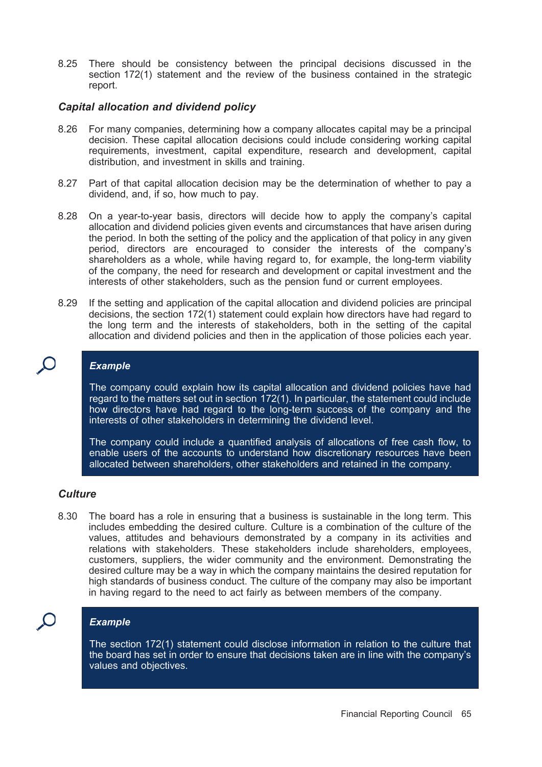8.25 There should be consistency between the principal decisions discussed in the section 172(1) statement and the review of the business contained in the strategic report.

### Capital allocation and dividend policy

- 8.26 For many companies, determining how a company allocates capital may be a principal decision. These capital allocation decisions could include considering working capital requirements, investment, capital expenditure, research and development, capital distribution, and investment in skills and training.
- 8.27 Part of that capital allocation decision may be the determination of whether to pay a dividend, and, if so, how much to pay.
- 8.28 On a year-to-year basis, directors will decide how to apply the company's capital allocation and dividend policies given events and circumstances that have arisen during the period. In both the setting of the policy and the application of that policy in any given period, directors are encouraged to consider the interests of the company's shareholders as a whole, while having regard to, for example, the long-term viability of the company, the need for research and development or capital investment and the interests of other stakeholders, such as the pension fund or current employees.
- 8.29 If the setting and application of the capital allocation and dividend policies are principal decisions, the section 172(1) statement could explain how directors have had regard to the long term and the interests of stakeholders, both in the setting of the capital allocation and dividend policies and then in the application of those policies each year.

## Example

The company could explain how its capital allocation and dividend policies have had regard to the matters set out in section 172(1). In particular, the statement could include how directors have had regard to the long-term success of the company and the interests of other stakeholders in determining the dividend level.

The company could include a quantified analysis of allocations of free cash flow, to enable users of the accounts to understand how discretionary resources have been allocated between shareholders, other stakeholders and retained in the company.

# **Culture**

8.30 The board has a role in ensuring that a business is sustainable in the long term. This includes embedding the desired culture. Culture is a combination of the culture of the values, attitudes and behaviours demonstrated by a company in its activities and relations with stakeholders. These stakeholders include shareholders, employees, customers, suppliers, the wider community and the environment. Demonstrating the desired culture may be a way in which the company maintains the desired reputation for high standards of business conduct. The culture of the company may also be important in having regard to the need to act fairly as between members of the company.

# **Example**

The section 172(1) statement could disclose information in relation to the culture that the board has set in order to ensure that decisions taken are in line with the company's values and objectives.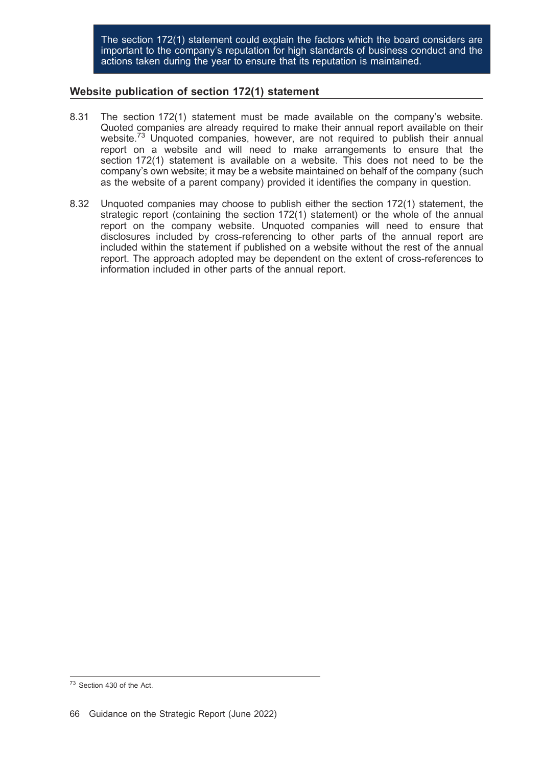The section 172(1) statement could explain the factors which the board considers are important to the company's reputation for high standards of business conduct and the actions taken during the year to ensure that its reputation is maintained.

### Website publication of section 172(1) statement

- 8.31 The section 172(1) statement must be made available on the company's website. Quoted companies are already required to make their annual report available on their website.<sup>73</sup> Unquoted companies, however, are not required to publish their annual report on a website and will need to make arrangements to ensure that the section 172(1) statement is available on a website. This does not need to be the company's own website; it may be a website maintained on behalf of the company (such as the website of a parent company) provided it identifies the company in question.
- 8.32 Unquoted companies may choose to publish either the section 172(1) statement, the strategic report (containing the section 172(1) statement) or the whole of the annual report on the company website. Unquoted companies will need to ensure that disclosures included by cross-referencing to other parts of the annual report are included within the statement if published on a website without the rest of the annual report. The approach adopted may be dependent on the extent of cross-references to information included in other parts of the annual report.

<sup>73</sup> Section 430 of the Act.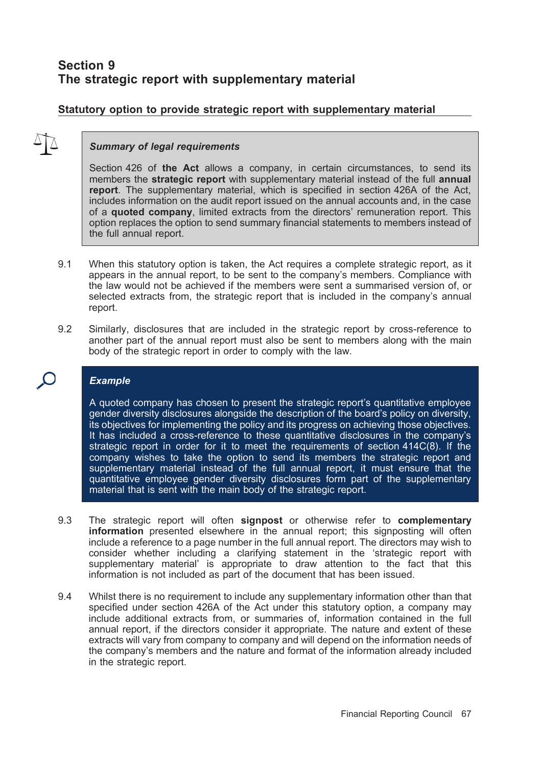# Section 9 The strategic report with supplementary material

# Statutory option to provide strategic report with supplementary material

### Summary of legal requirements

Section 426 of the Act allows a company, in certain circumstances, to send its members the **strategic report** with supplementary material instead of the full **annual** report. The supplementary material, which is specified in section 426A of the Act, includes information on the audit report issued on the annual accounts and, in the case of a quoted company, limited extracts from the directors' remuneration report. This option replaces the option to send summary financial statements to members instead of the full annual report.

- 9.1 When this statutory option is taken, the Act requires a complete strategic report, as it appears in the annual report, to be sent to the company's members. Compliance with the law would not be achieved if the members were sent a summarised version of, or selected extracts from, the strategic report that is included in the company's annual report.
- 9.2 Similarly, disclosures that are included in the strategic report by cross-reference to another part of the annual report must also be sent to members along with the main body of the strategic report in order to comply with the law.

### Example

A quoted company has chosen to present the strategic report's quantitative employee gender diversity disclosures alongside the description of the board's policy on diversity, its objectives for implementing the policy and its progress on achieving those objectives. It has included a cross-reference to these quantitative disclosures in the company's strategic report in order for it to meet the requirements of section 414C(8). If the company wishes to take the option to send its members the strategic report and supplementary material instead of the full annual report, it must ensure that the quantitative employee gender diversity disclosures form part of the supplementary material that is sent with the main body of the strategic report.

- 9.3 The strategic report will often signpost or otherwise refer to complementary information presented elsewhere in the annual report; this signposting will often include a reference to a page number in the full annual report. The directors may wish to consider whether including a clarifying statement in the 'strategic report with supplementary material' is appropriate to draw attention to the fact that this information is not included as part of the document that has been issued.
- 9.4 Whilst there is no requirement to include any supplementary information other than that specified under section 426A of the Act under this statutory option, a company may include additional extracts from, or summaries of, information contained in the full annual report, if the directors consider it appropriate. The nature and extent of these extracts will vary from company to company and will depend on the information needs of the company's members and the nature and format of the information already included in the strategic report.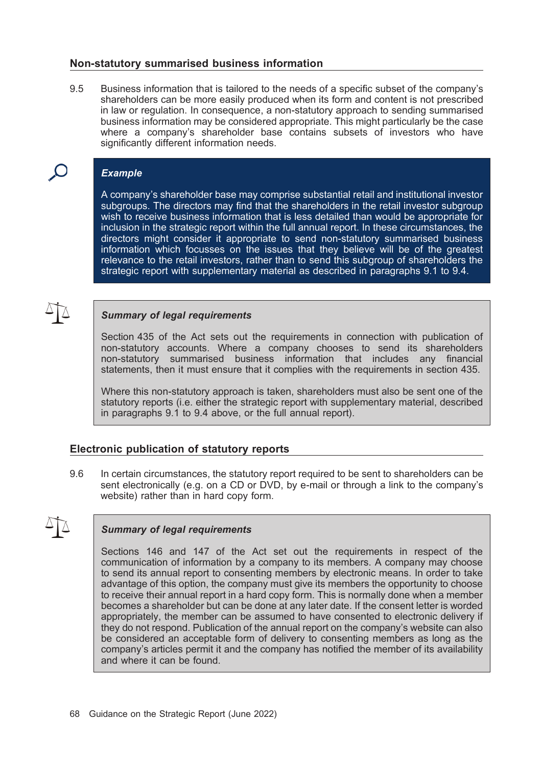#### Non-statutory summarised business information

9.5 Business information that is tailored to the needs of a specific subset of the company's shareholders can be more easily produced when its form and content is not prescribed in law or regulation. In consequence, a non-statutory approach to sending summarised business information may be considered appropriate. This might particularly be the case where a company's shareholder base contains subsets of investors who have significantly different information needs.

# Example

A company's shareholder base may comprise substantial retail and institutional investor subgroups. The directors may find that the shareholders in the retail investor subgroup wish to receive business information that is less detailed than would be appropriate for inclusion in the strategic report within the full annual report. In these circumstances, the directors might consider it appropriate to send non-statutory summarised business information which focusses on the issues that they believe will be of the greatest relevance to the retail investors, rather than to send this subgroup of shareholders the strategic report with supplementary material as described in paragraphs 9.1 to 9.4.

#### Summary of legal requirements

Section 435 of the Act sets out the requirements in connection with publication of non-statutory accounts. Where a company chooses to send its shareholders non-statutory summarised business information that includes any financial statements, then it must ensure that it complies with the requirements in section 435.

Where this non-statutory approach is taken, shareholders must also be sent one of the statutory reports (i.e. either the strategic report with supplementary material, described in paragraphs 9.1 to 9.4 above, or the full annual report).

### Electronic publication of statutory reports

9.6 In certain circumstances, the statutory report required to be sent to shareholders can be sent electronically (e.g. on a CD or DVD, by e-mail or through a link to the company's website) rather than in hard copy form.

### Summary of legal requirements

Sections 146 and 147 of the Act set out the requirements in respect of the communication of information by a company to its members. A company may choose to send its annual report to consenting members by electronic means. In order to take advantage of this option, the company must give its members the opportunity to choose to receive their annual report in a hard copy form. This is normally done when a member becomes a shareholder but can be done at any later date. If the consent letter is worded appropriately, the member can be assumed to have consented to electronic delivery if they do not respond. Publication of the annual report on the company's website can also be considered an acceptable form of delivery to consenting members as long as the company's articles permit it and the company has notified the member of its availability and where it can be found.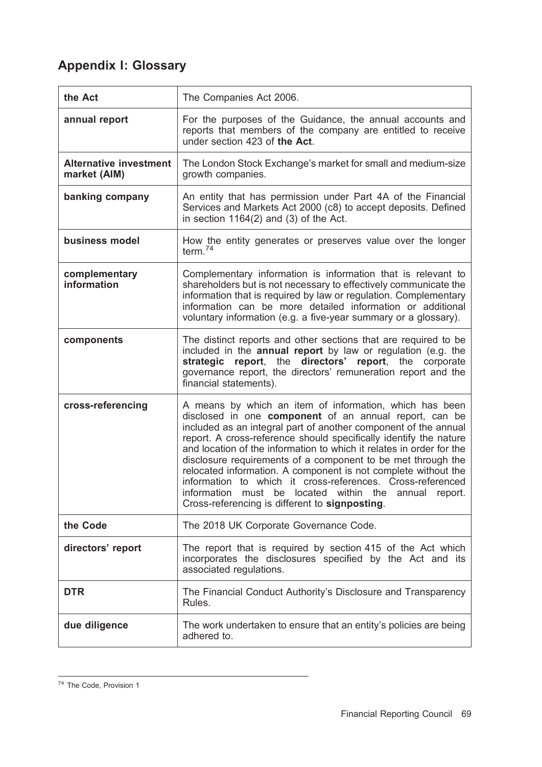## Appendix I: Glossary

| the Act                                       | The Companies Act 2006.                                                                                                                                                                                                                                                                                                                                                                                                                                                                                                                                                                                                                      |
|-----------------------------------------------|----------------------------------------------------------------------------------------------------------------------------------------------------------------------------------------------------------------------------------------------------------------------------------------------------------------------------------------------------------------------------------------------------------------------------------------------------------------------------------------------------------------------------------------------------------------------------------------------------------------------------------------------|
| annual report                                 | For the purposes of the Guidance, the annual accounts and<br>reports that members of the company are entitled to receive<br>under section 423 of the Act.                                                                                                                                                                                                                                                                                                                                                                                                                                                                                    |
| <b>Alternative investment</b><br>market (AIM) | The London Stock Exchange's market for small and medium-size<br>growth companies.                                                                                                                                                                                                                                                                                                                                                                                                                                                                                                                                                            |
| banking company                               | An entity that has permission under Part 4A of the Financial<br>Services and Markets Act 2000 (c8) to accept deposits. Defined<br>in section $1164(2)$ and (3) of the Act.                                                                                                                                                                                                                                                                                                                                                                                                                                                                   |
| business model                                | How the entity generates or preserves value over the longer<br>term. $74$                                                                                                                                                                                                                                                                                                                                                                                                                                                                                                                                                                    |
| complementary<br>information                  | Complementary information is information that is relevant to<br>shareholders but is not necessary to effectively communicate the<br>information that is required by law or regulation. Complementary<br>information can be more detailed information or additional<br>voluntary information (e.g. a five-year summary or a glossary).                                                                                                                                                                                                                                                                                                        |
| components                                    | The distinct reports and other sections that are required to be<br>included in the annual report by law or regulation (e.g. the<br>strategic report, the directors' report, the corporate<br>governance report, the directors' remuneration report and the<br>financial statements).                                                                                                                                                                                                                                                                                                                                                         |
| cross-referencing                             | A means by which an item of information, which has been<br>disclosed in one component of an annual report, can be<br>included as an integral part of another component of the annual<br>report. A cross-reference should specifically identify the nature<br>and location of the information to which it relates in order for the<br>disclosure requirements of a component to be met through the<br>relocated information. A component is not complete without the<br>information to which it cross-references. Cross-referenced<br>information must be located within the annual report.<br>Cross-referencing is different to signposting. |
| the Code                                      | The 2018 UK Corporate Governance Code.                                                                                                                                                                                                                                                                                                                                                                                                                                                                                                                                                                                                       |
| directors' report                             | The report that is required by section 415 of the Act which<br>incorporates the disclosures specified by the Act and its<br>associated regulations.                                                                                                                                                                                                                                                                                                                                                                                                                                                                                          |
| <b>DTR</b>                                    | The Financial Conduct Authority's Disclosure and Transparency<br>Rules.                                                                                                                                                                                                                                                                                                                                                                                                                                                                                                                                                                      |
| due diligence                                 | The work undertaken to ensure that an entity's policies are being<br>adhered to.                                                                                                                                                                                                                                                                                                                                                                                                                                                                                                                                                             |

<sup>&</sup>lt;sup>74</sup> The Code, Provision 1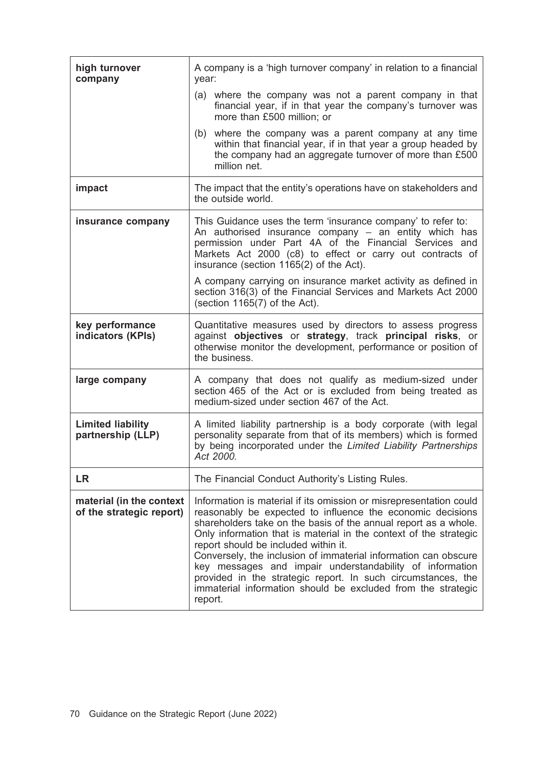| high turnover<br>company                             | A company is a 'high turnover company' in relation to a financial<br>year:                                                                                                                                                                                                                                                                                                                                                                                                                                                                                                                 |
|------------------------------------------------------|--------------------------------------------------------------------------------------------------------------------------------------------------------------------------------------------------------------------------------------------------------------------------------------------------------------------------------------------------------------------------------------------------------------------------------------------------------------------------------------------------------------------------------------------------------------------------------------------|
|                                                      | (a) where the company was not a parent company in that<br>financial year, if in that year the company's turnover was<br>more than £500 million; or                                                                                                                                                                                                                                                                                                                                                                                                                                         |
|                                                      | (b) where the company was a parent company at any time<br>within that financial year, if in that year a group headed by<br>the company had an aggregate turnover of more than £500<br>million net.                                                                                                                                                                                                                                                                                                                                                                                         |
| impact                                               | The impact that the entity's operations have on stakeholders and<br>the outside world.                                                                                                                                                                                                                                                                                                                                                                                                                                                                                                     |
| insurance company                                    | This Guidance uses the term 'insurance company' to refer to:<br>An authorised insurance company - an entity which has<br>permission under Part 4A of the Financial Services and<br>Markets Act 2000 (c8) to effect or carry out contracts of<br>insurance (section 1165(2) of the Act).                                                                                                                                                                                                                                                                                                    |
|                                                      | A company carrying on insurance market activity as defined in<br>section 316(3) of the Financial Services and Markets Act 2000<br>(section $1165(7)$ of the Act).                                                                                                                                                                                                                                                                                                                                                                                                                          |
| key performance<br>indicators (KPIs)                 | Quantitative measures used by directors to assess progress<br>against objectives or strategy, track principal risks, or<br>otherwise monitor the development, performance or position of<br>the business.                                                                                                                                                                                                                                                                                                                                                                                  |
| large company                                        | A company that does not qualify as medium-sized under<br>section 465 of the Act or is excluded from being treated as<br>medium-sized under section 467 of the Act.                                                                                                                                                                                                                                                                                                                                                                                                                         |
| <b>Limited liability</b><br>partnership (LLP)        | A limited liability partnership is a body corporate (with legal<br>personality separate from that of its members) which is formed<br>by being incorporated under the Limited Liability Partnerships<br>Act 2000.                                                                                                                                                                                                                                                                                                                                                                           |
| LR                                                   | The Financial Conduct Authority's Listing Rules.                                                                                                                                                                                                                                                                                                                                                                                                                                                                                                                                           |
| material (in the context<br>of the strategic report) | Information is material if its omission or misrepresentation could<br>reasonably be expected to influence the economic decisions<br>shareholders take on the basis of the annual report as a whole.<br>Only information that is material in the context of the strategic<br>report should be included within it.<br>Conversely, the inclusion of immaterial information can obscure<br>key messages and impair understandability of information<br>provided in the strategic report. In such circumstances, the<br>immaterial information should be excluded from the strategic<br>report. |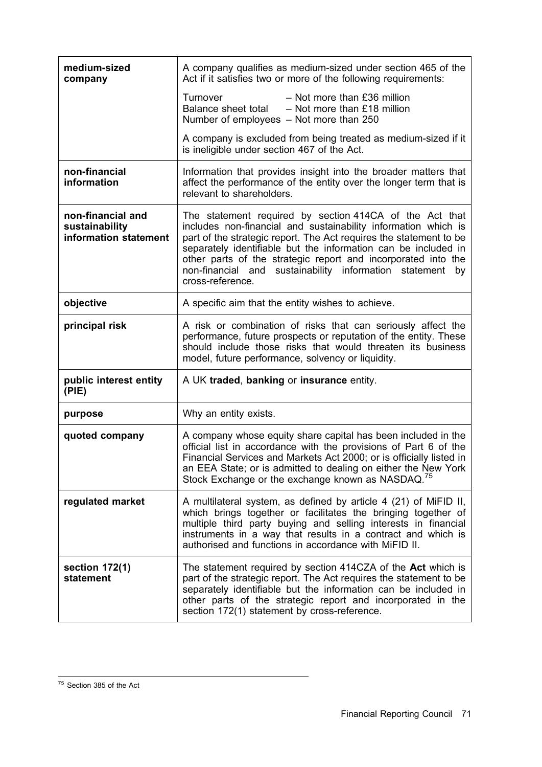| medium-sized<br>company                                      | A company qualifies as medium-sized under section 465 of the<br>Act if it satisfies two or more of the following requirements:                                                                                                                                                                                                                                                                                         |
|--------------------------------------------------------------|------------------------------------------------------------------------------------------------------------------------------------------------------------------------------------------------------------------------------------------------------------------------------------------------------------------------------------------------------------------------------------------------------------------------|
|                                                              | $-$ Not more than £36 million<br>Turnover<br>Balance sheet total<br>$-$ Not more than £18 million<br>Number of employees - Not more than 250                                                                                                                                                                                                                                                                           |
|                                                              | A company is excluded from being treated as medium-sized if it<br>is ineligible under section 467 of the Act.                                                                                                                                                                                                                                                                                                          |
| non-financial<br>information                                 | Information that provides insight into the broader matters that<br>affect the performance of the entity over the longer term that is<br>relevant to shareholders.                                                                                                                                                                                                                                                      |
| non-financial and<br>sustainability<br>information statement | The statement required by section 414CA of the Act that<br>includes non-financial and sustainability information which is<br>part of the strategic report. The Act requires the statement to be<br>separately identifiable but the information can be included in<br>other parts of the strategic report and incorporated into the<br>non-financial and sustainability information statement<br>by<br>cross-reference. |
| objective                                                    | A specific aim that the entity wishes to achieve.                                                                                                                                                                                                                                                                                                                                                                      |
| principal risk                                               | A risk or combination of risks that can seriously affect the<br>performance, future prospects or reputation of the entity. These<br>should include those risks that would threaten its business<br>model, future performance, solvency or liquidity.                                                                                                                                                                   |
| public interest entity<br>(PIE)                              | A UK traded, banking or insurance entity.                                                                                                                                                                                                                                                                                                                                                                              |
| purpose                                                      | Why an entity exists.                                                                                                                                                                                                                                                                                                                                                                                                  |
| quoted company                                               | A company whose equity share capital has been included in the<br>official list in accordance with the provisions of Part 6 of the<br>Financial Services and Markets Act 2000; or is officially listed in<br>an EEA State; or is admitted to dealing on either the New York<br>Stock Exchange or the exchange known as NASDAQ. <sup>75</sup>                                                                            |
| regulated market                                             | A multilateral system, as defined by article 4 (21) of MiFID II,<br>which brings together or facilitates the bringing together of<br>multiple third party buying and selling interests in financial<br>instruments in a way that results in a contract and which is<br>authorised and functions in accordance with MiFID II.                                                                                           |
| section $172(1)$<br>statement                                | The statement required by section 414CZA of the <b>Act</b> which is<br>part of the strategic report. The Act requires the statement to be<br>separately identifiable but the information can be included in<br>other parts of the strategic report and incorporated in the<br>section 172(1) statement by cross-reference.                                                                                             |

<sup>75</sup> Section 385 of the Act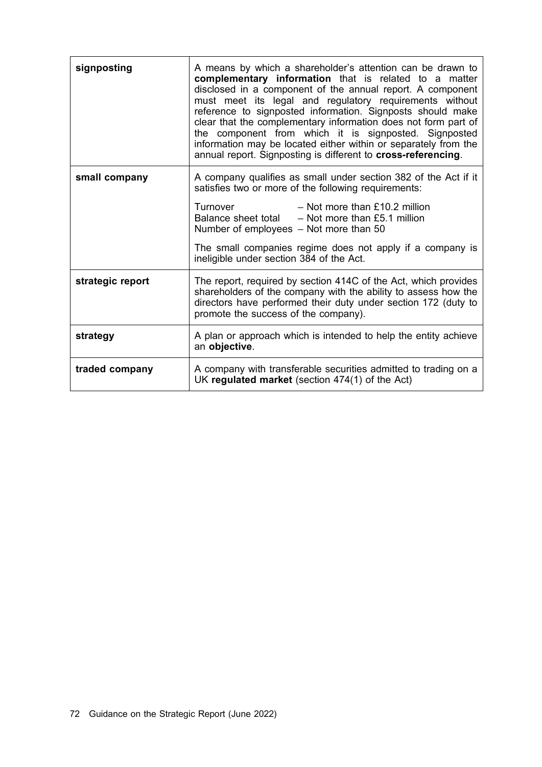| signposting      | A means by which a shareholder's attention can be drawn to<br>complementary information that is related to a matter<br>disclosed in a component of the annual report. A component<br>must meet its legal and regulatory requirements without<br>reference to signposted information. Signposts should make<br>clear that the complementary information does not form part of<br>the component from which it is signposted. Signposted<br>information may be located either within or separately from the<br>annual report. Signposting is different to cross-referencing. |
|------------------|---------------------------------------------------------------------------------------------------------------------------------------------------------------------------------------------------------------------------------------------------------------------------------------------------------------------------------------------------------------------------------------------------------------------------------------------------------------------------------------------------------------------------------------------------------------------------|
| small company    | A company qualifies as small under section 382 of the Act if it<br>satisfies two or more of the following requirements:<br>Turnover<br>$-$ Not more than £10.2 million<br>Balance sheet total $-$ Not more than £5.1 million<br>Number of employees - Not more than 50<br>The small companies regime does not apply if a company is<br>ineligible under section 384 of the Act.                                                                                                                                                                                           |
|                  |                                                                                                                                                                                                                                                                                                                                                                                                                                                                                                                                                                           |
| strategic report | The report, required by section 414C of the Act, which provides<br>shareholders of the company with the ability to assess how the<br>directors have performed their duty under section 172 (duty to<br>promote the success of the company).                                                                                                                                                                                                                                                                                                                               |
| strategy         | A plan or approach which is intended to help the entity achieve<br>an objective.                                                                                                                                                                                                                                                                                                                                                                                                                                                                                          |
| traded company   | A company with transferable securities admitted to trading on a<br>UK regulated market (section 474(1) of the Act)                                                                                                                                                                                                                                                                                                                                                                                                                                                        |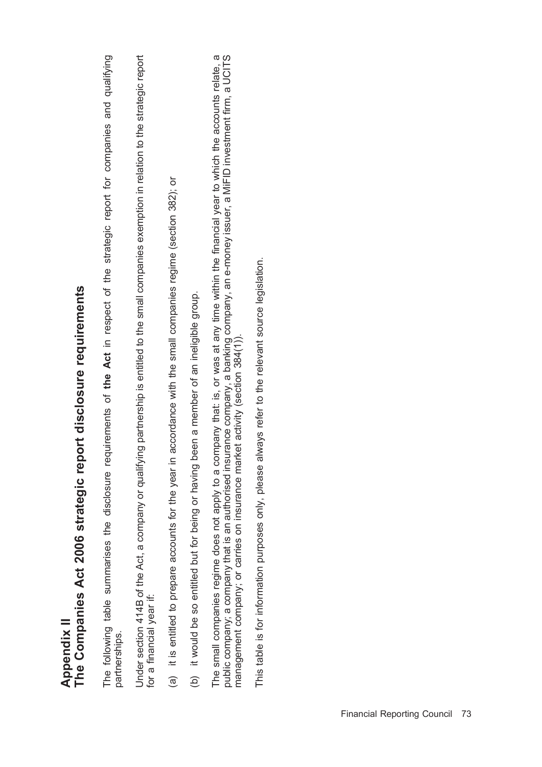| The Companies Act 2006 strategic report disclosure requirements<br>Appendix II                                                                                                  |
|---------------------------------------------------------------------------------------------------------------------------------------------------------------------------------|
| The following table summarises the disclosure requirements of the Act in respect of the strategic report for companies and qualifying<br>partnerships.                          |
| Under section 414B of the Act, a company or qualifying partnership is entitled to the small companies exemption in relation to the strategic report<br>for a financial year if: |
| accordance with the small companies regime (section 382); or<br>(a) it is entitled to prepare accounts for the year in                                                          |
| (b) it would be so entitled but for being or having been a member of an ineligible group.                                                                                       |
| The small companies regime does not apply to a company that: is, or was at any time within the financial year to which the accounts relate, a                                   |

⊤ne smail companies regime does not apply to a company that: ιs, or was at any time within the infancial year to wnich the accounts relate, a<br>public company; a company that is an authorised insurance company, a banking c management company; or carries on insurance market activity (section 384(1)).

public company; a company that is an authorised insurance company, a banking company, an e-money issuer, a MiFID investment firm, a UCITS

This table is for information purposes only, please always refer to the relevant source legislation. This table is for information purposes only, please always refer to the relevant source legislation.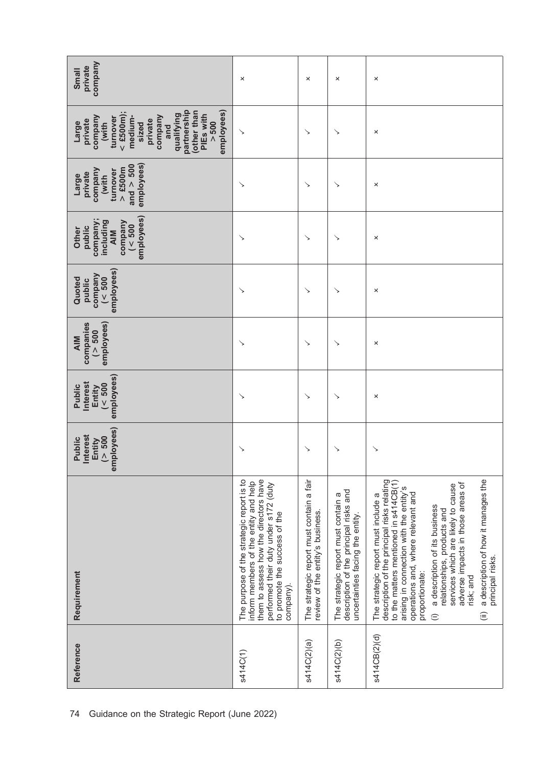| company<br>private<br>Small                                                                                                                                                                     | ×                                                                                                                                                                                                                  | ×                                                                            | ×                                                                                                                 | ×                                                                                                                                                                                                                                                                                                                                                                                                                                                                              |
|-------------------------------------------------------------------------------------------------------------------------------------------------------------------------------------------------|--------------------------------------------------------------------------------------------------------------------------------------------------------------------------------------------------------------------|------------------------------------------------------------------------------|-------------------------------------------------------------------------------------------------------------------|--------------------------------------------------------------------------------------------------------------------------------------------------------------------------------------------------------------------------------------------------------------------------------------------------------------------------------------------------------------------------------------------------------------------------------------------------------------------------------|
| partnership<br>employees)<br>other than<br>$<$ £500m);<br>qualifying<br>PIEs with<br>company<br>company<br>medium-<br>turnover<br>private<br>private<br>> 500<br>Large<br>(with<br>sized<br>and | ↘                                                                                                                                                                                                                  | ↘                                                                            | ↘                                                                                                                 | ×                                                                                                                                                                                                                                                                                                                                                                                                                                                                              |
| employees)<br>and $> 500$<br>$>$ £500m<br>company<br>turnover<br>private<br>Large<br>(with                                                                                                      | ↘                                                                                                                                                                                                                  | ↘                                                                            | ↘                                                                                                                 | ×                                                                                                                                                                                                                                                                                                                                                                                                                                                                              |
| employees)<br>company;<br>including<br>company<br>$($ < 500<br>public<br>Other<br><b>AIM</b>                                                                                                    | ↘                                                                                                                                                                                                                  | ↘                                                                            | ↘                                                                                                                 | ×                                                                                                                                                                                                                                                                                                                                                                                                                                                                              |
| employees)<br>$\begin{array}{c}\n \text{company} \\ (\text{1,1)} \\ \text{1,2}\n \end{array}$<br>Quoted<br>public                                                                               | ↘                                                                                                                                                                                                                  | ↘                                                                            | ↘                                                                                                                 | ×                                                                                                                                                                                                                                                                                                                                                                                                                                                                              |
| employees)<br>companies<br>(> 500<br><b>AIM</b>                                                                                                                                                 | ↘                                                                                                                                                                                                                  | ↘                                                                            | ↘                                                                                                                 | ×                                                                                                                                                                                                                                                                                                                                                                                                                                                                              |
| employees)<br>Interest<br>$($ < $500$<br>Public<br>Entity                                                                                                                                       | ↘                                                                                                                                                                                                                  | ↘                                                                            | ↘                                                                                                                 | ×                                                                                                                                                                                                                                                                                                                                                                                                                                                                              |
| employees)<br><b>Interest</b><br>(> 500<br>Public<br>Entity                                                                                                                                     | ゝ                                                                                                                                                                                                                  | ↘                                                                            | ↘                                                                                                                 | ↘                                                                                                                                                                                                                                                                                                                                                                                                                                                                              |
| Requirement                                                                                                                                                                                     | them to assess how the directors have<br>The purpose of the strategic report is to<br>inform members of the entity and help<br>performed their duty under s172 (duty<br>to promote the success of the<br>company). | The strategic report must contain a fair<br>review of the entity's business. | description of the principal risks and<br>The strategic report must contain a<br>uncertainties facing the entity. | a description of how it manages the<br>description of the principal risks relating<br>to the matters mentioned in s414CB(1)<br>adverse impacts in those areas of<br>services which are likely to cause<br>arising in connection with the entity's<br>operations and, where relevant and<br>The strategic report must include a<br>a description of its business<br>relationships, products and<br>principal risks.<br>proportionate:<br>risk; and<br>$\widehat{=}$<br>$\oplus$ |
| Reference                                                                                                                                                                                       | s414C(1)                                                                                                                                                                                                           | s414C(2)(a)                                                                  | s414C(2)(b)                                                                                                       | s414CB(2)(d)                                                                                                                                                                                                                                                                                                                                                                                                                                                                   |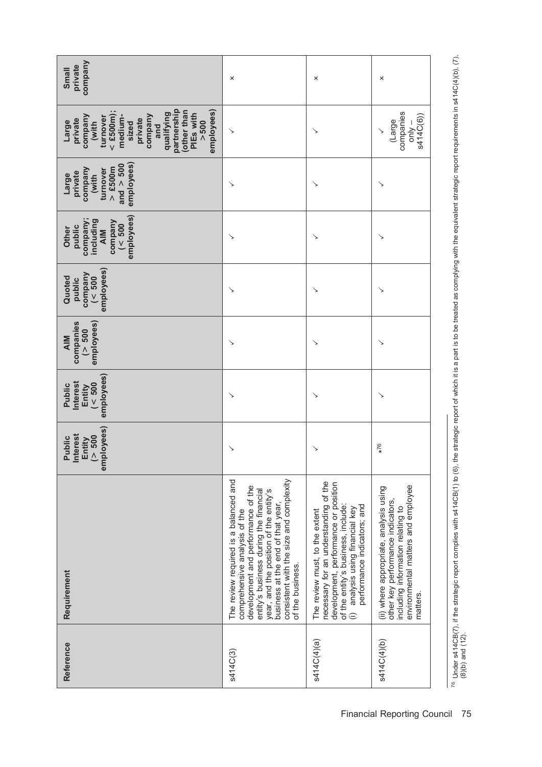| company<br>private<br>Small                                                                                                                                                                      | ×                                                                                                                                                                                                                                                                                                    | ×                                                                                                                                                                                                                                | ×                                                                                                                                                                  |
|--------------------------------------------------------------------------------------------------------------------------------------------------------------------------------------------------|------------------------------------------------------------------------------------------------------------------------------------------------------------------------------------------------------------------------------------------------------------------------------------------------------|----------------------------------------------------------------------------------------------------------------------------------------------------------------------------------------------------------------------------------|--------------------------------------------------------------------------------------------------------------------------------------------------------------------|
| partnership<br>employees)<br>(other than<br>$<$ £500m);<br>qualifying<br>PIEs with<br>company<br>company<br>medium-<br>turnover<br>private<br>private<br>> 500<br>Large<br>(with<br>sized<br>and | ↘                                                                                                                                                                                                                                                                                                    |                                                                                                                                                                                                                                  | companies<br>s414C(6))<br>(Large<br>$-\sqrt{ln0}$<br>↘                                                                                                             |
| employees)<br>and $> 500$<br>$>$ £500m<br>company<br>turnover<br>private<br>Large<br>(with                                                                                                       | ↘                                                                                                                                                                                                                                                                                                    |                                                                                                                                                                                                                                  | ↘                                                                                                                                                                  |
| employees)<br>company;<br>including<br>company<br>( < 500<br>public<br>Other<br><b>AIM</b>                                                                                                       |                                                                                                                                                                                                                                                                                                      |                                                                                                                                                                                                                                  | ↘                                                                                                                                                                  |
| employees)<br>company<br>( < 500<br>Quoted<br>public                                                                                                                                             |                                                                                                                                                                                                                                                                                                      |                                                                                                                                                                                                                                  | ↘                                                                                                                                                                  |
| companies<br>employees)<br>( > 500<br><b>AIM</b>                                                                                                                                                 | ↘                                                                                                                                                                                                                                                                                                    |                                                                                                                                                                                                                                  | ↘                                                                                                                                                                  |
| employees)<br>Interest<br>( < 500<br>Public<br>Entity                                                                                                                                            | ↘                                                                                                                                                                                                                                                                                                    |                                                                                                                                                                                                                                  | ↘                                                                                                                                                                  |
| employees)<br>nterest<br>( > 500<br>Public<br>Entity                                                                                                                                             |                                                                                                                                                                                                                                                                                                      |                                                                                                                                                                                                                                  | $*76$                                                                                                                                                              |
| Requirement                                                                                                                                                                                      | consistent with the size and complexity<br>The review required is a balanced and<br>development and performance of the<br>year, and the position of the entity's<br>entity's business during the financial<br>business at the end of that year,<br>comprehensive analysis of the<br>of the business. | necessary for an understanding of the<br>development, performance or position<br>of the entity's business, include:<br>performance indicators; and<br>analysis using financial key<br>The review must, to the extent<br>$\oplus$ | environmental matters and employee<br>(ii) where appropriate, analysis using<br>other key performance indicators,<br>including information relating to<br>matters. |
| Reference                                                                                                                                                                                        | s414C(3)                                                                                                                                                                                                                                                                                             | s414C(4)(a)                                                                                                                                                                                                                      | s414C(4)(b)                                                                                                                                                        |

(8)(b) and (12).

<sup>76</sup> Under s414CB(7), if the strategic report complies with s414CB(1) to (6), the strategic report of which it is a part is to be treated as complying with the equivalent strategic report requirements in s414C(4)(b), (7),

 $^{76}$  Under s414CB(7), if the strategic report complies with s414CB(1) to (6), the strategic report of which it is a part is to be treated as complying with the equivalent strategic report requirements in s414C(4)(b), (7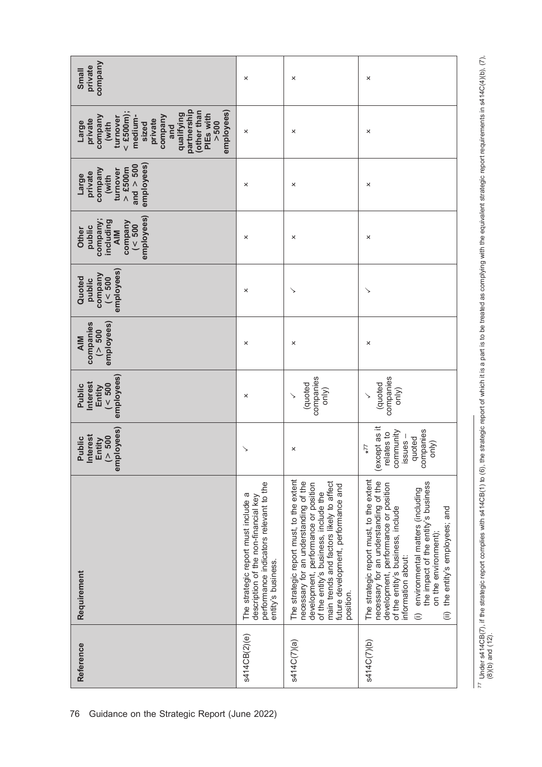| company<br>private<br>Small                                                                                                                                                                      | ×                                                                                                                                           | ×                                                                                                                                                                                                                                                                  | ×                                                                                                                                                                                                                                                                                                                                                             |
|--------------------------------------------------------------------------------------------------------------------------------------------------------------------------------------------------|---------------------------------------------------------------------------------------------------------------------------------------------|--------------------------------------------------------------------------------------------------------------------------------------------------------------------------------------------------------------------------------------------------------------------|---------------------------------------------------------------------------------------------------------------------------------------------------------------------------------------------------------------------------------------------------------------------------------------------------------------------------------------------------------------|
| partnership<br>employees)<br>(other than<br>$<$ £500m);<br>qualifying<br>PIEs with<br>medium-<br>company<br>company<br>turnover<br>private<br>private<br>> 500<br>(with<br>Large<br>sized<br>and | ×                                                                                                                                           | ×                                                                                                                                                                                                                                                                  | ×                                                                                                                                                                                                                                                                                                                                                             |
| and $> 500$<br>employees)<br>$>$ £500m<br>company<br>turnover<br>private<br>(with<br>Large                                                                                                       | ×                                                                                                                                           | ×                                                                                                                                                                                                                                                                  | ×                                                                                                                                                                                                                                                                                                                                                             |
| employees)<br>company;<br>including<br>company<br>( < 500<br>public<br>Other<br>AIM                                                                                                              | ×                                                                                                                                           | ×                                                                                                                                                                                                                                                                  | ×                                                                                                                                                                                                                                                                                                                                                             |
| employees)<br>company<br>$($ < 500<br>Quoted<br>public                                                                                                                                           | ×                                                                                                                                           | ↘                                                                                                                                                                                                                                                                  | ↘                                                                                                                                                                                                                                                                                                                                                             |
| companies<br>employees)<br>( > 500<br><b>AIM</b>                                                                                                                                                 | ×                                                                                                                                           | ×                                                                                                                                                                                                                                                                  | ×                                                                                                                                                                                                                                                                                                                                                             |
| employees)<br><b>Interest</b><br>$($ < 500<br>Public<br>Entity                                                                                                                                   | ×                                                                                                                                           | companies<br>(quoted<br>only)                                                                                                                                                                                                                                      | companies<br>(quoted<br>only)                                                                                                                                                                                                                                                                                                                                 |
| employees)<br><b>Interest</b><br>( > 500<br>Public<br>Entity                                                                                                                                     | ↘                                                                                                                                           | ×                                                                                                                                                                                                                                                                  | (except as it<br>companies<br>community<br>relates to<br>issues-<br>quoted<br>only)<br>$51*$                                                                                                                                                                                                                                                                  |
| Requirement                                                                                                                                                                                      | performance indicators relevant to the<br>The strategic report must include a<br>description of the non-financial key<br>entity's business. | The strategic report must, to the extent<br>main trends and factors likely to affect<br>necessary for an understanding of the<br>development, performance or position<br>future development, performance and<br>of the entity's business, include the<br>position. | The strategic report must, to the extent<br>necessary for an understanding of the<br>the impact of the entity's business<br>development, performance or position<br>environmental matters (including<br>of the entity's business, include<br>the entity's employees; and<br>on the environment);<br>information about:<br>$\widehat{\equiv}$<br>$\widehat{=}$ |
| Reference                                                                                                                                                                                        | s414CB(2)(e)                                                                                                                                | s414C(7)(a)                                                                                                                                                                                                                                                        | s414C(7)(b)                                                                                                                                                                                                                                                                                                                                                   |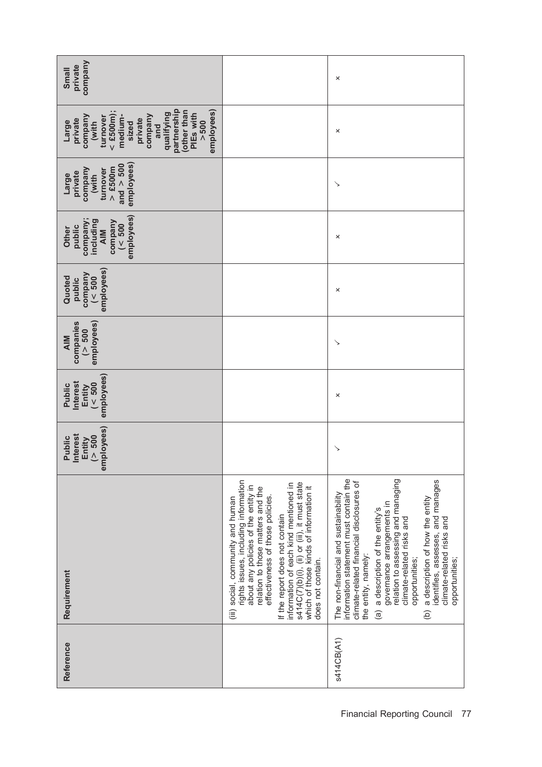| company<br>private<br>Small                                                                                                                                                                     |                                                                                                                                                                                                                                                                                                                                                                                     | ×                                                                                                                                                                                                                                                                                                                                                                                                                                                         |
|-------------------------------------------------------------------------------------------------------------------------------------------------------------------------------------------------|-------------------------------------------------------------------------------------------------------------------------------------------------------------------------------------------------------------------------------------------------------------------------------------------------------------------------------------------------------------------------------------|-----------------------------------------------------------------------------------------------------------------------------------------------------------------------------------------------------------------------------------------------------------------------------------------------------------------------------------------------------------------------------------------------------------------------------------------------------------|
| partnership<br>other than<br>employees)<br>$<$ £500m);<br>qualifying<br>PIEs with<br>company<br>company<br>turnover<br>medium-<br>private<br>private<br>> 500<br>Large<br>(with<br>sized<br>and |                                                                                                                                                                                                                                                                                                                                                                                     | ×                                                                                                                                                                                                                                                                                                                                                                                                                                                         |
| employees)<br>and $> 500$<br>$>$ £500m<br>company<br>turnover<br>private<br>(with<br>Large                                                                                                      |                                                                                                                                                                                                                                                                                                                                                                                     | ↘                                                                                                                                                                                                                                                                                                                                                                                                                                                         |
| employees)<br>company;<br>including<br>company<br>$($ < 500<br>public<br>Other<br><b>AIM</b>                                                                                                    |                                                                                                                                                                                                                                                                                                                                                                                     | ×                                                                                                                                                                                                                                                                                                                                                                                                                                                         |
| employees)<br>company<br>( < 500<br>Quoted<br>public                                                                                                                                            |                                                                                                                                                                                                                                                                                                                                                                                     | ×                                                                                                                                                                                                                                                                                                                                                                                                                                                         |
| employees)<br>companies<br>(> 500<br><b>AIM</b>                                                                                                                                                 |                                                                                                                                                                                                                                                                                                                                                                                     | ↘                                                                                                                                                                                                                                                                                                                                                                                                                                                         |
| employees)<br>nterest<br>$($ < 500<br>Public<br>Entity                                                                                                                                          |                                                                                                                                                                                                                                                                                                                                                                                     | ×                                                                                                                                                                                                                                                                                                                                                                                                                                                         |
| employees)<br><b>Interest</b><br>( > 500<br>Public<br>Entity                                                                                                                                    |                                                                                                                                                                                                                                                                                                                                                                                     | ↘                                                                                                                                                                                                                                                                                                                                                                                                                                                         |
| Requirement                                                                                                                                                                                     | rights issues, including information<br>s414C(7)(b)(i), (ii) or (iii), it must state<br>information of each kind mentioned in<br>about any policies of the entity in<br>which of those kinds of information it<br>relation to those matters and the<br>effectiveness of those policies.<br>(iii) social, community and human<br>If the report does not contain<br>does not contain. | information statement must contain the<br>relation to assessing and managing<br>identifies, assesses, and manages<br>climate-related financial disclosures of<br>The non-financial and sustainability<br>a description of how the entity<br>governance arrangements in<br>a description of the entity's<br>climate-related risks and<br>climate-related risks and<br>the entity, namely:<br>opportunities;<br>opportunities;<br>$\widehat{a}$<br>$\Theta$ |
| Reference                                                                                                                                                                                       |                                                                                                                                                                                                                                                                                                                                                                                     | s414CB(A1)                                                                                                                                                                                                                                                                                                                                                                                                                                                |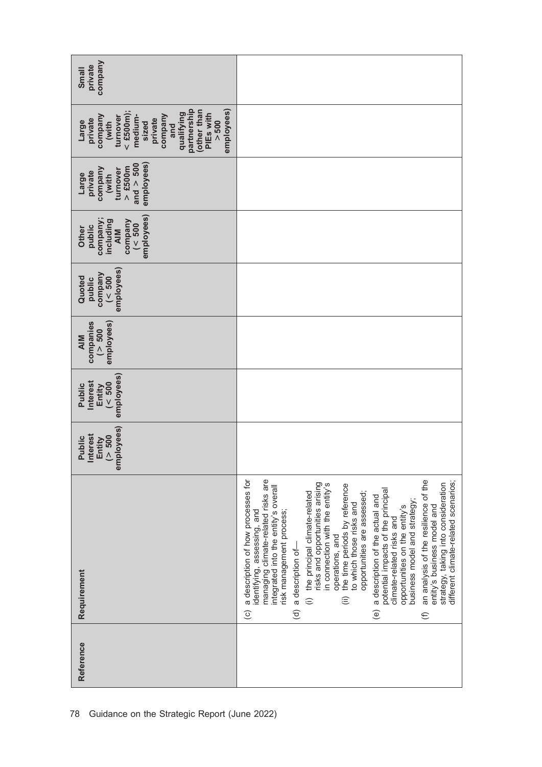| Reference | Requirement                                                                                                                                                                                                                                                                                                                                                                                                                                                                                                                                                                                                                                                                                                                                                                                                                                        | mployees)<br><b>Interest</b><br>( > 500<br>Public<br>Entity<br>$\bar{\mathbf{e}}$ | employees)<br><b>Interest</b><br>(< 500<br>Public<br>Entity | companies<br>employees)<br>( > 500<br><b>AIM</b> | employees)<br>company<br>$($ < 500<br>Quoted<br>public | employees)<br>company;<br>including<br>company<br>( < 500<br>public<br>Other<br><b>AIM</b> | employees)<br>and $> 500$<br>$>$ £500m<br>company<br>turnover<br>private<br>(with<br>Large | partnership<br>employees)<br>other than<br>$<$ £500m);<br>qualifying<br>PIEs with<br>company<br>company<br>medium-<br>turnover<br>private<br>private<br>(with<br>> 500<br>Large<br>sized<br>and | company<br>private<br>Small |
|-----------|----------------------------------------------------------------------------------------------------------------------------------------------------------------------------------------------------------------------------------------------------------------------------------------------------------------------------------------------------------------------------------------------------------------------------------------------------------------------------------------------------------------------------------------------------------------------------------------------------------------------------------------------------------------------------------------------------------------------------------------------------------------------------------------------------------------------------------------------------|-----------------------------------------------------------------------------------|-------------------------------------------------------------|--------------------------------------------------|--------------------------------------------------------|--------------------------------------------------------------------------------------------|--------------------------------------------------------------------------------------------|-------------------------------------------------------------------------------------------------------------------------------------------------------------------------------------------------|-----------------------------|
|           | a description of how processes for<br>managing climate-related risks are<br>an analysis of the resilience of the<br>different climate-related scenarios;<br>risks and opportunities arising<br>strategy, taking into consideration<br>in connection with the entity's<br>the time periods by reference<br>integrated into the entity's overall<br>potential impacts of the principal<br>opportunities are assessed;<br>the principal dimate-related<br>a description of the actual and<br>business model and strategy;<br>to which those risks and<br>entity's business model and<br>opportunities on the entity's<br>risk management process;<br>identifying, assessing, and<br>climate-related risks and<br>operations, and<br>a description of-<br>$\hat{=}$<br>$\widehat{=}$<br>$\circlede$<br>$\widehat{\sigma}$<br>$\widehat{c}$<br>$\oplus$ |                                                                                   |                                                             |                                                  |                                                        |                                                                                            |                                                                                            |                                                                                                                                                                                                 |                             |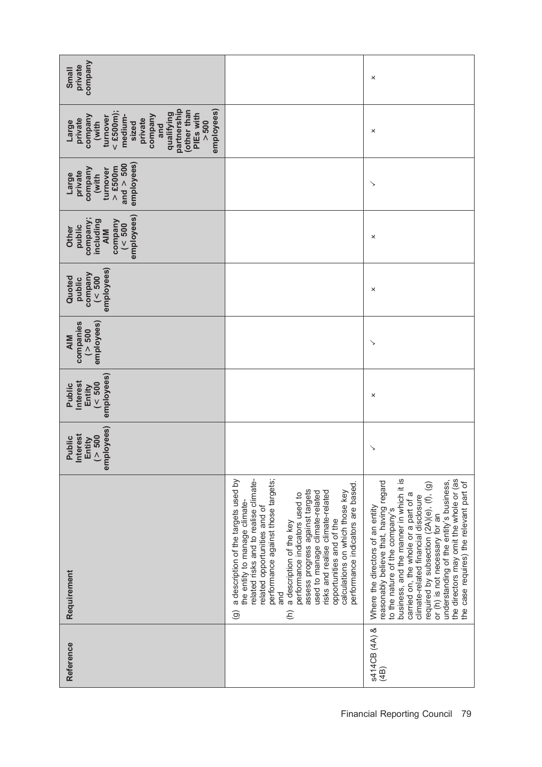| company<br>private<br>Small                                                                                                                                                                     |                                                                                                                                                                                                                                                                                                                                                                                                                                                                                                                       | ×                                                                                                                                                                                                                                                                                                                                                                                                                                                      |
|-------------------------------------------------------------------------------------------------------------------------------------------------------------------------------------------------|-----------------------------------------------------------------------------------------------------------------------------------------------------------------------------------------------------------------------------------------------------------------------------------------------------------------------------------------------------------------------------------------------------------------------------------------------------------------------------------------------------------------------|--------------------------------------------------------------------------------------------------------------------------------------------------------------------------------------------------------------------------------------------------------------------------------------------------------------------------------------------------------------------------------------------------------------------------------------------------------|
| partnership<br>other than<br>$<$ £500m);<br>employees)<br>qualifying<br>PIEs with<br>company<br>company<br>medium-<br>turnover<br>private<br>private<br>> 500<br>Large<br>(with<br>sized<br>and |                                                                                                                                                                                                                                                                                                                                                                                                                                                                                                                       | ×                                                                                                                                                                                                                                                                                                                                                                                                                                                      |
| employees)<br>and $> 500$<br>$>$ £500m<br>company<br>turnover<br>private<br>(with<br>Large                                                                                                      |                                                                                                                                                                                                                                                                                                                                                                                                                                                                                                                       | ↘                                                                                                                                                                                                                                                                                                                                                                                                                                                      |
| employees)<br>company;<br>including<br>company<br>( < 500<br>public<br>Other<br><b>AIM</b>                                                                                                      |                                                                                                                                                                                                                                                                                                                                                                                                                                                                                                                       | ×                                                                                                                                                                                                                                                                                                                                                                                                                                                      |
| employees)<br>company<br>( < 500<br>Quoted<br>public                                                                                                                                            |                                                                                                                                                                                                                                                                                                                                                                                                                                                                                                                       | ×                                                                                                                                                                                                                                                                                                                                                                                                                                                      |
| companies<br>employees)<br>(> 500<br><b>AIM</b>                                                                                                                                                 |                                                                                                                                                                                                                                                                                                                                                                                                                                                                                                                       | ↘                                                                                                                                                                                                                                                                                                                                                                                                                                                      |
| employees)<br>nterest<br>( < 500<br>Public<br>Entity                                                                                                                                            |                                                                                                                                                                                                                                                                                                                                                                                                                                                                                                                       | ×                                                                                                                                                                                                                                                                                                                                                                                                                                                      |
| employees)<br><b>Interest</b><br>( > 500<br>Public<br>Entity                                                                                                                                    |                                                                                                                                                                                                                                                                                                                                                                                                                                                                                                                       | ↘                                                                                                                                                                                                                                                                                                                                                                                                                                                      |
| Requirement                                                                                                                                                                                     | related risks and to realise climate-<br>performance against those targets;<br>a description of the targets used by<br>performance indicators are based.<br>assess progress against targets<br>risks and realise climate-related<br>calculations on which those key<br>used to manage climate-related<br>performance indicators used to<br>the entity to manage climate-<br>related opportunities and of<br>opportunities and of the<br>a description of the key<br>and<br>$\widehat{\Theta}$<br>$\widehat{\epsilon}$ | business, and the manner in which it is<br>the directors may omit the whole or (as<br>understanding of the entity's business,<br>reasonably believe that, having regard<br>the case requires) the relevant part of<br>required by subsection (2A)(e), (f), (g)<br>carried on, the whole or a part of a<br>climate-related financial disclosure<br>Where the directors of an entity<br>to the nature of the company's<br>or (h) is not necessary for an |
| Reference                                                                                                                                                                                       |                                                                                                                                                                                                                                                                                                                                                                                                                                                                                                                       | s414CB (4A) &<br>(4B)                                                                                                                                                                                                                                                                                                                                                                                                                                  |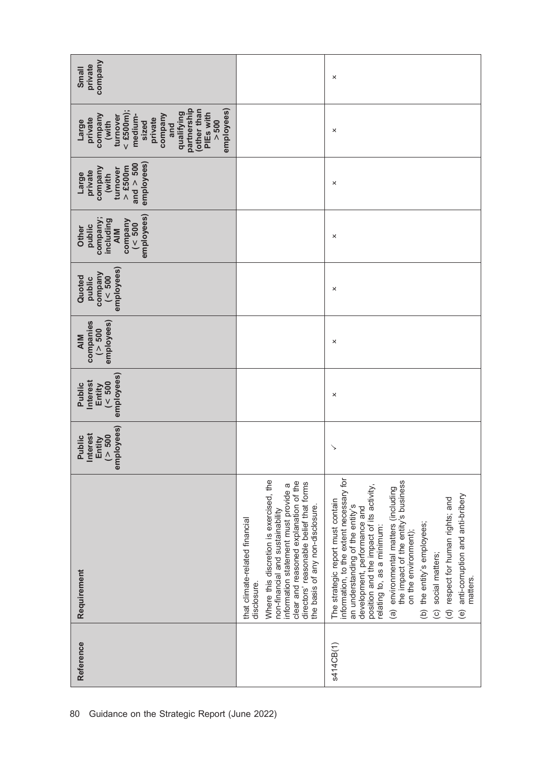| company<br>private<br>Small                                                                                                                                                                     |                                                                                                                                                                                                                                                                                             | ×                                                                                                                                                                                                                                                                                                                                                                                                                                                                                 |
|-------------------------------------------------------------------------------------------------------------------------------------------------------------------------------------------------|---------------------------------------------------------------------------------------------------------------------------------------------------------------------------------------------------------------------------------------------------------------------------------------------|-----------------------------------------------------------------------------------------------------------------------------------------------------------------------------------------------------------------------------------------------------------------------------------------------------------------------------------------------------------------------------------------------------------------------------------------------------------------------------------|
| partnership<br>employees)<br>other than<br>$<$ £500m);<br>qualifying<br>PIEs with<br>company<br>company<br>medium-<br>turnover<br>private<br>private<br>> 500<br>(with<br>Large<br>sized<br>and |                                                                                                                                                                                                                                                                                             | ×                                                                                                                                                                                                                                                                                                                                                                                                                                                                                 |
| employees)<br>and $> 500$<br>$>$ £500m<br>company<br>turnover<br>private<br>(with<br>Large                                                                                                      |                                                                                                                                                                                                                                                                                             | ×                                                                                                                                                                                                                                                                                                                                                                                                                                                                                 |
| employees)<br>company;<br>including<br>company<br>( < 500<br>public<br>Other<br><b>AIM</b>                                                                                                      |                                                                                                                                                                                                                                                                                             | ×                                                                                                                                                                                                                                                                                                                                                                                                                                                                                 |
| employees)<br>company<br>( < 500<br>Quoted<br>public                                                                                                                                            |                                                                                                                                                                                                                                                                                             | ×                                                                                                                                                                                                                                                                                                                                                                                                                                                                                 |
| companies<br>employees)<br>( > 500<br><b>AIM</b>                                                                                                                                                |                                                                                                                                                                                                                                                                                             | ×                                                                                                                                                                                                                                                                                                                                                                                                                                                                                 |
| employees)<br><b>Interest</b><br>$($ < $500$<br>Public<br>Entity                                                                                                                                |                                                                                                                                                                                                                                                                                             | ×                                                                                                                                                                                                                                                                                                                                                                                                                                                                                 |
| employees)<br><b>Interest</b><br>(> 500<br>Public<br>Entity                                                                                                                                     |                                                                                                                                                                                                                                                                                             | ↘                                                                                                                                                                                                                                                                                                                                                                                                                                                                                 |
| Requirement                                                                                                                                                                                     | Where this discretion is exercised, the<br>clear and reasoned explanation of the<br>directors' reasonable belief that forms<br>information statement must provide a<br>the basis of any non-disclosure.<br>non-financial and sustainability<br>that climate-related financial<br>disclosure | information, to the extent necessary for<br>the impact of the entity's business<br>position and the impact of its activity,<br>(a) environmental matters (including<br>(e) anti-corruption and anti-bribery<br>(d) respect for human rights; and<br>The strategic report must contain<br>an understanding of the entity's<br>development, performance and<br>(b) the entity's employees;<br>relating to, as a minimum:<br>on the environment);<br>(c) social matters;<br>matters. |
| Reference                                                                                                                                                                                       |                                                                                                                                                                                                                                                                                             | s414CB(1)                                                                                                                                                                                                                                                                                                                                                                                                                                                                         |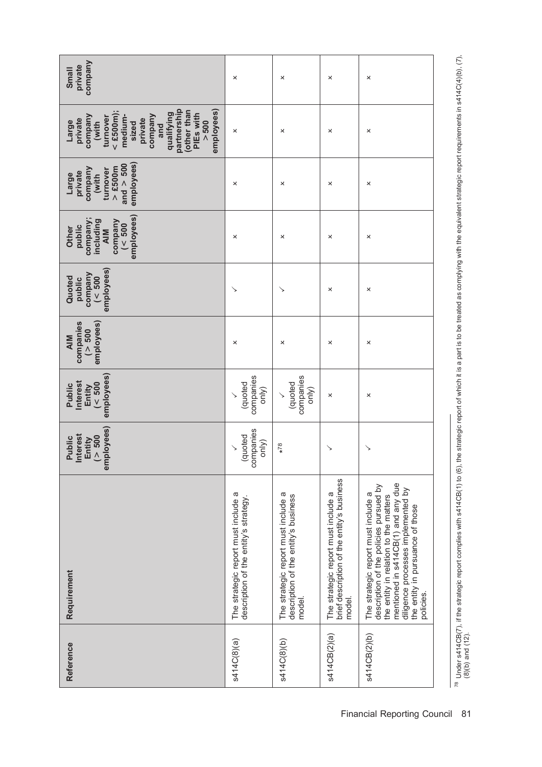| company<br>private<br>Small                                                                                                                                                                     | ×                                                                            | ×                                                                                     | ×                                                                                           | ×                                                                                                                                                                                                                                                   |
|-------------------------------------------------------------------------------------------------------------------------------------------------------------------------------------------------|------------------------------------------------------------------------------|---------------------------------------------------------------------------------------|---------------------------------------------------------------------------------------------|-----------------------------------------------------------------------------------------------------------------------------------------------------------------------------------------------------------------------------------------------------|
| partnership<br>other than<br>employees)<br>$<$ £500m);<br>qualifying<br>PIEs with<br>company<br>company<br>medium-<br>turnover<br>private<br>private<br>> 500<br>(with<br>Large<br>sized<br>and | ×                                                                            | ×                                                                                     | ×                                                                                           | ×                                                                                                                                                                                                                                                   |
| employees)<br>and $> 500$<br>$>$ £500m<br>company<br>turnover<br>private<br>(with<br>Large                                                                                                      | ×                                                                            | ×                                                                                     | ×                                                                                           | ×                                                                                                                                                                                                                                                   |
| employees)<br>company;<br>$\begin{array}{c}\n \text{company} \\ \left( < 500 \right)\n \end{array}$<br>including<br>public<br>Other<br>AIM                                                      | ×                                                                            | ×                                                                                     | ×                                                                                           | ×                                                                                                                                                                                                                                                   |
| employees)<br>company<br>( < 500<br>Quoted<br>public                                                                                                                                            |                                                                              | ↘                                                                                     | ×                                                                                           | ×                                                                                                                                                                                                                                                   |
| companies<br>employees)<br>( > 500<br><b>AIM</b>                                                                                                                                                | ×                                                                            | ×                                                                                     | ×                                                                                           | ×                                                                                                                                                                                                                                                   |
| employees)<br>nterest<br>$\frac{500}{500}$<br>Public<br>Entity                                                                                                                                  | companies<br>(quoted<br>only)                                                | companies<br>(quoted<br>only)<br>$\checkmark$                                         | ×                                                                                           | ×                                                                                                                                                                                                                                                   |
| employees)<br>nterest<br>( > 500<br>Public<br>Entity                                                                                                                                            | companies<br>(quoted<br>only)                                                | $*78$                                                                                 | ↘                                                                                           | ↘                                                                                                                                                                                                                                                   |
| Requirement                                                                                                                                                                                     | The strategic report must include a<br>description of the entity's strategy. | The strategic report must include a<br>description of the entity's business<br>model. | brief description of the entity's business<br>The strategic report must include a<br>model. | mentioned in s414CB(1) and any due<br>description of the policies pursued by<br>diligence processes implemented by<br>The strategic report must include a<br>the entity in relation to the matters<br>the entity in pursuance of those<br>policies. |
| Reference                                                                                                                                                                                       | s414C(8)(a)                                                                  | s414C(8)(b)                                                                           | s414CB(2)(a)                                                                                | s414CB(2)(b)                                                                                                                                                                                                                                        |

 $^{78}$  Under s414CB(7), if the strategic report complies with s414CB(1) to (6), the strategic report of which it is a part is to be treated as complying with the equivalent strategic report requirements in s414C(4)(b), (7 <sup>78</sup> Under s414CB(7), if the strategic report complies with s414CB(1) to (6), the strategic report of which it is a part is to be treated as complying with the equivalent strategic report requirements in s414C(4)(b), (7), (8)(b) and (12).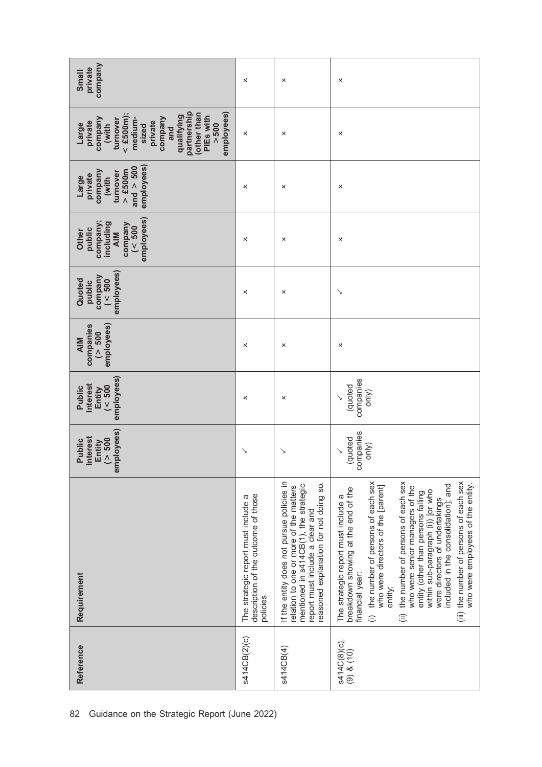| company<br>private<br>Small                                                                                                                                                                     | ×                                                                                       | ×                                                                                                                                                                                                         | ×                                                                                                                                                                                                                                                                                                                                                                                                                                                                                                                                 |
|-------------------------------------------------------------------------------------------------------------------------------------------------------------------------------------------------|-----------------------------------------------------------------------------------------|-----------------------------------------------------------------------------------------------------------------------------------------------------------------------------------------------------------|-----------------------------------------------------------------------------------------------------------------------------------------------------------------------------------------------------------------------------------------------------------------------------------------------------------------------------------------------------------------------------------------------------------------------------------------------------------------------------------------------------------------------------------|
| partnership<br>other than<br>employees)<br>$<$ £500m);<br>qualifying<br>PIEs with<br>company<br>company<br>turnover<br>medium-<br>private<br>private<br>> 500<br>Large<br>(with<br>sized<br>and | ×                                                                                       | ×                                                                                                                                                                                                         | ×                                                                                                                                                                                                                                                                                                                                                                                                                                                                                                                                 |
| employees)<br>and $> 500$<br>$>$ £500m<br>company<br>turnover<br>private<br>(with<br>Large                                                                                                      | ×                                                                                       | ×                                                                                                                                                                                                         | ×                                                                                                                                                                                                                                                                                                                                                                                                                                                                                                                                 |
| employees)<br>company;<br>company<br>including<br>( < 500<br>public<br>Other<br><b>AIM</b>                                                                                                      | ×                                                                                       | ×                                                                                                                                                                                                         | ×                                                                                                                                                                                                                                                                                                                                                                                                                                                                                                                                 |
| employees)<br>company<br>( < 500<br>Quoted<br>public                                                                                                                                            | ×                                                                                       | ×                                                                                                                                                                                                         | ゝ                                                                                                                                                                                                                                                                                                                                                                                                                                                                                                                                 |
| employees)<br>companies<br>(> 500<br><b>AIM</b>                                                                                                                                                 | ×                                                                                       | ×                                                                                                                                                                                                         | ×                                                                                                                                                                                                                                                                                                                                                                                                                                                                                                                                 |
| employees)<br>nterest<br>$($ < $500$<br>Public<br>Entity                                                                                                                                        | ×                                                                                       | ×                                                                                                                                                                                                         | companies<br>(quoted<br>only)                                                                                                                                                                                                                                                                                                                                                                                                                                                                                                     |
| employees)<br><b>Interest</b><br>( > 500<br>Public<br>Entity                                                                                                                                    | ↘                                                                                       | ↘                                                                                                                                                                                                         | companies<br>(quoted<br>only)                                                                                                                                                                                                                                                                                                                                                                                                                                                                                                     |
| Requirement                                                                                                                                                                                     | description of the outcome of those<br>The strategic report must include a<br>policies. | If the entity does not pursue policies in<br>reasoned explanation for not doing so.<br>mentioned in s414CB(1), the strategic<br>relation to one or more of the matters<br>report must include a clear and | the number of persons of each sex<br>the number of persons of each sex<br>(iii) the number of persons of each sex<br>included in the consolidation]; and<br>who were employees of the entity.<br>who were directors of the [parent]<br>who were senior managers of the<br>breakdown showing at the end of the<br>within sub-paragraph (i)) [or who<br>entity (other than persons falling<br>The strategic report must include a<br>were directors of undertakings<br>financial year:<br>entity;<br>$\widehat{\equiv}$<br>$\oplus$ |
| Reference                                                                                                                                                                                       | s414CB(2)(c)                                                                            | s414CB(4)                                                                                                                                                                                                 | s414C(8)(c),<br>(9) & (10)                                                                                                                                                                                                                                                                                                                                                                                                                                                                                                        |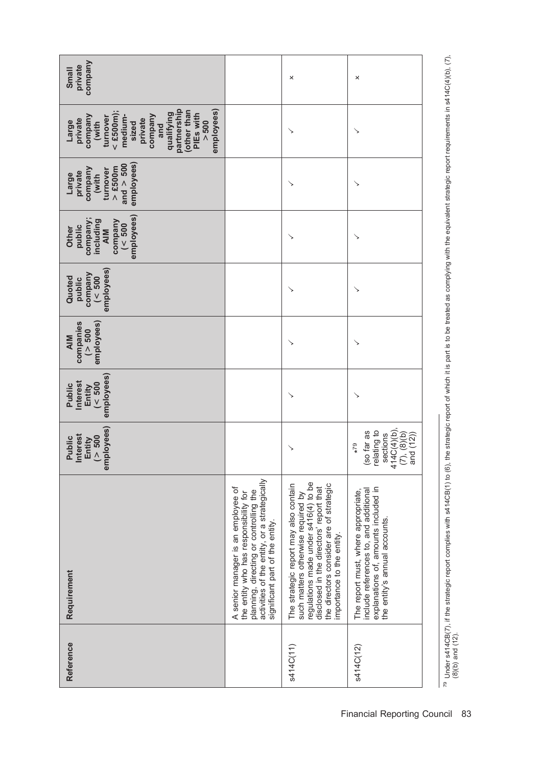| company<br>private<br>Small                                                                                                                                                                      |                                                                                                                                                                                                          | ×                                                                                                                                                                                                                                     | ×                                                                                                                                                     |
|--------------------------------------------------------------------------------------------------------------------------------------------------------------------------------------------------|----------------------------------------------------------------------------------------------------------------------------------------------------------------------------------------------------------|---------------------------------------------------------------------------------------------------------------------------------------------------------------------------------------------------------------------------------------|-------------------------------------------------------------------------------------------------------------------------------------------------------|
| partnership<br>employees)<br>(other than<br>$<$ £500m);<br>qualifying<br>PIEs with<br>company<br>company<br>medium-<br>turnover<br>private<br>private<br>> 500<br>Large<br>(with<br>sized<br>and |                                                                                                                                                                                                          | ↘                                                                                                                                                                                                                                     |                                                                                                                                                       |
| employees)<br>and $> 500$<br>$>$ £500m<br>company<br>turnover<br>private<br>Large<br>(with                                                                                                       |                                                                                                                                                                                                          | ↘                                                                                                                                                                                                                                     | ↘                                                                                                                                                     |
| employees)<br>company;<br>including<br>company<br>( < 500<br>public<br>Other<br>AIM                                                                                                              |                                                                                                                                                                                                          | ↘                                                                                                                                                                                                                                     | ↘                                                                                                                                                     |
| employees)<br>company<br>Quoted<br>( < 500<br>public                                                                                                                                             |                                                                                                                                                                                                          |                                                                                                                                                                                                                                       |                                                                                                                                                       |
| companies<br>employees)<br>( > 500<br><b>AIM</b>                                                                                                                                                 |                                                                                                                                                                                                          |                                                                                                                                                                                                                                       |                                                                                                                                                       |
| employees)<br><b>Interest</b><br>(< 500<br>Public<br>Entity                                                                                                                                      |                                                                                                                                                                                                          | ↘                                                                                                                                                                                                                                     |                                                                                                                                                       |
| employees)<br>nterest<br>( > 500<br>Public<br>Entity                                                                                                                                             |                                                                                                                                                                                                          | ↘                                                                                                                                                                                                                                     | sections<br>414C(4)(b),<br>relating to<br>(so far as<br>$(7), (8)(b)$<br>and $(12))$<br>$*79$                                                         |
| Requirement                                                                                                                                                                                      | activities of the entity, or a strategically<br>A senior manager is an employee of<br>planning, directing or controlling the<br>the entity who has responsibility for<br>significant part of the entity. | regulations made under s416(4) to be<br>the directors consider are of strategic<br>The strategic report may also contain<br>disclosed in the directors' report that<br>such matters otherwise required by<br>mportance to the entity. | explanations of, amounts included in<br>The report must, where appropriate,<br>include references to, and additional<br>the entity's annual accounts. |
| Reference                                                                                                                                                                                        |                                                                                                                                                                                                          | s414C(11)                                                                                                                                                                                                                             | s414C(12)                                                                                                                                             |

 $^{79}$  Under s414CB(7), if the strategic report complies with s414CB(1) to (6), the strategic report of which it is part is to be treated as complying with the equivalent strategic report requirements in s414C(4)(b), (7), <sup>79</sup> Under s414CB(7), if the strategic report complies with s414CB(1) to (6), the strategic report of which it is part is to be treated as complying with the equivalent strategic report requirements in s414C(4)(b), (7), (8)(b) and (12).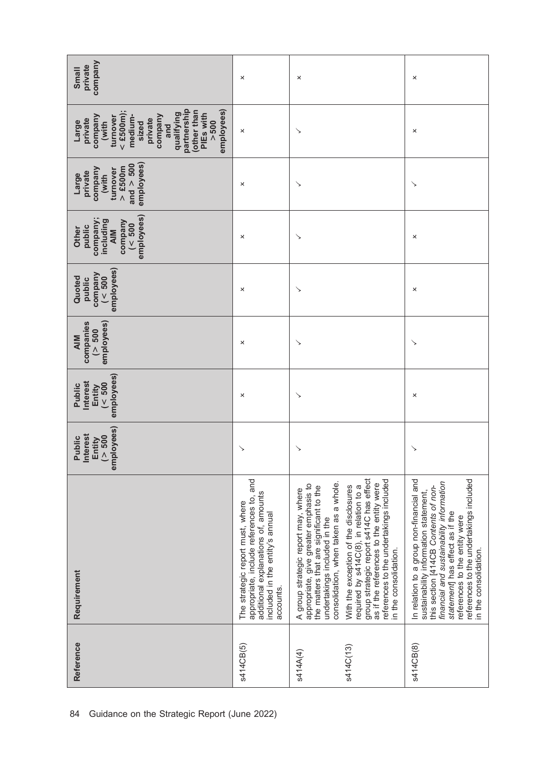| company<br>private<br>Small                                                                                                                                                                     | ×                                                                                                                                                                     | ×                                                                                                                                                                                                                                                                                                                                                                                                                                             | ×                                                                                                                                                                                                                                                                                                            |
|-------------------------------------------------------------------------------------------------------------------------------------------------------------------------------------------------|-----------------------------------------------------------------------------------------------------------------------------------------------------------------------|-----------------------------------------------------------------------------------------------------------------------------------------------------------------------------------------------------------------------------------------------------------------------------------------------------------------------------------------------------------------------------------------------------------------------------------------------|--------------------------------------------------------------------------------------------------------------------------------------------------------------------------------------------------------------------------------------------------------------------------------------------------------------|
| partnership<br>other than<br>employees)<br>$<$ £500m);<br>qualifying<br>PIEs with<br>company<br>company<br>medium-<br>turnover<br>private<br>private<br>> 500<br>Large<br>(with<br>sized<br>and | ×                                                                                                                                                                     | ↘                                                                                                                                                                                                                                                                                                                                                                                                                                             | ×                                                                                                                                                                                                                                                                                                            |
| employees)<br>and $> 500$<br>$>$ £500m<br>company<br>turnover<br>private<br>(with<br>Large                                                                                                      | ×                                                                                                                                                                     | ↘                                                                                                                                                                                                                                                                                                                                                                                                                                             | ↘                                                                                                                                                                                                                                                                                                            |
| employees)<br>company;<br>including<br>company<br>$($ < 500<br>public<br>Other<br><b>AIM</b>                                                                                                    | ×                                                                                                                                                                     | ↘                                                                                                                                                                                                                                                                                                                                                                                                                                             | ×                                                                                                                                                                                                                                                                                                            |
| employees)<br>company<br>$($ < 500<br>Quoted<br>public                                                                                                                                          | ×                                                                                                                                                                     | ↘                                                                                                                                                                                                                                                                                                                                                                                                                                             | ×                                                                                                                                                                                                                                                                                                            |
| employees)<br>companies<br>( > 500<br><b>AIM</b>                                                                                                                                                | ×                                                                                                                                                                     | ↘                                                                                                                                                                                                                                                                                                                                                                                                                                             | ↘                                                                                                                                                                                                                                                                                                            |
| employees)<br>nterest<br>$($ < 500<br>Public<br>Entity                                                                                                                                          | ×                                                                                                                                                                     | ↘                                                                                                                                                                                                                                                                                                                                                                                                                                             | ×                                                                                                                                                                                                                                                                                                            |
| employees)<br><b>Interest</b><br>( > 500<br>Public<br>Entity                                                                                                                                    | ↘                                                                                                                                                                     | ↘                                                                                                                                                                                                                                                                                                                                                                                                                                             | ↘                                                                                                                                                                                                                                                                                                            |
| Requirement                                                                                                                                                                                     | and<br>additional explanations of, amounts<br>appropriate, include references to,<br>The strategic report must, where<br>included in the entity's annual<br>accounts. | group strategic report s414C has effect<br>references to the undertakings included<br>consolidation, when taken as a whole.<br>as if the references to the entity were<br>appropriate, give greater emphasis to<br>With the exception of the disclosures<br>required by s414C(8), in relation to a<br>the matters that are significant to the<br>A group strategic report may, where<br>undertakings included in the<br>in the consolidation. | In relation to a group non-financial and<br>references to the undertakings included<br>financial and sustainability information<br>this section [414CB Contents of non-<br>sustainability information statement,<br>statement has effect as if the<br>references to the entity were<br>in the consolidation. |
| Reference                                                                                                                                                                                       | s414CB(5)                                                                                                                                                             | s414C(13)<br>s414A(4)                                                                                                                                                                                                                                                                                                                                                                                                                         | s414CB(8)                                                                                                                                                                                                                                                                                                    |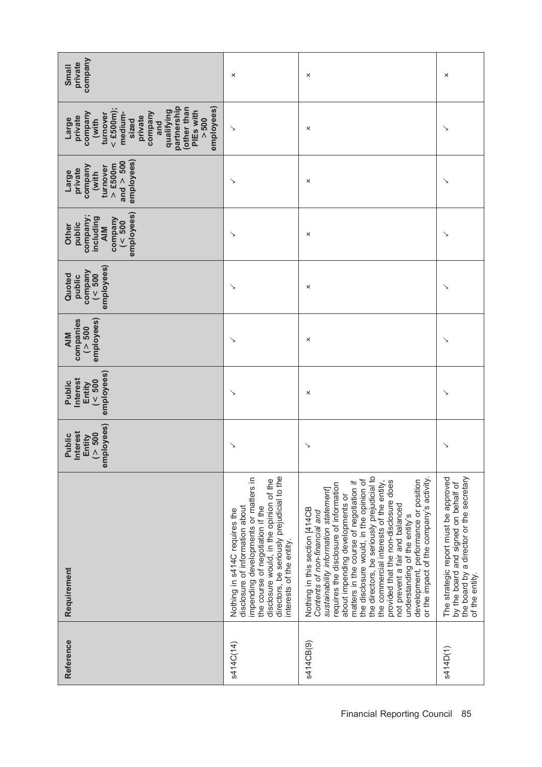| company<br>private<br>Small                                                                                                                                                                     | ×                                                                                                                                                                                                                                                                 | ×                                                                                                                                                                                                                                                                                                                                                                                                                                                                                                                                                                    | ×                                                                                                                                           |
|-------------------------------------------------------------------------------------------------------------------------------------------------------------------------------------------------|-------------------------------------------------------------------------------------------------------------------------------------------------------------------------------------------------------------------------------------------------------------------|----------------------------------------------------------------------------------------------------------------------------------------------------------------------------------------------------------------------------------------------------------------------------------------------------------------------------------------------------------------------------------------------------------------------------------------------------------------------------------------------------------------------------------------------------------------------|---------------------------------------------------------------------------------------------------------------------------------------------|
| partnership<br>other than<br>employees)<br>$<$ £500m);<br>qualifying<br>PIEs with<br>company<br>company<br>medium-<br>turnover<br>private<br>private<br>> 500<br>Large<br>(with<br>sized<br>and | ↘                                                                                                                                                                                                                                                                 | ×                                                                                                                                                                                                                                                                                                                                                                                                                                                                                                                                                                    | ↘                                                                                                                                           |
| employees)<br>and $> 500$<br>$>$ £500m<br>company<br>turnover<br>private<br>(with<br>Large                                                                                                      | ↘                                                                                                                                                                                                                                                                 | ×                                                                                                                                                                                                                                                                                                                                                                                                                                                                                                                                                                    |                                                                                                                                             |
| employees)<br>company;<br>including<br>company<br>( < 500<br>public<br>Other<br><b>AIM</b>                                                                                                      | ↘                                                                                                                                                                                                                                                                 | ×                                                                                                                                                                                                                                                                                                                                                                                                                                                                                                                                                                    | ↘                                                                                                                                           |
| employees)<br>company<br>( $<$ 500<br>Quoted<br>public                                                                                                                                          | ↘                                                                                                                                                                                                                                                                 | ×                                                                                                                                                                                                                                                                                                                                                                                                                                                                                                                                                                    | ↘                                                                                                                                           |
| employees)<br>companies<br>(> 500<br><b>AIM</b>                                                                                                                                                 | ↘                                                                                                                                                                                                                                                                 | ×                                                                                                                                                                                                                                                                                                                                                                                                                                                                                                                                                                    |                                                                                                                                             |
| employees)<br>nterest<br>$($ < $500$<br>Public<br>Entity                                                                                                                                        | ↘                                                                                                                                                                                                                                                                 | ×                                                                                                                                                                                                                                                                                                                                                                                                                                                                                                                                                                    | ↘                                                                                                                                           |
| employees)<br><b>Interest</b><br>(> 500<br>Public<br>Entity                                                                                                                                     | ↘                                                                                                                                                                                                                                                                 | ↘                                                                                                                                                                                                                                                                                                                                                                                                                                                                                                                                                                    | ↘                                                                                                                                           |
| Requirement                                                                                                                                                                                     | directors, be seriously prejudicial to the<br>impending developments or matters in<br>disclosure would, in the opinion of the<br>disclosure of information about<br>the course of negotiation if the<br>Nothing in s414C requires the<br>interests of the entity. | or the impact of the company's activity.<br>the directors, be seriously prejudicial to<br>the disclosure would, in the opinion of<br>development, performance or position<br>provided that the non-disclosure does<br>the commercial interests of the entity,<br>matters in the course of negotiation if<br>requires the disclosure of information<br>sustainability information statement<br>about impending developments or<br>not prevent a fair and balanced<br>Nothing in this section [414CB<br>Contents of non-financial and<br>understanding of the entity's | the board by a director or the secretary<br>The strategic report must be approved<br>by the board and signed on behalf of<br>of the entity. |
| Reference                                                                                                                                                                                       | s414C(14)                                                                                                                                                                                                                                                         | s414CB(9)                                                                                                                                                                                                                                                                                                                                                                                                                                                                                                                                                            | s414D(1)                                                                                                                                    |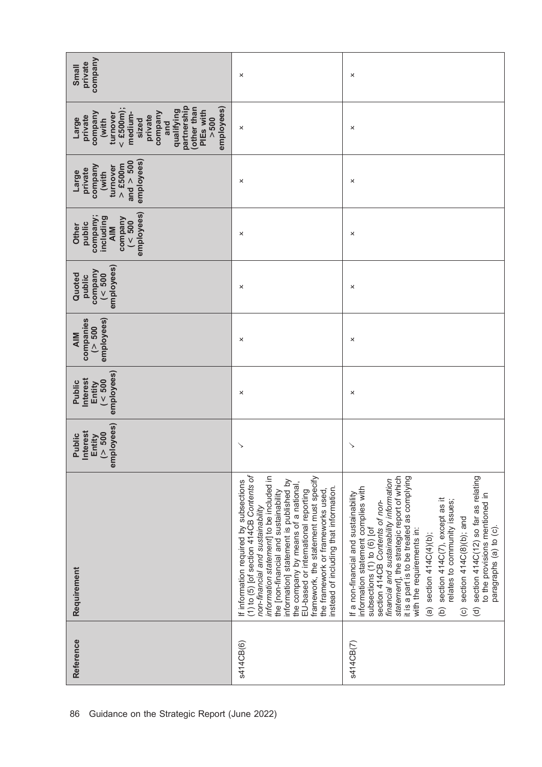| Company<br>private<br><b>Small</b>                                                                                                                                                              | ×                                                                                                                                                                                                                                                                                                                                                                                                                                                               | ×                                                                                                                                                                                                                                                                                                                                                                                                                                                                                                                                                                                                       |
|-------------------------------------------------------------------------------------------------------------------------------------------------------------------------------------------------|-----------------------------------------------------------------------------------------------------------------------------------------------------------------------------------------------------------------------------------------------------------------------------------------------------------------------------------------------------------------------------------------------------------------------------------------------------------------|---------------------------------------------------------------------------------------------------------------------------------------------------------------------------------------------------------------------------------------------------------------------------------------------------------------------------------------------------------------------------------------------------------------------------------------------------------------------------------------------------------------------------------------------------------------------------------------------------------|
| partnership<br>$<$ £500m);<br>other than<br>employees)<br>qualifying<br>PIEs with<br>company<br>turnover<br>medium-<br>company<br>private<br>private<br>> 500<br>Large<br>(with<br>sized<br>and | ×                                                                                                                                                                                                                                                                                                                                                                                                                                                               | ×                                                                                                                                                                                                                                                                                                                                                                                                                                                                                                                                                                                                       |
| employees)<br>and $> 500$<br>$>$ £500m<br>company<br>turnover<br>private<br>(with<br>Large                                                                                                      | ×                                                                                                                                                                                                                                                                                                                                                                                                                                                               | ×                                                                                                                                                                                                                                                                                                                                                                                                                                                                                                                                                                                                       |
| employees)<br>company;<br>company<br>including<br>( < 500<br>public<br>Other<br><b>AIM</b>                                                                                                      | ×                                                                                                                                                                                                                                                                                                                                                                                                                                                               | ×                                                                                                                                                                                                                                                                                                                                                                                                                                                                                                                                                                                                       |
| employees)<br>company<br>(< 500<br>Quoted<br>public                                                                                                                                             | ×                                                                                                                                                                                                                                                                                                                                                                                                                                                               | ×                                                                                                                                                                                                                                                                                                                                                                                                                                                                                                                                                                                                       |
| employees)<br>companies<br>(> 500<br><b>AIM</b>                                                                                                                                                 | ×                                                                                                                                                                                                                                                                                                                                                                                                                                                               | ×                                                                                                                                                                                                                                                                                                                                                                                                                                                                                                                                                                                                       |
| employees)<br>nterest<br>$($ < $500$<br>Public<br>Entity                                                                                                                                        | ×                                                                                                                                                                                                                                                                                                                                                                                                                                                               | ×                                                                                                                                                                                                                                                                                                                                                                                                                                                                                                                                                                                                       |
| employees)<br><b>Interest</b><br>(> 500<br>Public<br>Entity                                                                                                                                     | ↘                                                                                                                                                                                                                                                                                                                                                                                                                                                               | ↘                                                                                                                                                                                                                                                                                                                                                                                                                                                                                                                                                                                                       |
| Requirement                                                                                                                                                                                     | $(1)$ to $(5)$ [of section 414CB Contents of<br>information statement] to be included in<br>framework, the statement must specify<br>If information required by subsections<br>information] statement is published by<br>the company by means of a national,<br>instead of including that information.<br>the framework or frameworks used,<br>EU-based or international reporting<br>the [non-financial and sustainability<br>non-financial and sustainability | statement], the strategic report of which<br>section 414C(12) so far as relating<br>it is a part is to be treated as complying<br>financial and sustainability information<br>information statement complies with<br>If a non-financial and sustainability<br>to the provisions mentioned in<br>section 414C(7), except as it<br>relates to community issues;<br>section 414CB Contents of non-<br>section 414C(8)(b); and<br>subsections (1) to (6) [of<br>with the requirements in:<br>paragraphs (a) to (c).<br>section $414C(4)(b)$ ;<br>$\widehat{a}$<br>$\widehat{\sigma}$<br>$\Theta$<br>$\odot$ |
| Reference                                                                                                                                                                                       | s414CB(6)                                                                                                                                                                                                                                                                                                                                                                                                                                                       | s414CB(7)                                                                                                                                                                                                                                                                                                                                                                                                                                                                                                                                                                                               |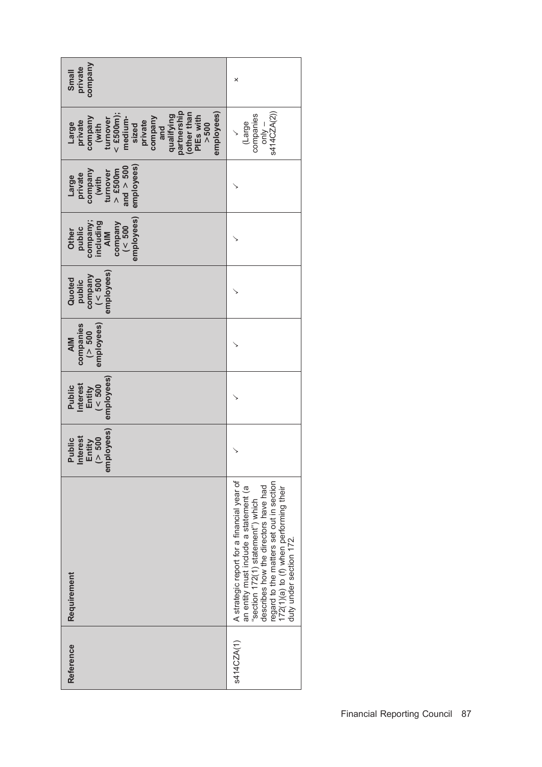| company<br>private<br>Small                                                                                                                                                                     | ×                                                                                                                                                                                                                                                                                 |
|-------------------------------------------------------------------------------------------------------------------------------------------------------------------------------------------------|-----------------------------------------------------------------------------------------------------------------------------------------------------------------------------------------------------------------------------------------------------------------------------------|
| partnership<br>employees)<br>$<$ £500m);<br>other than<br>qualifying<br>company<br>PIEs with<br>company<br>turnover<br>medium-<br>private<br>Large<br>private<br>> 500<br>(with<br>sized<br>and | s414CZA(2))<br>companies<br>(Large<br>$-\frac{1}{2}$                                                                                                                                                                                                                              |
| employees)<br>and $> 500$<br>$>$ £500m<br>company<br>turnover<br>Large<br>private<br>(with                                                                                                      |                                                                                                                                                                                                                                                                                   |
| employees)<br>company;<br>including<br>company<br>$($ < 500<br>public<br>Other<br>$\frac{N}{N}$                                                                                                 |                                                                                                                                                                                                                                                                                   |
| employees)<br>company<br>$($ < 500<br>Quoted<br>public                                                                                                                                          |                                                                                                                                                                                                                                                                                   |
| companies<br>employees)<br>( > 500<br><b>AIM</b>                                                                                                                                                |                                                                                                                                                                                                                                                                                   |
| employees)<br><b>Interest</b><br>(< 500<br>Public<br>Entity                                                                                                                                     |                                                                                                                                                                                                                                                                                   |
| employees)<br><b>Interest</b><br>(> 500<br>Public<br>Entity                                                                                                                                     |                                                                                                                                                                                                                                                                                   |
| Requirement                                                                                                                                                                                     | A strategic report for a financial year of<br>describes how the directors have had<br>regard to the matters set out in section<br>an entity must include a statement (a<br>172(1)(a) to (f) when performing their<br>"section 172(1) statement") which<br>duty under section 172. |
| Reference                                                                                                                                                                                       | s414CZA(1)                                                                                                                                                                                                                                                                        |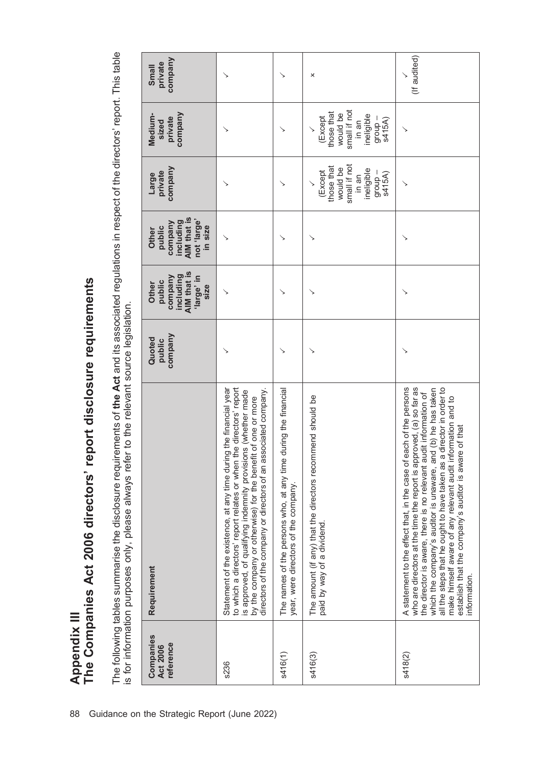The following tables summarise the disclosure requirements of the Act and its associated regulations in respect of the directors' report. This table<br>is for information purposes only, please always refer to the relevant sou The following tables summarise the disclosure requirements of the Act and its associated regulations in respect of the directors' report. This table is for information purposes only, please always refer to the relevant source legislation.

Appendix III

The Companies Act 2006 directors' report disclosure requirements

Appendix III<br>The Companies Act 2006 directors' report disclosure requirements

| Companies<br>reference<br><b>Act 2006</b> | Requirement                                                                                                                                                                                                                                                                                                                                                                                                                                                                                        | company<br>Quoted<br>public | AIM that is<br>including<br>company<br>'large' in<br>public<br>Other | AIM that is<br>not 'large'<br>company<br>including<br>public<br>Other | company<br>private<br>Large                                                                   | company<br>Medium-<br>private<br>sized                                                        | company<br>private<br>Small |
|-------------------------------------------|----------------------------------------------------------------------------------------------------------------------------------------------------------------------------------------------------------------------------------------------------------------------------------------------------------------------------------------------------------------------------------------------------------------------------------------------------------------------------------------------------|-----------------------------|----------------------------------------------------------------------|-----------------------------------------------------------------------|-----------------------------------------------------------------------------------------------|-----------------------------------------------------------------------------------------------|-----------------------------|
| s236                                      | to which a directors' report relates or when the directors' report<br>Statement of the existence, at any time during the financial year<br>directors of the company or directors of an associated company.<br>is approved, of qualifying indemnity provisions (whether made<br>by the company or otherwise) for the benefit of one or more                                                                                                                                                         |                             | size                                                                 | in size                                                               |                                                                                               |                                                                                               |                             |
| s416(1)                                   | during the financial<br>The names of the persons who, at any time<br>year, were directors of the company.                                                                                                                                                                                                                                                                                                                                                                                          |                             | ↘                                                                    | ↘                                                                     |                                                                                               |                                                                                               |                             |
| s416(3)                                   | The amount (if any) that the directors recommend should be<br>paid by way of a dividend.                                                                                                                                                                                                                                                                                                                                                                                                           |                             | ↘                                                                    | ↘                                                                     | small if not<br>those that<br>would be<br>ineligible<br>(Except<br>- dnoub<br>s415A)<br>in an | small if not<br>those that<br>would be<br>ineligible<br>(Except<br>- dnoi6<br>s415A)<br>in an | ×                           |
| s418(2)                                   | each of the persons<br>who are directors at the time the report is approved, (a) so far as<br>a director in order to<br>which the company's auditor is unaware, and (b) he has taken<br>the director is aware, there is no relevant audit information of<br>make himself aware of any relevant audit information and to<br>establish that the company's auditor is aware of that<br>A statement to the effect that, in the case of<br>all the steps that he ought to have taken as<br>information. |                             | ↘                                                                    | ↘                                                                     | ↘                                                                                             | ↘                                                                                             | (If audited)                |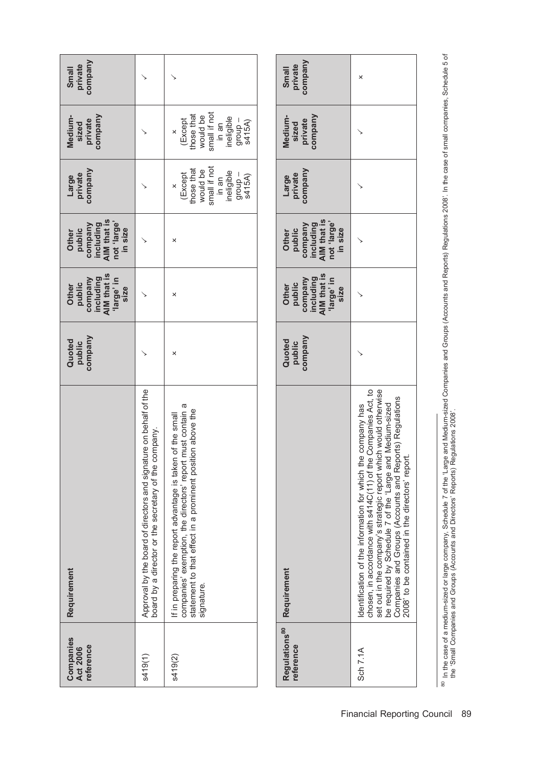| <b>Companies</b><br>reference<br><b>Act 2006</b> | Requirement                                                                                                                                                                                          | company<br>Quoted<br>public | company<br>including<br>AIM that is<br>large' in<br>Other<br>public<br>size | including<br>AIM that is<br>not 'large'<br>company<br>public<br>in size<br>Other | company<br>Large<br>private                                                                  | company<br>Medium-<br>sized<br>private                                                       | company<br><b>Small</b><br>private |
|--------------------------------------------------|------------------------------------------------------------------------------------------------------------------------------------------------------------------------------------------------------|-----------------------------|-----------------------------------------------------------------------------|----------------------------------------------------------------------------------|----------------------------------------------------------------------------------------------|----------------------------------------------------------------------------------------------|------------------------------------|
| s419(1)                                          | Approval by the board of directors and signature on behalf of the<br>company.<br>board by a director or the secretary of the                                                                         |                             |                                                                             |                                                                                  |                                                                                              |                                                                                              |                                    |
| s419(2)                                          | companies' exemption, the directors' report must contain a<br>statement to that effect in a prominent position above the<br>If in preparing the report advantage is taken of the small<br>signature. | ×                           | ×                                                                           | ×                                                                                | would be<br>small if not<br>hose that<br>in an<br>ineligible<br>(Except<br>group –<br>s415A) | small if not<br>hose that<br>would be<br>in an<br>ineligible<br>(Except<br>group –<br>s415A) |                                    |

| Regulations <sup>80</sup><br>reference | Requirement                                                                                                                                                                                                                                                                                                                                           | Quoted<br>public<br>company | Other<br>public<br>company<br>including<br>iarge' in<br>'large' in<br>'large' in | Other<br>public<br>company<br>including<br>AIM that is<br>not 'large' | Large<br>private<br>company | Medium-<br>sized<br>private<br>company | Small<br>private<br>company |
|----------------------------------------|-------------------------------------------------------------------------------------------------------------------------------------------------------------------------------------------------------------------------------------------------------------------------------------------------------------------------------------------------------|-----------------------------|----------------------------------------------------------------------------------|-----------------------------------------------------------------------|-----------------------------|----------------------------------------|-----------------------------|
| Sch 7.1A                               | Identification of the information for which the company has<br>chosen, in accordance with s414C(11) of the Companies Act, to<br>set out in the company's strategic report which would otherwise<br>be required by Schedule 7 of the 'La<br>Companies and Groups (Accounts and Reports) Regulations<br>2008' to be contained in the directors' report. |                             |                                                                                  |                                                                       |                             |                                        | ×                           |

<sup>80</sup> In the case of a medium-sized or large company, Schedule 7 of the 'Large and Medium-sized Companies and Groups (Accounts and Reports) Regulations 2008'. In the case of small companies, Schedule 5 of<br>the 'Small Compani 80 In the case of a medium-sized or large company, Schedule 7 of the 'Large and Medium-sized Companies and Groups (Accounts and Reports) Regulations 2008'. In the case of small companies, Schedule 5 of the 'Small Companies and Groups (Accounts and Directors' Reports) Regulations 2008'.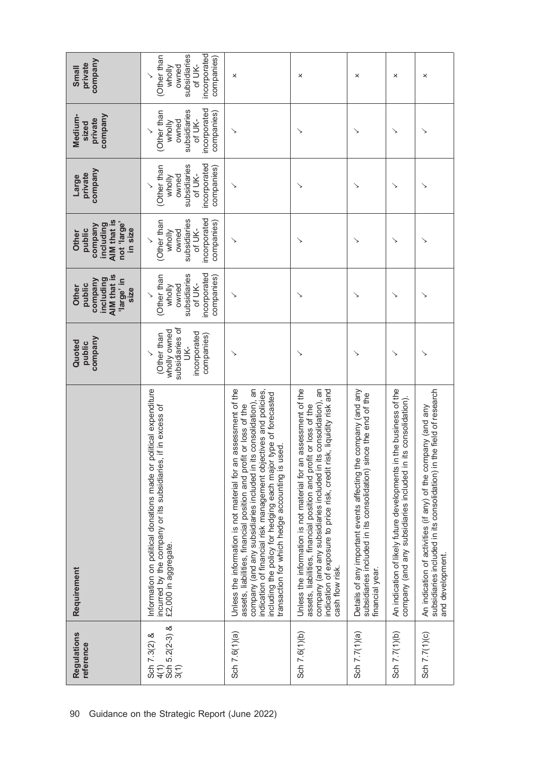| Regulations<br>reference                         | Requirement                                                                                                                                                                                                                                                                                                                                                                                               | company<br>Quoted<br>public                                                       | AIM that is<br>company<br>including<br>'large' in<br>public<br>Other<br>size           | AIM that is<br>not 'large'<br>company<br>including<br>public<br>in size<br>Other       | company<br>private<br>Large                                                            | company<br>Medium-<br>private<br>sized                                                 | company<br>private<br>Small                                                            |
|--------------------------------------------------|-----------------------------------------------------------------------------------------------------------------------------------------------------------------------------------------------------------------------------------------------------------------------------------------------------------------------------------------------------------------------------------------------------------|-----------------------------------------------------------------------------------|----------------------------------------------------------------------------------------|----------------------------------------------------------------------------------------|----------------------------------------------------------------------------------------|----------------------------------------------------------------------------------------|----------------------------------------------------------------------------------------|
| Sch 5.2(2-3) &<br>3(1)<br>Sch 7.3(2) &<br>$4(1)$ | political expenditure<br>incurred by the company or its subsidiaries, if in excess of<br>Information on political donations made or<br>£2,000 in aggregate.                                                                                                                                                                                                                                               | subsidiaries of<br>wholly owned<br>incorporated<br>(Other than<br>companies)<br>Š | incorporated<br>subsidiaries<br>(Other than<br>companies)<br>of UK-<br>owned<br>wholly | incorporated<br>subsidiaries<br>(Other than<br>companies)<br>of UK-<br>owned<br>wholly | incorporated<br>subsidiaries<br>(Other than<br>companies)<br>of UK-<br>owned<br>wholly | incorporated<br>subsidiaries<br>(Other than<br>companies)<br>of UK-<br>owned<br>wholly | incorporated<br>subsidiaries<br>(Other than<br>companies)<br>of UK-<br>owned<br>wholly |
| Sch 7.6(1)(a)                                    | Unless the information is not material for an assessment of the<br>company (and any subsidiaries included in its consolidation), an<br>indication of financial risk management objectives and policies,<br>type of forecasted<br>assets, liabilities, financial position and profit or loss of the<br>used.<br>including the policy for hedging each major<br>transaction for which hedge accounting is u |                                                                                   |                                                                                        |                                                                                        |                                                                                        |                                                                                        | ×                                                                                      |
| Sch 7.6(1)(b)                                    | Unless the information is not material for an assessment of the<br>company (and any subsidiaries included in its consolidation), an<br>indication of exposure to price risk, credit risk, liquidity risk and<br>assets, liabilities, financial position and profit or loss of the<br>cash flow risk.                                                                                                      |                                                                                   |                                                                                        |                                                                                        |                                                                                        |                                                                                        | ×                                                                                      |
| Sch 7.7(1)(a)                                    | Details of any important events affecting the company (and any<br>subsidiaries included in its consolidation) since the end of the<br>financial year.                                                                                                                                                                                                                                                     |                                                                                   |                                                                                        |                                                                                        |                                                                                        |                                                                                        | ×                                                                                      |
| Sch 7.7(1)(b)                                    | An indication of likely future developments in the business of the<br>its consolidation).<br>company (and any subsidiaries included in                                                                                                                                                                                                                                                                    |                                                                                   |                                                                                        | ↘                                                                                      | ↘                                                                                      | ↘                                                                                      | ×                                                                                      |
| Sch 7.7(1)(c)                                    | subsidiaries included in its consolidation) in the field of research<br>An indication of activities (if any) of the company (and any<br>and development.                                                                                                                                                                                                                                                  |                                                                                   |                                                                                        |                                                                                        |                                                                                        |                                                                                        | ×                                                                                      |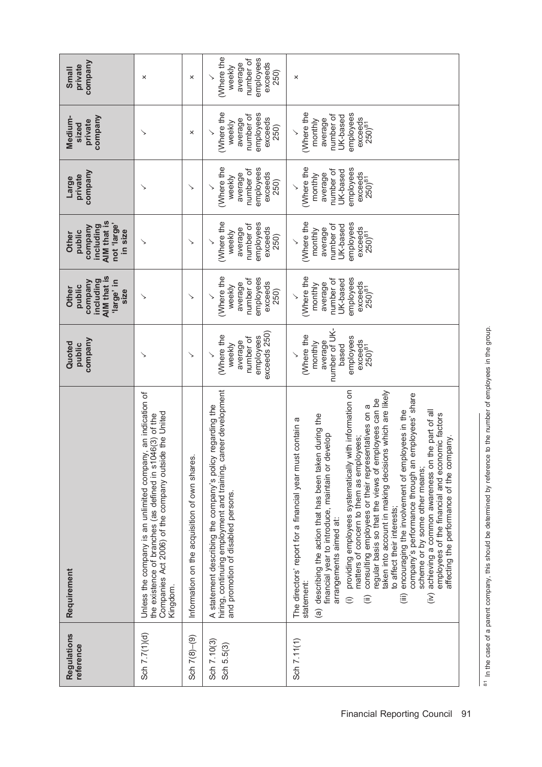| <b>Regulations</b><br>reference | Requirement                                                                                                                                                                                                                                                                                                                                                                                                                                                                                                                                                                                                                                                                                                                                                                                                                                           | company<br>Quoted<br>public                                                                              | AIM that is<br>including<br>company<br>'large' in<br>public<br>Other<br>size                     | AIM that is<br>not 'large'<br>including<br>company<br>in size<br>public<br>Other                | company<br>private<br>Large                                                                      | company<br>Medium-<br>private<br>sized                                                                  | company<br>private<br><b>Small</b>                                           |
|---------------------------------|-------------------------------------------------------------------------------------------------------------------------------------------------------------------------------------------------------------------------------------------------------------------------------------------------------------------------------------------------------------------------------------------------------------------------------------------------------------------------------------------------------------------------------------------------------------------------------------------------------------------------------------------------------------------------------------------------------------------------------------------------------------------------------------------------------------------------------------------------------|----------------------------------------------------------------------------------------------------------|--------------------------------------------------------------------------------------------------|-------------------------------------------------------------------------------------------------|--------------------------------------------------------------------------------------------------|---------------------------------------------------------------------------------------------------------|------------------------------------------------------------------------------|
| Sch 7.7(1)(d)                   | Unless the company is an unlimited company, an indication of<br>ide the United<br>046(3) of the<br>the existence of branches (as defined in s1<br>Companies Act 2006) of the company outs<br>Kingdom.                                                                                                                                                                                                                                                                                                                                                                                                                                                                                                                                                                                                                                                 | ↘                                                                                                        | ↘                                                                                                | ↘                                                                                               | ↘                                                                                                | ↘                                                                                                       | ×                                                                            |
| Sch $7(8) - (9)$                | Information on the acquisition of own shares.                                                                                                                                                                                                                                                                                                                                                                                                                                                                                                                                                                                                                                                                                                                                                                                                         | ↘                                                                                                        | ↘                                                                                                | ↘                                                                                               | ↘                                                                                                | ×                                                                                                       | ×                                                                            |
| Sch 7.10(3)<br>Sch 5.5(3)       | career development<br>A statement describing the company's policy regarding the<br>hiring, continuing employment and training,<br>and promotion of disabled persons.                                                                                                                                                                                                                                                                                                                                                                                                                                                                                                                                                                                                                                                                                  | exceeds 250)<br>(Where the<br>employees<br>number of<br>average<br>weekly                                | Where the<br>employees<br>number of<br>exceeds<br>average<br>weekly<br>250)                      | Where the<br>employees<br>number of<br>exceeds<br>average<br>weekly<br>250)                     | (Where the<br>employees<br>number of<br>exceeds<br>average<br>weekly<br>250)                     | Where the<br>employees<br>number of<br>exceeds<br>average<br>weekly<br>250)                             | (Where the<br>employees<br>number of<br>average<br>exceeds<br>weekly<br>250) |
| Sch 7.11(1)                     | providing employees systematically with information on<br>taken into account in making decisions which are likely<br>company's performance through an employees' share<br>regular basis so that the views of employees can be<br>consulting employees or their representatives on a<br>encouraging the involvement of employees in the<br>achieving a common awareness on the part of all<br>employees of the financial and economic factors<br>(a) describing the action that has been taken during the<br>The directors' report for a financial year must contain a<br>develop<br>affecting the performance of the company.<br>matters of concern to them as employees;<br>financial year to introduce, maintain or<br>scheme or by some other means;<br>to affect their interests;<br>arrangements aimed at:<br>statement:<br>(i)<br>(iii)<br>(ii) | number of UK-<br>(Where the<br>employees<br>exceeds<br>250) <sup>81</sup><br>average<br>monthly<br>based | (Where the<br>employees<br>number of<br>UK-based<br>exceeds<br>average<br>monthly<br>$250)^{81}$ | Where the<br>employees<br>number of<br>UK-based<br>exceeds<br>average<br>monthly<br>$250)^{81}$ | (Where the<br>employees<br>number of<br>UK-based<br>exceeds<br>average<br>monthly<br>$250)^{81}$ | (Where the<br>employees<br>number of<br>UK-based<br>exceeds<br>250) <sup>81</sup><br>average<br>monthly | ×                                                                            |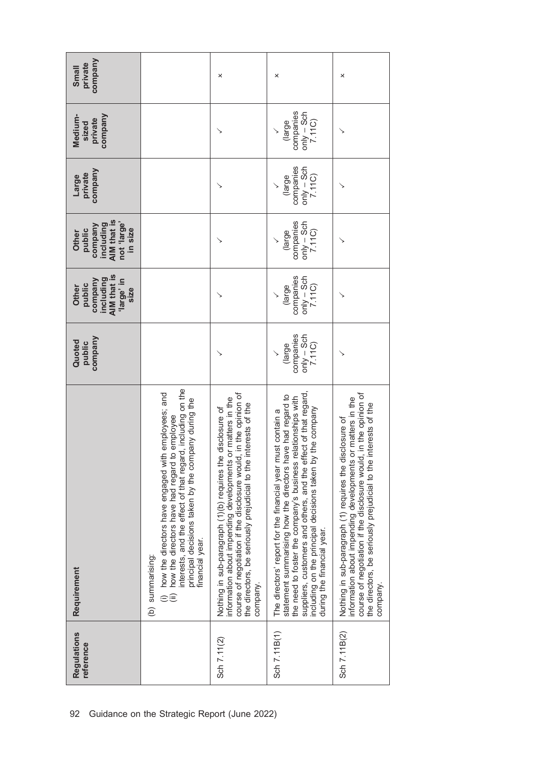| <b>Regulations</b><br>reference | Requirement                                                                                                                                                                                                                                                                                                                                             | company<br>Quoted<br>public                   | AIM that is<br>company<br>including<br>'large' in<br>public<br>Other<br>size | AIM that is<br>not 'large'<br>company<br>including<br>public<br>in size<br><b>Other</b> | company<br>private<br>Large                   | company<br>Medium-<br>private<br>sized        | company<br>private<br>Small |
|---------------------------------|---------------------------------------------------------------------------------------------------------------------------------------------------------------------------------------------------------------------------------------------------------------------------------------------------------------------------------------------------------|-----------------------------------------------|------------------------------------------------------------------------------|-----------------------------------------------------------------------------------------|-----------------------------------------------|-----------------------------------------------|-----------------------------|
|                                 | interests, and the effect of that regard, including on the<br>how the directors have engaged with employees; and<br>principal decisions taken by the company during the<br>how the directors have had regard to employee<br>financial year.<br>(b) summarising:<br>e€                                                                                   |                                               |                                                                              |                                                                                         |                                               |                                               |                             |
| Sch 7.11(2)                     | course of negotiation if the disclosure would, in the opinion of<br>or matters in the<br>interests of the<br>Nothing in sub-paragraph (1)(b) requires the disclosure of<br>information about impending developments<br>the directors, be seriously prejudicial to the<br>company.                                                                       |                                               |                                                                              |                                                                                         |                                               |                                               | ×                           |
| Sch 7.11B(1)                    | suppliers, customers and others, and the effect of that regard,<br>statement summarising how the directors have had regard to<br>the need to foster the company's business relationships with<br>including on the principal decisions taken by the company<br>The directors' report for the financial year must contain a<br>during the financial year. | companies<br>$only - Sch$<br>7.11C)<br>(large | companies<br>$only - Sch$<br>7.11C)<br>(large                                | companies<br>$only - Sch$<br>7.11C)<br>(large                                           | companies<br>$only - Sch$<br>7.11C)<br>(large | companies<br>$only - Sch$<br>7.11C)<br>(large | ×                           |
| Sch 7.11B(2)                    | course of negotiation if the disclosure would, in the opinion of<br>information about impending developments or matters in the<br>interests of the<br>Nothing in sub-paragraph (1) requires the disclosure of<br>the directors, be seriously prejudicial to the<br>company.                                                                             |                                               |                                                                              |                                                                                         |                                               |                                               | ×                           |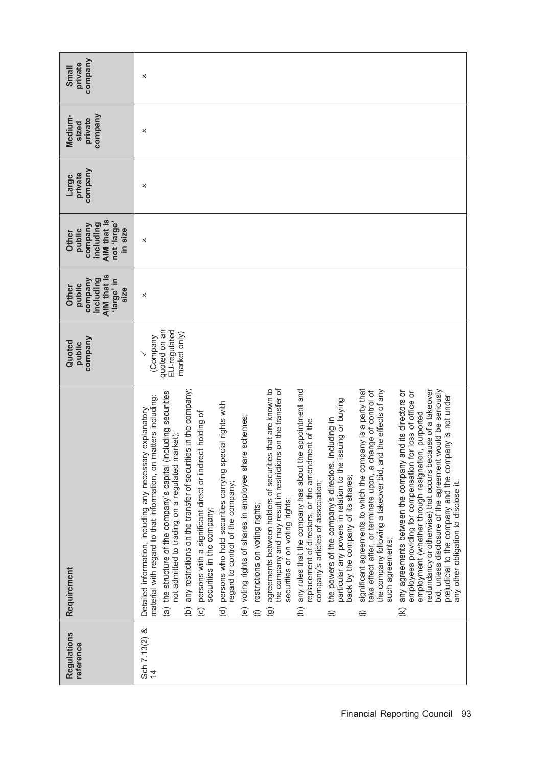| company<br>private<br>Small                                                      | ×                                                                                                                                                                                                                                                                                                                                                                                                                                                                                                                                                                                                                                                                                                                                                                                                                                                                                                                                                                                                                                                                                                                                                                                                                                                                                                                                                                                                                                                                                                                                                                                                                                                                                                                                                                                                                                                                                                  |
|----------------------------------------------------------------------------------|----------------------------------------------------------------------------------------------------------------------------------------------------------------------------------------------------------------------------------------------------------------------------------------------------------------------------------------------------------------------------------------------------------------------------------------------------------------------------------------------------------------------------------------------------------------------------------------------------------------------------------------------------------------------------------------------------------------------------------------------------------------------------------------------------------------------------------------------------------------------------------------------------------------------------------------------------------------------------------------------------------------------------------------------------------------------------------------------------------------------------------------------------------------------------------------------------------------------------------------------------------------------------------------------------------------------------------------------------------------------------------------------------------------------------------------------------------------------------------------------------------------------------------------------------------------------------------------------------------------------------------------------------------------------------------------------------------------------------------------------------------------------------------------------------------------------------------------------------------------------------------------------------|
| company<br>Medium-<br>private<br>sized                                           | ×                                                                                                                                                                                                                                                                                                                                                                                                                                                                                                                                                                                                                                                                                                                                                                                                                                                                                                                                                                                                                                                                                                                                                                                                                                                                                                                                                                                                                                                                                                                                                                                                                                                                                                                                                                                                                                                                                                  |
| company<br>private<br>Large                                                      | ×                                                                                                                                                                                                                                                                                                                                                                                                                                                                                                                                                                                                                                                                                                                                                                                                                                                                                                                                                                                                                                                                                                                                                                                                                                                                                                                                                                                                                                                                                                                                                                                                                                                                                                                                                                                                                                                                                                  |
| AIM that is<br>not 'large'<br>including<br>company<br>in size<br>public<br>Other | ×                                                                                                                                                                                                                                                                                                                                                                                                                                                                                                                                                                                                                                                                                                                                                                                                                                                                                                                                                                                                                                                                                                                                                                                                                                                                                                                                                                                                                                                                                                                                                                                                                                                                                                                                                                                                                                                                                                  |
| AIM that is<br>including<br>company<br>'large' in<br>public<br>Other<br>size     | ×                                                                                                                                                                                                                                                                                                                                                                                                                                                                                                                                                                                                                                                                                                                                                                                                                                                                                                                                                                                                                                                                                                                                                                                                                                                                                                                                                                                                                                                                                                                                                                                                                                                                                                                                                                                                                                                                                                  |
| company<br>Quoted<br>public                                                      | quoted on an<br>EU-regulated<br>market only)<br>(Company                                                                                                                                                                                                                                                                                                                                                                                                                                                                                                                                                                                                                                                                                                                                                                                                                                                                                                                                                                                                                                                                                                                                                                                                                                                                                                                                                                                                                                                                                                                                                                                                                                                                                                                                                                                                                                           |
| Requirement                                                                      | the company and may result in restrictions on the transfer of<br>any restrictions on the transfer of securities in the company;<br>significant agreements to which the company is a party that<br>agreements between holders of securities that are known to<br>any rules that the company has about the appointment and<br>the company following a takeover bid, and the effects of any<br>and its directors or<br>redundancy or otherwise) that occurs because of a takeover<br>bid, unless disclosure of the agreement would be seriously<br>change of control of<br>for loss of office or<br>(including securities<br>prejudicial to the company and the company is not under<br>material with regard to that information, on matters including:<br>issuing or buying<br>persons who hold securities carrying special rights with<br>Detailed information, including any necessary explanatory<br>persons with a significant direct or indirect holding of<br>employment (whether through resignation, purported<br>(e) voting rights of shares in employee share schemes;<br>including in<br>replacement of directors, or the amendment of the<br>market);<br>any agreements between the company<br>the powers of the company's directors,<br>particular any powers in relation to the<br>employees providing for compensation<br>not admitted to trading on a regulated<br>take effect after, or terminate upon, a<br>the structure of the company's capital<br>back by the company of its shares;<br>company's articles of association;<br>any other obligation to disclose it.<br>regard to control of the company;<br>securities or on voting rights;<br>restrictions on voting rights;<br>securities in the company;<br>such agreements;<br>$\widehat{a}$<br>$\widehat{\sigma}$<br>$\widehat{\epsilon}$<br>$\widehat{c}$<br>$\in$<br>$\widehat{\Theta}$<br>$\mathfrak{D}$<br>ê<br>⊜<br>⊜ |
| <b>Regulations</b><br>reference                                                  | Sch 7.13(2) &                                                                                                                                                                                                                                                                                                                                                                                                                                                                                                                                                                                                                                                                                                                                                                                                                                                                                                                                                                                                                                                                                                                                                                                                                                                                                                                                                                                                                                                                                                                                                                                                                                                                                                                                                                                                                                                                                      |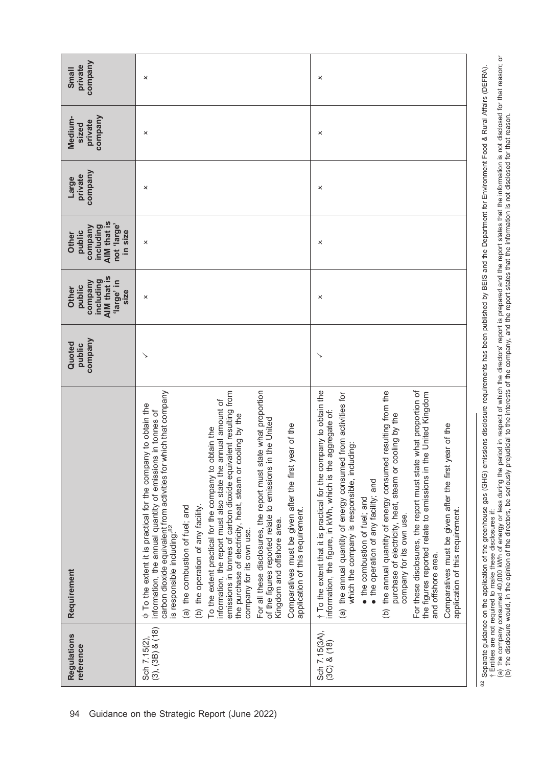<sup>82</sup> Separate guidance on the application of the greenhouse gas (GHG) emissions disclosure requirements has been published by BEIS and the Department for Environment Food & Rural Affairs (DEFRA). <sup>82</sup> Separate guidance on the application of the greenhouse gas (GHG) emissions disclosure requirements has been published by BEIS and the Department for Environment Food & Rural Affairs (DEFRA).<br>† Entities are not require Entities are not required to make these disclosures if:

<sup>(</sup>a) the company consumed 40,000 kWh of energy or less during the period in respect of which the directors' report is prepared and the report states that the information is not disclosed for that reason; or (b) the disclosure would, in the opinion of the directors, be seriously prejudicial to the interests of the company, and the report states that the information is not disclosed for that reason.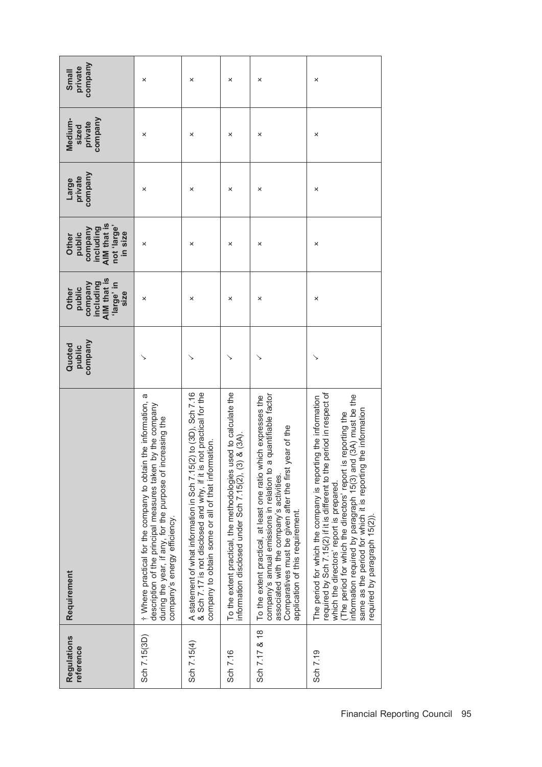| <b>Regulations</b><br>reference | Requirement                                                                                                                                                                                                                                                                                                                                                                                                              | company<br>Quoted<br>public | AIM that is<br>including<br>company<br>ul, abuel,<br>public<br>Other<br>size | AIM that is<br>not 'large'<br>company<br>including<br>public<br>in size<br>Other | company<br>private<br>Large | company<br>Medium-<br>private<br>sized | company<br>private<br><b>Small</b> |
|---------------------------------|--------------------------------------------------------------------------------------------------------------------------------------------------------------------------------------------------------------------------------------------------------------------------------------------------------------------------------------------------------------------------------------------------------------------------|-----------------------------|------------------------------------------------------------------------------|----------------------------------------------------------------------------------|-----------------------------|----------------------------------------|------------------------------------|
| Sch 7.15(3D)                    | t Where practical for the company to obtain the information, a<br>by the company<br>during the year, if any, for the purpose of increasing the<br>description of the principal measures taken<br>company's energy efficiency.                                                                                                                                                                                            |                             | ×                                                                            | ×                                                                                | ×                           | ×                                      | ×                                  |
| Sch 7.15(4)                     | A statement of what information in Sch 7.15(2) to (3D), Sch 7.16<br>& Sch 7.17 is not disclosed and why, if it is not practical for the<br>company to obtain some or all of that information.                                                                                                                                                                                                                            |                             | ×                                                                            | ×                                                                                | ×                           | ×                                      | ×                                  |
| Sch 7.16                        | used to calculate the<br>information disclosed under Sch 7.15(2), (3) & (3A).<br>To the extent practical, the methodologies                                                                                                                                                                                                                                                                                              |                             | ×                                                                            | ×                                                                                | ×                           | ×                                      | ×                                  |
| Sch 7.17 & 18                   | a quantifiable factor<br>To the extent practical, at least one ratio which expresses the<br>year of the<br>Comparatives must be given after the first<br>company's annual emissions in relation to<br>associated with the company's activities.<br>application of this requirement.                                                                                                                                      |                             | ×                                                                            | ×                                                                                | ×                           | ×                                      | ×                                  |
| Sch 7.19                        | required by Sch 7.15(2) if it is different to the period in respect of<br>information required by paragraph 15(3) and (3A) must be the<br>same as the period for which it is reporting the information<br>The period for which the company is reporting the information<br>is reporting the<br>(The period for which the directors' report i<br>which the directors' report is prepared.<br>required by paragraph 15(2). |                             | ×                                                                            | ×                                                                                | ×                           | ×                                      | ×                                  |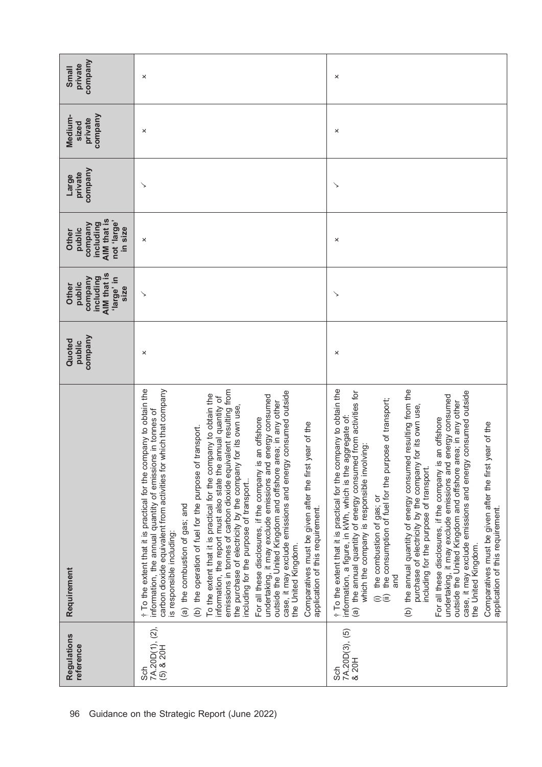| company<br>private<br>Small                                                      | ×                                                                                                                                                                                                                                                                                                                                                                                                                                                                                                                                                                                                                                                                                                                                                                                                                                                                                                                                                                                                                                      | ×                                                                                                                                                                                                                                                                                                                                                                                                                                                                                                                                                                                                                                                                                                                                                                                                                                                                                                                   |
|----------------------------------------------------------------------------------|----------------------------------------------------------------------------------------------------------------------------------------------------------------------------------------------------------------------------------------------------------------------------------------------------------------------------------------------------------------------------------------------------------------------------------------------------------------------------------------------------------------------------------------------------------------------------------------------------------------------------------------------------------------------------------------------------------------------------------------------------------------------------------------------------------------------------------------------------------------------------------------------------------------------------------------------------------------------------------------------------------------------------------------|---------------------------------------------------------------------------------------------------------------------------------------------------------------------------------------------------------------------------------------------------------------------------------------------------------------------------------------------------------------------------------------------------------------------------------------------------------------------------------------------------------------------------------------------------------------------------------------------------------------------------------------------------------------------------------------------------------------------------------------------------------------------------------------------------------------------------------------------------------------------------------------------------------------------|
| company<br>Medium-<br>private<br>sized                                           | ×                                                                                                                                                                                                                                                                                                                                                                                                                                                                                                                                                                                                                                                                                                                                                                                                                                                                                                                                                                                                                                      | ×                                                                                                                                                                                                                                                                                                                                                                                                                                                                                                                                                                                                                                                                                                                                                                                                                                                                                                                   |
| company<br>private<br>Large                                                      | ↘                                                                                                                                                                                                                                                                                                                                                                                                                                                                                                                                                                                                                                                                                                                                                                                                                                                                                                                                                                                                                                      | ↘                                                                                                                                                                                                                                                                                                                                                                                                                                                                                                                                                                                                                                                                                                                                                                                                                                                                                                                   |
| AIM that is<br>not 'large'<br>company<br>including<br>in size<br>public<br>Other | ×                                                                                                                                                                                                                                                                                                                                                                                                                                                                                                                                                                                                                                                                                                                                                                                                                                                                                                                                                                                                                                      | ×                                                                                                                                                                                                                                                                                                                                                                                                                                                                                                                                                                                                                                                                                                                                                                                                                                                                                                                   |
| AIM that is<br>including<br>company<br>'large' in<br>public<br>Other<br>size     | $\searrow$                                                                                                                                                                                                                                                                                                                                                                                                                                                                                                                                                                                                                                                                                                                                                                                                                                                                                                                                                                                                                             | ↘                                                                                                                                                                                                                                                                                                                                                                                                                                                                                                                                                                                                                                                                                                                                                                                                                                                                                                                   |
| company<br>Quoted<br>public                                                      | ×                                                                                                                                                                                                                                                                                                                                                                                                                                                                                                                                                                                                                                                                                                                                                                                                                                                                                                                                                                                                                                      | ×                                                                                                                                                                                                                                                                                                                                                                                                                                                                                                                                                                                                                                                                                                                                                                                                                                                                                                                   |
| Requirement                                                                      | t To the extent that it is practical for the company to obtain the<br>emissions in tonnes of carbon dioxide equivalent resulting from<br>carbon dioxide equivalent from activities for which that company<br>case, it may exclude emissions and energy consumed outside<br>To the extent that it is practical for the company to obtain the<br>energy consumed<br>information, the report must also state the annual quantity of<br>outside the United Kingdom and offshore area; in any other<br>for its own use,<br>information, the annual quantity of emissions in tonnes of<br>For all these disclosures, if the company is an offshore<br>year of the<br>transport.<br>(b) the operation of fuel for the purpose of<br>the purchase of electricity by the company<br>undertaking, it may exclude emissions and<br>Comparatives must be given after the first<br>including for the purpose of transport<br>(a) the combustion of gas; and<br>application of this requirement.<br>is responsible including:<br>the United Kingdom. | t To the extent that it is practical for the company to obtain the<br>(b) the annual quantity of energy consumed resulting from the<br>case, it may exclude emissions and energy consumed outside<br>(a) the annual quantity of energy consumed from activities for<br>energy consumed<br>(i) the combustion of gas; or<br>(ii) the consumption of fuel for the purpose of transport;<br>outside the United Kingdom and offshore area; in any other<br>for its own use,<br>aggregate of:<br>For all these disclosures, if the company is an offshore<br>year of the<br>which the company is responsible involving:<br>purchase of electricity by the company<br>undertaking, it may exclude emissions and<br>Comparatives must be given after the first<br>information, a figure, in kWh, which is the<br>including for the purpose of transport.<br>application of this requirement.<br>the United Kingdom.<br>and |
| Regulations<br>reference                                                         | 7A.20D(1), (2),<br>$(5)$ & 20H<br>င်္ဘ                                                                                                                                                                                                                                                                                                                                                                                                                                                                                                                                                                                                                                                                                                                                                                                                                                                                                                                                                                                                 | Sch<br>7A.20D(3), (5)<br>& 20H                                                                                                                                                                                                                                                                                                                                                                                                                                                                                                                                                                                                                                                                                                                                                                                                                                                                                      |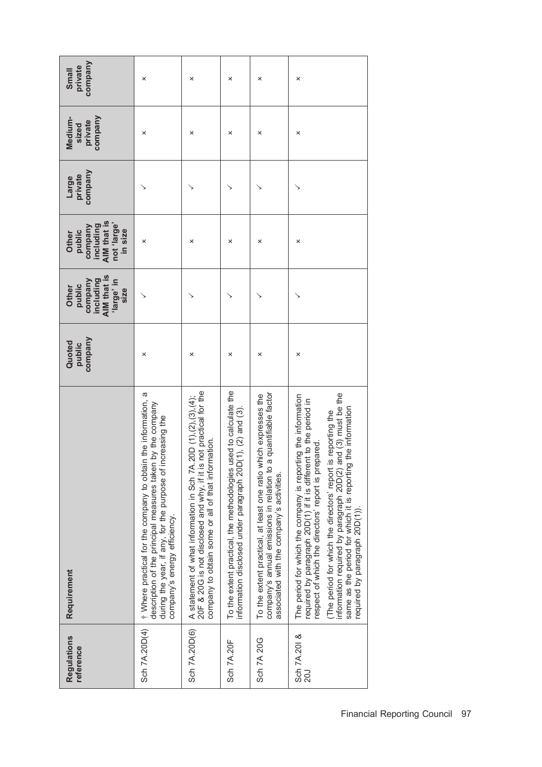| company<br>private<br>Small                                                      | ×                                                                                                                                                                                                                          | ×                                                                                                                                                                                                       | ×                                                                                                                                 | ×                                                                                                                                                                                  | ×                                                                                                                                                                                                                                                                                                                                                                                                                            |
|----------------------------------------------------------------------------------|----------------------------------------------------------------------------------------------------------------------------------------------------------------------------------------------------------------------------|---------------------------------------------------------------------------------------------------------------------------------------------------------------------------------------------------------|-----------------------------------------------------------------------------------------------------------------------------------|------------------------------------------------------------------------------------------------------------------------------------------------------------------------------------|------------------------------------------------------------------------------------------------------------------------------------------------------------------------------------------------------------------------------------------------------------------------------------------------------------------------------------------------------------------------------------------------------------------------------|
| company<br>Medium-<br>private<br>sized                                           | ×                                                                                                                                                                                                                          | ×                                                                                                                                                                                                       | ×                                                                                                                                 | ×                                                                                                                                                                                  | ×                                                                                                                                                                                                                                                                                                                                                                                                                            |
| company<br>private<br>Large                                                      |                                                                                                                                                                                                                            |                                                                                                                                                                                                         |                                                                                                                                   |                                                                                                                                                                                    |                                                                                                                                                                                                                                                                                                                                                                                                                              |
| AIM that is<br>hot 'large'<br>including<br>company<br>in size<br>public<br>Other | ×                                                                                                                                                                                                                          | ×                                                                                                                                                                                                       | ×                                                                                                                                 | ×                                                                                                                                                                                  | ×                                                                                                                                                                                                                                                                                                                                                                                                                            |
| AIM that is<br>including<br>company<br>ul eguel,<br>public<br>Other<br>size      |                                                                                                                                                                                                                            |                                                                                                                                                                                                         |                                                                                                                                   |                                                                                                                                                                                    |                                                                                                                                                                                                                                                                                                                                                                                                                              |
| company<br>Quoted<br>public                                                      | ×                                                                                                                                                                                                                          | ×                                                                                                                                                                                                       | ×                                                                                                                                 | ×                                                                                                                                                                                  | ×                                                                                                                                                                                                                                                                                                                                                                                                                            |
| Requirement                                                                      | † Where practical for the company to obtain the information, a<br>description of the principal measures taken by the company<br>during the year, if any, for the purpose of increasing the<br>company's energy efficiency. | not practical for the<br>.20D $(1), (2), (3), (4)$ ;<br>company to obtain some or all of that information.<br>A statement of what information in Sch 7A<br>20F & 20G is not disclosed and why, if it is | used to calculate the<br>information disclosed under paragraph 20D(1), (2) and (3).<br>To the extent practical, the methodologies | a quantifiable factor<br>To the extent practical, at least one ratio which expresses the<br>company's annual emissions in relation to<br>associated with the company's activities. | information required by paragraph 20D(2) and (3) must be the<br>The period for which the company is reporting the information<br>required by paragraph 20D(1) if it is different to the period in<br>same as the period for which it is reporting the information<br>is reporting the<br>respect of which the directors' report is prepared.<br>(The period for which the directors' report<br>required by paragraph 20D(1). |
| Regulations<br>reference                                                         | Sch 7A.20D(4)                                                                                                                                                                                                              | Sch 7A.20D(6)                                                                                                                                                                                           | Sch 7A.20F                                                                                                                        | Sch 7A 20G                                                                                                                                                                         | Sch 7A.201 &<br><b>20J</b>                                                                                                                                                                                                                                                                                                                                                                                                   |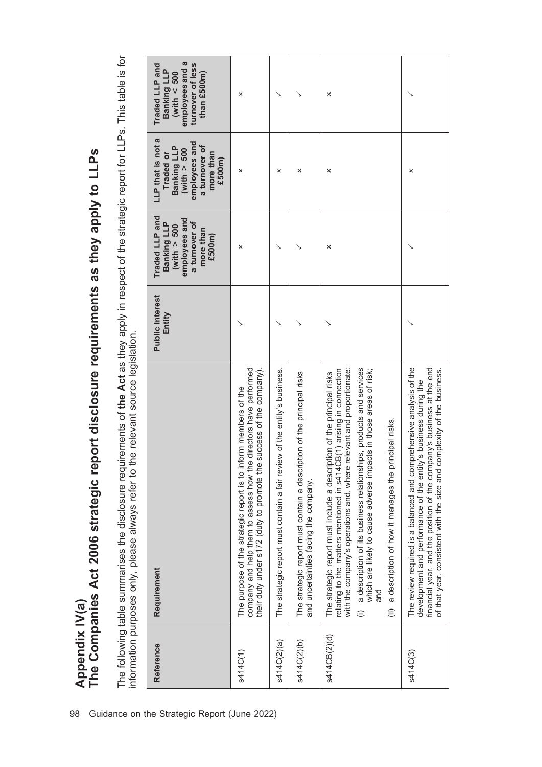The following table summarises the disclosure requirements of the Act as they apply in respect of the strategic report for LLPs. This table is for<br>information purposes only, please always refer to the relevant source legis The following table summarises the disclosure requirements of the Act as they apply in respect of the strategic report for LLPs. This table is for information purposes only, please always refer to the relevant source legislation.

The Companies Act 2006 strategic report disclosure requirements as they apply to LLPs

Appendix IV(a)<br>The Companies Act 2006 strategic report disclosure requirements as they apply to LLPs

Appendix IV(a)

| Reference    | Requirement                                                                                                                                                                                                                                                                                                                                                                                                                                                                 | <b>Public Interest</b><br>Entity | Traded LLP and<br>employees and<br>Banking LLP<br>a turnover of<br>(with > 500<br>more than<br>£500m) | LLP that is not a<br>employees and<br>a turnover of<br>Banking LLP<br>(with > 500<br>Traded or<br>more than<br>£500m) | employees and a<br>Traded LLP and<br>turnover of less<br>Banking LLP<br>than £500m)<br>(with $< 500$ |
|--------------|-----------------------------------------------------------------------------------------------------------------------------------------------------------------------------------------------------------------------------------------------------------------------------------------------------------------------------------------------------------------------------------------------------------------------------------------------------------------------------|----------------------------------|-------------------------------------------------------------------------------------------------------|-----------------------------------------------------------------------------------------------------------------------|------------------------------------------------------------------------------------------------------|
| s414C(1)     | directors have performed<br>success of the company)<br>The purpose of the strategic report is to inform members of the<br>company and help them to assess how the<br>their duty under s172 (duty to promote the                                                                                                                                                                                                                                                             |                                  | ×                                                                                                     | ×                                                                                                                     | ×                                                                                                    |
| s414C(2)(a)  | The strategic report must contain a fair review of the entity's business.                                                                                                                                                                                                                                                                                                                                                                                                   |                                  |                                                                                                       | ×                                                                                                                     |                                                                                                      |
| s414C(2)(b)  | The strategic report must contain a description of the principal risks<br>and uncertainties facing the company.                                                                                                                                                                                                                                                                                                                                                             |                                  |                                                                                                       | ×                                                                                                                     |                                                                                                      |
| s414CB(2)(d) | a description of its business relationships, products and services<br>relating to the matters mentioned in s414CB(1) arising in connection<br>elevant and proportionate:<br>which are likely to cause adverse impacts in those areas of risk;<br>The strategic report must include a description of the principal risks<br>a description of how it manages the principal risks.<br>with the company's operations and, where r<br>and<br>$\widehat{\equiv}$<br>$\widehat{=}$ |                                  | ×                                                                                                     | ×                                                                                                                     | ×                                                                                                    |
| s414C(3)     | The review required is a balanced and comprehensive analysis of the<br>financial year, and the position of the company's business at the end<br>of that year, consistent with the size and complexity of the business.<br>'s business during the<br>development and performance of the entity                                                                                                                                                                               |                                  |                                                                                                       | ×                                                                                                                     |                                                                                                      |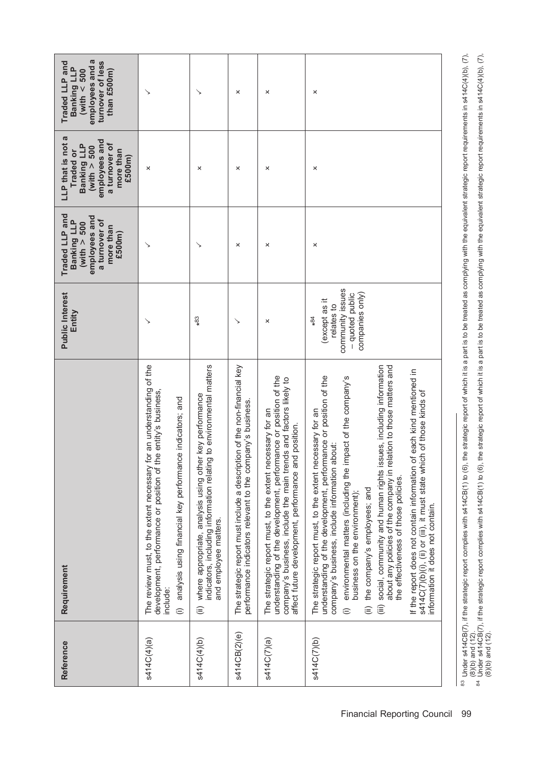| Reference    | Requirement                                                                                                                                                                                                                                                                                                                                                                                                                                                                                                                                                                                                                                                                                                                                     | <b>Public Interest</b><br>Entity                                                              | Traded LLP and<br>employees and<br>Banking LLP<br>a turnover of<br>(with $> 500$<br>more than<br>£500m) | LLP that is not a<br>employees and<br>a turnover of<br>Banking LLP<br>(with $> 500$<br>more than<br>Traded or<br>£500m) | employees and a<br>turnover of less<br>Traded LLP and<br><b>Banking LLP</b><br>than £500m)<br>(with $< 500$ |
|--------------|-------------------------------------------------------------------------------------------------------------------------------------------------------------------------------------------------------------------------------------------------------------------------------------------------------------------------------------------------------------------------------------------------------------------------------------------------------------------------------------------------------------------------------------------------------------------------------------------------------------------------------------------------------------------------------------------------------------------------------------------------|-----------------------------------------------------------------------------------------------|---------------------------------------------------------------------------------------------------------|-------------------------------------------------------------------------------------------------------------------------|-------------------------------------------------------------------------------------------------------------|
| s414C(4)(a)  | The review must, to the extent necessary for an understanding of the<br>e entity's business,<br>analysis using financial key performance indicators; and<br>development, performance or position of th<br>include:<br>$\oplus$                                                                                                                                                                                                                                                                                                                                                                                                                                                                                                                  |                                                                                               | ↘                                                                                                       | ×                                                                                                                       | ↘                                                                                                           |
| s414C(4)(b)  | indicators, including information relating to environmental matters<br>where appropriate, analysis using other key performance<br>and employee matters.<br>$\widehat{\equiv}$                                                                                                                                                                                                                                                                                                                                                                                                                                                                                                                                                                   | $*83$                                                                                         | ↘                                                                                                       | ×                                                                                                                       | ↘                                                                                                           |
| s414CB(2)(e) | The strategic report must include a description of the non-financial key<br>performance indicators relevant to the company's business.                                                                                                                                                                                                                                                                                                                                                                                                                                                                                                                                                                                                          |                                                                                               | ×                                                                                                       | ×                                                                                                                       | ×                                                                                                           |
| s414C(7)(a)  | understanding of the development, performance or position of the<br>company's business, include the main trends and factors likely to<br>The strategic report must, to the extent necessary for an<br>affect future development, performance and position.                                                                                                                                                                                                                                                                                                                                                                                                                                                                                      | ×                                                                                             | ×                                                                                                       | ×                                                                                                                       | ×                                                                                                           |
| s414C(7)(b)  | social, community and human rights issues, including information<br>about any policies of the company in relation to those matters and<br>If the report does not contain information of each kind mentioned in<br>understanding of the development, performance or position of the<br>environmental matters (including the impact of the company's<br>s414C(7)(b)(i), (ii) or (iii), it must state which of those kinds of<br>The strategic report must, to the extent necessary for an<br>company's business, include information about:<br>the effectiveness of those policies.<br>the company's employees; and<br>business on the environment);<br>information it does not contain.<br>$\widehat{(\mathbb{H})}$<br>$\widehat{=}$<br>$\oplus$ | community issues<br>companies only)<br>- quoted public<br>except as it<br>relates to<br>$*84$ | ×                                                                                                       | ×                                                                                                                       | ×                                                                                                           |

<sup>&</sup>lt;sup>83</sup> Under s414CB(7), if the strategic report complies with s414CB(1) to (6), the strategic report of which it is a part is to be treated as complying with the equivalent strategic report requirements in s414C(4)(b), (7), <sup>83</sup> Under s414CB(7), if the strategic report complies with s414CB(1) to (6), the strategic report of which it is a part is to be treated as complying with the equivalent strategic report requirements in s414C(4)(b), (7), <sup>84</sup> Under s414CB(7), if the strategic report complies with s414CB(1) to (6), the strategic report of which it is a part is to be treated as complying with the equivalent strategic report requirements in s414C(4)(b), (7), (8)(b) and (12). (8)(b) and (12).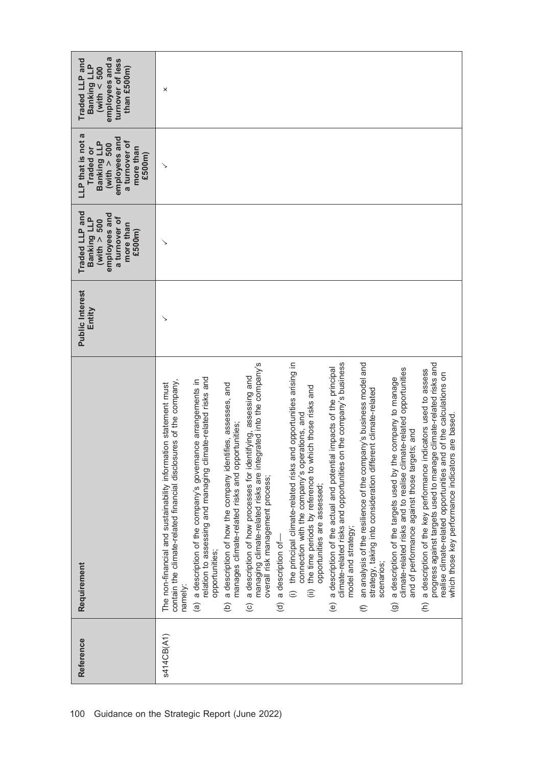| Reference  | Requirement                                                                                                                                                                                                                                                                                                                                                                                                                                                                                                                                                                                                                                                                                                                                                                                                                                                                                                                                                                                                                                                                                                                                                                                                                                                                                                                                                                                                                                                                                                                                                                                                                                                                                                                                                                             | <b>Public Interest</b><br>Entity | Traded LLP and<br>employees and<br>a turnover of<br>Banking LLP<br>(with $> 500$<br>more than<br>£500m) | LLP that is not a<br>employees and<br>a turnover of<br>Banking LLP<br>(with $> 500$<br>more than<br>Traded or<br>£500m) | employees and a<br>turnover of less<br>Traded LLP and<br>Banking LLP<br>than £500m)<br>(with $<$ 500 |
|------------|-----------------------------------------------------------------------------------------------------------------------------------------------------------------------------------------------------------------------------------------------------------------------------------------------------------------------------------------------------------------------------------------------------------------------------------------------------------------------------------------------------------------------------------------------------------------------------------------------------------------------------------------------------------------------------------------------------------------------------------------------------------------------------------------------------------------------------------------------------------------------------------------------------------------------------------------------------------------------------------------------------------------------------------------------------------------------------------------------------------------------------------------------------------------------------------------------------------------------------------------------------------------------------------------------------------------------------------------------------------------------------------------------------------------------------------------------------------------------------------------------------------------------------------------------------------------------------------------------------------------------------------------------------------------------------------------------------------------------------------------------------------------------------------------|----------------------------------|---------------------------------------------------------------------------------------------------------|-------------------------------------------------------------------------------------------------------------------------|------------------------------------------------------------------------------------------------------|
| s414CB(A1) | managing climate-related risks are integrated into the company's<br>and opportunities arising in<br>climate-related risks and opportunities on the company's business<br>progress against targets used to manage climate-related risks and<br>an analysis of the resilience of the company's business model and<br>a description of the actual and potential impacts of the principal<br>climate-related risks and to realise climate-related opportunities<br>indicators used to assess<br>realise climate-related opportunities and of the calculations on<br>a description of how processes for identifying, assessing and<br>relation to assessing and managing climate-related risks and<br>a description of the targets used by the company to manage<br>a description of the company's governance arrangements in<br>sures of the company<br>The non-financial and sustainability information statement must<br>a description of how the company identifies, assesses, and<br>the time periods by reference to which those risks and<br>strategy, taking into consideration different climate-related<br>connection with the company's operations, and<br>which those key performance indicators are based.<br>manages climate-related risks and opportunities;<br>and of performance against those targets; and<br>contain the climate-related financial disclo<br>(i) the principal climate-related risks<br>a description of the key performance<br>overall risk management process;<br>opportunities are assessed;<br>model and strategy;<br>a description of-<br>opportunities;<br>scenarios;<br>namely:<br>$\widehat{\equiv}$<br>$\widehat{\epsilon}$<br>$\widehat{a}$<br>$\widehat{e}$<br>$\odot$<br>$\widehat{\sigma}$<br>$\circlede$<br>$\odot$<br>$\widehat{\epsilon}$ |                                  | ↘                                                                                                       | ↘                                                                                                                       | ×                                                                                                    |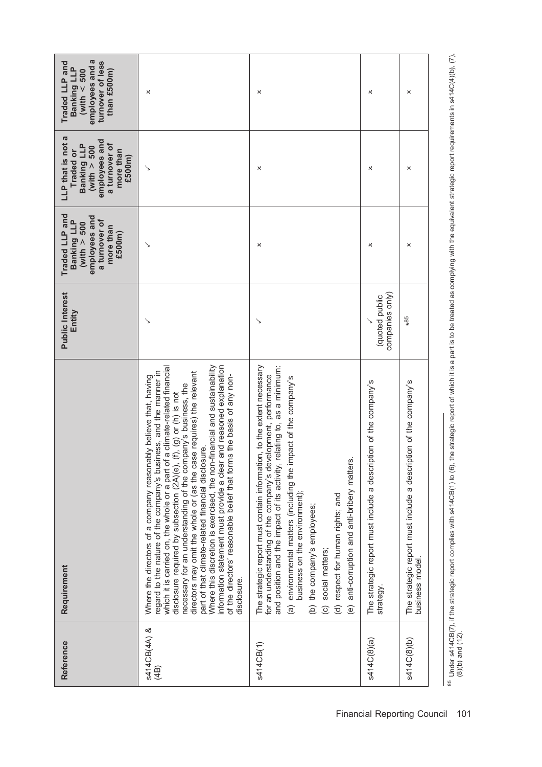| Reference            | Requirement                                                                                                                                                                                                                                                                                                                                                                                                                                                                                                                                                                                                                                                                                                                              | <b>Public Interest</b><br>Entity  | Traded LLP and<br>employees and<br>Banking LLP<br>a turnover of<br>(with $> 500$<br>more than<br>£500m) | LLP that is not a<br>employees and<br>a turnover of<br>Banking LLP<br>(with $> 500$<br>more than<br>Traded or<br>£500m) | employees and a<br>turnover of less<br>Traded LLP and<br><b>Banking LLP</b><br>than £500m)<br>(with $< 500$ |
|----------------------|------------------------------------------------------------------------------------------------------------------------------------------------------------------------------------------------------------------------------------------------------------------------------------------------------------------------------------------------------------------------------------------------------------------------------------------------------------------------------------------------------------------------------------------------------------------------------------------------------------------------------------------------------------------------------------------------------------------------------------------|-----------------------------------|---------------------------------------------------------------------------------------------------------|-------------------------------------------------------------------------------------------------------------------------|-------------------------------------------------------------------------------------------------------------|
| s414CB(4A) &<br>(4B) | a climate-related financial<br>Where this discretion is exercised, the non-financial and sustainability<br>information statement must provide a clear and reasoned explanation<br>regard to the nature of the company's business, and the manner in<br>directors may omit the whole or (as the case requires) the relevant<br>is the basis of any non-<br>Where the directors of a company reasonably believe that, having<br>necessary for an understanding of the company's business, the<br>disclosure required by subsection (2A)(e), (f), (g) or (h) is not<br>part of that climate-related financial disclosure.<br>which it is carried on, the whole or a part of<br>of the directors' reasonable belief that form<br>disclosure. |                                   |                                                                                                         |                                                                                                                         | ×                                                                                                           |
| s414CB(1)            | The strategic report must contain information, to the extent necessary<br>relating to, as a minimum:<br>for an understanding of the company's development, performance<br>(a) environmental matters (including the impact of the company's<br>and position and the impact of its activity, r<br>anti-corruption and anti-bribery matters<br>business on the environment);<br>(d) respect for human rights; and<br>(b) the company's employees;<br>(c) social matters;<br>$\circlede$                                                                                                                                                                                                                                                     | ↘                                 | ×                                                                                                       | ×                                                                                                                       | ×                                                                                                           |
| s414C(8)(a)          | The strategic report must include a description of the company's<br>strategy.                                                                                                                                                                                                                                                                                                                                                                                                                                                                                                                                                                                                                                                            | companies only)<br>(quoted public | ×                                                                                                       | ×                                                                                                                       | ×                                                                                                           |
| s414C(8)(b)          | The strategic report must include a description of the company's<br>business model.                                                                                                                                                                                                                                                                                                                                                                                                                                                                                                                                                                                                                                                      | $*85$                             | ×                                                                                                       | ×                                                                                                                       | ×                                                                                                           |
|                      |                                                                                                                                                                                                                                                                                                                                                                                                                                                                                                                                                                                                                                                                                                                                          |                                   |                                                                                                         |                                                                                                                         |                                                                                                             |

<sup>&</sup>lt;sup>85</sup> Under s414CB(7), if the strategic report complies with s414CB(1) to (6), the strategic report of which it is a part is to be treated as complying with the equivalent strategic report requirements in s414C(4)(b), (7),<br> <sup>85</sup> Under s414CB(7), if the strategic report complies with s414CB(1) to (6), the strategic report of which it is a part is to be treated as complying with the equivalent strategic report requirements in s414C(4)(b), (7), (8)(b) and (12).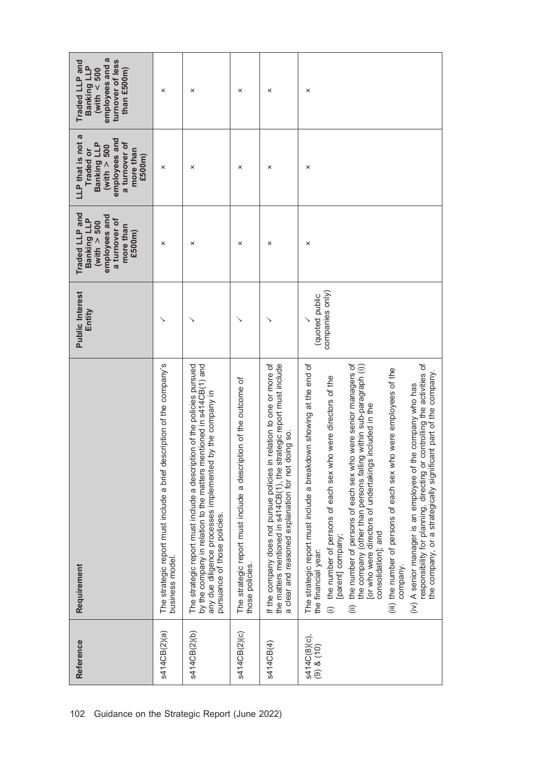| employees and a<br>turnover of less<br>Traded LLP and<br>Banking LLP<br>(with $< 500$<br>than £500m)                    | ×                                                                                        | ×                                                                                                                                                                                                                                               | ×                                                                                    | ×                                                                                                                                                                                                    | ×                                                                                                                                                                                                                                                                                                                                                                                                                                                                                                                                                                                                                                                                                                                                    |
|-------------------------------------------------------------------------------------------------------------------------|------------------------------------------------------------------------------------------|-------------------------------------------------------------------------------------------------------------------------------------------------------------------------------------------------------------------------------------------------|--------------------------------------------------------------------------------------|------------------------------------------------------------------------------------------------------------------------------------------------------------------------------------------------------|--------------------------------------------------------------------------------------------------------------------------------------------------------------------------------------------------------------------------------------------------------------------------------------------------------------------------------------------------------------------------------------------------------------------------------------------------------------------------------------------------------------------------------------------------------------------------------------------------------------------------------------------------------------------------------------------------------------------------------------|
| LLP that is not a<br>employees and<br>a turnover of<br>Banking LLP<br>(with $> 500$<br>more than<br>Traded or<br>£500m) | ×                                                                                        | ×                                                                                                                                                                                                                                               | ×                                                                                    | ×                                                                                                                                                                                                    | ×                                                                                                                                                                                                                                                                                                                                                                                                                                                                                                                                                                                                                                                                                                                                    |
| Traded LLP and<br>employees and<br>a turnover of<br>Banking LLP<br>(with $> 500$<br>more than<br>£500m)                 | ×                                                                                        | ×                                                                                                                                                                                                                                               | ×                                                                                    | ×                                                                                                                                                                                                    | ×                                                                                                                                                                                                                                                                                                                                                                                                                                                                                                                                                                                                                                                                                                                                    |
| <b>Public Interest</b><br>Entity                                                                                        |                                                                                          |                                                                                                                                                                                                                                                 |                                                                                      |                                                                                                                                                                                                      | companies only)<br>(quoted public                                                                                                                                                                                                                                                                                                                                                                                                                                                                                                                                                                                                                                                                                                    |
| Requirement                                                                                                             | The strategic report must include a brief description of the company's<br>business model | The strategic report must include a description of the policies pursued<br>by the company in relation to the matters mentioned in s414CB(1) and<br>by the company in<br>any due diligence processes implemented<br>pursuance of those policies. | The strategic report must include a description of the outcome of<br>those policies. | If the company does not pursue policies in relation to one or more of<br>the matters mentioned in s414CB(1), the strategic report must include<br>a clear and reasoned explanation for not doing so. | The strategic report must include a breakdown showing at the end of<br>the number of persons of each sex who were senior managers of<br>controlling the activities of<br>g within sub-paragraph (i))<br>(iii) the number of persons of each sex who were employees of the<br>the company, or a strategically significant part of the company.<br>(i) the number of persons of each sex who were directors of the<br>(iv) A senior manager is an employee of the company who has<br>or who were directors of undertakings included in the<br>the company (other than persons fallin<br>responsibility for planning, directing or<br>consolidation]; and<br>[parent] company;<br>the financial year:<br>company.<br>$\widehat{\equiv}$ |
| Reference                                                                                                               | s414CB(2)(a)                                                                             | s414CB(2)(b)                                                                                                                                                                                                                                    | s414CB(2)(c)                                                                         | s414CB(4)                                                                                                                                                                                            | s414C(8)(c),<br>(9) & (10)                                                                                                                                                                                                                                                                                                                                                                                                                                                                                                                                                                                                                                                                                                           |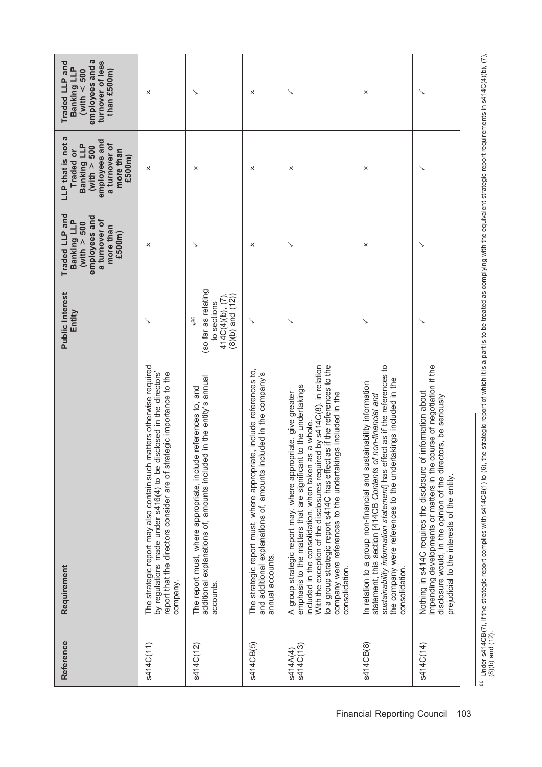| Reference             | Requirement                                                                                                                                                                                                                                                                                                                                                                                                                           | <b>Public Interest</b><br>Entity                                                         | Traded LLP and<br>employees and<br>Banking LLP<br>a turnover of<br>(with $> 500$<br>more than<br>£500m) | LLP that is not a<br>employees and<br>a turnover of<br>Banking LLP<br>(with $> 500$<br>more than<br>Traded or<br>£500m) | employees and a<br>turnover of less<br>Traded LLP and<br>Banking LLP<br>(with $< 500$<br>than £500m) |
|-----------------------|---------------------------------------------------------------------------------------------------------------------------------------------------------------------------------------------------------------------------------------------------------------------------------------------------------------------------------------------------------------------------------------------------------------------------------------|------------------------------------------------------------------------------------------|---------------------------------------------------------------------------------------------------------|-------------------------------------------------------------------------------------------------------------------------|------------------------------------------------------------------------------------------------------|
| s414C(11)             | matters otherwise required<br>by regulations made under s416(4) to be disclosed in the directors'<br>report that the directors consider are of strategic importance to the<br>The strategic report may also contain such<br>company.                                                                                                                                                                                                  |                                                                                          | ×                                                                                                       | ×                                                                                                                       | ×                                                                                                    |
| s414C(12)             | additional explanations of, amounts included in the entity's annual<br>The report must, where appropriate, include references to, and<br>accounts.                                                                                                                                                                                                                                                                                    | (so far as relating<br>414C(4)(b), (7),<br>$(8)(b)$ and $(12)$ )<br>to sections<br>$*86$ | ↘                                                                                                       | ×                                                                                                                       | ↘                                                                                                    |
| s414CB(5)             | The strategic report must, where appropriate, include references to,<br>and additional explanations of, amounts included in the company's<br>annual accounts.                                                                                                                                                                                                                                                                         | ↘                                                                                        | ×                                                                                                       | ×                                                                                                                       | ×                                                                                                    |
| s414C(13)<br>s414A(4) | With the exception of the disclosures required by s414C(8), in relation<br>as if the references to the<br>emphasis to the matters that are significant to the undertakings<br>A group strategic report may, where appropriate, give greater<br>company were references to the undertakings included in the<br>included in the consolidation, when taken as a whole.<br>to a group strategic report s414C has effect<br>consolidation. |                                                                                          |                                                                                                         | ×                                                                                                                       |                                                                                                      |
| s414CB(8)             | sustainability information statement] has effect as if the references to<br>the company were references to the undertakings included in the<br>In relation to a group non-financial and sustainability information<br>statement, this section [414CB Contents of non-financial and<br>consolidation                                                                                                                                   | ↘                                                                                        | ×                                                                                                       | ×                                                                                                                       | ×                                                                                                    |
| s414C(14)             | course of negotiation if the<br>Nothing in s414C requires the disclosure of information about<br>disclosure would, in the opinion of the directors, be seriously<br>impending developments or matters in the<br>prejudicial to the interests of the entity.                                                                                                                                                                           | ↘                                                                                        | ↘                                                                                                       | ↘                                                                                                                       | ↘                                                                                                    |

<sup>86</sup> Under s414CB(7), if the strategic report complies with s414CB(1) to (6), the strategic report of which it is a part is to be treated as complying with the equivalent strategic report requirements in s414C(4)(b), (7),<br> <sup>86</sup> Under s414CB(7), if the strategic report complies with s414CB(1) to (6), the strategic report of which it is a part is to be treated as complying with the equivalent strategic report requirements in s414C(4)(b), (7), (8)(b) and (12).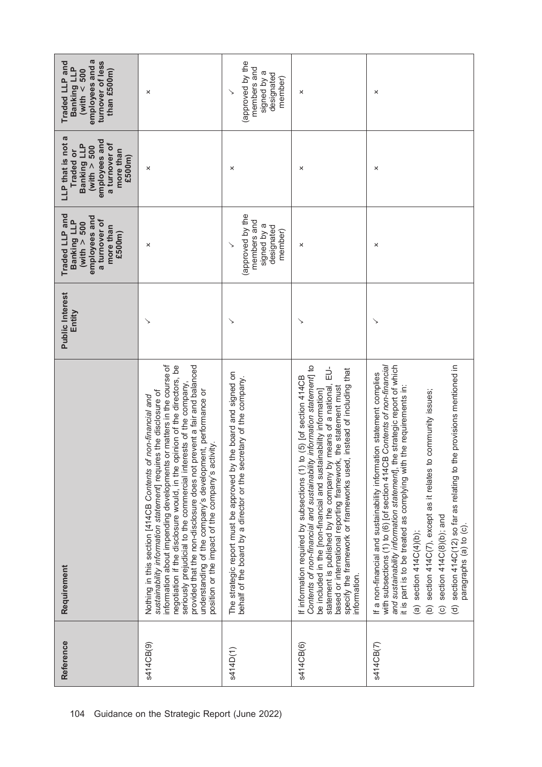| employees and a<br>turnover of less<br>Traded LLP and<br>Banking LLP<br>(with $< 500$<br>than £500m)                    | ×                                                                                                                                                                                                                                                                                                                                                                                                                                                                                                                                                       | (approved by the<br>members and<br>signed by a<br>designated<br>member)                                                                       | ×                                                                                                                                                                                                                                                                                                                                                                                                                                                               | ×                                                                                                                                                                                                                                                                                                                                                                                                                                                                                                                                                                     |
|-------------------------------------------------------------------------------------------------------------------------|---------------------------------------------------------------------------------------------------------------------------------------------------------------------------------------------------------------------------------------------------------------------------------------------------------------------------------------------------------------------------------------------------------------------------------------------------------------------------------------------------------------------------------------------------------|-----------------------------------------------------------------------------------------------------------------------------------------------|-----------------------------------------------------------------------------------------------------------------------------------------------------------------------------------------------------------------------------------------------------------------------------------------------------------------------------------------------------------------------------------------------------------------------------------------------------------------|-----------------------------------------------------------------------------------------------------------------------------------------------------------------------------------------------------------------------------------------------------------------------------------------------------------------------------------------------------------------------------------------------------------------------------------------------------------------------------------------------------------------------------------------------------------------------|
| LLP that is not a<br>employees and<br>a turnover of<br>Banking LLP<br>(with $> 500$<br>more than<br>Traded or<br>£500m) | ×                                                                                                                                                                                                                                                                                                                                                                                                                                                                                                                                                       | ×                                                                                                                                             | ×                                                                                                                                                                                                                                                                                                                                                                                                                                                               | ×                                                                                                                                                                                                                                                                                                                                                                                                                                                                                                                                                                     |
| Traded LLP and<br>employees and<br>Banking LLP<br>a turnover of<br>(with $> 500$<br>more than<br>£500m)                 | ×                                                                                                                                                                                                                                                                                                                                                                                                                                                                                                                                                       | (approved by the<br>members and<br>signed by a<br>designated<br>member)                                                                       | ×                                                                                                                                                                                                                                                                                                                                                                                                                                                               | ×                                                                                                                                                                                                                                                                                                                                                                                                                                                                                                                                                                     |
| <b>Public Interest</b><br>Entity                                                                                        |                                                                                                                                                                                                                                                                                                                                                                                                                                                                                                                                                         | ↘                                                                                                                                             |                                                                                                                                                                                                                                                                                                                                                                                                                                                                 | ↘                                                                                                                                                                                                                                                                                                                                                                                                                                                                                                                                                                     |
| Requirement                                                                                                             | information about impending developments or matters in the course of<br>prevent a fair and balanced<br>negotiation if the disclosure would, in the opinion of the directors, be<br>seriously prejudicial to the commercial interests of the company,<br>understanding of the company's development, performance or<br>sustainability information statement] requires the disclosure of<br>Nothing in this section [414CB Contents of non-financial and<br>position or the impact of the company's activity<br>provided that the non-disclosure does not | the board and signed on<br>cretary of the company.<br>The strategic report must be approved by<br>behalf of the board by a director or the se | Contents of non-financial and sustainability information statement to<br>$\frac{1}{L}$<br>specify the framework or frameworks used, instead of including that<br>to (5) [of section 414CB<br>statement is published by the company by means of a national,<br>based or international reporting framework, the statement must<br>be included in the [non-financial and sustainability information]<br>If information required by subsections (1)<br>information. | with subsections (1) to (6) [of section 414CB Contents of non-financial<br>the provisions mentioned in<br>the strategic report of which<br>If a non-financial and sustainability information statement complies<br>it is part is to be treated as complying with the requirements in:<br>(b) section 414C(7), except as it relates to community issues;<br>and sustainability information statement], t<br>section 414C(12) so far as relating to<br>section 414C(8)(b); and<br>paragraphs (a) to (c).<br>(a) section $414C(4)(b)$ ;<br>$\odot$<br>$\widehat{\sigma}$ |
| Reference                                                                                                               | s414CB(9)                                                                                                                                                                                                                                                                                                                                                                                                                                                                                                                                               | s414D(1)                                                                                                                                      | s414CB(6)                                                                                                                                                                                                                                                                                                                                                                                                                                                       | s414CB(7)                                                                                                                                                                                                                                                                                                                                                                                                                                                                                                                                                             |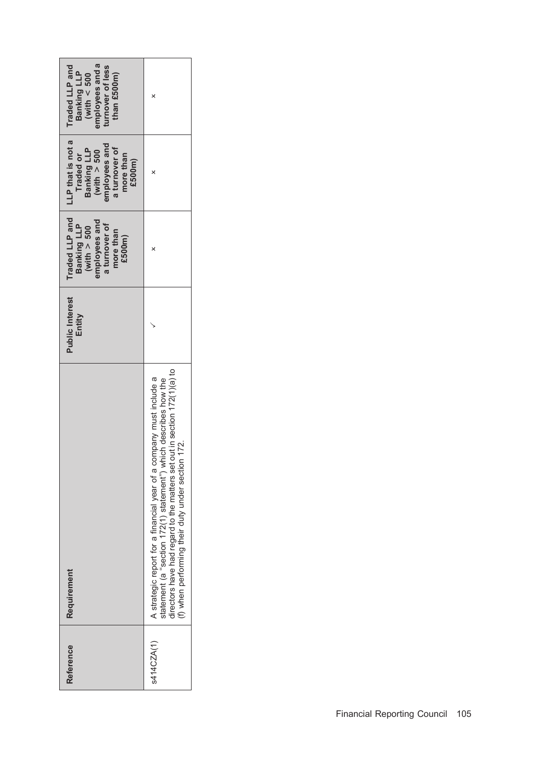| employees and a<br>Traded LLP and<br>turnover of less<br>Banking LLP<br>than $£500m$ )<br>(with $< 500$                 | ×                                                                                                                                                                                                                                                                        |
|-------------------------------------------------------------------------------------------------------------------------|--------------------------------------------------------------------------------------------------------------------------------------------------------------------------------------------------------------------------------------------------------------------------|
| LLP that is not a<br>$(with > 500$<br>employees and<br>a turnover of<br>Banking LLP<br>Traded or<br>more than<br>£500m) |                                                                                                                                                                                                                                                                          |
| Traded LLP and<br>imployees and<br>Banking LLP<br>a turnover of<br>(with $> 500$<br>more than<br>£500m)                 |                                                                                                                                                                                                                                                                          |
| <b>Public Interest</b><br>Entity                                                                                        |                                                                                                                                                                                                                                                                          |
| Requirement                                                                                                             | directors have had regard to the matters set out in section 172(1)(a) to<br>A strategic report for a financial year of a company must include a<br>statement (a "section 172(1) statement") which describes how the<br>(f) when performing their duty under section 172. |
| Reference                                                                                                               | s414CZA(1)                                                                                                                                                                                                                                                               |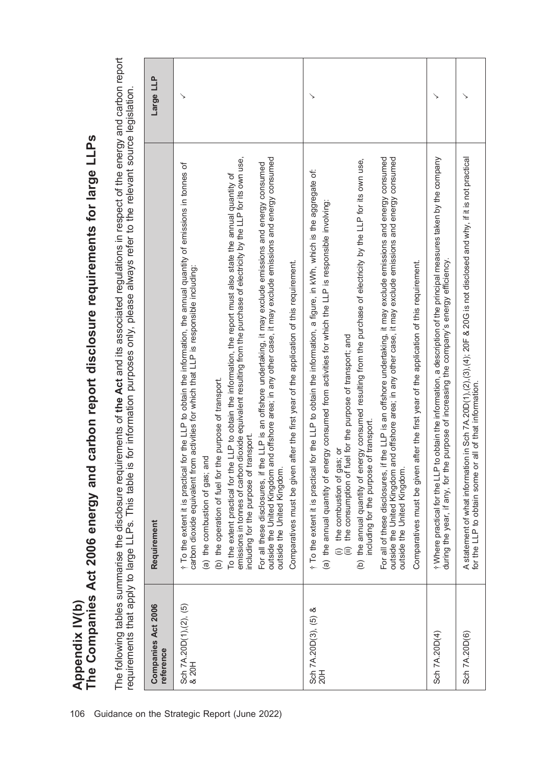Appendix IV(b)<br>The Companies Act 2006 energy and carbon report disclosure requirements for large LLPs The Companies Act 2006 energy and carbon report disclosure requirements for large LLPs Appendix IV(b)

The following tables summarise the disclosure requirements of the Act and its associated regulations in respect of the energy and carbon report The following tables summarise the disclosure requirements of the Act and its associated regulations in respect of the energy and carbon report requirements that apply to large LLPs. This table is for information purposes only, please always refer to the relevant source legislation. requirements that apply to large LLPs. This table is for information purposes only, please always refer to the relevant source legislation.

| Companies Act 2006<br>reference | Requirement                                                                                                                                                                                                                                                                                                                                                                                                                                                                                                                                                                                                                                                                                                                                                                                                                                                                                                                                                                      | Large LLP |
|---------------------------------|----------------------------------------------------------------------------------------------------------------------------------------------------------------------------------------------------------------------------------------------------------------------------------------------------------------------------------------------------------------------------------------------------------------------------------------------------------------------------------------------------------------------------------------------------------------------------------------------------------------------------------------------------------------------------------------------------------------------------------------------------------------------------------------------------------------------------------------------------------------------------------------------------------------------------------------------------------------------------------|-----------|
| Sch 7A.20D(1),(2), (5)<br>& 20H | dioxide equivalent resulting from the purchase of electricity by the LLP for its own use,<br>outside the United Kingdom and offshore area; in any other case, it may exclude emissions and energy consumed<br>For all these disclosures, if the LLP is an offshore undertaking, it may exclude emissions and energy consumed<br>for the LLP to obtain the information, the annual quantity of emissions in tonnes of<br>To the extent practical for the LLP to obtain the information, the report must also state the annual quantity of<br>after the first year of the application of this requirement.<br>carbon dioxide equivalent from activities for which that LLP is responsible including:<br>(b) the operation of fuel for the purpose of transport.<br>ransport.<br>(a) the combustion of gas; and<br>emissions in tonnes of carbon<br>including for the purpose of ti<br>Comparatives must be given<br>† To the extent it is practical<br>outside the United Kingdom. |           |
| Sch 7A.20D(3), (5) &<br>20H     | For all of these disclosures, if the LLP is an offshore undertaking, it may exclude emissions and energy consumed<br>outside the United Kingdom and offshore area; in any other case, it may exclude emissions and energy consumed<br>(b) the annual quantity of energy consumed resulting from the purchase of electricity by the LLP for its own use,<br>t To the extent it is practical for the LLP to obtain the information, a figure, in kWh, which is the aggregate of:<br>(a) the annual quantity of energy consumed from activities for which the LLP is responsible involving:<br>after the first year of the application of this requirement.<br>(ii) the consumption of fuel for the purpose of transport; and<br>including for the purpose of transport.<br>(i) the combustion of gas; or<br>Comparatives must be given<br>outside the United Kingdom.                                                                                                              |           |
| Sch 7A.20D(4)                   | t Where practical for the LLP to obtain the information, a description of the principal measures taken by the company<br>during the year, if any, for the purpose of increasing the company's energy efficiency.                                                                                                                                                                                                                                                                                                                                                                                                                                                                                                                                                                                                                                                                                                                                                                 |           |
| Sch 7A.20D(6)                   | A statement of what information in Sch 7A.20D(1),(2),(3),(4); 20F & 20G is not disclosed and why, if it is not practical<br>for the LLP to obtain some or all of that information.                                                                                                                                                                                                                                                                                                                                                                                                                                                                                                                                                                                                                                                                                                                                                                                               |           |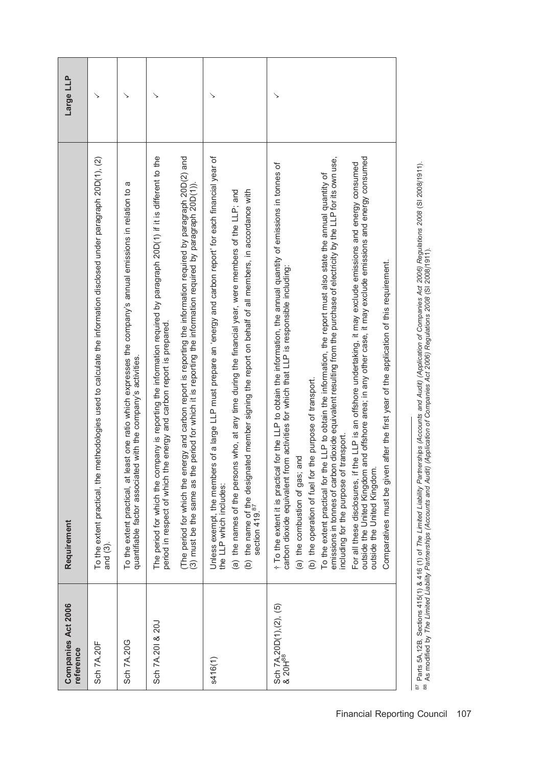| Companies Act 2006<br>reference               | Requirement                                                                                                                                                                                                                                                                                                                                                                                                                                                                                                                                                                                                                                                                                                                                                                                                                                                                                                                                                                | Large LLP |
|-----------------------------------------------|----------------------------------------------------------------------------------------------------------------------------------------------------------------------------------------------------------------------------------------------------------------------------------------------------------------------------------------------------------------------------------------------------------------------------------------------------------------------------------------------------------------------------------------------------------------------------------------------------------------------------------------------------------------------------------------------------------------------------------------------------------------------------------------------------------------------------------------------------------------------------------------------------------------------------------------------------------------------------|-----------|
| <b>Sch 7A.20F</b>                             | To the extent practical, the methodologies used to calculate the information disclosed under paragraph 20D(1), (2)<br>and (3).                                                                                                                                                                                                                                                                                                                                                                                                                                                                                                                                                                                                                                                                                                                                                                                                                                             |           |
| Sch 7A.20G                                    | σ<br>To the extent practical, at least one ratio which expresses the company's annual emissions in relation to<br>quantifiable factor associated with the company's activities.                                                                                                                                                                                                                                                                                                                                                                                                                                                                                                                                                                                                                                                                                                                                                                                            |           |
| Sch 7A.201 & 20J                              | The period for which the company is reporting the information required by paragraph 20D(1) if it is different to the<br>period in respect of which the energy and carbon report is prepared.                                                                                                                                                                                                                                                                                                                                                                                                                                                                                                                                                                                                                                                                                                                                                                               |           |
|                                               | (The period for which the energy and carbon report is reporting the information required by paragraph 20D(2) and<br>period for which it is reporting the information required by paragraph 20D(1))<br>(3) must be the same as the                                                                                                                                                                                                                                                                                                                                                                                                                                                                                                                                                                                                                                                                                                                                          |           |
| s416(1)                                       | Unless exempt, the members of a large LLP must prepare an 'energy and carbon report' for each financial year of<br>(b) the name of the designated member signing the report on behalf of all members, in accordance with<br>section 419. <sup>87</sup><br>(a) the names of the persons who, at any time during the financial year, were members of the LLP; and<br>the LLP which includes:                                                                                                                                                                                                                                                                                                                                                                                                                                                                                                                                                                                 |           |
| Sch 7A.20D(1),(2), (5)<br>& 20H <sup>88</sup> | emissions in tonnes of carbon dioxide equivalent resulting from the purchase of electricity by the LLP for its own use,<br>outside the United Kingdom and offshore area; in any other case, it may exclude emissions and energy consumed<br>For all these disclosures, if the LLP is an offshore undertaking, it may exclude emissions and energy consumed<br>t To the extent it is practical for the LLP to obtain the information, the annual quantity of emissions in tonnes of<br>To the extent practical for the LLP to obtain the information, the report must also state the annual quantity of<br>after the first year of the application of this requirement.<br>carbon dioxide equivalent from activities for which that LLP is responsible including:<br>(b) the operation of fuel for the purpose of transport.<br>transport.<br>(a) the combustion of gas; and<br>including for the purpose of 1<br>outside the United Kingdom.<br>Comparatives must be given |           |

<sup>87</sup> Parts 5A,12B, Sections 415(1) & 416 (1) of The Limited Liability Partnerships (Accounts and Audit) (Application of Companies Act 2006) Regulations 2008 (SI 2008/1911).<br><sup>88</sup> As modified by The Limited Liability Partner <sup>87</sup> Parts 5A,12B, Sections 415(1) & 416 (1) of The Limited Liability Partnerships (Accounts and Audit) (Application of Companies Act 2006) Regulations 2008 (SI 2008/11).<br><sup>88</sup> As modified by The Limited Liability Partnersh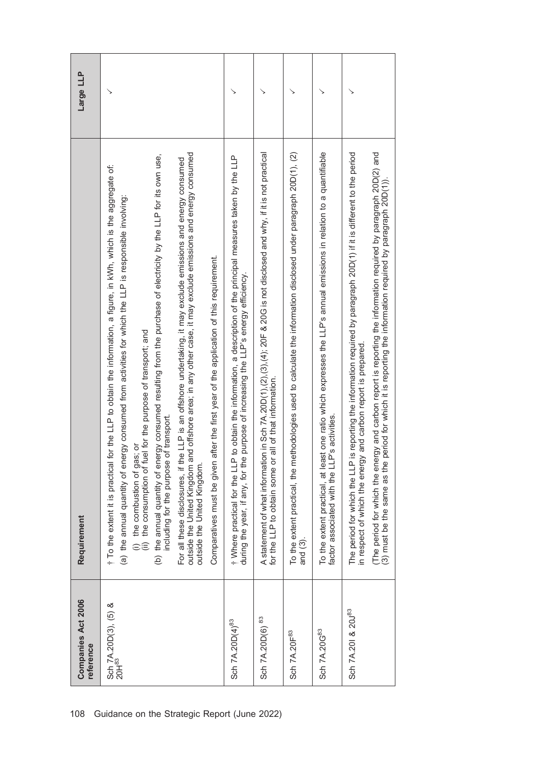| Companies Act 2006<br>reference           | Requirement                                                                                                                                                                                                                                                                                                                                                                                                                                                                                                                                                                                                                                                                                                                                                                                                                                                           | Large LLP |
|-------------------------------------------|-----------------------------------------------------------------------------------------------------------------------------------------------------------------------------------------------------------------------------------------------------------------------------------------------------------------------------------------------------------------------------------------------------------------------------------------------------------------------------------------------------------------------------------------------------------------------------------------------------------------------------------------------------------------------------------------------------------------------------------------------------------------------------------------------------------------------------------------------------------------------|-----------|
| Sch 7A.20D(3), (5) &<br>20H <sup>83</sup> | outside the United Kingdom and offshore area; in any other case, it may exclude emissions and energy consumed<br>(b) the annual quantity of energy consumed resulting from the purchase of electricity by the LLP for its own use,<br>the LLP is an offshore undertaking, it may exclude emissions and energy consumed<br>t To the extent it is practical for the LLP to obtain the information, a figure, in KWh, which is the aggregate of:<br>nergy consumed from activities for which the LLP is responsible involving:<br>Comparatives must be given after the first year of the application of this requirement.<br>(i) the combustion of gas; or<br>(ii) the consumption of fuel for the purpose of transport; and<br>including for the purpose of transport.<br>(a) the annual quantity of er<br>outside the United Kingdom.<br>For all these disclosures, if | ↘         |
| Sch 7A.20D(4) <sup>83</sup>               | t Where practical for the LLP to obtain the information, a description of the principal measures taken by the LLP<br>during the year, if any, for the purpose of increasing the LLP's energy efficiency.                                                                                                                                                                                                                                                                                                                                                                                                                                                                                                                                                                                                                                                              |           |
| Sch 7A.20D(6) 83                          | A statement of what information in Sch 7A.20D(1),(2),(3),(4); 20F & 20G is not disclosed and why, if it is not practical<br>for the LLP to obtain some or all of that information.                                                                                                                                                                                                                                                                                                                                                                                                                                                                                                                                                                                                                                                                                    |           |
| Sch 7A.20F <sup>83</sup>                  | To the extent practical, the methodologies used to calculate the information disclosed under paragraph 20D(1), (2)<br>and $(3)$ .                                                                                                                                                                                                                                                                                                                                                                                                                                                                                                                                                                                                                                                                                                                                     |           |
| Sch 7A.20G83                              | To the extent practical, at least one ratio which expresses the LLP's annual emissions in relation to a quantifiable<br>factor associated with the LLP's activities.                                                                                                                                                                                                                                                                                                                                                                                                                                                                                                                                                                                                                                                                                                  |           |
| Sch 7A.201 & 20J83                        | (The period for which the energy and carbon report is reporting the information required by paragraph 20D(2) and<br>The period for which the LLP is reporting the information required by paragraph 20D(1) if it is different to the period<br>(3) must be the same as the period for which it is reporting the information required by paragraph 20D(1))<br>in respect of which the energy and carbon report is prepared.                                                                                                                                                                                                                                                                                                                                                                                                                                            |           |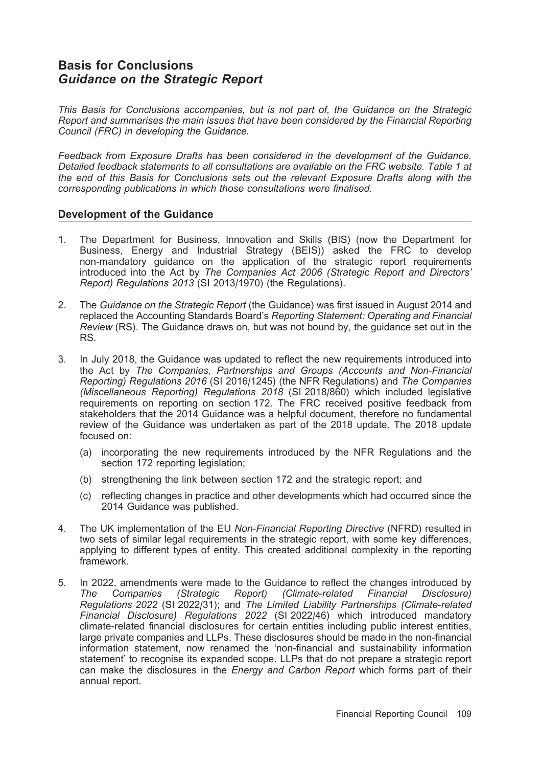# Basis for Conclusions Guidance on the Strategic Report

This Basis for Conclusions accompanies, but is not part of, the Guidance on the Strategic Report and summarises the main issues that have been considered by the Financial Reporting Council (FRC) in developing the Guidance.

Feedback from Exposure Drafts has been considered in the development of the Guidance. Detailed feedback statements to all consultations are available on the FRC website. Table 1 at the end of this Basis for Conclusions sets out the relevant Exposure Drafts along with the corresponding publications in which those consultations were finalised.

### Development of the Guidance

- 1. The Department for Business, Innovation and Skills (BIS) (now the Department for Business, Energy and Industrial Strategy (BEIS)) asked the FRC to develop non-mandatory guidance on the application of the strategic report requirements introduced into the Act by The Companies Act 2006 (Strategic Report and Directors' Report) Regulations 2013 (SI 2013/1970) (the Regulations).
- 2. The Guidance on the Strategic Report (the Guidance) was first issued in August 2014 and replaced the Accounting Standards Board's Reporting Statement: Operating and Financial Review (RS). The Guidance draws on, but was not bound by, the guidance set out in the RS.
- 3. In July 2018, the Guidance was updated to reflect the new requirements introduced into the Act by The Companies, Partnerships and Groups (Accounts and Non-Financial Reporting) Regulations 2016 (SI 2016/1245) (the NFR Regulations) and The Companies (Miscellaneous Reporting) Regulations 2018 (SI 2018/860) which included legislative requirements on reporting on section 172. The FRC received positive feedback from stakeholders that the 2014 Guidance was a helpful document, therefore no fundamental review of the Guidance was undertaken as part of the 2018 update. The 2018 update focused on:
	- (a) incorporating the new requirements introduced by the NFR Regulations and the section 172 reporting legislation;
	- (b) strengthening the link between section 172 and the strategic report; and
	- (c) reflecting changes in practice and other developments which had occurred since the 2014 Guidance was published.
- 4. The UK implementation of the EU Non-Financial Reporting Directive (NFRD) resulted in two sets of similar legal requirements in the strategic report, with some key differences, applying to different types of entity. This created additional complexity in the reporting framework.
- 5. In 2022, amendments were made to the Guidance to reflect the changes introduced by<br>
The Companies (Strategic Report) (Climate-related Financial Disclosure) The Companies (Strategic Report) (Climate-related Financial Disclosure) Regulations 2022 (SI 2022/31); and The Limited Liability Partnerships (Climate-related Financial Disclosure) Regulations 2022 (SI 2022/46) which introduced mandatory climate-related financial disclosures for certain entities including public interest entities, large private companies and LLPs. These disclosures should be made in the non-financial information statement, now renamed the 'non-financial and sustainability information statement' to recognise its expanded scope. LLPs that do not prepare a strategic report can make the disclosures in the Energy and Carbon Report which forms part of their annual report.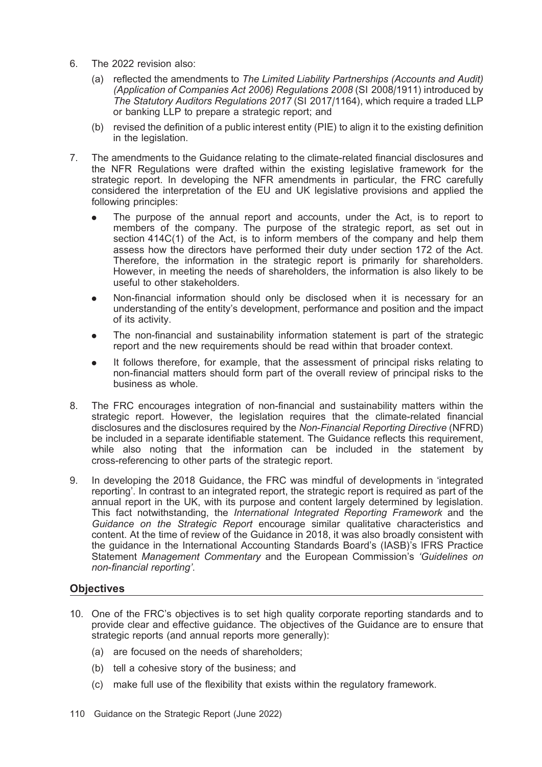- 6. The 2022 revision also:
	- (a) reflected the amendments to The Limited Liability Partnerships (Accounts and Audit) (Application of Companies Act 2006) Regulations 2008 (SI 2008/1911) introduced by The Statutory Auditors Regulations 2017 (SI 2017/1164), which require a traded LLP or banking LLP to prepare a strategic report; and
	- (b) revised the definition of a public interest entity (PIE) to align it to the existing definition in the legislation.
- 7. The amendments to the Guidance relating to the climate-related financial disclosures and the NFR Regulations were drafted within the existing legislative framework for the strategic report. In developing the NFR amendments in particular, the FRC carefully considered the interpretation of the EU and UK legislative provisions and applied the following principles:
	- . The purpose of the annual report and accounts, under the Act, is to report to members of the company. The purpose of the strategic report, as set out in section 414C(1) of the Act, is to inform members of the company and help them assess how the directors have performed their duty under section 172 of the Act. Therefore, the information in the strategic report is primarily for shareholders. However, in meeting the needs of shareholders, the information is also likely to be useful to other stakeholders.
	- . Non-financial information should only be disclosed when it is necessary for an understanding of the entity's development, performance and position and the impact of its activity.
	- . The non-financial and sustainability information statement is part of the strategic report and the new requirements should be read within that broader context.
	- . It follows therefore, for example, that the assessment of principal risks relating to non-financial matters should form part of the overall review of principal risks to the business as whole.
- 8. The FRC encourages integration of non-financial and sustainability matters within the strategic report. However, the legislation requires that the climate-related financial disclosures and the disclosures required by the Non-Financial Reporting Directive (NFRD) be included in a separate identifiable statement. The Guidance reflects this requirement, while also noting that the information can be included in the statement by cross-referencing to other parts of the strategic report.
- 9. In developing the 2018 Guidance, the FRC was mindful of developments in 'integrated reporting'. In contrast to an integrated report, the strategic report is required as part of the annual report in the UK, with its purpose and content largely determined by legislation. This fact notwithstanding, the International Integrated Reporting Framework and the Guidance on the Strategic Report encourage similar qualitative characteristics and content. At the time of review of the Guidance in 2018, it was also broadly consistent with the guidance in the International Accounting Standards Board's (IASB)'s IFRS Practice Statement Management Commentary and the European Commission's 'Guidelines on non-financial reporting'.

# **Objectives**

- 10. One of the FRC's objectives is to set high quality corporate reporting standards and to provide clear and effective guidance. The objectives of the Guidance are to ensure that strategic reports (and annual reports more generally):
	- (a) are focused on the needs of shareholders;
	- (b) tell a cohesive story of the business; and
	- (c) make full use of the flexibility that exists within the regulatory framework.
- 110 Guidance on the Strategic Report (June 2022)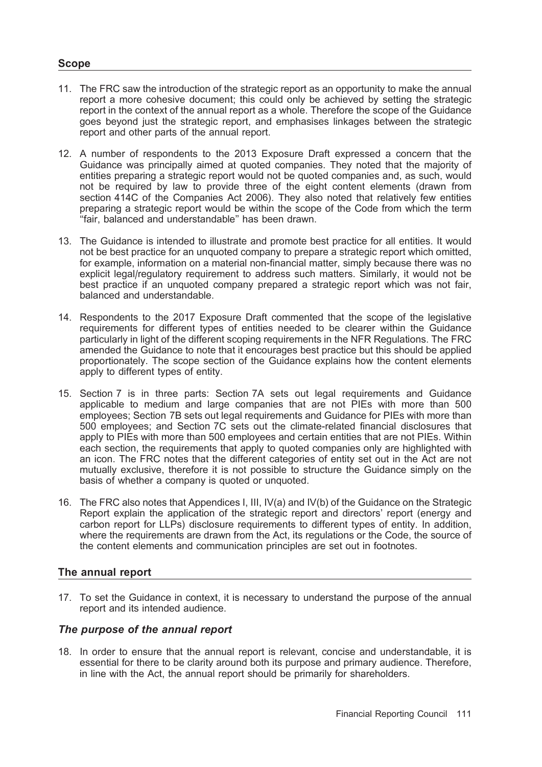#### Scope

- 11. The FRC saw the introduction of the strategic report as an opportunity to make the annual report a more cohesive document; this could only be achieved by setting the strategic report in the context of the annual report as a whole. Therefore the scope of the Guidance goes beyond just the strategic report, and emphasises linkages between the strategic report and other parts of the annual report.
- 12. A number of respondents to the 2013 Exposure Draft expressed a concern that the Guidance was principally aimed at quoted companies. They noted that the majority of entities preparing a strategic report would not be quoted companies and, as such, would not be required by law to provide three of the eight content elements (drawn from section 414C of the Companies Act 2006). They also noted that relatively few entities preparing a strategic report would be within the scope of the Code from which the term ''fair, balanced and understandable'' has been drawn.
- 13. The Guidance is intended to illustrate and promote best practice for all entities. It would not be best practice for an unquoted company to prepare a strategic report which omitted, for example, information on a material non-financial matter, simply because there was no explicit legal/regulatory requirement to address such matters. Similarly, it would not be best practice if an unquoted company prepared a strategic report which was not fair, balanced and understandable.
- 14. Respondents to the 2017 Exposure Draft commented that the scope of the legislative requirements for different types of entities needed to be clearer within the Guidance particularly in light of the different scoping requirements in the NFR Regulations. The FRC amended the Guidance to note that it encourages best practice but this should be applied proportionately. The scope section of the Guidance explains how the content elements apply to different types of entity.
- 15. Section 7 is in three parts: Section 7A sets out legal requirements and Guidance applicable to medium and large companies that are not PIEs with more than 500 employees; Section 7B sets out legal requirements and Guidance for PIEs with more than 500 employees; and Section 7C sets out the climate-related financial disclosures that apply to PIEs with more than 500 employees and certain entities that are not PIEs. Within each section, the requirements that apply to quoted companies only are highlighted with an icon. The FRC notes that the different categories of entity set out in the Act are not mutually exclusive, therefore it is not possible to structure the Guidance simply on the basis of whether a company is quoted or unquoted.
- 16. The FRC also notes that Appendices I, III, IV(a) and IV(b) of the Guidance on the Strategic Report explain the application of the strategic report and directors' report (energy and carbon report for LLPs) disclosure requirements to different types of entity. In addition, where the requirements are drawn from the Act, its regulations or the Code, the source of the content elements and communication principles are set out in footnotes.

### The annual report

17. To set the Guidance in context, it is necessary to understand the purpose of the annual report and its intended audience.

#### The purpose of the annual report

18. In order to ensure that the annual report is relevant, concise and understandable, it is essential for there to be clarity around both its purpose and primary audience. Therefore, in line with the Act, the annual report should be primarily for shareholders.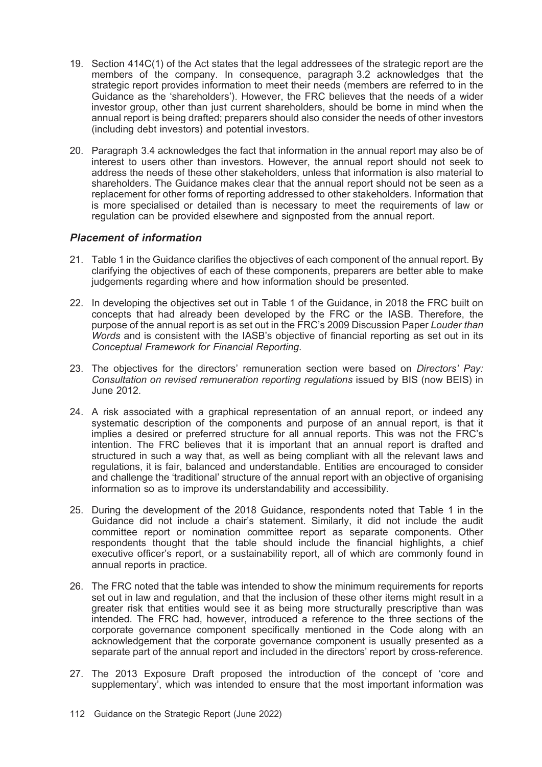- 19. Section 414C(1) of the Act states that the legal addressees of the strategic report are the members of the company. In consequence, paragraph 3.2 acknowledges that the strategic report provides information to meet their needs (members are referred to in the Guidance as the 'shareholders'). However, the FRC believes that the needs of a wider investor group, other than just current shareholders, should be borne in mind when the annual report is being drafted; preparers should also consider the needs of other investors (including debt investors) and potential investors.
- 20. Paragraph 3.4 acknowledges the fact that information in the annual report may also be of interest to users other than investors. However, the annual report should not seek to address the needs of these other stakeholders, unless that information is also material to shareholders. The Guidance makes clear that the annual report should not be seen as a replacement for other forms of reporting addressed to other stakeholders. Information that is more specialised or detailed than is necessary to meet the requirements of law or regulation can be provided elsewhere and signposted from the annual report.

# Placement of information

- 21. Table 1 in the Guidance clarifies the objectives of each component of the annual report. By clarifying the objectives of each of these components, preparers are better able to make judgements regarding where and how information should be presented.
- 22. In developing the objectives set out in Table 1 of the Guidance, in 2018 the FRC built on concepts that had already been developed by the FRC or the IASB. Therefore, the purpose of the annual report is as set out in the FRC's 2009 Discussion Paper Louder than Words and is consistent with the IASB's objective of financial reporting as set out in its Conceptual Framework for Financial Reporting.
- 23. The objectives for the directors' remuneration section were based on *Directors' Pay:* Consultation on revised remuneration reporting regulations issued by BIS (now BEIS) in June 2012.
- 24. A risk associated with a graphical representation of an annual report, or indeed any systematic description of the components and purpose of an annual report, is that it implies a desired or preferred structure for all annual reports. This was not the FRC's intention. The FRC believes that it is important that an annual report is drafted and structured in such a way that, as well as being compliant with all the relevant laws and regulations, it is fair, balanced and understandable. Entities are encouraged to consider and challenge the 'traditional' structure of the annual report with an objective of organising information so as to improve its understandability and accessibility.
- 25. During the development of the 2018 Guidance, respondents noted that Table 1 in the Guidance did not include a chair's statement. Similarly, it did not include the audit committee report or nomination committee report as separate components. Other respondents thought that the table should include the financial highlights, a chief executive officer's report, or a sustainability report, all of which are commonly found in annual reports in practice.
- 26. The FRC noted that the table was intended to show the minimum requirements for reports set out in law and regulation, and that the inclusion of these other items might result in a greater risk that entities would see it as being more structurally prescriptive than was intended. The FRC had, however, introduced a reference to the three sections of the corporate governance component specifically mentioned in the Code along with an acknowledgement that the corporate governance component is usually presented as a separate part of the annual report and included in the directors' report by cross-reference.
- 27. The 2013 Exposure Draft proposed the introduction of the concept of 'core and supplementary', which was intended to ensure that the most important information was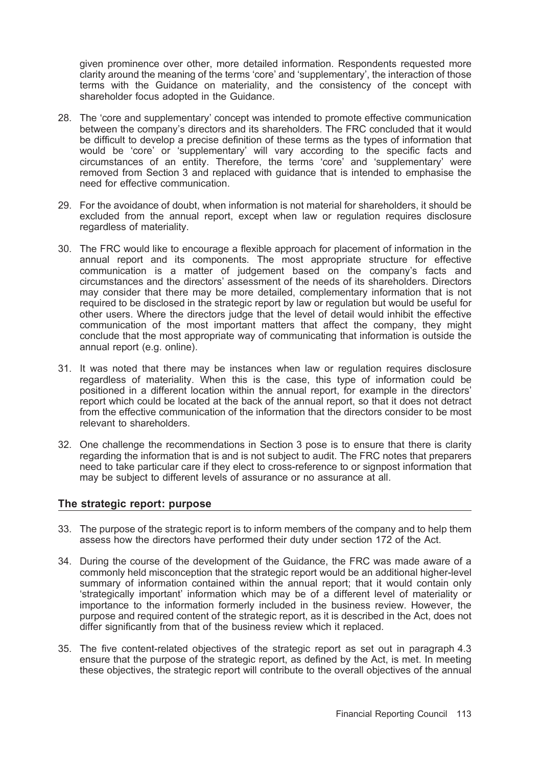given prominence over other, more detailed information. Respondents requested more clarity around the meaning of the terms 'core' and 'supplementary', the interaction of those terms with the Guidance on materiality, and the consistency of the concept with shareholder focus adopted in the Guidance.

- 28. The 'core and supplementary' concept was intended to promote effective communication between the company's directors and its shareholders. The FRC concluded that it would be difficult to develop a precise definition of these terms as the types of information that would be 'core' or 'supplementary' will vary according to the specific facts and circumstances of an entity. Therefore, the terms 'core' and 'supplementary' were removed from Section 3 and replaced with guidance that is intended to emphasise the need for effective communication.
- 29. For the avoidance of doubt, when information is not material for shareholders, it should be excluded from the annual report, except when law or regulation requires disclosure regardless of materiality.
- 30. The FRC would like to encourage a flexible approach for placement of information in the annual report and its components. The most appropriate structure for effective communication is a matter of judgement based on the company's facts and circumstances and the directors' assessment of the needs of its shareholders. Directors may consider that there may be more detailed, complementary information that is not required to be disclosed in the strategic report by law or regulation but would be useful for other users. Where the directors judge that the level of detail would inhibit the effective communication of the most important matters that affect the company, they might conclude that the most appropriate way of communicating that information is outside the annual report (e.g. online).
- 31. It was noted that there may be instances when law or regulation requires disclosure regardless of materiality. When this is the case, this type of information could be positioned in a different location within the annual report, for example in the directors' report which could be located at the back of the annual report, so that it does not detract from the effective communication of the information that the directors consider to be most relevant to shareholders.
- 32. One challenge the recommendations in Section 3 pose is to ensure that there is clarity regarding the information that is and is not subject to audit. The FRC notes that preparers need to take particular care if they elect to cross-reference to or signpost information that may be subject to different levels of assurance or no assurance at all.

#### The strategic report: purpose

- 33. The purpose of the strategic report is to inform members of the company and to help them assess how the directors have performed their duty under section 172 of the Act.
- 34. During the course of the development of the Guidance, the FRC was made aware of a commonly held misconception that the strategic report would be an additional higher-level summary of information contained within the annual report; that it would contain only 'strategically important' information which may be of a different level of materiality or importance to the information formerly included in the business review. However, the purpose and required content of the strategic report, as it is described in the Act, does not differ significantly from that of the business review which it replaced.
- 35. The five content-related objectives of the strategic report as set out in paragraph 4.3 ensure that the purpose of the strategic report, as defined by the Act, is met. In meeting these objectives, the strategic report will contribute to the overall objectives of the annual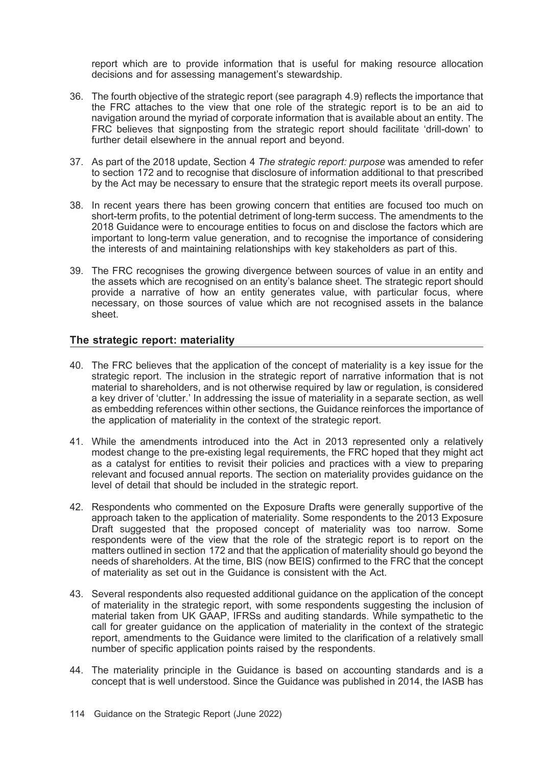report which are to provide information that is useful for making resource allocation decisions and for assessing management's stewardship.

- 36. The fourth objective of the strategic report (see paragraph 4.9) reflects the importance that the FRC attaches to the view that one role of the strategic report is to be an aid to navigation around the myriad of corporate information that is available about an entity. The FRC believes that signposting from the strategic report should facilitate 'drill-down' to further detail elsewhere in the annual report and beyond.
- 37. As part of the 2018 update, Section 4 The strategic report: purpose was amended to refer to section 172 and to recognise that disclosure of information additional to that prescribed by the Act may be necessary to ensure that the strategic report meets its overall purpose.
- 38. In recent years there has been growing concern that entities are focused too much on short-term profits, to the potential detriment of long-term success. The amendments to the 2018 Guidance were to encourage entities to focus on and disclose the factors which are important to long-term value generation, and to recognise the importance of considering the interests of and maintaining relationships with key stakeholders as part of this.
- 39. The FRC recognises the growing divergence between sources of value in an entity and the assets which are recognised on an entity's balance sheet. The strategic report should provide a narrative of how an entity generates value, with particular focus, where necessary, on those sources of value which are not recognised assets in the balance sheet.

### The strategic report: materiality

- 40. The FRC believes that the application of the concept of materiality is a key issue for the strategic report. The inclusion in the strategic report of narrative information that is not material to shareholders, and is not otherwise required by law or regulation, is considered a key driver of 'clutter.' In addressing the issue of materiality in a separate section, as well as embedding references within other sections, the Guidance reinforces the importance of the application of materiality in the context of the strategic report.
- 41. While the amendments introduced into the Act in 2013 represented only a relatively modest change to the pre-existing legal requirements, the FRC hoped that they might act as a catalyst for entities to revisit their policies and practices with a view to preparing relevant and focused annual reports. The section on materiality provides guidance on the level of detail that should be included in the strategic report.
- 42. Respondents who commented on the Exposure Drafts were generally supportive of the approach taken to the application of materiality. Some respondents to the 2013 Exposure Draft suggested that the proposed concept of materiality was too narrow. Some respondents were of the view that the role of the strategic report is to report on the matters outlined in section 172 and that the application of materiality should go beyond the needs of shareholders. At the time, BIS (now BEIS) confirmed to the FRC that the concept of materiality as set out in the Guidance is consistent with the Act.
- 43. Several respondents also requested additional guidance on the application of the concept of materiality in the strategic report, with some respondents suggesting the inclusion of material taken from UK GAAP, IFRSs and auditing standards. While sympathetic to the call for greater guidance on the application of materiality in the context of the strategic report, amendments to the Guidance were limited to the clarification of a relatively small number of specific application points raised by the respondents.
- 44. The materiality principle in the Guidance is based on accounting standards and is a concept that is well understood. Since the Guidance was published in 2014, the IASB has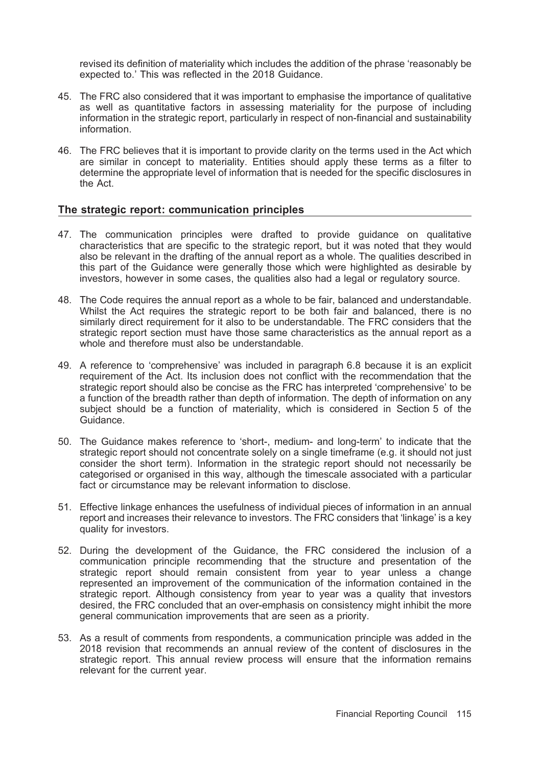revised its definition of materiality which includes the addition of the phrase 'reasonably be expected to.' This was reflected in the 2018 Guidance.

- 45. The FRC also considered that it was important to emphasise the importance of qualitative as well as quantitative factors in assessing materiality for the purpose of including information in the strategic report, particularly in respect of non-financial and sustainability information.
- 46. The FRC believes that it is important to provide clarity on the terms used in the Act which are similar in concept to materiality. Entities should apply these terms as a filter to determine the appropriate level of information that is needed for the specific disclosures in the Act.

### The strategic report: communication principles

- 47. The communication principles were drafted to provide guidance on qualitative characteristics that are specific to the strategic report, but it was noted that they would also be relevant in the drafting of the annual report as a whole. The qualities described in this part of the Guidance were generally those which were highlighted as desirable by investors, however in some cases, the qualities also had a legal or regulatory source.
- 48. The Code requires the annual report as a whole to be fair, balanced and understandable. Whilst the Act requires the strategic report to be both fair and balanced, there is no similarly direct requirement for it also to be understandable. The FRC considers that the strategic report section must have those same characteristics as the annual report as a whole and therefore must also be understandable.
- 49. A reference to 'comprehensive' was included in paragraph 6.8 because it is an explicit requirement of the Act. Its inclusion does not conflict with the recommendation that the strategic report should also be concise as the FRC has interpreted 'comprehensive' to be a function of the breadth rather than depth of information. The depth of information on any subject should be a function of materiality, which is considered in Section 5 of the Guidance.
- 50. The Guidance makes reference to 'short-, medium- and long-term' to indicate that the strategic report should not concentrate solely on a single timeframe (e.g. it should not just consider the short term). Information in the strategic report should not necessarily be categorised or organised in this way, although the timescale associated with a particular fact or circumstance may be relevant information to disclose.
- 51. Effective linkage enhances the usefulness of individual pieces of information in an annual report and increases their relevance to investors. The FRC considers that 'linkage' is a key quality for investors.
- 52. During the development of the Guidance, the FRC considered the inclusion of a communication principle recommending that the structure and presentation of the strategic report should remain consistent from year to year unless a change represented an improvement of the communication of the information contained in the strategic report. Although consistency from year to year was a quality that investors desired, the FRC concluded that an over-emphasis on consistency might inhibit the more general communication improvements that are seen as a priority.
- 53. As a result of comments from respondents, a communication principle was added in the 2018 revision that recommends an annual review of the content of disclosures in the strategic report. This annual review process will ensure that the information remains relevant for the current year.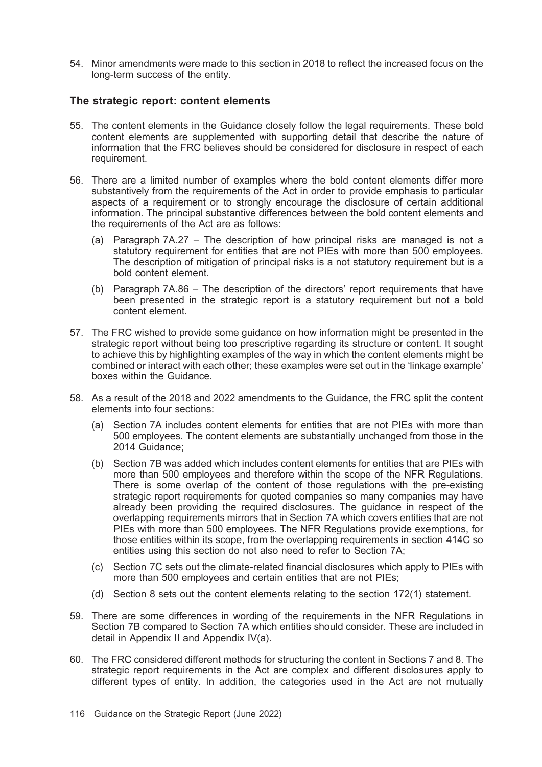54. Minor amendments were made to this section in 2018 to reflect the increased focus on the long-term success of the entity.

#### The strategic report: content elements

- 55. The content elements in the Guidance closely follow the legal requirements. These bold content elements are supplemented with supporting detail that describe the nature of information that the FRC believes should be considered for disclosure in respect of each requirement.
- 56. There are a limited number of examples where the bold content elements differ more substantively from the requirements of the Act in order to provide emphasis to particular aspects of a requirement or to strongly encourage the disclosure of certain additional information. The principal substantive differences between the bold content elements and the requirements of the Act are as follows:
	- (a) Paragraph 7A.27 The description of how principal risks are managed is not a statutory requirement for entities that are not PIEs with more than 500 employees. The description of mitigation of principal risks is a not statutory requirement but is a bold content element.
	- (b) Paragraph 7A.86 The description of the directors' report requirements that have been presented in the strategic report is a statutory requirement but not a bold content element.
- 57. The FRC wished to provide some guidance on how information might be presented in the strategic report without being too prescriptive regarding its structure or content. It sought to achieve this by highlighting examples of the way in which the content elements might be combined or interact with each other; these examples were set out in the 'linkage example' boxes within the Guidance.
- 58. As a result of the 2018 and 2022 amendments to the Guidance, the FRC split the content elements into four sections:
	- (a) Section 7A includes content elements for entities that are not PIEs with more than 500 employees. The content elements are substantially unchanged from those in the 2014 Guidance;
	- (b) Section 7B was added which includes content elements for entities that are PIEs with more than 500 employees and therefore within the scope of the NFR Regulations. There is some overlap of the content of those regulations with the pre-existing strategic report requirements for quoted companies so many companies may have already been providing the required disclosures. The guidance in respect of the overlapping requirements mirrors that in Section 7A which covers entities that are not PIEs with more than 500 employees. The NFR Regulations provide exemptions, for those entities within its scope, from the overlapping requirements in section 414C so entities using this section do not also need to refer to Section 7A;
	- (c) Section 7C sets out the climate-related financial disclosures which apply to PIEs with more than 500 employees and certain entities that are not PIEs;
	- (d) Section 8 sets out the content elements relating to the section 172(1) statement.
- 59. There are some differences in wording of the requirements in the NFR Regulations in Section 7B compared to Section 7A which entities should consider. These are included in detail in Appendix II and Appendix IV(a).
- 60. The FRC considered different methods for structuring the content in Sections 7 and 8. The strategic report requirements in the Act are complex and different disclosures apply to different types of entity. In addition, the categories used in the Act are not mutually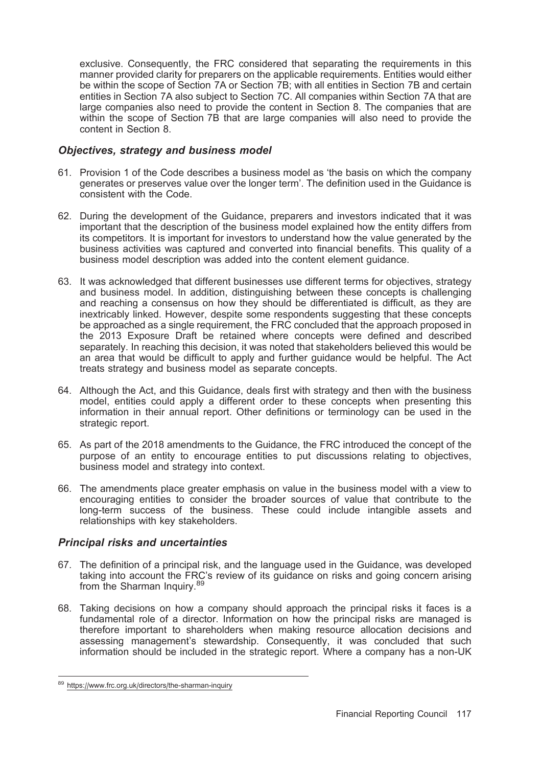exclusive. Consequently, the FRC considered that separating the requirements in this manner provided clarity for preparers on the applicable requirements. Entities would either be within the scope of Section 7A or Section 7B; with all entities in Section 7B and certain entities in Section 7A also subject to Section 7C. All companies within Section 7A that are large companies also need to provide the content in Section 8. The companies that are within the scope of Section 7B that are large companies will also need to provide the content in Section 8.

### Objectives, strategy and business model

- 61. Provision 1 of the Code describes a business model as 'the basis on which the company generates or preserves value over the longer term'. The definition used in the Guidance is consistent with the Code.
- 62. During the development of the Guidance, preparers and investors indicated that it was important that the description of the business model explained how the entity differs from its competitors. It is important for investors to understand how the value generated by the business activities was captured and converted into financial benefits. This quality of a business model description was added into the content element guidance.
- 63. It was acknowledged that different businesses use different terms for objectives, strategy and business model. In addition, distinguishing between these concepts is challenging and reaching a consensus on how they should be differentiated is difficult, as they are inextricably linked. However, despite some respondents suggesting that these concepts be approached as a single requirement, the FRC concluded that the approach proposed in the 2013 Exposure Draft be retained where concepts were defined and described separately. In reaching this decision, it was noted that stakeholders believed this would be an area that would be difficult to apply and further guidance would be helpful. The Act treats strategy and business model as separate concepts.
- 64. Although the Act, and this Guidance, deals first with strategy and then with the business model, entities could apply a different order to these concepts when presenting this information in their annual report. Other definitions or terminology can be used in the strategic report.
- 65. As part of the 2018 amendments to the Guidance, the FRC introduced the concept of the purpose of an entity to encourage entities to put discussions relating to objectives, business model and strategy into context.
- 66. The amendments place greater emphasis on value in the business model with a view to encouraging entities to consider the broader sources of value that contribute to the long-term success of the business. These could include intangible assets and relationships with key stakeholders.

# Principal risks and uncertainties

- 67. The definition of a principal risk, and the language used in the Guidance, was developed taking into account the FRC's review of its guidance on risks and going concern arising from the Sharman Inquiry.<sup>89</sup>
- 68. Taking decisions on how a company should approach the principal risks it faces is a fundamental role of a director. Information on how the principal risks are managed is therefore important to shareholders when making resource allocation decisions and assessing management's stewardship. Consequently, it was concluded that such information should be included in the strategic report. Where a company has a non-UK

<sup>89</sup> https://www.frc.org.uk/directors/the-sharman-inquiry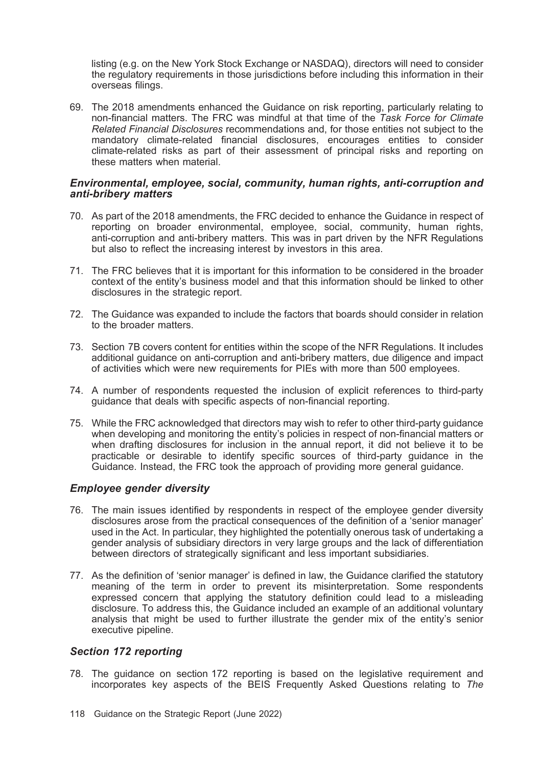listing (e.g. on the New York Stock Exchange or NASDAQ), directors will need to consider the regulatory requirements in those jurisdictions before including this information in their overseas filings.

69. The 2018 amendments enhanced the Guidance on risk reporting, particularly relating to non-financial matters. The FRC was mindful at that time of the Task Force for Climate Related Financial Disclosures recommendations and, for those entities not subject to the mandatory climate-related financial disclosures, encourages entities to consider climate-related risks as part of their assessment of principal risks and reporting on these matters when material.

#### Environmental, employee, social, community, human rights, anti-corruption and anti-bribery matters

- 70. As part of the 2018 amendments, the FRC decided to enhance the Guidance in respect of reporting on broader environmental, employee, social, community, human rights, anti-corruption and anti-bribery matters. This was in part driven by the NFR Regulations but also to reflect the increasing interest by investors in this area.
- 71. The FRC believes that it is important for this information to be considered in the broader context of the entity's business model and that this information should be linked to other disclosures in the strategic report.
- 72. The Guidance was expanded to include the factors that boards should consider in relation to the broader matters.
- 73. Section 7B covers content for entities within the scope of the NFR Regulations. It includes additional guidance on anti-corruption and anti-bribery matters, due diligence and impact of activities which were new requirements for PIEs with more than 500 employees.
- 74. A number of respondents requested the inclusion of explicit references to third-party guidance that deals with specific aspects of non-financial reporting.
- 75. While the FRC acknowledged that directors may wish to refer to other third-party guidance when developing and monitoring the entity's policies in respect of non-financial matters or when drafting disclosures for inclusion in the annual report, it did not believe it to be practicable or desirable to identify specific sources of third-party guidance in the Guidance. Instead, the FRC took the approach of providing more general guidance.

### Employee gender diversity

- 76. The main issues identified by respondents in respect of the employee gender diversity disclosures arose from the practical consequences of the definition of a 'senior manager' used in the Act. In particular, they highlighted the potentially onerous task of undertaking a gender analysis of subsidiary directors in very large groups and the lack of differentiation between directors of strategically significant and less important subsidiaries.
- 77. As the definition of 'senior manager' is defined in law, the Guidance clarified the statutory meaning of the term in order to prevent its misinterpretation. Some respondents expressed concern that applying the statutory definition could lead to a misleading disclosure. To address this, the Guidance included an example of an additional voluntary analysis that might be used to further illustrate the gender mix of the entity's senior executive pipeline.

#### Section 172 reporting

78. The guidance on section 172 reporting is based on the legislative requirement and incorporates key aspects of the BEIS Frequently Asked Questions relating to The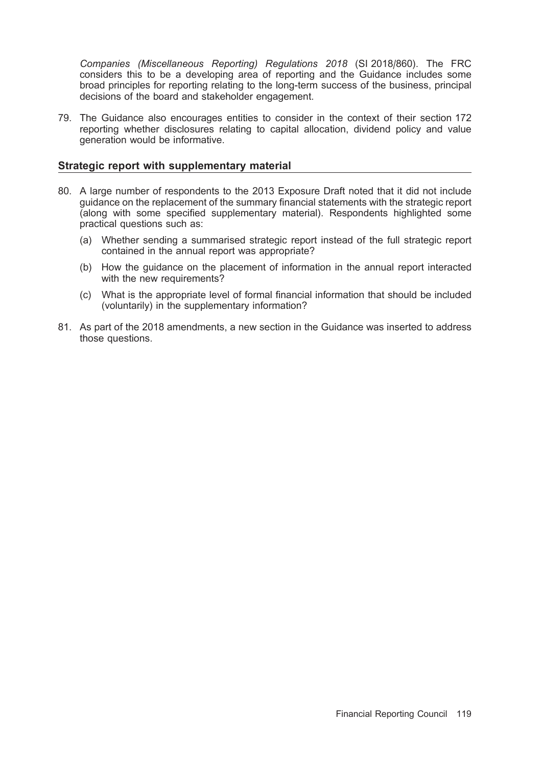Companies (Miscellaneous Reporting) Regulations 2018 (SI 2018/860). The FRC considers this to be a developing area of reporting and the Guidance includes some broad principles for reporting relating to the long-term success of the business, principal decisions of the board and stakeholder engagement.

79. The Guidance also encourages entities to consider in the context of their section 172 reporting whether disclosures relating to capital allocation, dividend policy and value generation would be informative.

#### Strategic report with supplementary material

- 80. A large number of respondents to the 2013 Exposure Draft noted that it did not include guidance on the replacement of the summary financial statements with the strategic report (along with some specified supplementary material). Respondents highlighted some practical questions such as:
	- (a) Whether sending a summarised strategic report instead of the full strategic report contained in the annual report was appropriate?
	- (b) How the guidance on the placement of information in the annual report interacted with the new requirements?
	- (c) What is the appropriate level of formal financial information that should be included (voluntarily) in the supplementary information?
- 81. As part of the 2018 amendments, a new section in the Guidance was inserted to address those questions.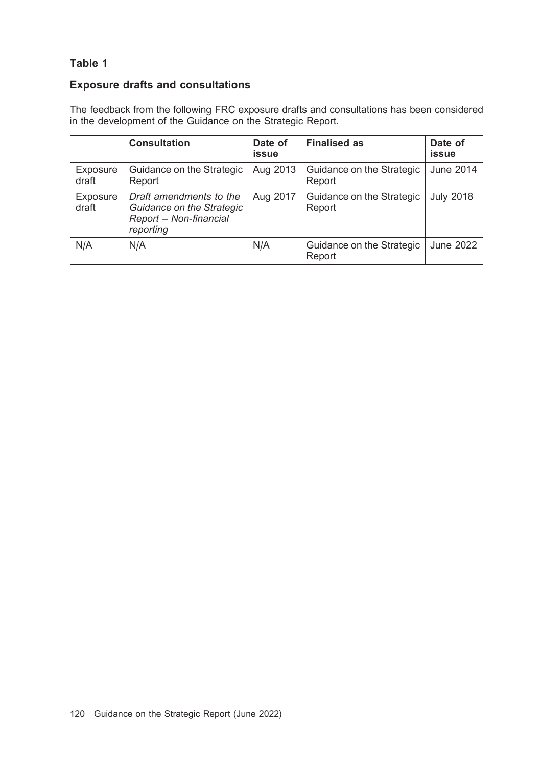# Table 1

# Exposure drafts and consultations

The feedback from the following FRC exposure drafts and consultations has been considered in the development of the Guidance on the Strategic Report.

|                   | <b>Consultation</b>                                                                         | Date of<br>issue | <b>Finalised as</b>                 | Date of<br>issue |
|-------------------|---------------------------------------------------------------------------------------------|------------------|-------------------------------------|------------------|
| Exposure<br>draft | Guidance on the Strategic<br>Report                                                         | Aug 2013         | Guidance on the Strategic<br>Report | <b>June 2014</b> |
| Exposure<br>draft | Draft amendments to the<br>Guidance on the Strategic<br>Report - Non-financial<br>reporting | Aug 2017         | Guidance on the Strategic<br>Report | <b>July 2018</b> |
| N/A               | N/A                                                                                         | N/A              | Guidance on the Strategic<br>Report | June 2022        |